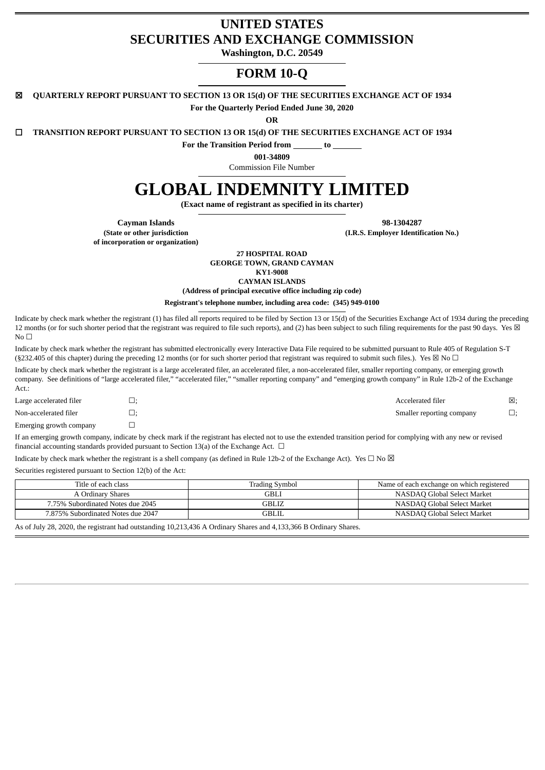# **UNITED STATES SECURITIES AND EXCHANGE COMMISSION**

**Washington, D.C. 20549**

## **FORM 10-Q**

### ☒ **QUARTERLY REPORT PURSUANT TO SECTION 13 OR 15(d) OF THE SECURITIES EXCHANGE ACT OF 1934**

**For the Quarterly Period Ended June 30, 2020**

**OR**

☐ **TRANSITION REPORT PURSUANT TO SECTION 13 OR 15(d) OF THE SECURITIES EXCHANGE ACT OF 1934**

**For the Transition Period from to**

**001-34809**

Commission File Number

# **GLOBAL INDEMNITY LIMITED**

**(Exact name of registrant as specified in its charter)**

**Cayman Islands 98-1304287 (State or other jurisdiction of incorporation or organization)**

**(I.R.S. Employer Identification No.)**

**27 HOSPITAL ROAD**

**GEORGE TOWN, GRAND CAYMAN**

**KY1-9008**

**CAYMAN ISLANDS (Address of principal executive office including zip code)**

**Registrant's telephone number, including area code: (345) 949-0100**

Indicate by check mark whether the registrant (1) has filed all reports required to be filed by Section 13 or 15(d) of the Securities Exchange Act of 1934 during the preceding 12 months (or for such shorter period that the registrant was required to file such reports), and (2) has been subject to such filing requirements for the past 90 days. Yes  $\boxtimes$  $N_0$   $\Box$ 

Indicate by check mark whether the registrant has submitted electronically every Interactive Data File required to be submitted pursuant to Rule 405 of Regulation S-T (§232.405 of this chapter) during the preceding 12 months (or for such shorter period that registrant was required to submit such files.). Yes  $\boxtimes$  No  $\Box$ 

Indicate by check mark whether the registrant is a large accelerated filer, an accelerated filer, a non-accelerated filer, smaller reporting company, or emerging growth company. See definitions of "large accelerated filer," "accelerated filer," "smaller reporting company" and "emerging growth company" in Rule 12b-2 of the Exchange  $Art$ .

| Large accelerated filer | Accelerated filer         | ⊠: |
|-------------------------|---------------------------|----|
| Non-accelerated filer   | Smaller reporting company |    |
| Emerging growth company |                           |    |

If an emerging growth company, indicate by check mark if the registrant has elected not to use the extended transition period for complying with any new or revised financial accounting standards provided pursuant to Section 13(a) of the Exchange Act.  $\Box$ 

Indicate by check mark whether the registrant is a shell company (as defined in Rule 12b-2 of the Exchange Act). Yes  $\Box$  No  $\boxtimes$ 

Securities registered pursuant to Section 12(b) of the Act:

| Title of each class                | <b>Trading Symbol</b> | Name of each exchange on which registered |
|------------------------------------|-----------------------|-------------------------------------------|
| A Ordinary Shares                  | GBLI                  | NASDAQ Global Select Market               |
| 7.75% Subordinated Notes due 2045  | GBLIZ                 | NASDAQ Global Select Market               |
| 7.875% Subordinated Notes due 2047 | <b>GBLIL</b>          | NASDAQ Global Select Market               |

As of July 28, 2020, the registrant had outstanding 10,213,436 A Ordinary Shares and 4,133,366 B Ordinary Shares.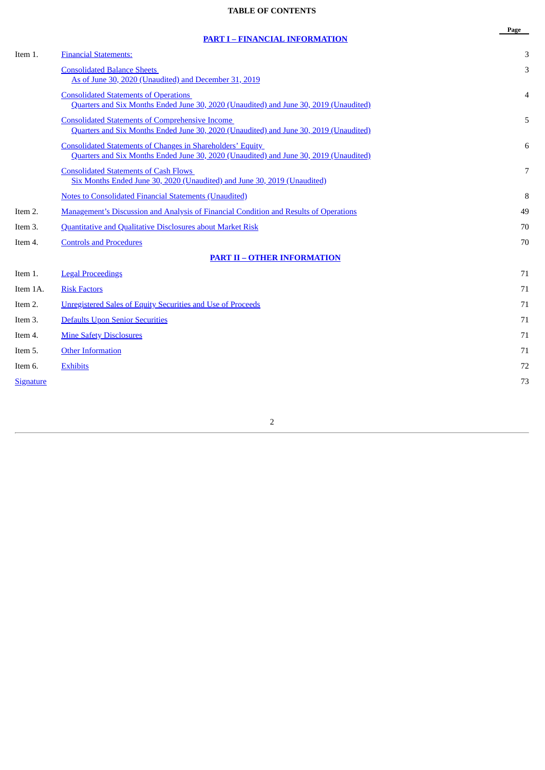### **TABLE OF CONTENTS**

|  | <b>PART I - FINANCIAL INFORMATION</b> |
|--|---------------------------------------|
|--|---------------------------------------|

**Page**

|                  | PART I – FINANCIAL INFORMATION                                                                                                                             |    |
|------------------|------------------------------------------------------------------------------------------------------------------------------------------------------------|----|
| Item 1.          | <b>Financial Statements:</b>                                                                                                                               | 3  |
|                  | <b>Consolidated Balance Sheets</b><br>As of June 30, 2020 (Unaudited) and December 31, 2019                                                                | 3  |
|                  | <b>Consolidated Statements of Operations</b><br>Quarters and Six Months Ended June 30, 2020 (Unaudited) and June 30, 2019 (Unaudited)                      | 4  |
|                  | <b>Consolidated Statements of Comprehensive Income</b><br>Quarters and Six Months Ended June 30, 2020 (Unaudited) and June 30, 2019 (Unaudited)            | 5  |
|                  | <b>Consolidated Statements of Changes in Shareholders' Equity</b><br>Quarters and Six Months Ended June 30, 2020 (Unaudited) and June 30, 2019 (Unaudited) | 6  |
|                  | <b>Consolidated Statements of Cash Flows</b><br>Six Months Ended June 30, 2020 (Unaudited) and June 30, 2019 (Unaudited)                                   | 7  |
|                  | <b>Notes to Consolidated Financial Statements (Unaudited)</b>                                                                                              | 8  |
| Item 2.          | <b>Management's Discussion and Analysis of Financial Condition and Results of Operations</b>                                                               | 49 |
| Item 3.          | <b>Quantitative and Qualitative Disclosures about Market Risk</b>                                                                                          | 70 |
| Item 4.          | <b>Controls and Procedures</b>                                                                                                                             | 70 |
|                  | <b>PART II - OTHER INFORMATION</b>                                                                                                                         |    |
| Item 1.          | <b>Legal Proceedings</b>                                                                                                                                   | 71 |
| Item 1A.         | <b>Risk Factors</b>                                                                                                                                        | 71 |
| Item 2.          | <b>Unregistered Sales of Equity Securities and Use of Proceeds</b>                                                                                         | 71 |
| Item 3.          | <b>Defaults Upon Senior Securities</b>                                                                                                                     | 71 |
| Item 4.          | <b>Mine Safety Disclosures</b>                                                                                                                             | 71 |
| Item 5.          | <b>Other Information</b>                                                                                                                                   | 71 |
| Item 6.          | <b>Exhibits</b>                                                                                                                                            | 72 |
| <b>Signature</b> |                                                                                                                                                            | 73 |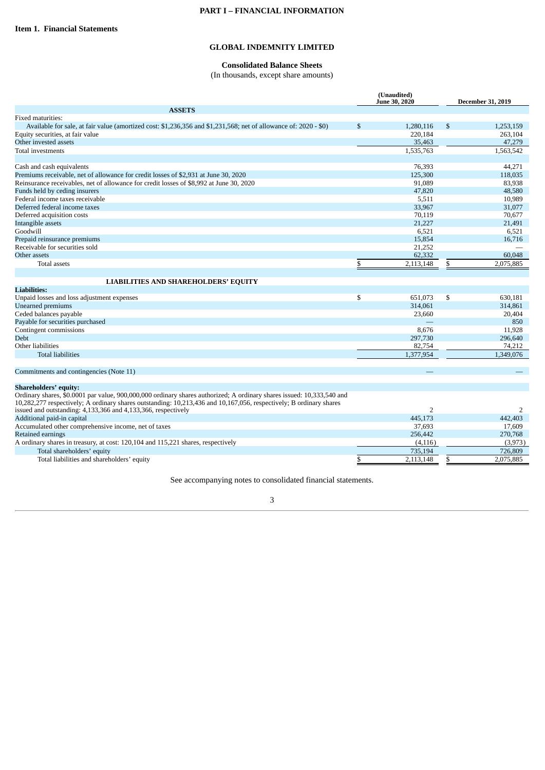### **Consolidated Balance Sheets**

(In thousands, except share amounts)

<span id="page-2-2"></span><span id="page-2-1"></span><span id="page-2-0"></span>

|                                                                                                                                                                                                                                                                                                              | (Unaudited)<br><b>June 30, 2020</b> |              | <b>December 31, 2019</b> |
|--------------------------------------------------------------------------------------------------------------------------------------------------------------------------------------------------------------------------------------------------------------------------------------------------------------|-------------------------------------|--------------|--------------------------|
| <b>ASSETS</b>                                                                                                                                                                                                                                                                                                |                                     |              |                          |
| <b>Fixed maturities:</b>                                                                                                                                                                                                                                                                                     |                                     |              |                          |
| Available for sale, at fair value (amortized cost: \$1,236,356 and \$1,231,568; net of allowance of: 2020 - \$0)                                                                                                                                                                                             | \$<br>1,280,116                     | \$           | 1,253,159                |
| Equity securities, at fair value                                                                                                                                                                                                                                                                             | 220,184                             |              | 263,104                  |
| Other invested assets                                                                                                                                                                                                                                                                                        | 35,463                              |              | 47,279                   |
| Total investments                                                                                                                                                                                                                                                                                            | 1,535,763                           |              | 1,563,542                |
| Cash and cash equivalents                                                                                                                                                                                                                                                                                    | 76,393                              |              | 44,271                   |
| Premiums receivable, net of allowance for credit losses of \$2,931 at June 30, 2020                                                                                                                                                                                                                          | 125,300                             |              | 118,035                  |
| Reinsurance receivables, net of allowance for credit losses of \$8,992 at June 30, 2020                                                                                                                                                                                                                      | 91,089                              |              | 83,938                   |
| Funds held by ceding insurers                                                                                                                                                                                                                                                                                | 47,820                              |              | 48,580                   |
| Federal income taxes receivable                                                                                                                                                                                                                                                                              | 5,511                               |              | 10,989                   |
| Deferred federal income taxes                                                                                                                                                                                                                                                                                | 33,967                              |              | 31,077                   |
| Deferred acquisition costs                                                                                                                                                                                                                                                                                   | 70,119                              |              | 70,677                   |
| Intangible assets                                                                                                                                                                                                                                                                                            | 21,227                              |              | 21,491                   |
| Goodwill                                                                                                                                                                                                                                                                                                     | 6,521                               |              | 6,521                    |
| Prepaid reinsurance premiums                                                                                                                                                                                                                                                                                 | 15,854                              |              | 16,716                   |
| Receivable for securities sold                                                                                                                                                                                                                                                                               | 21,252                              |              |                          |
| Other assets                                                                                                                                                                                                                                                                                                 | 62,332                              |              | 60,048                   |
| Total assets                                                                                                                                                                                                                                                                                                 | \$<br>2,113,148                     |              | 2,075,885                |
| <b>LIABILITIES AND SHAREHOLDERS' EQUITY</b>                                                                                                                                                                                                                                                                  |                                     |              |                          |
| <b>Liabilities:</b>                                                                                                                                                                                                                                                                                          |                                     |              |                          |
| Unpaid losses and loss adjustment expenses                                                                                                                                                                                                                                                                   | \$<br>651.073                       | $\mathbb{S}$ | 630.181                  |
| <b>Unearned</b> premiums                                                                                                                                                                                                                                                                                     | 314,061                             |              | 314,861                  |
| Ceded balances payable                                                                                                                                                                                                                                                                                       | 23,660                              |              | 20,404                   |
| Payable for securities purchased                                                                                                                                                                                                                                                                             |                                     |              | 850                      |
| Contingent commissions                                                                                                                                                                                                                                                                                       | 8,676                               |              | 11,928                   |
| Debt                                                                                                                                                                                                                                                                                                         | 297,730                             |              | 296,640                  |
| Other liabilities                                                                                                                                                                                                                                                                                            | 82,754                              |              | 74,212                   |
| <b>Total liabilities</b>                                                                                                                                                                                                                                                                                     | 1,377,954                           |              | 1,349,076                |
| Commitments and contingencies (Note 11)                                                                                                                                                                                                                                                                      |                                     |              |                          |
| <b>Shareholders' equity:</b>                                                                                                                                                                                                                                                                                 |                                     |              |                          |
| Ordinary shares, \$0.0001 par value, 900,000,000 ordinary shares authorized; A ordinary shares issued: 10,333,540 and<br>10,282,277 respectively; A ordinary shares outstanding: 10,213,436 and 10,167,056, respectively; B ordinary shares<br>issued and outstanding: 4,133,366 and 4,133,366, respectively | $\overline{2}$                      |              | 2                        |
| Additional paid-in capital                                                                                                                                                                                                                                                                                   | 445,173                             |              | 442,403                  |
| Accumulated other comprehensive income, net of taxes                                                                                                                                                                                                                                                         | 37,693                              |              | 17,609                   |
| Retained earnings                                                                                                                                                                                                                                                                                            | 256,442                             |              | 270,768                  |
| A ordinary shares in treasury, at cost: 120,104 and 115,221 shares, respectively                                                                                                                                                                                                                             | (4, 116)                            |              | (3,973)                  |
| Total shareholders' equity                                                                                                                                                                                                                                                                                   | 735,194                             |              | 726,809                  |
| Total liabilities and shareholders' equity                                                                                                                                                                                                                                                                   | \$<br>2,113,148                     | \$           | 2,075,885                |

See accompanying notes to consolidated financial statements.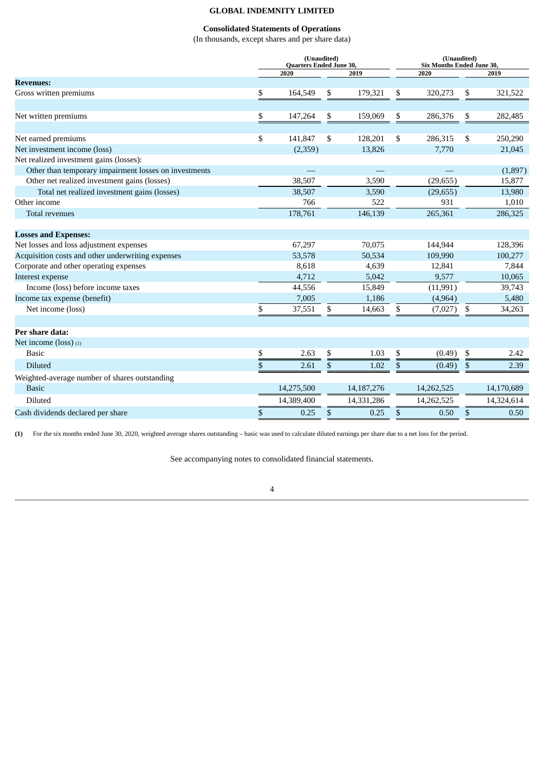#### **Consolidated Statements of Operations**

(In thousands, except shares and per share data)

<span id="page-3-0"></span>

|                                                       | (Unaudited)<br>Quarters Ended June 30, |              |              |      | (Unaudited)<br><b>Six Months Ended June 30,</b> |              |            |  |
|-------------------------------------------------------|----------------------------------------|--------------|--------------|------|-------------------------------------------------|--------------|------------|--|
|                                                       | 2020                                   |              | 2019         |      | 2020                                            |              | 2019       |  |
| <b>Revenues:</b>                                      |                                        |              |              |      |                                                 |              |            |  |
| Gross written premiums                                | \$<br>164,549                          | \$           | 179,321      | \$   | 320,273                                         | \$           | 321,522    |  |
| Net written premiums                                  | \$<br>147,264                          | \$           | 159,069      | \$   | 286,376                                         | \$           | 282,485    |  |
|                                                       |                                        |              |              |      |                                                 |              |            |  |
| Net earned premiums                                   | \$<br>141,847                          | \$           | 128,201      | \$   | 286,315                                         | \$           | 250,290    |  |
| Net investment income (loss)                          | (2,359)                                |              | 13,826       |      | 7,770                                           |              | 21,045     |  |
| Net realized investment gains (losses):               |                                        |              |              |      |                                                 |              |            |  |
| Other than temporary impairment losses on investments |                                        |              |              |      |                                                 |              | (1,897)    |  |
| Other net realized investment gains (losses)          | 38,507                                 |              | 3,590        |      | (29, 655)                                       |              | 15,877     |  |
| Total net realized investment gains (losses)          | 38,507                                 |              | 3,590        |      | (29, 655)                                       |              | 13,980     |  |
| Other income                                          | 766                                    |              | 522          |      | 931                                             |              | 1,010      |  |
| <b>Total revenues</b>                                 | 178,761                                |              | 146,139      |      | 265,361                                         |              | 286,325    |  |
| <b>Losses and Expenses:</b>                           |                                        |              |              |      |                                                 |              |            |  |
| Net losses and loss adjustment expenses               | 67,297                                 |              | 70,075       |      | 144,944                                         |              | 128,396    |  |
| Acquisition costs and other underwriting expenses     | 53,578                                 |              | 50,534       |      | 109,990                                         |              | 100,277    |  |
| Corporate and other operating expenses                | 8,618                                  |              | 4,639        |      | 12,841                                          |              | 7,844      |  |
| Interest expense                                      | 4,712                                  |              | 5,042        |      | 9,577                                           |              | 10,065     |  |
| Income (loss) before income taxes                     | 44,556                                 |              | 15,849       |      | (11, 991)                                       |              | 39,743     |  |
| Income tax expense (benefit)                          | 7,005                                  |              | 1,186        |      | (4,964)                                         |              | 5,480      |  |
| Net income (loss)                                     | \$<br>37,551                           | \$           | 14,663       | \$   | (7,027)                                         | \$           | 34,263     |  |
|                                                       |                                        |              |              |      |                                                 |              |            |  |
| Per share data:                                       |                                        |              |              |      |                                                 |              |            |  |
| Net income (loss) (1)                                 |                                        |              |              |      |                                                 |              |            |  |
| <b>Basic</b>                                          | \$<br>2.63                             | \$           | 1.03         | \$   | (0.49)                                          | \$           | 2.42       |  |
| <b>Diluted</b>                                        | \$<br>2.61                             | \$           | 1.02         | $\$$ | (0.49)                                          | $\mathbb{S}$ | 2.39       |  |
| Weighted-average number of shares outstanding         |                                        |              |              |      |                                                 |              |            |  |
| <b>Basic</b>                                          | 14,275,500                             |              | 14, 187, 276 |      | 14,262,525                                      |              | 14,170,689 |  |
| <b>Diluted</b>                                        | 14,389,400                             |              | 14,331,286   |      | 14,262,525                                      |              | 14,324,614 |  |
| Cash dividends declared per share                     | \$<br>0.25                             | $\mathbb{S}$ | 0.25         | \$   | 0.50                                            | \$           | 0.50       |  |

**(1)** For the six months ended June 30, 2020, weighted average shares outstanding – basic was used to calculate diluted earnings per share due to a net loss for the period.

See accompanying notes to consolidated financial statements.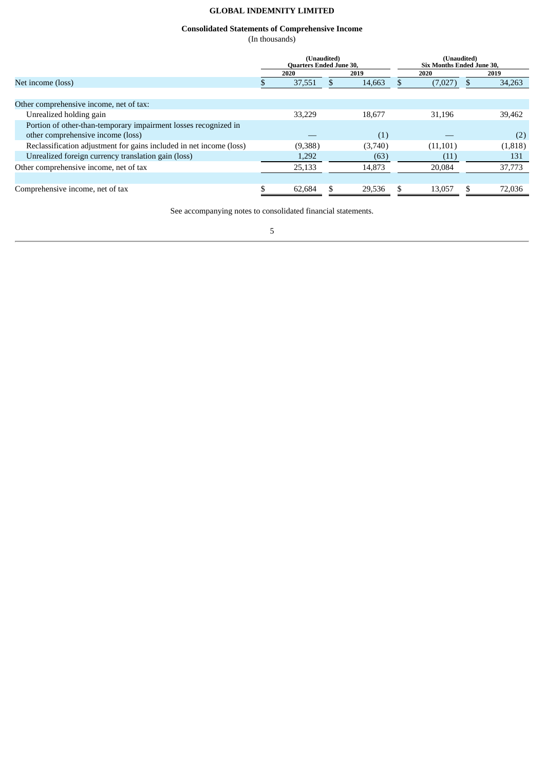### **Consolidated Statements of Comprehensive Income**

(In thousands)

<span id="page-4-0"></span>

|                                                                     | (Unaudited)<br><b>Quarters Ended June 30,</b> |         |    |         | (Unaudited)<br><b>Six Months Ended June 30,</b> |           |    |         |
|---------------------------------------------------------------------|-----------------------------------------------|---------|----|---------|-------------------------------------------------|-----------|----|---------|
|                                                                     |                                               | 2020    |    | 2019    |                                                 | 2020      |    | 2019    |
| Net income (loss)                                                   |                                               | 37,551  |    | 14,663  |                                                 | (7,027)   | S  | 34,263  |
|                                                                     |                                               |         |    |         |                                                 |           |    |         |
| Other comprehensive income, net of tax:                             |                                               |         |    |         |                                                 |           |    |         |
| Unrealized holding gain                                             |                                               | 33,229  |    | 18,677  |                                                 | 31,196    |    | 39,462  |
| Portion of other-than-temporary impairment losses recognized in     |                                               |         |    |         |                                                 |           |    |         |
| other comprehensive income (loss)                                   |                                               |         |    | (1)     |                                                 |           |    | (2)     |
| Reclassification adjustment for gains included in net income (loss) |                                               | (9,388) |    | (3,740) |                                                 | (11, 101) |    | (1,818) |
| Unrealized foreign currency translation gain (loss)                 |                                               | 1,292   |    | (63)    |                                                 | (11)      |    | 131     |
| Other comprehensive income, net of tax                              |                                               | 25,133  |    | 14,873  |                                                 | 20,084    |    | 37,773  |
|                                                                     |                                               |         |    |         |                                                 |           |    |         |
| Comprehensive income, net of tax                                    |                                               | 62,684  | \$ | 29,536  | \$                                              | 13,057    | \$ | 72,036  |
|                                                                     |                                               |         |    |         |                                                 |           |    |         |

See accompanying notes to consolidated financial statements.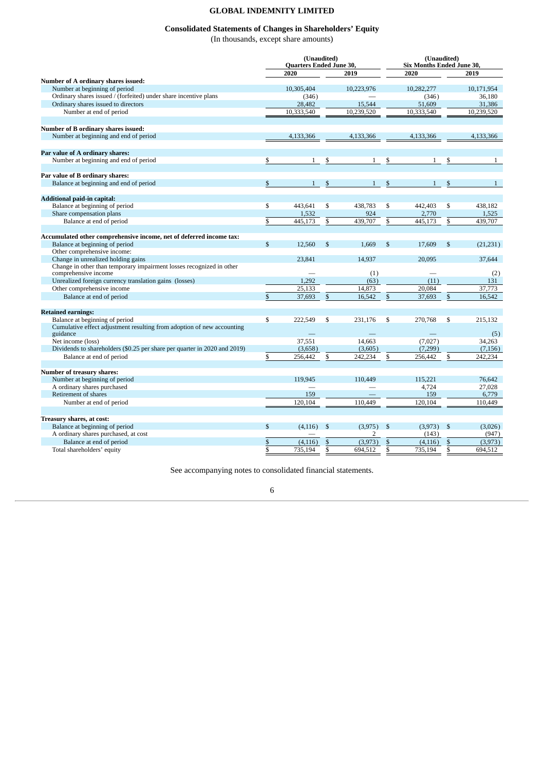### **Consolidated Statements of Changes in Shareholders' Equity**

(In thousands, except share amounts)

<span id="page-5-0"></span>

|                                                                                    | (Unaudited)<br>Quarters Ended June 30, |              |              |              | (Unaudited)<br><b>Six Months Ended June 30,</b> |              |            |              |
|------------------------------------------------------------------------------------|----------------------------------------|--------------|--------------|--------------|-------------------------------------------------|--------------|------------|--------------|
|                                                                                    |                                        | 2020         |              | 2019         |                                                 | 2020         |            | 2019         |
| Number of A ordinary shares issued:                                                |                                        |              |              |              |                                                 |              |            |              |
| Number at beginning of period                                                      |                                        | 10,305,404   |              | 10,223,976   |                                                 | 10,282,277   |            | 10,171,954   |
| Ordinary shares issued / (forfeited) under share incentive plans                   |                                        | (346)        |              |              |                                                 | (346)        |            | 36,180       |
| Ordinary shares issued to directors                                                |                                        | 28,482       |              | 15.544       |                                                 | 51,609       |            | 31,386       |
| Number at end of period                                                            |                                        | 10,333,540   |              | 10,239,520   |                                                 | 10,333,540   |            | 10,239,520   |
|                                                                                    |                                        |              |              |              |                                                 |              |            |              |
| Number of B ordinary shares issued:                                                |                                        |              |              |              |                                                 |              |            |              |
| Number at beginning and end of period                                              |                                        | 4,133,366    |              | 4,133,366    |                                                 | 4,133,366    |            | 4,133,366    |
|                                                                                    |                                        |              |              |              |                                                 |              |            |              |
| Par value of A ordinary shares:                                                    |                                        |              |              |              |                                                 |              |            |              |
| Number at beginning and end of period                                              | \$                                     | $\mathbf{1}$ | \$           | $\mathbf{1}$ | \$                                              | $\mathbf{1}$ | \$         | $\mathbf{1}$ |
|                                                                                    |                                        |              |              |              |                                                 |              |            |              |
| Par value of B ordinary shares:                                                    |                                        |              |              |              |                                                 |              |            |              |
| Balance at beginning and end of period                                             | \$                                     | $\mathbf{1}$ | \$           | 1            | \$                                              |              | \$         | $\mathbf{1}$ |
|                                                                                    |                                        |              |              |              |                                                 |              |            |              |
| <b>Additional paid-in capital:</b>                                                 |                                        |              |              |              |                                                 |              |            |              |
| Balance at beginning of period                                                     | \$                                     | 443,641      | \$           | 438,783      | \$                                              | 442,403      | \$         | 438,182      |
| Share compensation plans                                                           |                                        | 1,532        |              | 924          |                                                 | 2,770        |            | 1,525        |
| Balance at end of period                                                           | \$                                     | 445,173      | \$           | 439,707      | \$                                              | 445,173      | \$         | 439,707      |
|                                                                                    |                                        |              |              |              |                                                 |              |            |              |
| Accumulated other comprehensive income, net of deferred income tax:                |                                        |              |              |              |                                                 |              |            |              |
| Balance at beginning of period                                                     | \$                                     | 12,560       | $\mathbb{S}$ | 1,669        | $\mathbb{S}$                                    | 17,609       | \$         | (21, 231)    |
| Other comprehensive income:                                                        |                                        |              |              |              |                                                 |              |            |              |
| Change in unrealized holding gains                                                 |                                        | 23,841       |              | 14.937       |                                                 | 20,095       |            | 37,644       |
| Change in other than temporary impairment losses recognized in other               |                                        |              |              |              |                                                 |              |            |              |
| comprehensive income                                                               |                                        |              |              | (1)          |                                                 |              |            | (2)          |
| Unrealized foreign currency translation gains (losses)                             |                                        | 1,292        |              | (63)         |                                                 | (11)         |            | 131          |
| Other comprehensive income                                                         |                                        | 25.133       |              | 14.873       |                                                 | 20,084       |            | 37,773       |
| Balance at end of period                                                           | \$                                     | 37,693       | \$           | 16,542       | \$                                              | 37,693       | \$         | 16,542       |
|                                                                                    |                                        |              |              |              |                                                 |              |            |              |
| <b>Retained earnings:</b>                                                          |                                        |              |              |              |                                                 |              |            |              |
| Balance at beginning of period                                                     | \$                                     | 222,549      | \$           | 231,176      | \$                                              | 270,768      | \$         | 215,132      |
| Cumulative effect adjustment resulting from adoption of new accounting<br>guidance |                                        |              |              |              |                                                 |              |            | (5)          |
| Net income (loss)                                                                  |                                        | 37,551       |              | 14,663       |                                                 | (7,027)      |            | 34,263       |
| Dividends to shareholders (\$0.25 per share per quarter in 2020 and 2019)          |                                        | (3,658)      |              | (3,605)      |                                                 | (7,299)      |            | (7, 156)     |
| Balance at end of period                                                           | \$                                     | 256,442      | \$           | 242.234      | \$                                              | 256,442      | \$         | 242,234      |
|                                                                                    |                                        |              |              |              |                                                 |              |            |              |
| Number of treasury shares:                                                         |                                        |              |              |              |                                                 |              |            |              |
| Number at beginning of period                                                      |                                        | 119.945      |              | 110,449      |                                                 | 115,221      |            | 76,642       |
| A ordinary shares purchased                                                        |                                        |              |              |              |                                                 | 4,724        |            | 27,028       |
| Retirement of shares                                                               |                                        | 159          |              |              |                                                 | 159          |            | 6,779        |
| Number at end of period                                                            |                                        | 120,104      |              | 110.449      |                                                 | 120,104      |            | 110,449      |
|                                                                                    |                                        |              |              |              |                                                 |              |            |              |
| Treasury shares, at cost:                                                          |                                        |              |              |              |                                                 |              |            |              |
| Balance at beginning of period                                                     | \$                                     | (4, 116)     | $\mathbb{S}$ | (3,975)      | \$                                              | (3,973)      | $^{\circ}$ | (3,026)      |
| A ordinary shares purchased, at cost                                               |                                        |              |              | 2            |                                                 | (143)        |            | (947)        |
| Balance at end of period                                                           | \$                                     | (4, 116)     | \$           | (3,973)      | \$                                              | (4, 116)     | \$         | (3,973)      |
| Total shareholders' equity                                                         | \$                                     | 735,194      | \$           | 694,512      | \$                                              | 735,194      | \$         | 694,512      |
|                                                                                    |                                        |              |              |              |                                                 |              |            |              |

See accompanying notes to consolidated financial statements.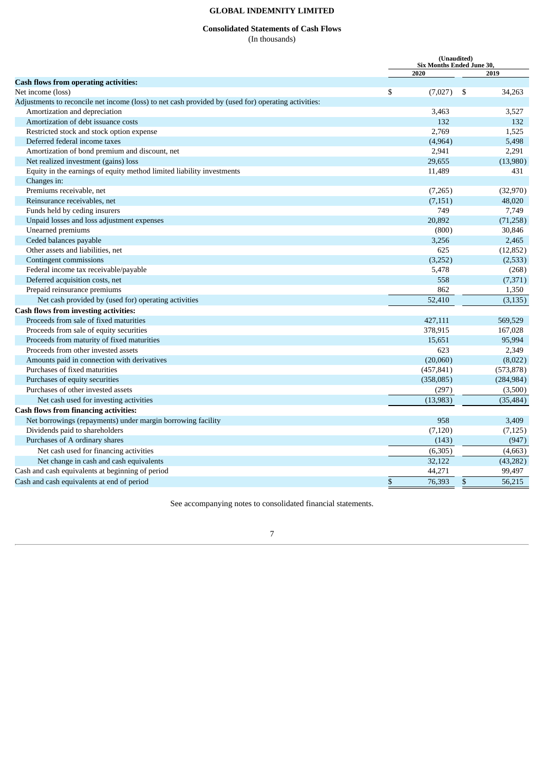### **Consolidated Statements of Cash Flows**

(In thousands)

<span id="page-6-0"></span>

| 2019<br>2020<br><b>Cash flows from operating activities:</b><br>\$<br>(7,027)<br>-\$<br>34,263<br>Net income (loss)<br>Adjustments to reconcile net income (loss) to net cash provided by (used for) operating activities:<br>Amortization and depreciation<br>3,527<br>3,463<br>Amortization of debt issuance costs<br>132<br>132<br>2,769<br>Restricted stock and stock option expense<br>1,525<br>Deferred federal income taxes<br>(4,964)<br>5,498<br>Amortization of bond premium and discount, net<br>2,941<br>2,291<br>Net realized investment (gains) loss<br>29,655<br>(13,980)<br>431<br>Equity in the earnings of equity method limited liability investments<br>11,489<br>Changes in:<br>Premiums receivable, net<br>(7,265)<br>(32,970)<br>Reinsurance receivables, net<br>(7, 151)<br>48,020<br>Funds held by ceding insurers<br>749<br>7,749<br>Unpaid losses and loss adjustment expenses<br>20.892<br>(71,258)<br>Unearned premiums<br>(800)<br>30,846<br>Ceded balances payable<br>3,256<br>2,465<br>Other assets and liabilities, net<br>625<br>(12, 852)<br>Contingent commissions<br>(3,252)<br>(2,533)<br>Federal income tax receivable/payable<br>5,478<br>(268)<br>Deferred acquisition costs, net<br>558<br>(7, 371)<br>862<br>1,350<br>Prepaid reinsurance premiums<br>Net cash provided by (used for) operating activities<br>52,410<br>(3, 135)<br><b>Cash flows from investing activities:</b><br>Proceeds from sale of fixed maturities<br>427,111<br>569,529<br>Proceeds from sale of equity securities<br>167,028<br>378,915<br>Proceeds from maturity of fixed maturities<br>15,651<br>95,994<br>Proceeds from other invested assets<br>623<br>2,349<br>Amounts paid in connection with derivatives<br>(20,060)<br>(8,022)<br>Purchases of fixed maturities<br>(457, 841)<br>(573, 878)<br>Purchases of equity securities<br>(358,085)<br>(284, 984)<br>Purchases of other invested assets<br>(3,500)<br>(297)<br>Net cash used for investing activities<br>(13,983)<br>(35, 484)<br><b>Cash flows from financing activities:</b><br>Net borrowings (repayments) under margin borrowing facility<br>958<br>3,409<br>Dividends paid to shareholders<br>(7, 120)<br>(7, 125)<br>Purchases of A ordinary shares<br>(947)<br>(143)<br>Net cash used for financing activities<br>(6,305)<br>(4,663)<br>32,122<br>(43, 282)<br>Net change in cash and cash equivalents<br>Cash and cash equivalents at beginning of period<br>44,271<br>99,497 |                                            | (Unaudited)<br><b>Six Months Ended June 30,</b> |        |    |        |
|---------------------------------------------------------------------------------------------------------------------------------------------------------------------------------------------------------------------------------------------------------------------------------------------------------------------------------------------------------------------------------------------------------------------------------------------------------------------------------------------------------------------------------------------------------------------------------------------------------------------------------------------------------------------------------------------------------------------------------------------------------------------------------------------------------------------------------------------------------------------------------------------------------------------------------------------------------------------------------------------------------------------------------------------------------------------------------------------------------------------------------------------------------------------------------------------------------------------------------------------------------------------------------------------------------------------------------------------------------------------------------------------------------------------------------------------------------------------------------------------------------------------------------------------------------------------------------------------------------------------------------------------------------------------------------------------------------------------------------------------------------------------------------------------------------------------------------------------------------------------------------------------------------------------------------------------------------------------------------------------------------------------------------------------------------------------------------------------------------------------------------------------------------------------------------------------------------------------------------------------------------------------------------------------------------------------------------------------------------------------------------------------------------------------------------------------------------------------------|--------------------------------------------|-------------------------------------------------|--------|----|--------|
|                                                                                                                                                                                                                                                                                                                                                                                                                                                                                                                                                                                                                                                                                                                                                                                                                                                                                                                                                                                                                                                                                                                                                                                                                                                                                                                                                                                                                                                                                                                                                                                                                                                                                                                                                                                                                                                                                                                                                                                                                                                                                                                                                                                                                                                                                                                                                                                                                                                                           |                                            |                                                 |        |    |        |
|                                                                                                                                                                                                                                                                                                                                                                                                                                                                                                                                                                                                                                                                                                                                                                                                                                                                                                                                                                                                                                                                                                                                                                                                                                                                                                                                                                                                                                                                                                                                                                                                                                                                                                                                                                                                                                                                                                                                                                                                                                                                                                                                                                                                                                                                                                                                                                                                                                                                           |                                            |                                                 |        |    |        |
|                                                                                                                                                                                                                                                                                                                                                                                                                                                                                                                                                                                                                                                                                                                                                                                                                                                                                                                                                                                                                                                                                                                                                                                                                                                                                                                                                                                                                                                                                                                                                                                                                                                                                                                                                                                                                                                                                                                                                                                                                                                                                                                                                                                                                                                                                                                                                                                                                                                                           |                                            |                                                 |        |    |        |
|                                                                                                                                                                                                                                                                                                                                                                                                                                                                                                                                                                                                                                                                                                                                                                                                                                                                                                                                                                                                                                                                                                                                                                                                                                                                                                                                                                                                                                                                                                                                                                                                                                                                                                                                                                                                                                                                                                                                                                                                                                                                                                                                                                                                                                                                                                                                                                                                                                                                           |                                            |                                                 |        |    |        |
|                                                                                                                                                                                                                                                                                                                                                                                                                                                                                                                                                                                                                                                                                                                                                                                                                                                                                                                                                                                                                                                                                                                                                                                                                                                                                                                                                                                                                                                                                                                                                                                                                                                                                                                                                                                                                                                                                                                                                                                                                                                                                                                                                                                                                                                                                                                                                                                                                                                                           |                                            |                                                 |        |    |        |
|                                                                                                                                                                                                                                                                                                                                                                                                                                                                                                                                                                                                                                                                                                                                                                                                                                                                                                                                                                                                                                                                                                                                                                                                                                                                                                                                                                                                                                                                                                                                                                                                                                                                                                                                                                                                                                                                                                                                                                                                                                                                                                                                                                                                                                                                                                                                                                                                                                                                           |                                            |                                                 |        |    |        |
|                                                                                                                                                                                                                                                                                                                                                                                                                                                                                                                                                                                                                                                                                                                                                                                                                                                                                                                                                                                                                                                                                                                                                                                                                                                                                                                                                                                                                                                                                                                                                                                                                                                                                                                                                                                                                                                                                                                                                                                                                                                                                                                                                                                                                                                                                                                                                                                                                                                                           |                                            |                                                 |        |    |        |
|                                                                                                                                                                                                                                                                                                                                                                                                                                                                                                                                                                                                                                                                                                                                                                                                                                                                                                                                                                                                                                                                                                                                                                                                                                                                                                                                                                                                                                                                                                                                                                                                                                                                                                                                                                                                                                                                                                                                                                                                                                                                                                                                                                                                                                                                                                                                                                                                                                                                           |                                            |                                                 |        |    |        |
|                                                                                                                                                                                                                                                                                                                                                                                                                                                                                                                                                                                                                                                                                                                                                                                                                                                                                                                                                                                                                                                                                                                                                                                                                                                                                                                                                                                                                                                                                                                                                                                                                                                                                                                                                                                                                                                                                                                                                                                                                                                                                                                                                                                                                                                                                                                                                                                                                                                                           |                                            |                                                 |        |    |        |
|                                                                                                                                                                                                                                                                                                                                                                                                                                                                                                                                                                                                                                                                                                                                                                                                                                                                                                                                                                                                                                                                                                                                                                                                                                                                                                                                                                                                                                                                                                                                                                                                                                                                                                                                                                                                                                                                                                                                                                                                                                                                                                                                                                                                                                                                                                                                                                                                                                                                           |                                            |                                                 |        |    |        |
|                                                                                                                                                                                                                                                                                                                                                                                                                                                                                                                                                                                                                                                                                                                                                                                                                                                                                                                                                                                                                                                                                                                                                                                                                                                                                                                                                                                                                                                                                                                                                                                                                                                                                                                                                                                                                                                                                                                                                                                                                                                                                                                                                                                                                                                                                                                                                                                                                                                                           |                                            |                                                 |        |    |        |
|                                                                                                                                                                                                                                                                                                                                                                                                                                                                                                                                                                                                                                                                                                                                                                                                                                                                                                                                                                                                                                                                                                                                                                                                                                                                                                                                                                                                                                                                                                                                                                                                                                                                                                                                                                                                                                                                                                                                                                                                                                                                                                                                                                                                                                                                                                                                                                                                                                                                           |                                            |                                                 |        |    |        |
|                                                                                                                                                                                                                                                                                                                                                                                                                                                                                                                                                                                                                                                                                                                                                                                                                                                                                                                                                                                                                                                                                                                                                                                                                                                                                                                                                                                                                                                                                                                                                                                                                                                                                                                                                                                                                                                                                                                                                                                                                                                                                                                                                                                                                                                                                                                                                                                                                                                                           |                                            |                                                 |        |    |        |
|                                                                                                                                                                                                                                                                                                                                                                                                                                                                                                                                                                                                                                                                                                                                                                                                                                                                                                                                                                                                                                                                                                                                                                                                                                                                                                                                                                                                                                                                                                                                                                                                                                                                                                                                                                                                                                                                                                                                                                                                                                                                                                                                                                                                                                                                                                                                                                                                                                                                           |                                            |                                                 |        |    |        |
|                                                                                                                                                                                                                                                                                                                                                                                                                                                                                                                                                                                                                                                                                                                                                                                                                                                                                                                                                                                                                                                                                                                                                                                                                                                                                                                                                                                                                                                                                                                                                                                                                                                                                                                                                                                                                                                                                                                                                                                                                                                                                                                                                                                                                                                                                                                                                                                                                                                                           |                                            |                                                 |        |    |        |
|                                                                                                                                                                                                                                                                                                                                                                                                                                                                                                                                                                                                                                                                                                                                                                                                                                                                                                                                                                                                                                                                                                                                                                                                                                                                                                                                                                                                                                                                                                                                                                                                                                                                                                                                                                                                                                                                                                                                                                                                                                                                                                                                                                                                                                                                                                                                                                                                                                                                           |                                            |                                                 |        |    |        |
|                                                                                                                                                                                                                                                                                                                                                                                                                                                                                                                                                                                                                                                                                                                                                                                                                                                                                                                                                                                                                                                                                                                                                                                                                                                                                                                                                                                                                                                                                                                                                                                                                                                                                                                                                                                                                                                                                                                                                                                                                                                                                                                                                                                                                                                                                                                                                                                                                                                                           |                                            |                                                 |        |    |        |
|                                                                                                                                                                                                                                                                                                                                                                                                                                                                                                                                                                                                                                                                                                                                                                                                                                                                                                                                                                                                                                                                                                                                                                                                                                                                                                                                                                                                                                                                                                                                                                                                                                                                                                                                                                                                                                                                                                                                                                                                                                                                                                                                                                                                                                                                                                                                                                                                                                                                           |                                            |                                                 |        |    |        |
|                                                                                                                                                                                                                                                                                                                                                                                                                                                                                                                                                                                                                                                                                                                                                                                                                                                                                                                                                                                                                                                                                                                                                                                                                                                                                                                                                                                                                                                                                                                                                                                                                                                                                                                                                                                                                                                                                                                                                                                                                                                                                                                                                                                                                                                                                                                                                                                                                                                                           |                                            |                                                 |        |    |        |
|                                                                                                                                                                                                                                                                                                                                                                                                                                                                                                                                                                                                                                                                                                                                                                                                                                                                                                                                                                                                                                                                                                                                                                                                                                                                                                                                                                                                                                                                                                                                                                                                                                                                                                                                                                                                                                                                                                                                                                                                                                                                                                                                                                                                                                                                                                                                                                                                                                                                           |                                            |                                                 |        |    |        |
|                                                                                                                                                                                                                                                                                                                                                                                                                                                                                                                                                                                                                                                                                                                                                                                                                                                                                                                                                                                                                                                                                                                                                                                                                                                                                                                                                                                                                                                                                                                                                                                                                                                                                                                                                                                                                                                                                                                                                                                                                                                                                                                                                                                                                                                                                                                                                                                                                                                                           |                                            |                                                 |        |    |        |
|                                                                                                                                                                                                                                                                                                                                                                                                                                                                                                                                                                                                                                                                                                                                                                                                                                                                                                                                                                                                                                                                                                                                                                                                                                                                                                                                                                                                                                                                                                                                                                                                                                                                                                                                                                                                                                                                                                                                                                                                                                                                                                                                                                                                                                                                                                                                                                                                                                                                           |                                            |                                                 |        |    |        |
|                                                                                                                                                                                                                                                                                                                                                                                                                                                                                                                                                                                                                                                                                                                                                                                                                                                                                                                                                                                                                                                                                                                                                                                                                                                                                                                                                                                                                                                                                                                                                                                                                                                                                                                                                                                                                                                                                                                                                                                                                                                                                                                                                                                                                                                                                                                                                                                                                                                                           |                                            |                                                 |        |    |        |
|                                                                                                                                                                                                                                                                                                                                                                                                                                                                                                                                                                                                                                                                                                                                                                                                                                                                                                                                                                                                                                                                                                                                                                                                                                                                                                                                                                                                                                                                                                                                                                                                                                                                                                                                                                                                                                                                                                                                                                                                                                                                                                                                                                                                                                                                                                                                                                                                                                                                           |                                            |                                                 |        |    |        |
|                                                                                                                                                                                                                                                                                                                                                                                                                                                                                                                                                                                                                                                                                                                                                                                                                                                                                                                                                                                                                                                                                                                                                                                                                                                                                                                                                                                                                                                                                                                                                                                                                                                                                                                                                                                                                                                                                                                                                                                                                                                                                                                                                                                                                                                                                                                                                                                                                                                                           |                                            |                                                 |        |    |        |
|                                                                                                                                                                                                                                                                                                                                                                                                                                                                                                                                                                                                                                                                                                                                                                                                                                                                                                                                                                                                                                                                                                                                                                                                                                                                                                                                                                                                                                                                                                                                                                                                                                                                                                                                                                                                                                                                                                                                                                                                                                                                                                                                                                                                                                                                                                                                                                                                                                                                           |                                            |                                                 |        |    |        |
|                                                                                                                                                                                                                                                                                                                                                                                                                                                                                                                                                                                                                                                                                                                                                                                                                                                                                                                                                                                                                                                                                                                                                                                                                                                                                                                                                                                                                                                                                                                                                                                                                                                                                                                                                                                                                                                                                                                                                                                                                                                                                                                                                                                                                                                                                                                                                                                                                                                                           |                                            |                                                 |        |    |        |
|                                                                                                                                                                                                                                                                                                                                                                                                                                                                                                                                                                                                                                                                                                                                                                                                                                                                                                                                                                                                                                                                                                                                                                                                                                                                                                                                                                                                                                                                                                                                                                                                                                                                                                                                                                                                                                                                                                                                                                                                                                                                                                                                                                                                                                                                                                                                                                                                                                                                           |                                            |                                                 |        |    |        |
|                                                                                                                                                                                                                                                                                                                                                                                                                                                                                                                                                                                                                                                                                                                                                                                                                                                                                                                                                                                                                                                                                                                                                                                                                                                                                                                                                                                                                                                                                                                                                                                                                                                                                                                                                                                                                                                                                                                                                                                                                                                                                                                                                                                                                                                                                                                                                                                                                                                                           |                                            |                                                 |        |    |        |
|                                                                                                                                                                                                                                                                                                                                                                                                                                                                                                                                                                                                                                                                                                                                                                                                                                                                                                                                                                                                                                                                                                                                                                                                                                                                                                                                                                                                                                                                                                                                                                                                                                                                                                                                                                                                                                                                                                                                                                                                                                                                                                                                                                                                                                                                                                                                                                                                                                                                           |                                            |                                                 |        |    |        |
|                                                                                                                                                                                                                                                                                                                                                                                                                                                                                                                                                                                                                                                                                                                                                                                                                                                                                                                                                                                                                                                                                                                                                                                                                                                                                                                                                                                                                                                                                                                                                                                                                                                                                                                                                                                                                                                                                                                                                                                                                                                                                                                                                                                                                                                                                                                                                                                                                                                                           |                                            |                                                 |        |    |        |
|                                                                                                                                                                                                                                                                                                                                                                                                                                                                                                                                                                                                                                                                                                                                                                                                                                                                                                                                                                                                                                                                                                                                                                                                                                                                                                                                                                                                                                                                                                                                                                                                                                                                                                                                                                                                                                                                                                                                                                                                                                                                                                                                                                                                                                                                                                                                                                                                                                                                           |                                            |                                                 |        |    |        |
|                                                                                                                                                                                                                                                                                                                                                                                                                                                                                                                                                                                                                                                                                                                                                                                                                                                                                                                                                                                                                                                                                                                                                                                                                                                                                                                                                                                                                                                                                                                                                                                                                                                                                                                                                                                                                                                                                                                                                                                                                                                                                                                                                                                                                                                                                                                                                                                                                                                                           |                                            |                                                 |        |    |        |
|                                                                                                                                                                                                                                                                                                                                                                                                                                                                                                                                                                                                                                                                                                                                                                                                                                                                                                                                                                                                                                                                                                                                                                                                                                                                                                                                                                                                                                                                                                                                                                                                                                                                                                                                                                                                                                                                                                                                                                                                                                                                                                                                                                                                                                                                                                                                                                                                                                                                           |                                            |                                                 |        |    |        |
|                                                                                                                                                                                                                                                                                                                                                                                                                                                                                                                                                                                                                                                                                                                                                                                                                                                                                                                                                                                                                                                                                                                                                                                                                                                                                                                                                                                                                                                                                                                                                                                                                                                                                                                                                                                                                                                                                                                                                                                                                                                                                                                                                                                                                                                                                                                                                                                                                                                                           |                                            |                                                 |        |    |        |
|                                                                                                                                                                                                                                                                                                                                                                                                                                                                                                                                                                                                                                                                                                                                                                                                                                                                                                                                                                                                                                                                                                                                                                                                                                                                                                                                                                                                                                                                                                                                                                                                                                                                                                                                                                                                                                                                                                                                                                                                                                                                                                                                                                                                                                                                                                                                                                                                                                                                           |                                            |                                                 |        |    |        |
|                                                                                                                                                                                                                                                                                                                                                                                                                                                                                                                                                                                                                                                                                                                                                                                                                                                                                                                                                                                                                                                                                                                                                                                                                                                                                                                                                                                                                                                                                                                                                                                                                                                                                                                                                                                                                                                                                                                                                                                                                                                                                                                                                                                                                                                                                                                                                                                                                                                                           |                                            |                                                 |        |    |        |
|                                                                                                                                                                                                                                                                                                                                                                                                                                                                                                                                                                                                                                                                                                                                                                                                                                                                                                                                                                                                                                                                                                                                                                                                                                                                                                                                                                                                                                                                                                                                                                                                                                                                                                                                                                                                                                                                                                                                                                                                                                                                                                                                                                                                                                                                                                                                                                                                                                                                           |                                            |                                                 |        |    |        |
|                                                                                                                                                                                                                                                                                                                                                                                                                                                                                                                                                                                                                                                                                                                                                                                                                                                                                                                                                                                                                                                                                                                                                                                                                                                                                                                                                                                                                                                                                                                                                                                                                                                                                                                                                                                                                                                                                                                                                                                                                                                                                                                                                                                                                                                                                                                                                                                                                                                                           |                                            |                                                 |        |    |        |
|                                                                                                                                                                                                                                                                                                                                                                                                                                                                                                                                                                                                                                                                                                                                                                                                                                                                                                                                                                                                                                                                                                                                                                                                                                                                                                                                                                                                                                                                                                                                                                                                                                                                                                                                                                                                                                                                                                                                                                                                                                                                                                                                                                                                                                                                                                                                                                                                                                                                           |                                            |                                                 |        |    |        |
|                                                                                                                                                                                                                                                                                                                                                                                                                                                                                                                                                                                                                                                                                                                                                                                                                                                                                                                                                                                                                                                                                                                                                                                                                                                                                                                                                                                                                                                                                                                                                                                                                                                                                                                                                                                                                                                                                                                                                                                                                                                                                                                                                                                                                                                                                                                                                                                                                                                                           |                                            |                                                 |        |    |        |
|                                                                                                                                                                                                                                                                                                                                                                                                                                                                                                                                                                                                                                                                                                                                                                                                                                                                                                                                                                                                                                                                                                                                                                                                                                                                                                                                                                                                                                                                                                                                                                                                                                                                                                                                                                                                                                                                                                                                                                                                                                                                                                                                                                                                                                                                                                                                                                                                                                                                           | Cash and cash equivalents at end of period | $\mathbb{S}$                                    | 76,393 | \$ | 56,215 |

See accompanying notes to consolidated financial statements.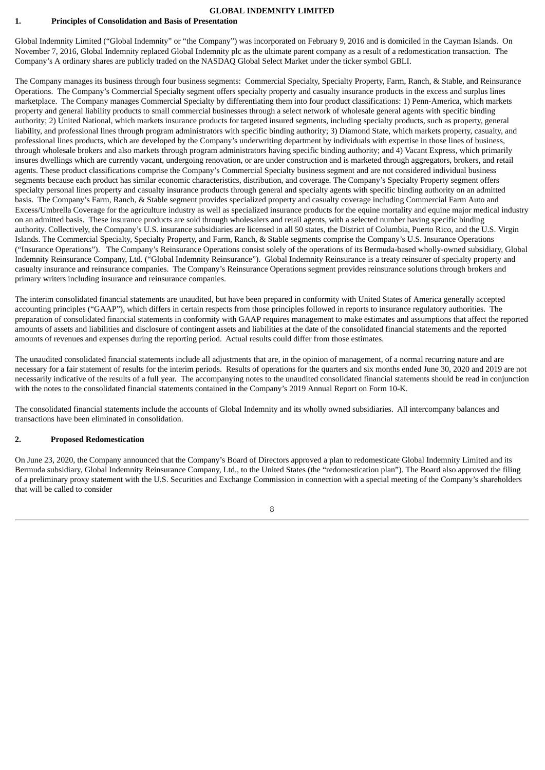#### <span id="page-7-0"></span>**1. Principles of Consolidation and Basis of Presentation**

Global Indemnity Limited ("Global Indemnity" or "the Company") was incorporated on February 9, 2016 and is domiciled in the Cayman Islands. On November 7, 2016, Global Indemnity replaced Global Indemnity plc as the ultimate parent company as a result of a redomestication transaction. The Company's A ordinary shares are publicly traded on the NASDAQ Global Select Market under the ticker symbol GBLI.

The Company manages its business through four business segments: Commercial Specialty, Specialty Property, Farm, Ranch, & Stable, and Reinsurance Operations. The Company's Commercial Specialty segment offers specialty property and casualty insurance products in the excess and surplus lines marketplace. The Company manages Commercial Specialty by differentiating them into four product classifications: 1) Penn-America, which markets property and general liability products to small commercial businesses through a select network of wholesale general agents with specific binding authority; 2) United National, which markets insurance products for targeted insured segments, including specialty products, such as property, general liability, and professional lines through program administrators with specific binding authority; 3) Diamond State, which markets property, casualty, and professional lines products, which are developed by the Company's underwriting department by individuals with expertise in those lines of business, through wholesale brokers and also markets through program administrators having specific binding authority; and 4) Vacant Express, which primarily insures dwellings which are currently vacant, undergoing renovation, or are under construction and is marketed through aggregators, brokers, and retail agents. These product classifications comprise the Company's Commercial Specialty business segment and are not considered individual business segments because each product has similar economic characteristics, distribution, and coverage. The Company's Specialty Property segment offers specialty personal lines property and casualty insurance products through general and specialty agents with specific binding authority on an admitted basis. The Company's Farm, Ranch, & Stable segment provides specialized property and casualty coverage including Commercial Farm Auto and Excess/Umbrella Coverage for the agriculture industry as well as specialized insurance products for the equine mortality and equine major medical industry on an admitted basis. These insurance products are sold through wholesalers and retail agents, with a selected number having specific binding authority. Collectively, the Company's U.S. insurance subsidiaries are licensed in all 50 states, the District of Columbia, Puerto Rico, and the U.S. Virgin Islands. The Commercial Specialty, Specialty Property, and Farm, Ranch, & Stable segments comprise the Company's U.S. Insurance Operations ("Insurance Operations"). The Company's Reinsurance Operations consist solely of the operations of its Bermuda-based wholly-owned subsidiary, Global Indemnity Reinsurance Company, Ltd. ("Global Indemnity Reinsurance"). Global Indemnity Reinsurance is a treaty reinsurer of specialty property and casualty insurance and reinsurance companies. The Company's Reinsurance Operations segment provides reinsurance solutions through brokers and primary writers including insurance and reinsurance companies.

The interim consolidated financial statements are unaudited, but have been prepared in conformity with United States of America generally accepted accounting principles ("GAAP"), which differs in certain respects from those principles followed in reports to insurance regulatory authorities. The preparation of consolidated financial statements in conformity with GAAP requires management to make estimates and assumptions that affect the reported amounts of assets and liabilities and disclosure of contingent assets and liabilities at the date of the consolidated financial statements and the reported amounts of revenues and expenses during the reporting period. Actual results could differ from those estimates.

The unaudited consolidated financial statements include all adjustments that are, in the opinion of management, of a normal recurring nature and are necessary for a fair statement of results for the interim periods. Results of operations for the quarters and six months ended June 30, 2020 and 2019 are not necessarily indicative of the results of a full year. The accompanying notes to the unaudited consolidated financial statements should be read in conjunction with the notes to the consolidated financial statements contained in the Company's 2019 Annual Report on Form 10-K.

The consolidated financial statements include the accounts of Global Indemnity and its wholly owned subsidiaries. All intercompany balances and transactions have been eliminated in consolidation.

#### **2. Proposed Redomestication**

On June 23, 2020, the Company announced that the Company's Board of Directors approved a plan to redomesticate Global Indemnity Limited and its Bermuda subsidiary, Global Indemnity Reinsurance Company, Ltd., to the United States (the "redomestication plan"). The Board also approved the filing of a preliminary proxy statement with the U.S. Securities and Exchange Commission in connection with a special meeting of the Company's shareholders that will be called to consider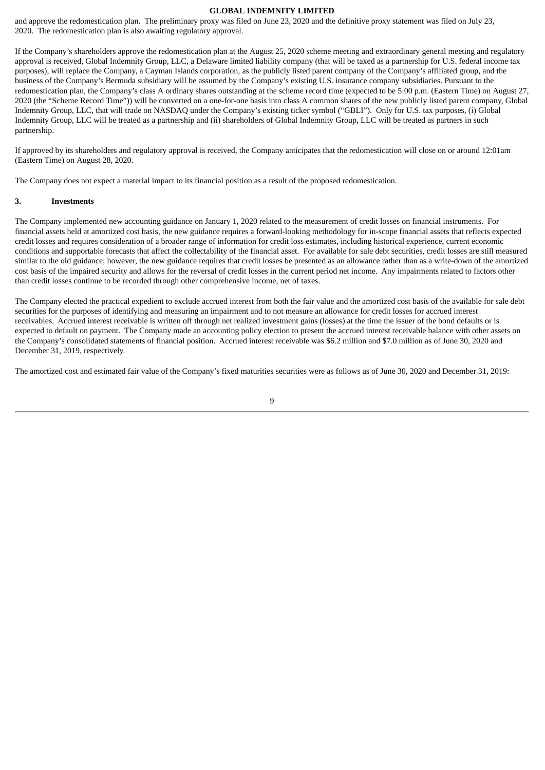and approve the redomestication plan. The preliminary proxy was filed on June 23, 2020 and the definitive proxy statement was filed on July 23, 2020. The redomestication plan is also awaiting regulatory approval.

If the Company's shareholders approve the redomestication plan at the August 25, 2020 scheme meeting and extraordinary general meeting and regulatory approval is received, Global Indemnity Group, LLC, a Delaware limited liability company (that will be taxed as a partnership for U.S. federal income tax purposes), will replace the Company, a Cayman Islands corporation, as the publicly listed parent company of the Company's affiliated group, and the business of the Company's Bermuda subsidiary will be assumed by the Company's existing U.S. insurance company subsidiaries. Pursuant to the redomestication plan, the Company's class A ordinary shares outstanding at the scheme record time (expected to be 5:00 p.m. (Eastern Time) on August 27, 2020 (the "Scheme Record Time")) will be converted on a one-for-one basis into class A common shares of the new publicly listed parent company, Global Indemnity Group, LLC, that will trade on NASDAQ under the Company's existing ticker symbol ("GBLI"). Only for U.S. tax purposes, (i) Global Indemnity Group, LLC will be treated as a partnership and (ii) shareholders of Global Indemnity Group, LLC will be treated as partners in such partnership.

If approved by its shareholders and regulatory approval is received, the Company anticipates that the redomestication will close on or around 12:01am (Eastern Time) on August 28, 2020.

The Company does not expect a material impact to its financial position as a result of the proposed redomestication.

#### **3. Investments**

The Company implemented new accounting guidance on January 1, 2020 related to the measurement of credit losses on financial instruments. For financial assets held at amortized cost basis, the new guidance requires a forward-looking methodology for in-scope financial assets that reflects expected credit losses and requires consideration of a broader range of information for credit loss estimates, including historical experience, current economic conditions and supportable forecasts that affect the collectability of the financial asset. For available for sale debt securities, credit losses are still measured similar to the old guidance; however, the new guidance requires that credit losses be presented as an allowance rather than as a write-down of the amortized cost basis of the impaired security and allows for the reversal of credit losses in the current period net income. Any impairments related to factors other than credit losses continue to be recorded through other comprehensive income, net of taxes.

The Company elected the practical expedient to exclude accrued interest from both the fair value and the amortized cost basis of the available for sale debt securities for the purposes of identifying and measuring an impairment and to not measure an allowance for credit losses for accrued interest receivables. Accrued interest receivable is written off through net realized investment gains (losses) at the time the issuer of the bond defaults or is expected to default on payment. The Company made an accounting policy election to present the accrued interest receivable balance with other assets on the Company's consolidated statements of financial position. Accrued interest receivable was \$6.2 million and \$7.0 million as of June 30, 2020 and December 31, 2019, respectively.

The amortized cost and estimated fair value of the Company's fixed maturities securities were as follows as of June 30, 2020 and December 31, 2019: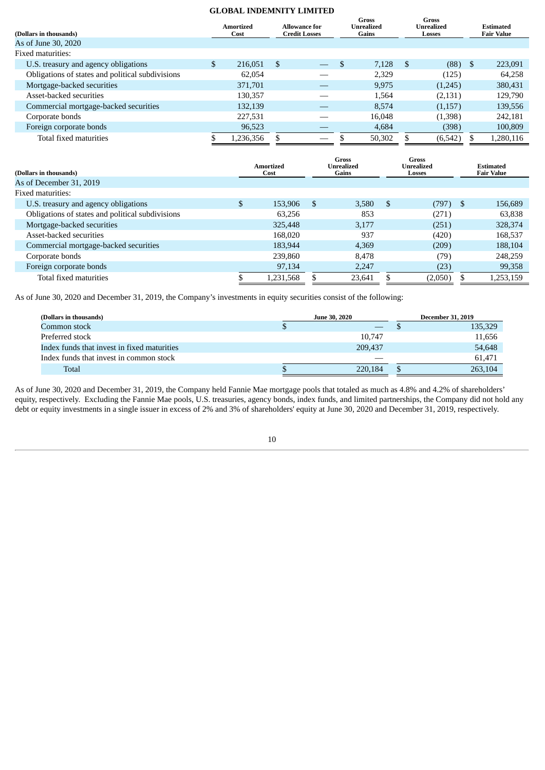| (Dollars in thousands)                           |     | Amortized<br>Cost |               | Allowance for<br><b>Credit Losses</b> |   | <b>Gross</b><br>Unrealized<br>Gains |          | <b>Gross</b><br>Unrealized<br>Losses | Estimated<br><b>Fair Value</b> |
|--------------------------------------------------|-----|-------------------|---------------|---------------------------------------|---|-------------------------------------|----------|--------------------------------------|--------------------------------|
| As of June 30, 2020                              |     |                   |               |                                       |   |                                     |          |                                      |                                |
| Fixed maturities:                                |     |                   |               |                                       |   |                                     |          |                                      |                                |
| U.S. treasury and agency obligations             | \$. | 216.051           | <sup>\$</sup> |                                       | S | 7,128                               | <b>S</b> | (88)                                 | \$<br>223,091                  |
| Obligations of states and political subdivisions |     | 62.054            |               |                                       |   | 2,329                               |          | (125)                                | 64,258                         |
| Mortgage-backed securities                       |     | 371,701           |               |                                       |   | 9,975                               |          | (1,245)                              | 380,431                        |
| Asset-backed securities                          |     | 130.357           |               |                                       |   | 1,564                               |          | (2,131)                              | 129,790                        |
| Commercial mortgage-backed securities            |     | 132,139           |               |                                       |   | 8.574                               |          | (1,157)                              | 139,556                        |
| Corporate bonds                                  |     | 227,531           |               |                                       |   | 16,048                              |          | (1,398)                              | 242,181                        |
| Foreign corporate bonds                          |     | 96,523            |               |                                       |   | 4,684                               |          | (398)                                | 100,809                        |
| Total fixed maturities                           |     | 1,236,356         |               |                                       |   | 50,302                              |          | (6, 542)                             | 1,280,116                      |
|                                                  |     |                   |               |                                       |   |                                     |          |                                      |                                |

| (Dollars in thousands)                           | Amortized<br>Cost |      | <b>Gross</b><br><b>Unrealized</b><br>Gains |    | <b>Gross</b><br>Unrealized<br>Losses |  | <b>Estimated</b><br><b>Fair Value</b> |
|--------------------------------------------------|-------------------|------|--------------------------------------------|----|--------------------------------------|--|---------------------------------------|
| As of December 31, 2019                          |                   |      |                                            |    |                                      |  |                                       |
| Fixed maturities:                                |                   |      |                                            |    |                                      |  |                                       |
| U.S. treasury and agency obligations             | \$<br>153,906     | - \$ | 3,580                                      | \$ | $(797)$ \$                           |  | 156,689                               |
| Obligations of states and political subdivisions | 63,256            |      | 853                                        |    | (271)                                |  | 63,838                                |
| Mortgage-backed securities                       | 325,448           |      | 3,177                                      |    | (251)                                |  | 328,374                               |
| Asset-backed securities                          | 168,020           |      | 937                                        |    | (420)                                |  | 168,537                               |
| Commercial mortgage-backed securities            | 183,944           |      | 4.369                                      |    | (209)                                |  | 188,104                               |
| Corporate bonds                                  | 239,860           |      | 8,478                                      |    | (79)                                 |  | 248,259                               |
| Foreign corporate bonds                          | 97,134            |      | 2,247                                      |    | (23)                                 |  | 99,358                                |
| Total fixed maturities                           | 1,231,568         |      | 23,641                                     |    | (2,050)                              |  | 1,253,159                             |

As of June 30, 2020 and December 31, 2019, the Company's investments in equity securities consist of the following:

| (Dollars in thousands)                      | <b>June 30, 2020</b> | <b>December 31, 2019</b> |
|---------------------------------------------|----------------------|--------------------------|
| Common stock                                |                      | 135,329                  |
| Preferred stock                             | 10,747               | 11,656                   |
| Index funds that invest in fixed maturities | 209.437              | 54,648                   |
| Index funds that invest in common stock     |                      | 61.471                   |
| Total                                       | 220,184              | 263,104                  |

As of June 30, 2020 and December 31, 2019, the Company held Fannie Mae mortgage pools that totaled as much as 4.8% and 4.2% of shareholders' equity, respectively. Excluding the Fannie Mae pools, U.S. treasuries, agency bonds, index funds, and limited partnerships, the Company did not hold any debt or equity investments in a single issuer in excess of 2% and 3% of shareholders' equity at June 30, 2020 and December 31, 2019, respectively.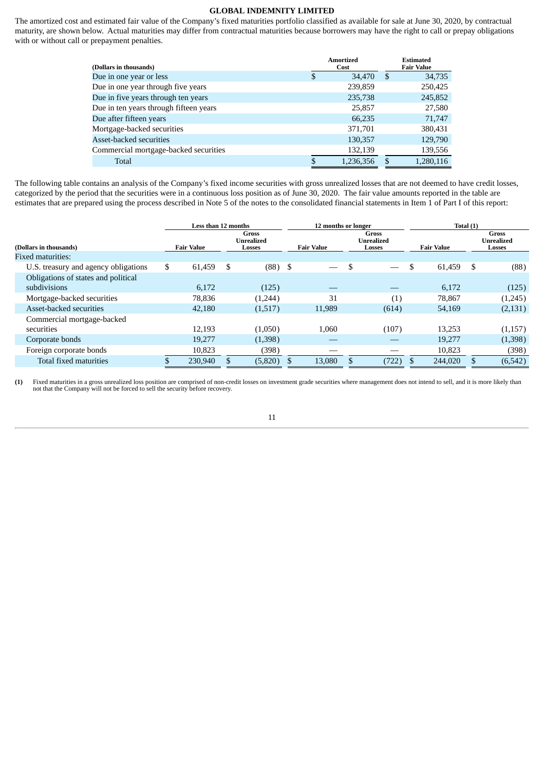The amortized cost and estimated fair value of the Company's fixed maturities portfolio classified as available for sale at June 30, 2020, by contractual maturity, are shown below. Actual maturities may differ from contractual maturities because borrowers may have the right to call or prepay obligations with or without call or prepayment penalties.

| (Dollars in thousands)                 | <b>Amortized</b><br>Cost |     | <b>Estimated</b><br><b>Fair Value</b> |
|----------------------------------------|--------------------------|-----|---------------------------------------|
| Due in one year or less                | \$<br>34,470             | \$  | 34,735                                |
| Due in one year through five years     | 239,859                  |     | 250,425                               |
| Due in five years through ten years    | 235,738                  |     | 245,852                               |
| Due in ten years through fifteen years | 25,857                   |     | 27,580                                |
| Due after fifteen years                | 66,235                   |     | 71,747                                |
| Mortgage-backed securities             | 371,701                  |     | 380,431                               |
| Asset-backed securities                | 130,357                  |     | 129,790                               |
| Commercial mortgage-backed securities  | 132,139                  |     | 139,556                               |
| Total                                  | \$<br>1,236,356          | \$. | 1,280,116                             |

The following table contains an analysis of the Company's fixed income securities with gross unrealized losses that are not deemed to have credit losses, categorized by the period that the securities were in a continuous loss position as of June 30, 2020. The fair value amounts reported in the table are estimates that are prepared using the process described in Note 5 of the notes to the consolidated financial statements in Item 1 of Part I of this report:

|                                      | Less than 12 months |                               | 12 months or longer |                          |   |                               | Total $(1)$ |                   |      |                                      |
|--------------------------------------|---------------------|-------------------------------|---------------------|--------------------------|---|-------------------------------|-------------|-------------------|------|--------------------------------------|
| (Dollars in thousands)               | <b>Fair Value</b>   | Gross<br>Unrealized<br>Losses |                     | <b>Fair Value</b>        |   | Gross<br>Unrealized<br>Losses |             | <b>Fair Value</b> |      | Gross<br><b>Unrealized</b><br>Losses |
| <b>Fixed maturities:</b>             |                     |                               |                     |                          |   |                               |             |                   |      |                                      |
| U.S. treasury and agency obligations | \$<br>61,459        | \$<br>$(88)$ \$               |                     | $\overline{\phantom{0}}$ | S |                               | \$          | 61,459            | - \$ | (88)                                 |
| Obligations of states and political  |                     |                               |                     |                          |   |                               |             |                   |      |                                      |
| subdivisions                         | 6.172               | (125)                         |                     |                          |   |                               |             | 6.172             |      | (125)                                |
| Mortgage-backed securities           | 78.836              | (1,244)                       |                     | 31                       |   | (1)                           |             | 78,867            |      | (1,245)                              |
| Asset-backed securities              | 42,180              | (1,517)                       |                     | 11,989                   |   | (614)                         |             | 54,169            |      | (2, 131)                             |
| Commercial mortgage-backed           |                     |                               |                     |                          |   |                               |             |                   |      |                                      |
| securities                           | 12,193              | (1,050)                       |                     | 1,060                    |   | (107)                         |             | 13,253            |      | (1,157)                              |
| Corporate bonds                      | 19,277              | (1,398)                       |                     |                          |   |                               |             | 19,277            |      | (1,398)                              |
| Foreign corporate bonds              | 10,823              | (398)                         |                     |                          |   |                               |             | 10,823            |      | (398)                                |
| Total fixed maturities               | \$<br>230,940       | (5,820)                       | S                   | 13.080                   |   | (722)                         |             | 244,020           |      | (6,542)                              |

**(1)** Fixed maturities in a gross unrealized loss position are comprised of non-credit losses on investment grade securities where management does not intend to sell, and it is more likely than not that the Company will not be forced to sell the security before recovery.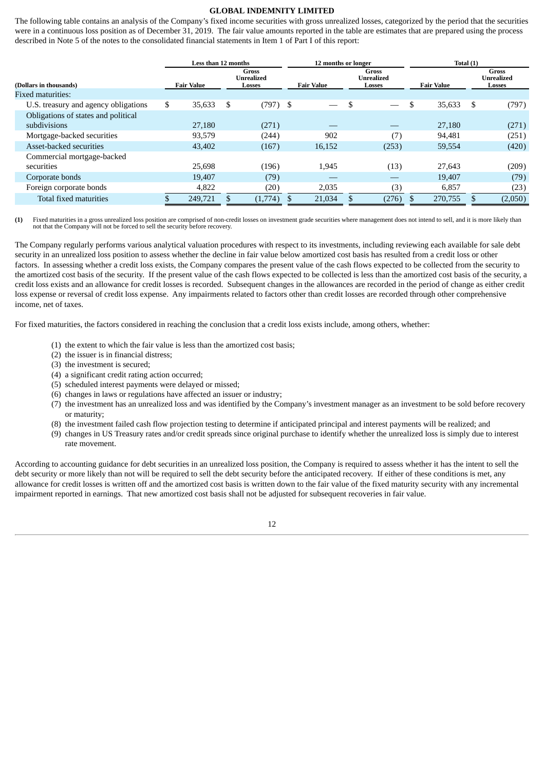The following table contains an analysis of the Company's fixed income securities with gross unrealized losses, categorized by the period that the securities were in a continuous loss position as of December 31, 2019. The fair value amounts reported in the table are estimates that are prepared using the process described in Note 5 of the notes to the consolidated financial statements in Item 1 of Part I of this report:

|                                      | Less than 12 months |   |                               | 12 months or longer |            |  |                                      | Total $(1)$ |                   |                                      |         |
|--------------------------------------|---------------------|---|-------------------------------|---------------------|------------|--|--------------------------------------|-------------|-------------------|--------------------------------------|---------|
| (Dollars in thousands)               | <b>Fair Value</b>   |   | Gross<br>Unrealized<br>Losses |                     | Fair Value |  | Gross<br><b>Unrealized</b><br>Losses |             | <b>Fair Value</b> | Gross<br><b>Unrealized</b><br>Losses |         |
| <b>Fixed maturities:</b>             |                     |   |                               |                     |            |  |                                      |             |                   |                                      |         |
| U.S. treasury and agency obligations | \$<br>35,633        | S | $(797)$ \$                    |                     |            |  |                                      | \$          | 35,633            |                                      | (797)   |
| Obligations of states and political  |                     |   |                               |                     |            |  |                                      |             |                   |                                      |         |
| subdivisions                         | 27,180              |   | (271)                         |                     |            |  |                                      |             | 27,180            |                                      | (271)   |
| Mortgage-backed securities           | 93,579              |   | (244)                         |                     | 902        |  | (7)                                  |             | 94,481            |                                      | (251)   |
| Asset-backed securities              | 43,402              |   | (167)                         |                     | 16,152     |  | (253)                                |             | 59,554            |                                      | (420)   |
| Commercial mortgage-backed           |                     |   |                               |                     |            |  |                                      |             |                   |                                      |         |
| securities                           | 25,698              |   | (196)                         |                     | 1,945      |  | (13)                                 |             | 27,643            |                                      | (209)   |
| Corporate bonds                      | 19.407              |   | (79)                          |                     | __         |  |                                      |             | 19,407            |                                      | (79)    |
| Foreign corporate bonds              | 4,822               |   | (20)                          |                     | 2,035      |  | (3)                                  |             | 6,857             |                                      | (23)    |
| Total fixed maturities               | 249,721             |   | (1,774)                       |                     | 21,034     |  | (276)                                |             | 270,755           |                                      | (2,050) |

(1) Fixed maturities in a gross unrealized loss position are comprised of non-credit losses on investment grade securities where management does not intend to sell, and it is more likely than not that the Company will not

The Company regularly performs various analytical valuation procedures with respect to its investments, including reviewing each available for sale debt security in an unrealized loss position to assess whether the decline in fair value below amortized cost basis has resulted from a credit loss or other factors. In assessing whether a credit loss exists, the Company compares the present value of the cash flows expected to be collected from the security to the amortized cost basis of the security. If the present value of the cash flows expected to be collected is less than the amortized cost basis of the security, a credit loss exists and an allowance for credit losses is recorded. Subsequent changes in the allowances are recorded in the period of change as either credit loss expense or reversal of credit loss expense. Any impairments related to factors other than credit losses are recorded through other comprehensive income, net of taxes.

For fixed maturities, the factors considered in reaching the conclusion that a credit loss exists include, among others, whether:

- (1) the extent to which the fair value is less than the amortized cost basis;
- (2) the issuer is in financial distress;
- (3) the investment is secured;
- (4) a significant credit rating action occurred;
- (5) scheduled interest payments were delayed or missed;
- (6) changes in laws or regulations have affected an issuer or industry;
- (7) the investment has an unrealized loss and was identified by the Company's investment manager as an investment to be sold before recovery or maturity;
- (8) the investment failed cash flow projection testing to determine if anticipated principal and interest payments will be realized; and
- (9) changes in US Treasury rates and/or credit spreads since original purchase to identify whether the unrealized loss is simply due to interest rate movement.

According to accounting guidance for debt securities in an unrealized loss position, the Company is required to assess whether it has the intent to sell the debt security or more likely than not will be required to sell the debt security before the anticipated recovery. If either of these conditions is met, any allowance for credit losses is written off and the amortized cost basis is written down to the fair value of the fixed maturity security with any incremental impairment reported in earnings. That new amortized cost basis shall not be adjusted for subsequent recoveries in fair value.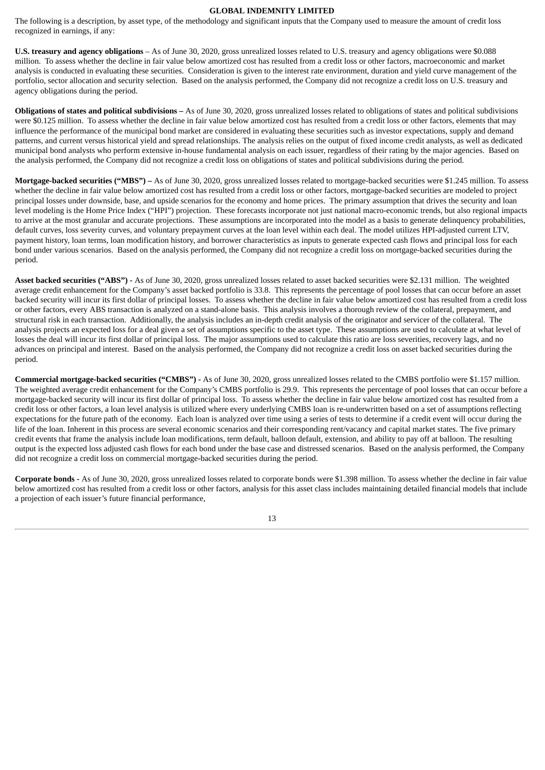The following is a description, by asset type, of the methodology and significant inputs that the Company used to measure the amount of credit loss recognized in earnings, if any:

**U.S. treasury and agency obligations** – As of June 30, 2020, gross unrealized losses related to U.S. treasury and agency obligations were \$0.088 million. To assess whether the decline in fair value below amortized cost has resulted from a credit loss or other factors, macroeconomic and market analysis is conducted in evaluating these securities. Consideration is given to the interest rate environment, duration and yield curve management of the portfolio, sector allocation and security selection. Based on the analysis performed, the Company did not recognize a credit loss on U.S. treasury and agency obligations during the period.

**Obligations of states and political subdivisions –** As of June 30, 2020, gross unrealized losses related to obligations of states and political subdivisions were \$0.125 million. To assess whether the decline in fair value below amortized cost has resulted from a credit loss or other factors, elements that may influence the performance of the municipal bond market are considered in evaluating these securities such as investor expectations, supply and demand patterns, and current versus historical yield and spread relationships. The analysis relies on the output of fixed income credit analysts, as well as dedicated municipal bond analysts who perform extensive in-house fundamental analysis on each issuer, regardless of their rating by the major agencies. Based on the analysis performed, the Company did not recognize a credit loss on obligations of states and political subdivisions during the period.

**Mortgage-backed securities ("MBS") –** As of June 30, 2020, gross unrealized losses related to mortgage-backed securities were \$1.245 million. To assess whether the decline in fair value below amortized cost has resulted from a credit loss or other factors, mortgage-backed securities are modeled to project principal losses under downside, base, and upside scenarios for the economy and home prices. The primary assumption that drives the security and loan level modeling is the Home Price Index ("HPI") projection. These forecasts incorporate not just national macro-economic trends, but also regional impacts to arrive at the most granular and accurate projections. These assumptions are incorporated into the model as a basis to generate delinquency probabilities, default curves, loss severity curves, and voluntary prepayment curves at the loan level within each deal. The model utilizes HPI-adjusted current LTV, payment history, loan terms, loan modification history, and borrower characteristics as inputs to generate expected cash flows and principal loss for each bond under various scenarios. Based on the analysis performed, the Company did not recognize a credit loss on mortgage-backed securities during the period.

**Asset backed securities ("ABS") -** As of June 30, 2020, gross unrealized losses related to asset backed securities were \$2.131 million. The weighted average credit enhancement for the Company's asset backed portfolio is 33.8. This represents the percentage of pool losses that can occur before an asset backed security will incur its first dollar of principal losses. To assess whether the decline in fair value below amortized cost has resulted from a credit loss or other factors, every ABS transaction is analyzed on a stand-alone basis. This analysis involves a thorough review of the collateral, prepayment, and structural risk in each transaction. Additionally, the analysis includes an in-depth credit analysis of the originator and servicer of the collateral. The analysis projects an expected loss for a deal given a set of assumptions specific to the asset type. These assumptions are used to calculate at what level of losses the deal will incur its first dollar of principal loss. The major assumptions used to calculate this ratio are loss severities, recovery lags, and no advances on principal and interest. Based on the analysis performed, the Company did not recognize a credit loss on asset backed securities during the period.

**Commercial mortgage-backed securities ("CMBS") -** As of June 30, 2020, gross unrealized losses related to the CMBS portfolio were \$1.157 million. The weighted average credit enhancement for the Company's CMBS portfolio is 29.9. This represents the percentage of pool losses that can occur before a mortgage-backed security will incur its first dollar of principal loss. To assess whether the decline in fair value below amortized cost has resulted from a credit loss or other factors, a loan level analysis is utilized where every underlying CMBS loan is re-underwritten based on a set of assumptions reflecting expectations for the future path of the economy. Each loan is analyzed over time using a series of tests to determine if a credit event will occur during the life of the loan. Inherent in this process are several economic scenarios and their corresponding rent/vacancy and capital market states. The five primary credit events that frame the analysis include loan modifications, term default, balloon default, extension, and ability to pay off at balloon. The resulting output is the expected loss adjusted cash flows for each bond under the base case and distressed scenarios. Based on the analysis performed, the Company did not recognize a credit loss on commercial mortgage-backed securities during the period.

**Corporate bonds -** As of June 30, 2020, gross unrealized losses related to corporate bonds were \$1.398 million. To assess whether the decline in fair value below amortized cost has resulted from a credit loss or other factors, analysis for this asset class includes maintaining detailed financial models that include a projection of each issuer's future financial performance,

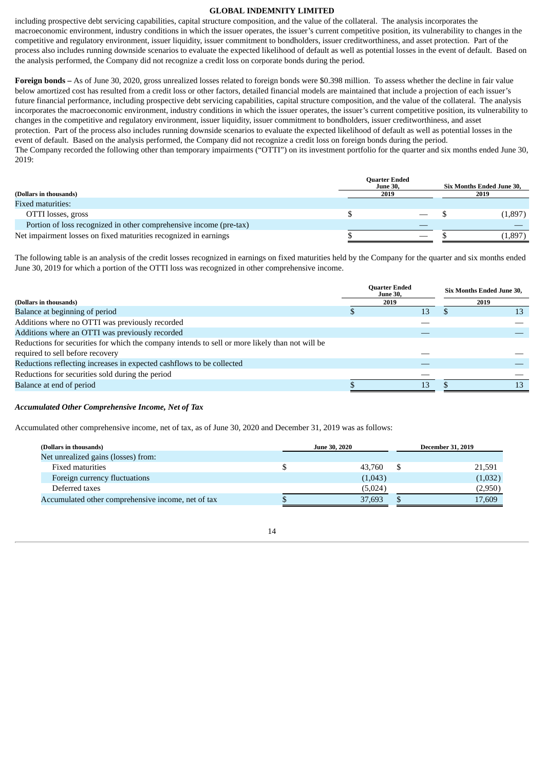including prospective debt servicing capabilities, capital structure composition, and the value of the collateral. The analysis incorporates the macroeconomic environment, industry conditions in which the issuer operates, the issuer's current competitive position, its vulnerability to changes in the competitive and regulatory environment, issuer liquidity, issuer commitment to bondholders, issuer creditworthiness, and asset protection. Part of the process also includes running downside scenarios to evaluate the expected likelihood of default as well as potential losses in the event of default. Based on the analysis performed, the Company did not recognize a credit loss on corporate bonds during the period.

**Foreign bonds –** As of June 30, 2020, gross unrealized losses related to foreign bonds were \$0.398 million. To assess whether the decline in fair value below amortized cost has resulted from a credit loss or other factors, detailed financial models are maintained that include a projection of each issuer's future financial performance, including prospective debt servicing capabilities, capital structure composition, and the value of the collateral. The analysis incorporates the macroeconomic environment, industry conditions in which the issuer operates, the issuer's current competitive position, its vulnerability to changes in the competitive and regulatory environment, issuer liquidity, issuer commitment to bondholders, issuer creditworthiness, and asset protection. Part of the process also includes running downside scenarios to evaluate the expected likelihood of default as well as potential losses in the event of default. Based on the analysis performed, the Company did not recognize a credit loss on foreign bonds during the period. The Company recorded the following other than temporary impairments ("OTTI") on its investment portfolio for the quarter and six months ended June 30, 2019:

|                                                                    | <b>Quarter Ended</b><br><b>June 30.</b> | <b>Six Months Ended June 30.</b> |  |         |  |
|--------------------------------------------------------------------|-----------------------------------------|----------------------------------|--|---------|--|
| (Dollars in thousands)                                             |                                         | 2019                             |  | 2019    |  |
| <b>Fixed maturities:</b>                                           |                                         |                                  |  |         |  |
| OTTI losses, gross                                                 |                                         |                                  |  | (1,897) |  |
| Portion of loss recognized in other comprehensive income (pre-tax) |                                         |                                  |  |         |  |
| Net impairment losses on fixed maturities recognized in earnings   |                                         |                                  |  | (1,897) |  |

The following table is an analysis of the credit losses recognized in earnings on fixed maturities held by the Company for the quarter and six months ended June 30, 2019 for which a portion of the OTTI loss was recognized in other comprehensive income.

|                                                                                                 | <b>Quarter Ended</b><br><b>June 30,</b> | Six Months Ended June 30, |      |  |
|-------------------------------------------------------------------------------------------------|-----------------------------------------|---------------------------|------|--|
| (Dollars in thousands)                                                                          | 2019                                    |                           | 2019 |  |
| Balance at beginning of period                                                                  | 13                                      |                           | 13   |  |
| Additions where no OTTI was previously recorded                                                 |                                         |                           |      |  |
| Additions where an OTTI was previously recorded                                                 |                                         |                           |      |  |
| Reductions for securities for which the company intends to sell or more likely than not will be |                                         |                           |      |  |
| required to sell before recovery                                                                |                                         |                           |      |  |
| Reductions reflecting increases in expected cashflows to be collected                           |                                         |                           |      |  |
| Reductions for securities sold during the period                                                |                                         |                           |      |  |
| Balance at end of period                                                                        | 13                                      |                           | 13   |  |

#### *Accumulated Other Comprehensive Income, Net of Tax*

Accumulated other comprehensive income, net of tax, as of June 30, 2020 and December 31, 2019 was as follows:

| (Dollars in thousands)                             | <b>June 30, 2020</b> |         | <b>December 31, 2019</b> |         |
|----------------------------------------------------|----------------------|---------|--------------------------|---------|
| Net unrealized gains (losses) from:                |                      |         |                          |         |
| Fixed maturities                                   |                      | 43.760  |                          | 21,591  |
| Foreign currency fluctuations                      |                      | (1,043) |                          | (1,032) |
| Deferred taxes                                     |                      | (5,024) |                          | (2,950) |
| Accumulated other comprehensive income, net of tax |                      | 37,693  |                          | 17,609  |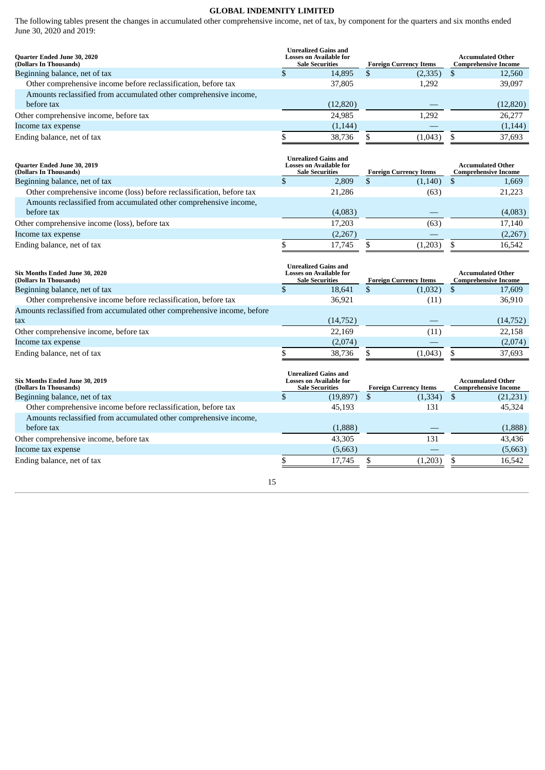The following tables present the changes in accumulated other comprehensive income, net of tax, by component for the quarters and six months ended June 30, 2020 and 2019:

| Quarter Ended June 30, 2020<br>(Dollars In Thousands)             | Unrealized Gains and<br>Losses on Available for<br><b>Sale Securities</b> | <b>Foreign Currency Items</b> | <b>Accumulated Other</b><br><b>Comprehensive Income</b> |          |  |
|-------------------------------------------------------------------|---------------------------------------------------------------------------|-------------------------------|---------------------------------------------------------|----------|--|
| Beginning balance, net of tax                                     | 14,895                                                                    | (2,335)                       | -55                                                     | 12,560   |  |
| Other comprehensive income before reclassification, before tax    | 37,805                                                                    | 1.292                         |                                                         | 39,097   |  |
| Amounts reclassified from accumulated other comprehensive income, |                                                                           |                               |                                                         |          |  |
| before tax                                                        | (12,820)                                                                  |                               |                                                         | (12,820) |  |
| Other comprehensive income, before tax                            | 24.985                                                                    | 1.292                         |                                                         | 26,277   |  |
| Income tax expense                                                | (1,144)                                                                   |                               |                                                         | (1,144)  |  |
| Ending balance, net of tax                                        | 38,736                                                                    | (1,043)                       |                                                         | 37,693   |  |

| Quarter Ended June 30, 2019<br>(Dollars In Thousands)                 | <b>Unrealized Gains and</b><br>Losses on Available for<br><b>Sale Securities</b> |   | <b>Foreign Currency Items</b> | <b>Accumulated Other</b><br>Comprehensive Income |         |  |
|-----------------------------------------------------------------------|----------------------------------------------------------------------------------|---|-------------------------------|--------------------------------------------------|---------|--|
| Beginning balance, net of tax                                         | 2,809                                                                            | S | (1,140)                       |                                                  | 1,669   |  |
| Other comprehensive income (loss) before reclassification, before tax | 21.286                                                                           |   | (63)                          |                                                  | 21,223  |  |
| Amounts reclassified from accumulated other comprehensive income,     |                                                                                  |   |                               |                                                  |         |  |
| before tax                                                            | (4,083)                                                                          |   |                               |                                                  | (4,083) |  |
| Other comprehensive income (loss), before tax                         | 17,203                                                                           |   | (63)                          |                                                  | 17,140  |  |
| Income tax expense                                                    | (2,267)                                                                          |   |                               |                                                  | (2,267) |  |
| Ending balance, net of tax                                            | 17.745                                                                           |   | (1,203)                       |                                                  | 16.542  |  |

| Six Months Ended June 30, 2020<br>(Dollars In Thousands)                 | Unrealized Gains and<br><b>Losses on Available for</b><br><b>Sale Securities</b> | <b>Foreign Currency Items</b> |         | <b>Accumulated Other</b><br><b>Comprehensive Income</b> |           |  |
|--------------------------------------------------------------------------|----------------------------------------------------------------------------------|-------------------------------|---------|---------------------------------------------------------|-----------|--|
| Beginning balance, net of tax                                            | 18,641                                                                           | <b>S</b>                      | (1,032) |                                                         | 17,609    |  |
| Other comprehensive income before reclassification, before tax           | 36.921                                                                           |                               | (11)    |                                                         | 36,910    |  |
| Amounts reclassified from accumulated other comprehensive income, before |                                                                                  |                               |         |                                                         |           |  |
| tax                                                                      | (14,752)                                                                         |                               |         |                                                         | (14, 752) |  |
| Other comprehensive income, before tax                                   | 22,169                                                                           |                               | (11)    |                                                         | 22,158    |  |
| Income tax expense                                                       | (2,074)                                                                          |                               |         |                                                         | (2,074)   |  |
| Ending balance, net of tax                                               | 38,736                                                                           |                               | (1,043) |                                                         | 37,693    |  |
|                                                                          |                                                                                  |                               |         |                                                         |           |  |

| Six Months Ended June 30, 2019<br>(Dollars In Thousands)          |  | <b>Unrealized Gains and</b><br>Losses on Available for<br><b>Sale Securities</b> |     | <b>Foreign Currency Items</b> | <b>Accumulated Other</b><br><b>Comprehensive Income</b> |          |  |
|-------------------------------------------------------------------|--|----------------------------------------------------------------------------------|-----|-------------------------------|---------------------------------------------------------|----------|--|
| Beginning balance, net of tax                                     |  | (19, 897)                                                                        | - 5 | (1,334)                       |                                                         | (21,231) |  |
| Other comprehensive income before reclassification, before tax    |  | 45.193                                                                           |     | 131                           |                                                         | 45,324   |  |
| Amounts reclassified from accumulated other comprehensive income, |  |                                                                                  |     |                               |                                                         |          |  |
| before tax                                                        |  | (1,888)                                                                          |     |                               |                                                         | (1,888)  |  |
| Other comprehensive income, before tax                            |  | 43,305                                                                           |     | 131                           |                                                         | 43.436   |  |
| Income tax expense                                                |  | (5,663)                                                                          |     |                               |                                                         | (5,663)  |  |
| Ending balance, net of tax                                        |  | 17.745                                                                           |     | (1,203)                       |                                                         | 16,542   |  |
|                                                                   |  |                                                                                  |     |                               |                                                         |          |  |

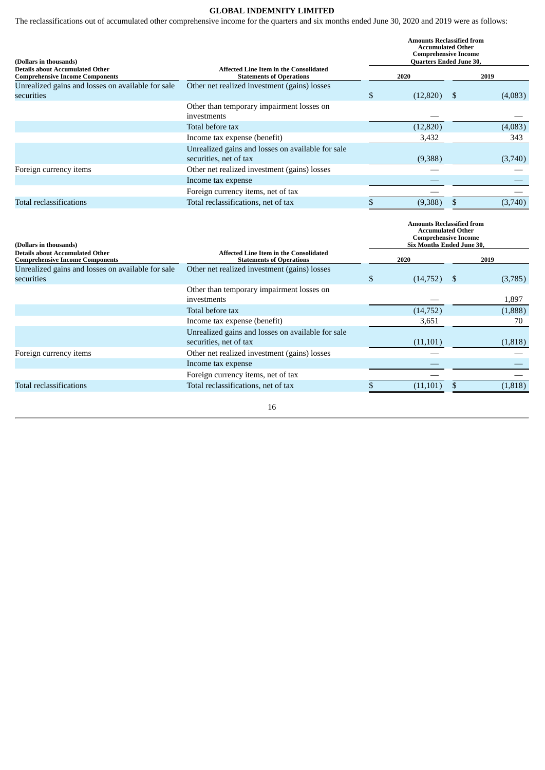The reclassifications out of accumulated other comprehensive income for the quarters and six months ended June 30, 2020 and 2019 were as follows:

| (Dollars in thousands)                                                           |                                                                                  | <b>Amounts Reclassified from</b><br><b>Accumulated Other</b><br><b>Comprehensive Income</b><br><b>Quarters Ended June 30,</b>   |           |          |         |  |  |  |
|----------------------------------------------------------------------------------|----------------------------------------------------------------------------------|---------------------------------------------------------------------------------------------------------------------------------|-----------|----------|---------|--|--|--|
| <b>Details about Accumulated Other</b><br><b>Comprehensive Income Components</b> | <b>Affected Line Item in the Consolidated</b><br><b>Statements of Operations</b> |                                                                                                                                 | 2020      | 2019     |         |  |  |  |
| Unrealized gains and losses on available for sale                                | Other net realized investment (gains) losses                                     |                                                                                                                                 |           |          |         |  |  |  |
| securities                                                                       |                                                                                  | \$                                                                                                                              | (12,820)  | -\$      | (4,083) |  |  |  |
|                                                                                  | Other than temporary impairment losses on<br>investments                         |                                                                                                                                 |           |          |         |  |  |  |
|                                                                                  | Total before tax                                                                 |                                                                                                                                 | (12, 820) |          | (4,083) |  |  |  |
|                                                                                  | Income tax expense (benefit)                                                     |                                                                                                                                 | 3,432     |          | 343     |  |  |  |
|                                                                                  | Unrealized gains and losses on available for sale<br>securities, net of tax      |                                                                                                                                 | (9,388)   |          | (3,740) |  |  |  |
| Foreign currency items                                                           | Other net realized investment (gains) losses                                     |                                                                                                                                 |           |          |         |  |  |  |
|                                                                                  | Income tax expense                                                               |                                                                                                                                 |           |          |         |  |  |  |
|                                                                                  | Foreign currency items, net of tax                                               |                                                                                                                                 |           |          |         |  |  |  |
| <b>Total reclassifications</b>                                                   | Total reclassifications, net of tax                                              | \$                                                                                                                              | (9,388)   | \$       | (3,740) |  |  |  |
| (Dollars in thousands)                                                           |                                                                                  | <b>Amounts Reclassified from</b><br><b>Accumulated Other</b><br><b>Comprehensive Income</b><br><b>Six Months Ended June 30,</b> |           |          |         |  |  |  |
| <b>Details about Accumulated Other</b><br><b>Comprehensive Income Components</b> | <b>Affected Line Item in the Consolidated</b><br><b>Statements of Operations</b> |                                                                                                                                 | 2020      |          | 2019    |  |  |  |
| Unrealized gains and losses on available for sale<br>securities                  | Other net realized investment (gains) losses                                     | \$                                                                                                                              | (14,752)  | -S       | (3,785) |  |  |  |
|                                                                                  | Other than temporary impairment losses on<br>investments                         |                                                                                                                                 |           |          | 1.897   |  |  |  |
|                                                                                  | Total before tax                                                                 |                                                                                                                                 | (14,752)  |          | (1,888) |  |  |  |
|                                                                                  | Income tax expense (benefit)                                                     |                                                                                                                                 | 3,651     |          | 70      |  |  |  |
|                                                                                  | Unrealized gains and losses on available for sale<br>securities, net of tax      |                                                                                                                                 | (11, 101) |          | (1,818) |  |  |  |
| Foreign currency items                                                           | Other net realized investment (gains) losses                                     |                                                                                                                                 |           |          |         |  |  |  |
|                                                                                  | Income tax expense                                                               |                                                                                                                                 |           |          |         |  |  |  |
|                                                                                  | Foreign currency items, net of tax                                               |                                                                                                                                 |           |          |         |  |  |  |
| <b>Total reclassifications</b>                                                   | \$                                                                               | (11, 101)                                                                                                                       | \$        | (1, 818) |         |  |  |  |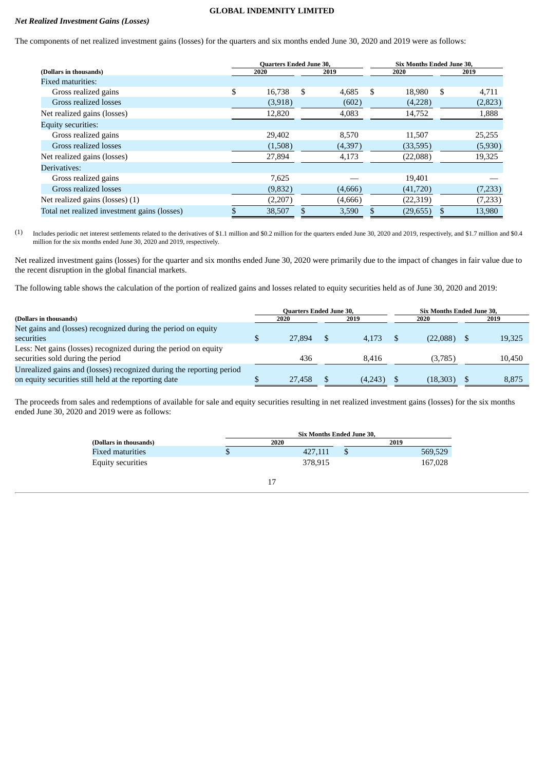#### *Net Realized Investment Gains (Losses)*

#### **GLOBAL INDEMNITY LIMITED**

The components of net realized investment gains (losses) for the quarters and six months ended June 30, 2020 and 2019 were as follows:

|                                              | <b>Quarters Ended June 30,</b> |         |     |         | <b>Six Months Ended June 30.</b> |           |     |         |
|----------------------------------------------|--------------------------------|---------|-----|---------|----------------------------------|-----------|-----|---------|
| (Dollars in thousands)                       |                                | 2020    |     | 2019    |                                  | 2020      |     | 2019    |
| <b>Fixed maturities:</b>                     |                                |         |     |         |                                  |           |     |         |
| Gross realized gains                         | \$                             | 16,738  | \$. | 4,685   | -\$                              | 18,980    | \$. | 4,711   |
| Gross realized losses                        |                                | (3,918) |     | (602)   |                                  | (4,228)   |     | (2,823) |
| Net realized gains (losses)                  |                                | 12,820  |     | 4,083   |                                  | 14,752    |     | 1,888   |
| <b>Equity securities:</b>                    |                                |         |     |         |                                  |           |     |         |
| Gross realized gains                         |                                | 29,402  |     | 8,570   |                                  | 11,507    |     | 25,255  |
| Gross realized losses                        |                                | (1,508) |     | (4,397) |                                  | (33,595)  |     | (5,930) |
| Net realized gains (losses)                  |                                | 27,894  |     | 4,173   |                                  | (22,088)  |     | 19,325  |
| Derivatives:                                 |                                |         |     |         |                                  |           |     |         |
| Gross realized gains                         |                                | 7,625   |     |         |                                  | 19,401    |     |         |
| Gross realized losses                        |                                | (9,832) |     | (4,666) |                                  | (41,720)  |     | (7,233) |
| Net realized gains (losses) (1)              |                                | (2,207) |     | (4,666) |                                  | (22, 319) |     | (7,233) |
| Total net realized investment gains (losses) |                                | 38,507  |     | 3,590   | \$                               | (29, 655) |     | 13,980  |

(1) Includes periodic net interest settlements related to the derivatives of \$1.1 million and \$0.2 million for the quarters ended June 30, 2020 and 2019, respectively, and \$1.7 million and \$0.4 million for the six months ended June 30, 2020 and 2019, respectively.

Net realized investment gains (losses) for the quarter and six months ended June 30, 2020 were primarily due to the impact of changes in fair value due to the recent disruption in the global financial markets.

The following table shows the calculation of the portion of realized gains and losses related to equity securities held as of June 30, 2020 and 2019:

|                                                                                                      |        | <b>Quarters Ended June 30,</b> | Six Months Ended June 30. |        |  |  |
|------------------------------------------------------------------------------------------------------|--------|--------------------------------|---------------------------|--------|--|--|
| (Dollars in thousands)                                                                               | 2020   | 2019                           | 2020                      | 2019   |  |  |
| Net gains and (losses) recognized during the period on equity                                        |        |                                |                           |        |  |  |
| securities                                                                                           | 27,894 | 4.173                          | (22,088)                  | 19,325 |  |  |
| Less: Net gains (losses) recognized during the period on equity<br>securities sold during the period | 436    | 8.416                          | (3,785)                   | 10.450 |  |  |
| Unrealized gains and (losses) recognized during the reporting period                                 |        |                                |                           |        |  |  |
| on equity securities still held at the reporting date                                                | 27,458 | (4,243)                        | (18,303)                  | 8,875  |  |  |

The proceeds from sales and redemptions of available for sale and equity securities resulting in net realized investment gains (losses) for the six months ended June 30, 2020 and 2019 were as follows:

|                        | Six Months Ended June 30. |  |      |         |  |  |  |  |  |  |  |
|------------------------|---------------------------|--|------|---------|--|--|--|--|--|--|--|
| (Dollars in thousands) | 2020                      |  | 2019 |         |  |  |  |  |  |  |  |
| Fixed maturities       | 427.111                   |  |      | 569,529 |  |  |  |  |  |  |  |
| Equity securities      | 378.915                   |  |      | 167,028 |  |  |  |  |  |  |  |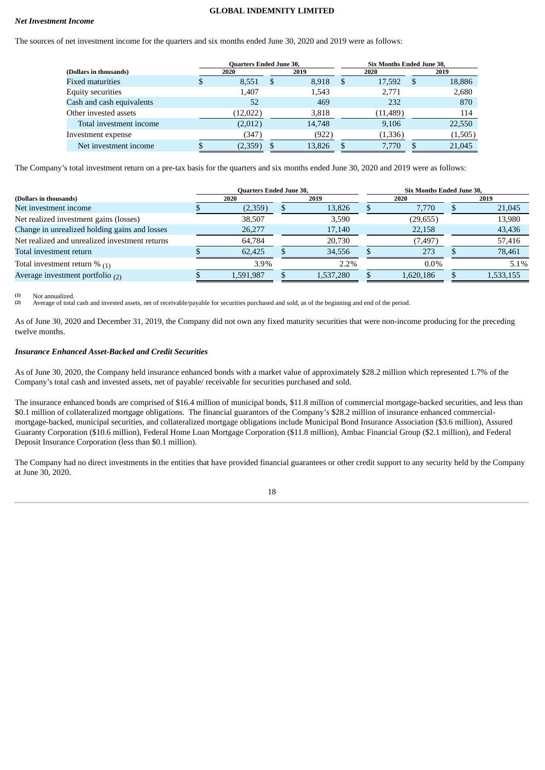#### *Net Investment Income*

The sources of net investment income for the quarters and six months ended June 30, 2020 and 2019 were as follows:

|                           |   | <b>Quarters Ended June 30,</b> | <b>Six Months Ended June 30,</b> |        |   |          |              |         |
|---------------------------|---|--------------------------------|----------------------------------|--------|---|----------|--------------|---------|
| (Dollars in thousands)    |   | 2020                           |                                  | 2019   |   | 2020     |              | 2019    |
| <b>Fixed maturities</b>   | D | 8,551                          | -S                               | 8,918  | S | 17,592   | <sup>3</sup> | 18,886  |
| <b>Equity securities</b>  |   | 1.407                          |                                  | 1,543  |   | 2,771    |              | 2,680   |
| Cash and cash equivalents |   | 52                             |                                  | 469    |   | 232      |              | 870     |
| Other invested assets     |   | (12,022)                       |                                  | 3,818  |   | (11,489) |              | 114     |
| Total investment income   |   | (2,012)                        |                                  | 14,748 |   | 9.106    |              | 22,550  |
| Investment expense        |   | (347)                          |                                  | (922)  |   | (1,336)  |              | (1,505) |
| Net investment income     |   | (2,359)                        |                                  | 13,826 |   | 7.770    |              | 21,045  |

The Company's total investment return on a pre-tax basis for the quarters and six months ended June 30, 2020 and 2019 were as follows:

|              |           |  |           | <b>Six Months Ended June 30.</b> |           |  |           |  |  |  |
|--------------|-----------|--|-----------|----------------------------------|-----------|--|-----------|--|--|--|
| 2019<br>2020 |           |  |           |                                  | 2020      |  | 2019      |  |  |  |
|              | (2,359)   |  | 13,826    |                                  | 7.770     |  | 21,045    |  |  |  |
|              | 38.507    |  | 3,590     |                                  | (29, 655) |  | 13,980    |  |  |  |
|              | 26,277    |  | 17,140    |                                  | 22,158    |  | 43,436    |  |  |  |
|              | 64.784    |  | 20,730    |                                  | (7, 497)  |  | 57,416    |  |  |  |
|              | 62,425    |  | 34,556    |                                  | 273       |  | 78,461    |  |  |  |
|              | 3.9%      |  | 2.2%      |                                  | $0.0\%$   |  | 5.1%      |  |  |  |
|              | 1,591,987 |  | 1,537,280 |                                  | 1.620.186 |  | 1,533,155 |  |  |  |
|              |           |  |           | <b>Quarters Ended June 30,</b>   |           |  |           |  |  |  |

**(1)** Not annualized.

**(2)** Average of total cash and invested assets, net of receivable/payable for securities purchased and sold, as of the beginning and end of the period.

As of June 30, 2020 and December 31, 2019, the Company did not own any fixed maturity securities that were non-income producing for the preceding twelve months.

#### *Insurance Enhanced Asset-Backed and Credit Securities*

As of June 30, 2020, the Company held insurance enhanced bonds with a market value of approximately \$28.2 million which represented 1.7% of the Company's total cash and invested assets, net of payable/ receivable for securities purchased and sold.

The insurance enhanced bonds are comprised of \$16.4 million of municipal bonds, \$11.8 million of commercial mortgage-backed securities, and less than \$0.1 million of collateralized mortgage obligations. The financial guarantors of the Company's \$28.2 million of insurance enhanced commercialmortgage-backed, municipal securities, and collateralized mortgage obligations include Municipal Bond Insurance Association (\$3.6 million), Assured Guaranty Corporation (\$10.6 million), Federal Home Loan Mortgage Corporation (\$11.8 million), Ambac Financial Group (\$2.1 million), and Federal Deposit Insurance Corporation (less than \$0.1 million).

The Company had no direct investments in the entities that have provided financial guarantees or other credit support to any security held by the Company at June 30, 2020.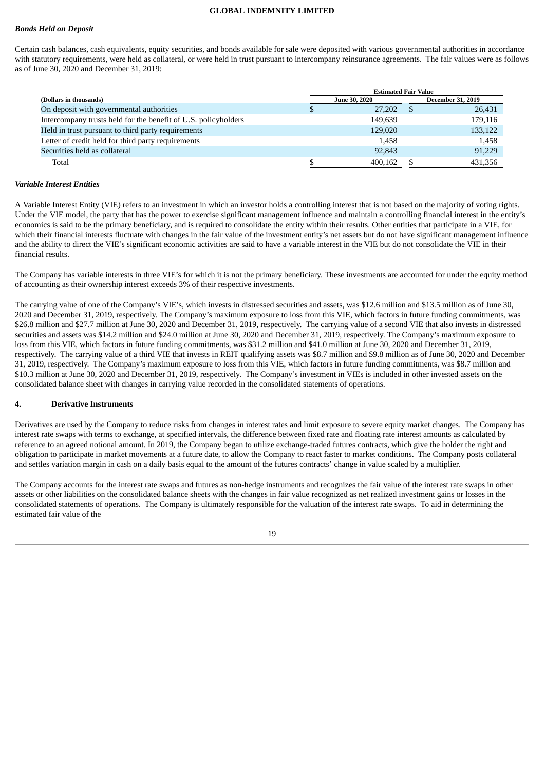#### *Bonds Held on Deposit*

Certain cash balances, cash equivalents, equity securities, and bonds available for sale were deposited with various governmental authorities in accordance with statutory requirements, were held as collateral, or were held in trust pursuant to intercompany reinsurance agreements. The fair values were as follows as of June 30, 2020 and December 31, 2019:

|                                                                | <b>Estimated Fair Value</b> |                          |  |         |  |  |  |  |  |  |  |
|----------------------------------------------------------------|-----------------------------|--------------------------|--|---------|--|--|--|--|--|--|--|
| (Dollars in thousands)                                         | <b>June 30, 2020</b>        | <b>December 31, 2019</b> |  |         |  |  |  |  |  |  |  |
| On deposit with governmental authorities                       | Φ                           | 27,202                   |  | 26,431  |  |  |  |  |  |  |  |
| Intercompany trusts held for the benefit of U.S. policyholders |                             | 149,639                  |  | 179,116 |  |  |  |  |  |  |  |
| Held in trust pursuant to third party requirements             |                             | 129,020                  |  | 133,122 |  |  |  |  |  |  |  |
| Letter of credit held for third party requirements             |                             | 1.458                    |  | 1,458   |  |  |  |  |  |  |  |
| Securities held as collateral                                  |                             | 92,843                   |  | 91,229  |  |  |  |  |  |  |  |
| Total                                                          |                             | 400.162                  |  | 431.356 |  |  |  |  |  |  |  |

#### *Variable Interest Entities*

A Variable Interest Entity (VIE) refers to an investment in which an investor holds a controlling interest that is not based on the majority of voting rights. Under the VIE model, the party that has the power to exercise significant management influence and maintain a controlling financial interest in the entity's economics is said to be the primary beneficiary, and is required to consolidate the entity within their results. Other entities that participate in a VIE, for which their financial interests fluctuate with changes in the fair value of the investment entity's net assets but do not have significant management influence and the ability to direct the VIE's significant economic activities are said to have a variable interest in the VIE but do not consolidate the VIE in their financial results.

The Company has variable interests in three VIE's for which it is not the primary beneficiary. These investments are accounted for under the equity method of accounting as their ownership interest exceeds 3% of their respective investments.

The carrying value of one of the Company's VIE's, which invests in distressed securities and assets, was \$12.6 million and \$13.5 million as of June 30, 2020 and December 31, 2019, respectively. The Company's maximum exposure to loss from this VIE, which factors in future funding commitments, was \$26.8 million and \$27.7 million at June 30, 2020 and December 31, 2019, respectively. The carrying value of a second VIE that also invests in distressed securities and assets was \$14.2 million and \$24.0 million at June 30, 2020 and December 31, 2019, respectively. The Company's maximum exposure to loss from this VIE, which factors in future funding commitments, was \$31.2 million and \$41.0 million at June 30, 2020 and December 31, 2019, respectively. The carrying value of a third VIE that invests in REIT qualifying assets was \$8.7 million and \$9.8 million as of June 30, 2020 and December 31, 2019, respectively. The Company's maximum exposure to loss from this VIE, which factors in future funding commitments, was \$8.7 million and \$10.3 million at June 30, 2020 and December 31, 2019, respectively. The Company's investment in VIEs is included in other invested assets on the consolidated balance sheet with changes in carrying value recorded in the consolidated statements of operations.

#### **4. Derivative Instruments**

Derivatives are used by the Company to reduce risks from changes in interest rates and limit exposure to severe equity market changes. The Company has interest rate swaps with terms to exchange, at specified intervals, the difference between fixed rate and floating rate interest amounts as calculated by reference to an agreed notional amount. In 2019, the Company began to utilize exchange-traded futures contracts, which give the holder the right and obligation to participate in market movements at a future date, to allow the Company to react faster to market conditions. The Company posts collateral and settles variation margin in cash on a daily basis equal to the amount of the futures contracts' change in value scaled by a multiplier.

The Company accounts for the interest rate swaps and futures as non-hedge instruments and recognizes the fair value of the interest rate swaps in other assets or other liabilities on the consolidated balance sheets with the changes in fair value recognized as net realized investment gains or losses in the consolidated statements of operations. The Company is ultimately responsible for the valuation of the interest rate swaps. To aid in determining the estimated fair value of the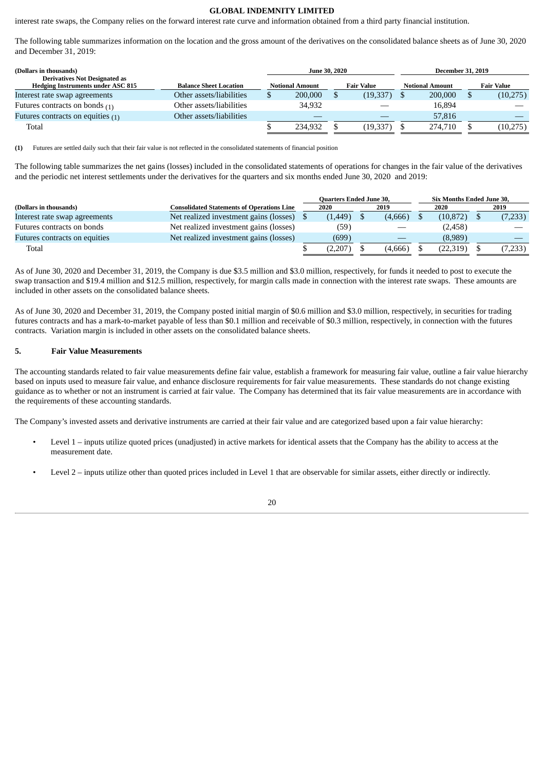interest rate swaps, the Company relies on the forward interest rate curve and information obtained from a third party financial institution.

The following table summarizes information on the location and the gross amount of the derivatives on the consolidated balance sheets as of June 30, 2020 and December 31, 2019:

| (Dollars in thousands)                                                           | <b>June 30, 2020</b>          |                        | <b>December 31, 2019</b> |  |                        |  |                   |
|----------------------------------------------------------------------------------|-------------------------------|------------------------|--------------------------|--|------------------------|--|-------------------|
| <b>Derivatives Not Designated as</b><br><b>Hedging Instruments under ASC 815</b> | <b>Balance Sheet Location</b> | <b>Notional Amount</b> | <b>Fair Value</b>        |  | <b>Notional Amount</b> |  | <b>Fair Value</b> |
| Interest rate swap agreements                                                    | Other assets/liabilities      | 200,000                | (19, 337)                |  | 200,000                |  | (10, 275)         |
| Futures contracts on bonds $(1)$                                                 | Other assets/liabilities      | 34.932                 |                          |  | 16.894                 |  |                   |
| Futures contracts on equities $(1)$                                              | Other assets/liabilities      |                        |                          |  | 57,816                 |  |                   |
| Total                                                                            |                               | 234.932                | (19,337                  |  | 274.710                |  | (10, 275)         |

**(1)** Futures are settled daily such that their fair value is not reflected in the consolidated statements of financial position

The following table summarizes the net gains (losses) included in the consolidated statements of operations for changes in the fair value of the derivatives and the periodic net interest settlements under the derivatives for the quarters and six months ended June 30, 2020 and 2019:

|                               |                                                   | Quarters Ended June 30, |         |  |                   |  | <b>Six Months Ended June 30.</b> |  |         |  |
|-------------------------------|---------------------------------------------------|-------------------------|---------|--|-------------------|--|----------------------------------|--|---------|--|
| (Dollars in thousands)        | <b>Consolidated Statements of Operations Line</b> |                         | 2020    |  | 2019              |  | 2020                             |  | 2019    |  |
| Interest rate swap agreements | Net realized investment gains (losses)            |                         | (1,449) |  | (4,666)           |  | (10, 872)                        |  | (7,233) |  |
| Futures contracts on bonds    | Net realized investment gains (losses)            |                         | (59)    |  | $\hspace{0.05cm}$ |  | (2, 458)                         |  |         |  |
| Futures contracts on equities | Net realized investment gains (losses)            |                         | (699)   |  |                   |  | (8,989)                          |  |         |  |
| Total                         |                                                   |                         | (2,207) |  | (4,666)           |  | (22,319)                         |  | (7,233) |  |

As of June 30, 2020 and December 31, 2019, the Company is due \$3.5 million and \$3.0 million, respectively, for funds it needed to post to execute the swap transaction and \$19.4 million and \$12.5 million, respectively, for margin calls made in connection with the interest rate swaps. These amounts are included in other assets on the consolidated balance sheets.

As of June 30, 2020 and December 31, 2019, the Company posted initial margin of \$0.6 million and \$3.0 million, respectively, in securities for trading futures contracts and has a mark-to-market payable of less than \$0.1 million and receivable of \$0.3 million, respectively, in connection with the futures contracts. Variation margin is included in other assets on the consolidated balance sheets.

#### **5. Fair Value Measurements**

The accounting standards related to fair value measurements define fair value, establish a framework for measuring fair value, outline a fair value hierarchy based on inputs used to measure fair value, and enhance disclosure requirements for fair value measurements. These standards do not change existing guidance as to whether or not an instrument is carried at fair value. The Company has determined that its fair value measurements are in accordance with the requirements of these accounting standards.

The Company's invested assets and derivative instruments are carried at their fair value and are categorized based upon a fair value hierarchy:

- Level 1 inputs utilize quoted prices (unadjusted) in active markets for identical assets that the Company has the ability to access at the measurement date.
- Level 2 inputs utilize other than quoted prices included in Level 1 that are observable for similar assets, either directly or indirectly.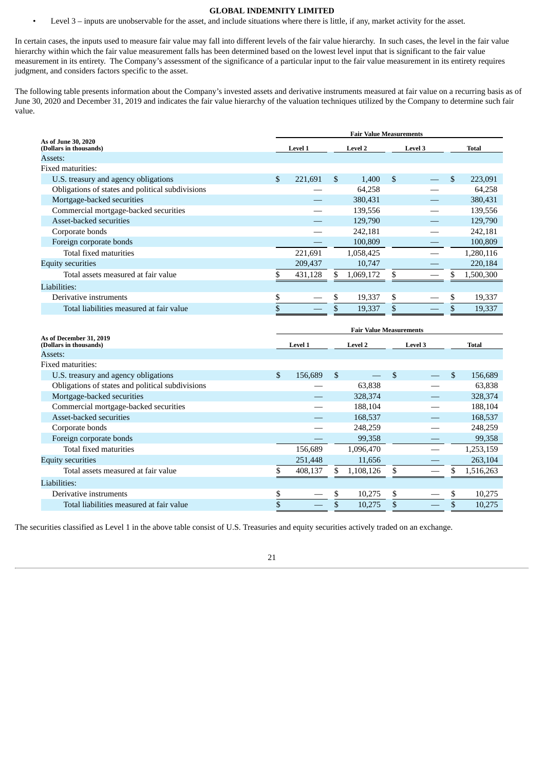• Level 3 – inputs are unobservable for the asset, and include situations where there is little, if any, market activity for the asset.

In certain cases, the inputs used to measure fair value may fall into different levels of the fair value hierarchy. In such cases, the level in the fair value hierarchy within which the fair value measurement falls has been determined based on the lowest level input that is significant to the fair value measurement in its entirety. The Company's assessment of the significance of a particular input to the fair value measurement in its entirety requires judgment, and considers factors specific to the asset.

The following table presents information about the Company's invested assets and derivative instruments measured at fair value on a recurring basis as of June 30, 2020 and December 31, 2019 and indicates the fair value hierarchy of the valuation techniques utilized by the Company to determine such fair value.

|                                                   |                         | <b>Fair Value Measurements</b> |                       |                                                  |    |         |                 |              |  |
|---------------------------------------------------|-------------------------|--------------------------------|-----------------------|--------------------------------------------------|----|---------|-----------------|--------------|--|
| As of June 30, 2020<br>(Dollars in thousands)     |                         | Level 1                        |                       | <b>Level 2</b>                                   |    | Level 3 |                 | <b>Total</b> |  |
| Assets:                                           |                         |                                |                       |                                                  |    |         |                 |              |  |
| <b>Fixed maturities:</b>                          |                         |                                |                       |                                                  |    |         |                 |              |  |
| U.S. treasury and agency obligations              | \$                      | 221,691                        | \$                    | 1,400                                            | \$ |         | \$              | 223,091      |  |
| Obligations of states and political subdivisions  |                         |                                |                       | 64,258                                           |    |         |                 | 64,258       |  |
| Mortgage-backed securities                        |                         |                                |                       | 380,431                                          |    |         |                 | 380,431      |  |
| Commercial mortgage-backed securities             |                         |                                |                       | 139,556                                          |    |         |                 | 139,556      |  |
| Asset-backed securities                           |                         |                                |                       | 129,790                                          |    |         |                 | 129,790      |  |
| Corporate bonds                                   |                         |                                |                       | 242,181                                          |    |         |                 | 242,181      |  |
| Foreign corporate bonds                           |                         |                                |                       | 100,809                                          |    |         |                 | 100,809      |  |
| Total fixed maturities                            |                         | 221,691                        |                       | 1,058,425                                        |    |         |                 | 1,280,116    |  |
| <b>Equity securities</b>                          |                         | 209,437                        |                       | 10,747                                           |    |         |                 | 220,184      |  |
| Total assets measured at fair value               | \$                      | 431,128                        | \$                    | 1,069,172                                        | \$ |         | \$              | 1,500,300    |  |
| Liabilities:                                      |                         |                                |                       |                                                  |    |         |                 |              |  |
| Derivative instruments                            | \$                      |                                | \$                    | 19,337                                           | \$ |         | \$              | 19,337       |  |
| Total liabilities measured at fair value          | $\overline{\mathbf{s}}$ |                                | \$                    | 19,337                                           | \$ |         | $\overline{\$}$ | 19,337       |  |
| As of December 31, 2019<br>(Dollars in thousands) |                         | Level 1                        |                       | <b>Fair Value Measurements</b><br><b>Level 2</b> |    | Level 3 |                 | <b>Total</b> |  |
| Assets:                                           |                         |                                |                       |                                                  |    |         |                 |              |  |
| Fixed maturities:                                 |                         |                                |                       |                                                  |    |         |                 |              |  |
| U.S. treasury and agency obligations              | \$                      | 156,689                        | \$                    |                                                  | \$ |         | \$              | 156,689      |  |
| Obligations of states and political subdivisions  |                         |                                |                       | 63,838                                           |    |         |                 | 63,838       |  |
| Mortgage-backed securities                        |                         |                                |                       | 328,374                                          |    |         |                 | 328,374      |  |
| Commercial mortgage-backed securities             |                         |                                |                       | 188,104                                          |    |         |                 | 188,104      |  |
| Asset-backed securities                           |                         |                                |                       | 168,537                                          |    |         |                 | 168,537      |  |
| Corporate bonds                                   |                         |                                |                       | 248,259                                          |    |         |                 | 248,259      |  |
| Foreign corporate bonds                           |                         |                                |                       | 99,358                                           |    |         |                 | 99,358       |  |
| Total fixed maturities                            |                         | 156,689                        |                       | 1,096,470                                        |    |         |                 | 1,253,159    |  |
| <b>Equity securities</b>                          |                         | 251,448                        |                       | 11,656                                           |    |         |                 | 263,104      |  |
| Total assets measured at fair value               | \$                      | 408,137                        | \$                    | 1,108,126                                        | \$ |         | \$              | 1,516,263    |  |
| Liabilities:                                      |                         |                                |                       |                                                  |    |         |                 |              |  |
| Derivative instruments                            |                         |                                |                       |                                                  |    |         |                 |              |  |
|                                                   | \$                      |                                | \$<br>$\overline{\$}$ | 10,275                                           | \$ |         | \$              | 10,275       |  |

The securities classified as Level 1 in the above table consist of U.S. Treasuries and equity securities actively traded on an exchange.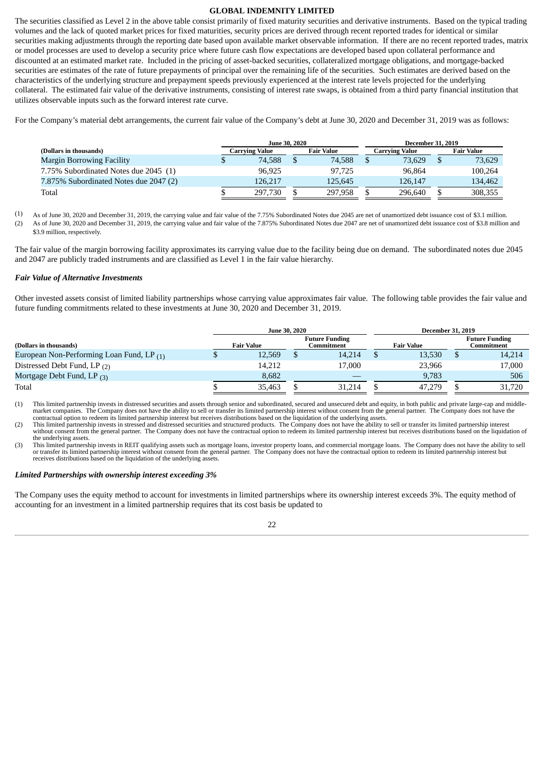The securities classified as Level 2 in the above table consist primarily of fixed maturity securities and derivative instruments. Based on the typical trading volumes and the lack of quoted market prices for fixed maturities, security prices are derived through recent reported trades for identical or similar securities making adjustments through the reporting date based upon available market observable information. If there are no recent reported trades, matrix or model processes are used to develop a security price where future cash flow expectations are developed based upon collateral performance and discounted at an estimated market rate. Included in the pricing of asset-backed securities, collateralized mortgage obligations, and mortgage-backed securities are estimates of the rate of future prepayments of principal over the remaining life of the securities. Such estimates are derived based on the characteristics of the underlying structure and prepayment speeds previously experienced at the interest rate levels projected for the underlying collateral. The estimated fair value of the derivative instruments, consisting of interest rate swaps, is obtained from a third party financial institution that utilizes observable inputs such as the forward interest rate curve.

For the Company's material debt arrangements, the current fair value of the Company's debt at June 30, 2020 and December 31, 2019 was as follows:

|                                        |                | <b>June 30, 2020</b> |  |                   |  | <b>December 31, 2019</b> |  |                   |  |  |
|----------------------------------------|----------------|----------------------|--|-------------------|--|--------------------------|--|-------------------|--|--|
| (Dollars in thousands)                 | Carrving Value |                      |  | <b>Fair Value</b> |  |                          |  | <b>Fair Value</b> |  |  |
| <b>Margin Borrowing Facility</b>       |                | 74.588               |  | 74.588            |  | 73.629                   |  | 73,629            |  |  |
| 7.75% Subordinated Notes due 2045 (1)  |                | 96.925               |  | 97.725            |  | 96.864                   |  | 100,264           |  |  |
| 7.875% Subordinated Notes due 2047 (2) |                | 126.217              |  | 125.645           |  | 126.147                  |  | 134,462           |  |  |
| Total                                  |                | 297,730              |  | 297.958           |  | 296.640                  |  | 308,355           |  |  |

(1) As of June 30, 2020 and December 31, 2019, the carrying value and fair value of the 7.75% Subordinated Notes due 2045 are net of unamortized debt issuance cost of \$3.1 million.

(2) As of June 30, 2020 and December 31, 2019, the carrying value and fair value of the 7.875% Subordinated Notes due 2047 are net of unamortized debt issuance cost of \$3.8 million and \$3.9 million, respectively.

The fair value of the margin borrowing facility approximates its carrying value due to the facility being due on demand. The subordinated notes due 2045 and 2047 are publicly traded instruments and are classified as Level 1 in the fair value hierarchy.

#### *Fair Value of Alternative Investments*

Other invested assets consist of limited liability partnerships whose carrying value approximates fair value. The following table provides the fair value and future funding commitments related to these investments at June 30, 2020 and December 31, 2019.

|                                             | <b>June 30, 2020</b> |                   |  |                                     |  |                   |  |                                     |
|---------------------------------------------|----------------------|-------------------|--|-------------------------------------|--|-------------------|--|-------------------------------------|
| (Dollars in thousands)                      |                      | <b>Fair Value</b> |  | <b>Future Funding</b><br>Commitment |  | <b>Fair Value</b> |  | <b>Future Funding</b><br>Commitment |
| European Non-Performing Loan Fund, LP $(1)$ |                      | 12,569            |  | 14,214                              |  | 13,530            |  | 14,214                              |
| Distressed Debt Fund, LP $(2)$              |                      | 14,212            |  | 17,000                              |  | 23,966            |  | 17,000                              |
| Mortgage Debt Fund, $LP(3)$                 |                      | 8,682             |  |                                     |  | 9,783             |  | 506                                 |
| Total                                       |                      | 35,463            |  | 31.214                              |  | 47.279            |  | 31,720                              |

(1) This limited partnership invests in distressed securities and assets through senior and subordinated, secured and unsecured debt and equity, in both public and private large-cap and middle-

market companies. The Company does not have the ability to sell or transfer its limited partnership interest without consent from the general partner. The Company does not have the contractual option to redeem its limited the underlying assets.

(3) This limited partnership invests in REIT qualifying assets such as mortgage loans, investor property loans, and commercial mortgage loans. The Company does not have the ability to sell or transfer its limited partnership interest without consent from the general partner. The Company does not have the contractual option to redeem its limited partnership interest but receives distributions based on the liquidation of the underlying assets.

#### *Limited Partnerships with ownership interest exceeding 3%*

The Company uses the equity method to account for investments in limited partnerships where its ownership interest exceeds 3%. The equity method of accounting for an investment in a limited partnership requires that its cost basis be updated to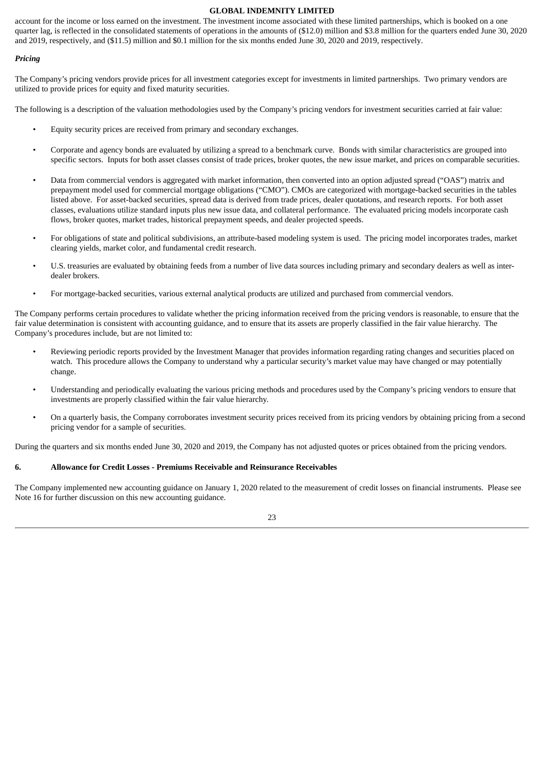account for the income or loss earned on the investment. The investment income associated with these limited partnerships, which is booked on a one quarter lag, is reflected in the consolidated statements of operations in the amounts of (\$12.0) million and \$3.8 million for the quarters ended June 30, 2020 and 2019, respectively, and (\$11.5) million and \$0.1 million for the six months ended June 30, 2020 and 2019, respectively.

#### *Pricing*

The Company's pricing vendors provide prices for all investment categories except for investments in limited partnerships. Two primary vendors are utilized to provide prices for equity and fixed maturity securities.

The following is a description of the valuation methodologies used by the Company's pricing vendors for investment securities carried at fair value:

- Equity security prices are received from primary and secondary exchanges.
- Corporate and agency bonds are evaluated by utilizing a spread to a benchmark curve. Bonds with similar characteristics are grouped into specific sectors. Inputs for both asset classes consist of trade prices, broker quotes, the new issue market, and prices on comparable securities.
- Data from commercial vendors is aggregated with market information, then converted into an option adjusted spread ("OAS") matrix and prepayment model used for commercial mortgage obligations ("CMO"). CMOs are categorized with mortgage-backed securities in the tables listed above. For asset-backed securities, spread data is derived from trade prices, dealer quotations, and research reports. For both asset classes, evaluations utilize standard inputs plus new issue data, and collateral performance. The evaluated pricing models incorporate cash flows, broker quotes, market trades, historical prepayment speeds, and dealer projected speeds.
- For obligations of state and political subdivisions, an attribute-based modeling system is used. The pricing model incorporates trades, market clearing yields, market color, and fundamental credit research.
- U.S. treasuries are evaluated by obtaining feeds from a number of live data sources including primary and secondary dealers as well as interdealer brokers.
- For mortgage-backed securities, various external analytical products are utilized and purchased from commercial vendors.

The Company performs certain procedures to validate whether the pricing information received from the pricing vendors is reasonable, to ensure that the fair value determination is consistent with accounting guidance, and to ensure that its assets are properly classified in the fair value hierarchy. The Company's procedures include, but are not limited to:

- Reviewing periodic reports provided by the Investment Manager that provides information regarding rating changes and securities placed on watch. This procedure allows the Company to understand why a particular security's market value may have changed or may potentially change.
- Understanding and periodically evaluating the various pricing methods and procedures used by the Company's pricing vendors to ensure that investments are properly classified within the fair value hierarchy.
- On a quarterly basis, the Company corroborates investment security prices received from its pricing vendors by obtaining pricing from a second pricing vendor for a sample of securities.

During the quarters and six months ended June 30, 2020 and 2019, the Company has not adjusted quotes or prices obtained from the pricing vendors.

#### **6. Allowance for Credit Losses - Premiums Receivable and Reinsurance Receivables**

The Company implemented new accounting guidance on January 1, 2020 related to the measurement of credit losses on financial instruments. Please see Note 16 for further discussion on this new accounting guidance.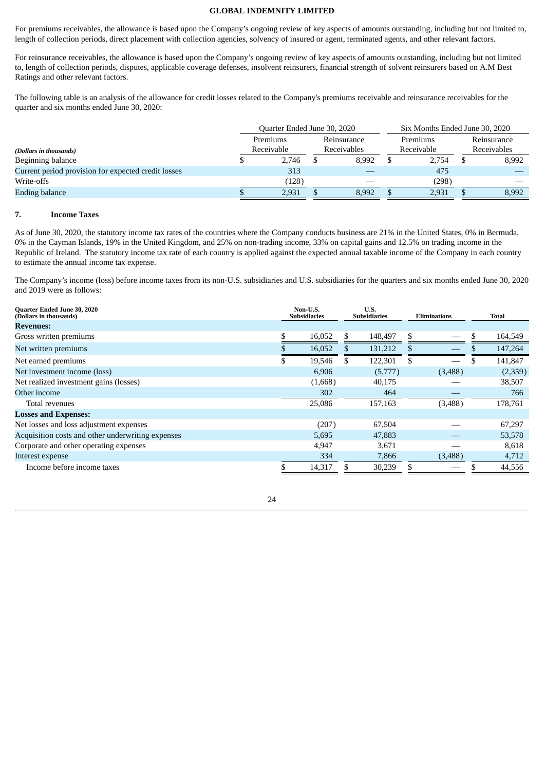For premiums receivables, the allowance is based upon the Company's ongoing review of key aspects of amounts outstanding, including but not limited to, length of collection periods, direct placement with collection agencies, solvency of insured or agent, terminated agents, and other relevant factors.

For reinsurance receivables, the allowance is based upon the Company's ongoing review of key aspects of amounts outstanding, including but not limited to, length of collection periods, disputes, applicable coverage defenses, insolvent reinsurers, financial strength of solvent reinsurers based on A.M Best Ratings and other relevant factors.

The following table is an analysis of the allowance for credit losses related to the Company's premiums receivable and reinsurance receivables for the quarter and six months ended June 30, 2020:

|                                                     | Quarter Ended June 30, 2020 |                        |  |                            |  |                        |  |                            |
|-----------------------------------------------------|-----------------------------|------------------------|--|----------------------------|--|------------------------|--|----------------------------|
| (Dollars in thousands)                              |                             | Premiums<br>Receivable |  | Reinsurance<br>Receivables |  | Premiums<br>Receivable |  | Reinsurance<br>Receivables |
| Beginning balance                                   |                             | 2.746                  |  | 8.992                      |  | 2.754                  |  | 8,992                      |
| Current period provision for expected credit losses |                             | 313                    |  |                            |  | 475                    |  |                            |
| Write-offs                                          |                             | (128)                  |  |                            |  | (298)                  |  |                            |
| <b>Ending balance</b>                               |                             | 2,931                  |  | 8.992                      |  | 2,931                  |  | 8,992                      |

#### **7. Income Taxes**

As of June 30, 2020, the statutory income tax rates of the countries where the Company conducts business are 21% in the United States, 0% in Bermuda, 0% in the Cayman Islands, 19% in the United Kingdom, and 25% on non-trading income, 33% on capital gains and 12.5% on trading income in the Republic of Ireland. The statutory income tax rate of each country is applied against the expected annual taxable income of the Company in each country to estimate the annual income tax expense.

The Company's income (loss) before income taxes from its non-U.S. subsidiaries and U.S. subsidiaries for the quarters and six months ended June 30, 2020 and 2019 were as follows:

| Quarter Ended June 30, 2020<br>(Dollars in thousands) | Non-U.S.<br><b>Subsidiaries</b> |         |     | U.S.<br><b>Subsidiaries</b> | <b>Eliminations</b> |         | <b>Total</b> |  |
|-------------------------------------------------------|---------------------------------|---------|-----|-----------------------------|---------------------|---------|--------------|--|
| <b>Revenues:</b>                                      |                                 |         |     |                             |                     |         |              |  |
| Gross written premiums                                |                                 | 16,052  | \$  | 148,497                     | \$                  |         | 164,549      |  |
| Net written premiums                                  |                                 | 16,052  |     | 131,212                     |                     |         | 147,264      |  |
| Net earned premiums                                   |                                 | 19,546  | \$. | 122,301                     | \$.                 |         | 141,847      |  |
| Net investment income (loss)                          |                                 | 6,906   |     | (5,777)                     |                     | (3,488) | (2,359)      |  |
| Net realized investment gains (losses)                |                                 | (1,668) |     | 40,175                      |                     |         | 38,507       |  |
| Other income                                          |                                 | 302     |     | 464                         |                     |         | 766          |  |
| Total revenues                                        |                                 | 25,086  |     | 157,163                     |                     | (3,488) | 178,761      |  |
| <b>Losses and Expenses:</b>                           |                                 |         |     |                             |                     |         |              |  |
| Net losses and loss adjustment expenses               |                                 | (207)   |     | 67,504                      |                     |         | 67,297       |  |
| Acquisition costs and other underwriting expenses     |                                 | 5,695   |     | 47,883                      |                     |         | 53,578       |  |
| Corporate and other operating expenses                |                                 | 4,947   |     | 3,671                       |                     |         | 8,618        |  |
| Interest expense                                      |                                 | 334     |     | 7,866                       |                     | (3,488) | 4,712        |  |
| Income before income taxes                            |                                 | 14,317  |     | 30,239                      | ፍ                   |         | 44,556       |  |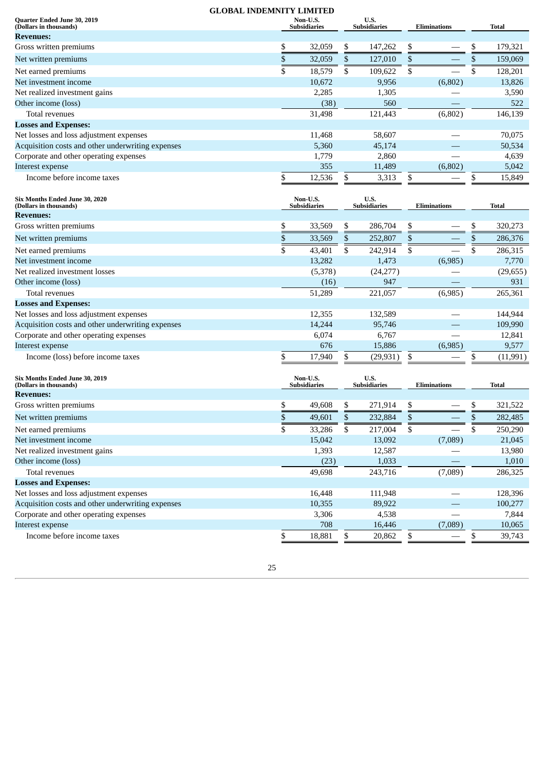| Quarter Ended June 30, 2019<br>(Dollars in thousands) |     | Non-U.S.<br><b>Subsidiaries</b> |     | U.S.<br><b>Subsidiaries</b> |     | <b>Eliminations</b> | <b>Total</b> |         |
|-------------------------------------------------------|-----|---------------------------------|-----|-----------------------------|-----|---------------------|--------------|---------|
| <b>Revenues:</b>                                      |     |                                 |     |                             |     |                     |              |         |
| Gross written premiums                                | \$. | 32,059                          | \$  | 147,262                     | \$  |                     |              | 179,321 |
| Net written premiums                                  |     | 32,059                          |     | 127,010                     |     |                     |              | 159,069 |
| Net earned premiums                                   |     | 18.579                          | \$. | 109,622                     | \$. |                     | \$.          | 128,201 |
| Net investment income                                 |     | 10,672                          |     | 9,956                       |     | (6,802)             |              | 13,826  |
| Net realized investment gains                         |     | 2,285                           |     | 1,305                       |     |                     |              | 3,590   |
| Other income (loss)                                   |     | (38)                            |     | 560                         |     |                     |              | 522     |
| Total revenues                                        |     | 31,498                          |     | 121,443                     |     | (6,802)             |              | 146,139 |
| <b>Losses and Expenses:</b>                           |     |                                 |     |                             |     |                     |              |         |
| Net losses and loss adjustment expenses               |     | 11.468                          |     | 58,607                      |     |                     |              | 70,075  |
| Acquisition costs and other underwriting expenses     |     | 5,360                           |     | 45,174                      |     |                     |              | 50,534  |
| Corporate and other operating expenses                |     | 1,779                           |     | 2,860                       |     |                     |              | 4,639   |
| Interest expense                                      |     | 355                             |     | 11,489                      |     | (6,802)             |              | 5,042   |
| Income before income taxes                            |     | 12,536                          |     | 3,313                       | \$  |                     |              | 15,849  |

| Six Months Ended June 30, 2020<br>(Dollars in thousands) | Non-U.S.<br><b>Subsidiaries</b> |     | U.S.<br><b>Subsidiaries</b> |   | <b>Eliminations</b> |  | Total     |  |
|----------------------------------------------------------|---------------------------------|-----|-----------------------------|---|---------------------|--|-----------|--|
| <b>Revenues:</b>                                         |                                 |     |                             |   |                     |  |           |  |
| Gross written premiums                                   | 33,569                          | \$. | 286,704                     |   |                     |  | 320,273   |  |
| Net written premiums                                     | 33,569                          |     | 252,807                     |   |                     |  | 286,376   |  |
| Net earned premiums                                      | 43.401                          | S.  | 242,914                     | S |                     |  | 286,315   |  |
| Net investment income                                    | 13,282                          |     | 1,473                       |   | (6,985)             |  | 7,770     |  |
| Net realized investment losses                           | (5,378)                         |     | (24, 277)                   |   |                     |  | (29, 655) |  |
| Other income (loss)                                      | (16)                            |     | 947                         |   |                     |  | 931       |  |
| Total revenues                                           | 51,289                          |     | 221,057                     |   | (6,985)             |  | 265,361   |  |
| <b>Losses and Expenses:</b>                              |                                 |     |                             |   |                     |  |           |  |
| Net losses and loss adjustment expenses                  | 12,355                          |     | 132,589                     |   |                     |  | 144,944   |  |
| Acquisition costs and other underwriting expenses        | 14,244                          |     | 95,746                      |   |                     |  | 109,990   |  |
| Corporate and other operating expenses                   | 6,074                           |     | 6.767                       |   |                     |  | 12,841    |  |
| Interest expense                                         | 676                             |     | 15,886                      |   | (6,985)             |  | 9,577     |  |
| Income (loss) before income taxes                        | 17,940                          |     | (29, 931)                   |   |                     |  | (11, 991) |  |

| Six Months Ended June 30, 2019<br>(Dollars in thousands) | Non-U.S.<br><b>Subsidiaries</b> | U.S.<br><b>Subsidiaries</b> | <b>Eliminations</b> |  | Total   |  |
|----------------------------------------------------------|---------------------------------|-----------------------------|---------------------|--|---------|--|
| <b>Revenues:</b>                                         |                                 |                             |                     |  |         |  |
| Gross written premiums                                   | 49,608                          | \$<br>271,914               |                     |  | 321,522 |  |
| Net written premiums                                     | 49,601                          | 232,884                     |                     |  | 282,485 |  |
| Net earned premiums                                      | 33,286                          | \$<br>217,004               |                     |  | 250,290 |  |
| Net investment income                                    | 15,042                          | 13,092                      | (7,089)             |  | 21,045  |  |
| Net realized investment gains                            | 1,393                           | 12,587                      |                     |  | 13,980  |  |
| Other income (loss)                                      | (23)                            | 1,033                       |                     |  | 1,010   |  |
| Total revenues                                           | 49,698                          | 243,716                     | (7,089)             |  | 286,325 |  |
| <b>Losses and Expenses:</b>                              |                                 |                             |                     |  |         |  |
| Net losses and loss adjustment expenses                  | 16,448                          | 111,948                     |                     |  | 128,396 |  |
| Acquisition costs and other underwriting expenses        | 10,355                          | 89,922                      |                     |  | 100,277 |  |
| Corporate and other operating expenses                   | 3,306                           | 4,538                       |                     |  | 7,844   |  |
| Interest expense                                         | 708                             | 16,446                      | (7,089)             |  | 10,065  |  |
| Income before income taxes                               | 18,881                          | 20,862                      |                     |  | 39,743  |  |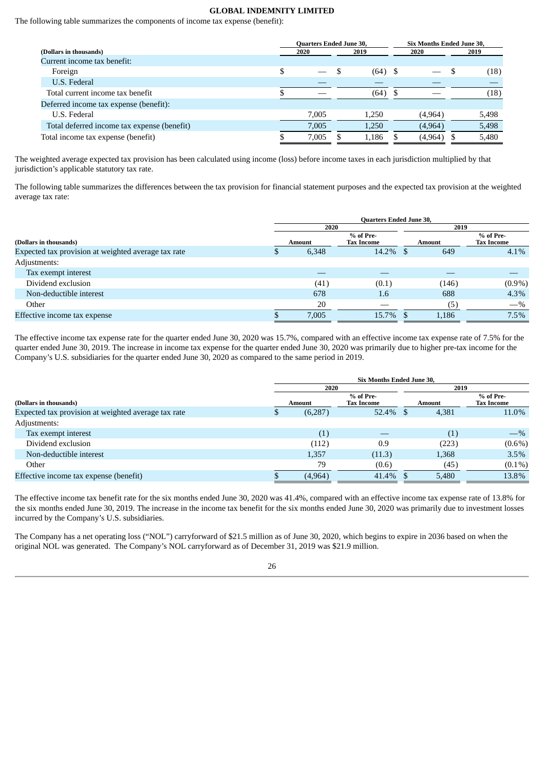The following table summarizes the components of income tax expense (benefit):

|                                             | <b>Quarters Ended June 30,</b> |       |      |       |      | <b>Six Months Ended June 30.</b> |  |       |  |
|---------------------------------------------|--------------------------------|-------|------|-------|------|----------------------------------|--|-------|--|
| (Dollars in thousands)                      |                                | 2020  | 2019 |       | 2020 |                                  |  | 2019  |  |
| Current income tax benefit:                 |                                |       |      |       |      |                                  |  |       |  |
| Foreign                                     | \$                             |       |      | (64)  | - S  |                                  |  | (18)  |  |
| U.S. Federal                                |                                |       |      |       |      |                                  |  |       |  |
| Total current income tax benefit            |                                |       |      | (64)  | -8   |                                  |  | (18)  |  |
| Deferred income tax expense (benefit):      |                                |       |      |       |      |                                  |  |       |  |
| U.S. Federal                                |                                | 7,005 |      | 1,250 |      | (4,964)                          |  | 5,498 |  |
| Total deferred income tax expense (benefit) |                                | 7.005 |      | 1,250 |      | (4,964)                          |  | 5,498 |  |
| Total income tax expense (benefit)          |                                | 7.005 |      | 1.186 |      | (4,964)                          |  | 5,480 |  |

The weighted average expected tax provision has been calculated using income (loss) before income taxes in each jurisdiction multiplied by that jurisdiction's applicable statutory tax rate.

The following table summarizes the differences between the tax provision for financial statement purposes and the expected tax provision at the weighted average tax rate:

|                                                     | <b>Quarters Ended June 30,</b> |                                |  |               |                                |  |  |  |
|-----------------------------------------------------|--------------------------------|--------------------------------|--|---------------|--------------------------------|--|--|--|
|                                                     | 2020                           |                                |  | 2019          |                                |  |  |  |
| (Dollars in thousands)                              | Amount                         | % of Pre-<br><b>Tax Income</b> |  | <b>Amount</b> | % of Pre-<br><b>Tax Income</b> |  |  |  |
| Expected tax provision at weighted average tax rate | 6,348                          | 14.2% \$                       |  | 649           | $4.1\%$                        |  |  |  |
| Adjustments:                                        |                                |                                |  |               |                                |  |  |  |
| Tax exempt interest                                 |                                |                                |  |               |                                |  |  |  |
| Dividend exclusion                                  | (41)                           | (0.1)                          |  | (146)         | $(0.9\%)$                      |  |  |  |
| Non-deductible interest                             | 678                            | 1.6                            |  | 688           | 4.3%                           |  |  |  |
| Other                                               | 20                             |                                |  | (5)           | $-$ %                          |  |  |  |
| Effective income tax expense                        | 7.005                          | 15.7% \$                       |  | 1,186         | 7.5%                           |  |  |  |

The effective income tax expense rate for the quarter ended June 30, 2020 was 15.7%, compared with an effective income tax expense rate of 7.5% for the quarter ended June 30, 2019. The increase in income tax expense for the quarter ended June 30, 2020 was primarily due to higher pre-tax income for the Company's U.S. subsidiaries for the quarter ended June 30, 2020 as compared to the same period in 2019.

|                                                     |          | Six Months Ended June 30,      |        |                                |
|-----------------------------------------------------|----------|--------------------------------|--------|--------------------------------|
|                                                     | 2020     |                                | 2019   |                                |
| (Dollars in thousands)                              | Amount   | % of Pre-<br><b>Tax Income</b> | Amount | % of Pre-<br><b>Tax Income</b> |
| Expected tax provision at weighted average tax rate | (6, 287) | 52.4% \$                       | 4,381  | 11.0%                          |
| Adjustments:                                        |          |                                |        |                                |
| Tax exempt interest                                 | (1)      |                                | (1)    | $-$ %                          |
| Dividend exclusion                                  | (112)    | 0.9                            | (223)  | $(0.6\%)$                      |
| Non-deductible interest                             | 1,357    | (11.3)                         | 1,368  | $3.5\%$                        |
| Other                                               | 79       | (0.6)                          | (45)   | $(0.1\%)$                      |
| Effective income tax expense (benefit)              | (4,964)  | $41.4\%$ \$                    | 5,480  | 13.8%                          |

The effective income tax benefit rate for the six months ended June 30, 2020 was 41.4%, compared with an effective income tax expense rate of 13.8% for the six months ended June 30, 2019. The increase in the income tax benefit for the six months ended June 30, 2020 was primarily due to investment losses incurred by the Company's U.S. subsidiaries.

The Company has a net operating loss ("NOL") carryforward of \$21.5 million as of June 30, 2020, which begins to expire in 2036 based on when the original NOL was generated. The Company's NOL carryforward as of December 31, 2019 was \$21.9 million.

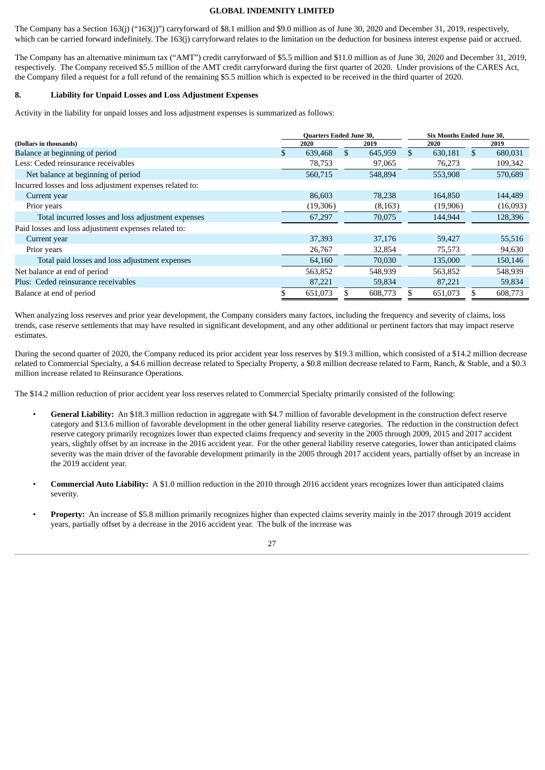The Company has a Section 163(j) ("163(j)") carryforward of \$8.1 million and \$9.0 million as of June 30, 2020 and December 31, 2019, respectively, which can be carried forward indefinitely. The 163(j) carryforward relates to the limitation on the deduction for business interest expense paid or accrued.

The Company has an alternative minimum tax ("AMT") credit carryforward of \$5.5 million and \$11.0 million as of June 30, 2020 and December 31, 2019, respectively. The Company received \$5.5 million of the AMT credit carryforward during the first quarter of 2020. Under provisions of the CARES Act, the Company filed a request for a full refund of the remaining \$5.5 million which is expected to be received in the third quarter of 2020.

#### **8. Liability for Unpaid Losses and Loss Adjustment Expenses**

Activity in the liability for unpaid losses and loss adjustment expenses is summarized as follows:

|                                                          | <b>Quarters Ended June 30,</b> |          |     |          |     | <b>Six Months Ended June 30,</b> |      |          |  |
|----------------------------------------------------------|--------------------------------|----------|-----|----------|-----|----------------------------------|------|----------|--|
| (Dollars in thousands)                                   |                                | 2020     |     | 2019     |     | 2020                             | 2019 |          |  |
| Balance at beginning of period                           | S.                             | 639,468  | \$. | 645,959  | \$. | 630,181                          | \$.  | 680,031  |  |
| Less: Ceded reinsurance receivables                      |                                | 78,753   |     | 97,065   |     | 76,273                           |      | 109,342  |  |
| Net balance at beginning of period                       |                                | 560,715  |     | 548,894  |     | 553,908                          |      | 570,689  |  |
| Incurred losses and loss adjustment expenses related to: |                                |          |     |          |     |                                  |      |          |  |
| Current year                                             |                                | 86,603   |     | 78,238   |     | 164,850                          |      | 144,489  |  |
| Prior years                                              |                                | (19,306) |     | (8, 163) |     | (19,906)                         |      | (16,093) |  |
| Total incurred losses and loss adjustment expenses       |                                | 67,297   |     | 70,075   |     | 144,944                          |      | 128,396  |  |
| Paid losses and loss adjustment expenses related to:     |                                |          |     |          |     |                                  |      |          |  |
| Current year                                             |                                | 37,393   |     | 37,176   |     | 59,427                           |      | 55,516   |  |
| Prior years                                              |                                | 26,767   |     | 32,854   |     | 75,573                           |      | 94,630   |  |
| Total paid losses and loss adjustment expenses           |                                | 64.160   |     | 70,030   |     | 135,000                          |      | 150,146  |  |
| Net balance at end of period                             |                                | 563,852  |     | 548,939  |     | 563,852                          |      | 548,939  |  |
| Plus: Ceded reinsurance receivables                      |                                | 87,221   |     | 59,834   |     | 87,221                           |      | 59,834   |  |
| Balance at end of period                                 |                                | 651,073  |     | 608,773  |     | 651,073                          |      | 608,773  |  |

When analyzing loss reserves and prior year development, the Company considers many factors, including the frequency and severity of claims, loss trends, case reserve settlements that may have resulted in significant development, and any other additional or pertinent factors that may impact reserve estimates.

During the second quarter of 2020, the Company reduced its prior accident year loss reserves by \$19.3 million, which consisted of a \$14.2 million decrease related to Commercial Specialty, a \$4.6 million decrease related to Specialty Property, a \$0.8 million decrease related to Farm, Ranch, & Stable, and a \$0.3 million increase related to Reinsurance Operations.

The \$14.2 million reduction of prior accident year loss reserves related to Commercial Specialty primarily consisted of the following:

- **General Liability:** An \$18.3 million reduction in aggregate with \$4.7 million of favorable development in the construction defect reserve category and \$13.6 million of favorable development in the other general liability reserve categories. The reduction in the construction defect reserve category primarily recognizes lower than expected claims frequency and severity in the 2005 through 2009, 2015 and 2017 accident years, slightly offset by an increase in the 2016 accident year. For the other general liability reserve categories, lower than anticipated claims severity was the main driver of the favorable development primarily in the 2005 through 2017 accident years, partially offset by an increase in the 2019 accident year.
- **Commercial Auto Liability:** A \$1.0 million reduction in the 2010 through 2016 accident years recognizes lower than anticipated claims severity.
- **Property:** An increase of \$5.8 million primarily recognizes higher than expected claims severity mainly in the 2017 through 2019 accident years, partially offset by a decrease in the 2016 accident year. The bulk of the increase was

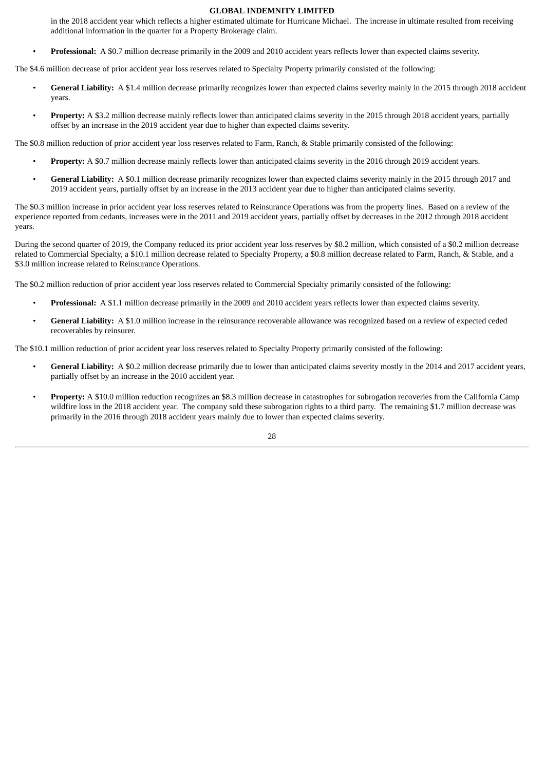in the 2018 accident year which reflects a higher estimated ultimate for Hurricane Michael. The increase in ultimate resulted from receiving additional information in the quarter for a Property Brokerage claim.

• **Professional:** A \$0.7 million decrease primarily in the 2009 and 2010 accident years reflects lower than expected claims severity.

The \$4.6 million decrease of prior accident year loss reserves related to Specialty Property primarily consisted of the following:

- **General Liability:** A \$1.4 million decrease primarily recognizes lower than expected claims severity mainly in the 2015 through 2018 accident years.
- **Property:** A \$3.2 million decrease mainly reflects lower than anticipated claims severity in the 2015 through 2018 accident years, partially offset by an increase in the 2019 accident year due to higher than expected claims severity.

The \$0.8 million reduction of prior accident year loss reserves related to Farm, Ranch, & Stable primarily consisted of the following:

- **Property:** A \$0.7 million decrease mainly reflects lower than anticipated claims severity in the 2016 through 2019 accident years.
- **General Liability:** A \$0.1 million decrease primarily recognizes lower than expected claims severity mainly in the 2015 through 2017 and 2019 accident years, partially offset by an increase in the 2013 accident year due to higher than anticipated claims severity.

The \$0.3 million increase in prior accident year loss reserves related to Reinsurance Operations was from the property lines. Based on a review of the experience reported from cedants, increases were in the 2011 and 2019 accident years, partially offset by decreases in the 2012 through 2018 accident years.

During the second quarter of 2019, the Company reduced its prior accident year loss reserves by \$8.2 million, which consisted of a \$0.2 million decrease related to Commercial Specialty, a \$10.1 million decrease related to Specialty Property, a \$0.8 million decrease related to Farm, Ranch, & Stable, and a \$3.0 million increase related to Reinsurance Operations.

The \$0.2 million reduction of prior accident year loss reserves related to Commercial Specialty primarily consisted of the following:

- **Professional:** A \$1.1 million decrease primarily in the 2009 and 2010 accident years reflects lower than expected claims severity.
- **General Liability:** A \$1.0 million increase in the reinsurance recoverable allowance was recognized based on a review of expected ceded recoverables by reinsurer.

The \$10.1 million reduction of prior accident year loss reserves related to Specialty Property primarily consisted of the following:

- **General Liability:** A \$0.2 million decrease primarily due to lower than anticipated claims severity mostly in the 2014 and 2017 accident years, partially offset by an increase in the 2010 accident year.
- **Property:** A \$10.0 million reduction recognizes an \$8.3 million decrease in catastrophes for subrogation recoveries from the California Camp wildfire loss in the 2018 accident year. The company sold these subrogation rights to a third party. The remaining \$1.7 million decrease was primarily in the 2016 through 2018 accident years mainly due to lower than expected claims severity.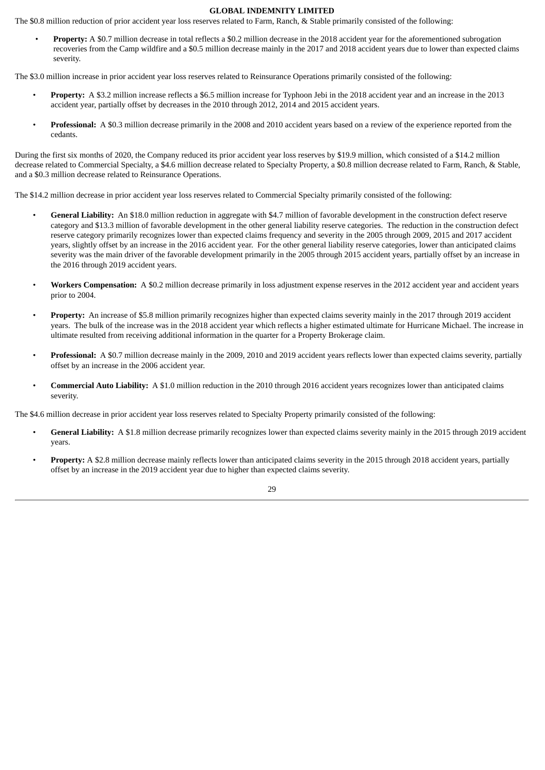The \$0.8 million reduction of prior accident year loss reserves related to Farm, Ranch, & Stable primarily consisted of the following:

• **Property:** A \$0.7 million decrease in total reflects a \$0.2 million decrease in the 2018 accident year for the aforementioned subrogation recoveries from the Camp wildfire and a \$0.5 million decrease mainly in the 2017 and 2018 accident years due to lower than expected claims severity.

The \$3.0 million increase in prior accident year loss reserves related to Reinsurance Operations primarily consisted of the following:

- **Property:** A \$3.2 million increase reflects a \$6.5 million increase for Typhoon Jebi in the 2018 accident year and an increase in the 2013 accident year, partially offset by decreases in the 2010 through 2012, 2014 and 2015 accident years.
- **Professional:** A \$0.3 million decrease primarily in the 2008 and 2010 accident years based on a review of the experience reported from the cedants.

During the first six months of 2020, the Company reduced its prior accident year loss reserves by \$19.9 million, which consisted of a \$14.2 million decrease related to Commercial Specialty, a \$4.6 million decrease related to Specialty Property, a \$0.8 million decrease related to Farm, Ranch, & Stable, and a \$0.3 million decrease related to Reinsurance Operations.

The \$14.2 million decrease in prior accident year loss reserves related to Commercial Specialty primarily consisted of the following:

- **General Liability:** An \$18.0 million reduction in aggregate with \$4.7 million of favorable development in the construction defect reserve category and \$13.3 million of favorable development in the other general liability reserve categories. The reduction in the construction defect reserve category primarily recognizes lower than expected claims frequency and severity in the 2005 through 2009, 2015 and 2017 accident years, slightly offset by an increase in the 2016 accident year. For the other general liability reserve categories, lower than anticipated claims severity was the main driver of the favorable development primarily in the 2005 through 2015 accident years, partially offset by an increase in the 2016 through 2019 accident years.
- **Workers Compensation:** A \$0.2 million decrease primarily in loss adjustment expense reserves in the 2012 accident year and accident years prior to 2004.
- **Property:** An increase of \$5.8 million primarily recognizes higher than expected claims severity mainly in the 2017 through 2019 accident years. The bulk of the increase was in the 2018 accident year which reflects a higher estimated ultimate for Hurricane Michael. The increase in ultimate resulted from receiving additional information in the quarter for a Property Brokerage claim.
- **Professional:** A \$0.7 million decrease mainly in the 2009, 2010 and 2019 accident years reflects lower than expected claims severity, partially offset by an increase in the 2006 accident year.
- **Commercial Auto Liability:** A \$1.0 million reduction in the 2010 through 2016 accident years recognizes lower than anticipated claims severity.

The \$4.6 million decrease in prior accident year loss reserves related to Specialty Property primarily consisted of the following:

- **General Liability:** A \$1.8 million decrease primarily recognizes lower than expected claims severity mainly in the 2015 through 2019 accident years.
- **Property:** A \$2.8 million decrease mainly reflects lower than anticipated claims severity in the 2015 through 2018 accident years, partially offset by an increase in the 2019 accident year due to higher than expected claims severity.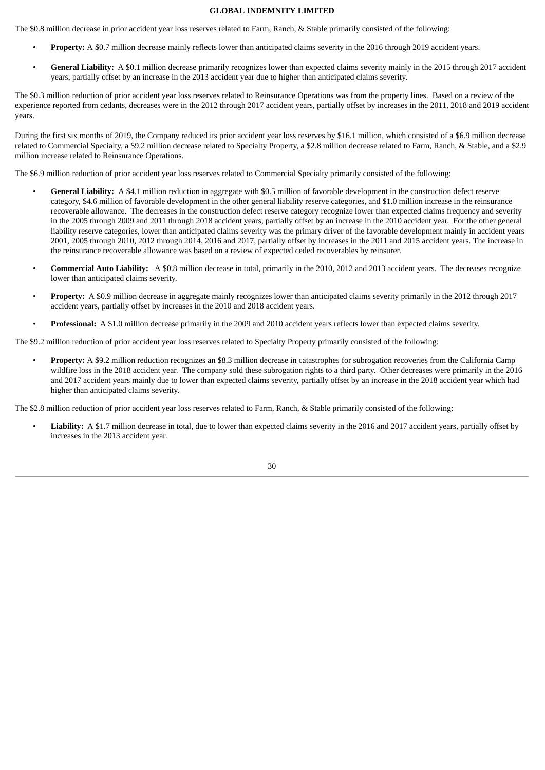The \$0.8 million decrease in prior accident year loss reserves related to Farm, Ranch, & Stable primarily consisted of the following:

- **Property:** A \$0.7 million decrease mainly reflects lower than anticipated claims severity in the 2016 through 2019 accident years.
- **General Liability:** A \$0.1 million decrease primarily recognizes lower than expected claims severity mainly in the 2015 through 2017 accident years, partially offset by an increase in the 2013 accident year due to higher than anticipated claims severity.

The \$0.3 million reduction of prior accident year loss reserves related to Reinsurance Operations was from the property lines. Based on a review of the experience reported from cedants, decreases were in the 2012 through 2017 accident years, partially offset by increases in the 2011, 2018 and 2019 accident years.

During the first six months of 2019, the Company reduced its prior accident year loss reserves by \$16.1 million, which consisted of a \$6.9 million decrease related to Commercial Specialty, a \$9.2 million decrease related to Specialty Property, a \$2.8 million decrease related to Farm, Ranch, & Stable, and a \$2.9 million increase related to Reinsurance Operations.

The \$6.9 million reduction of prior accident year loss reserves related to Commercial Specialty primarily consisted of the following:

- **General Liability:** A \$4.1 million reduction in aggregate with \$0.5 million of favorable development in the construction defect reserve category, \$4.6 million of favorable development in the other general liability reserve categories, and \$1.0 million increase in the reinsurance recoverable allowance. The decreases in the construction defect reserve category recognize lower than expected claims frequency and severity in the 2005 through 2009 and 2011 through 2018 accident years, partially offset by an increase in the 2010 accident year. For the other general liability reserve categories, lower than anticipated claims severity was the primary driver of the favorable development mainly in accident years 2001, 2005 through 2010, 2012 through 2014, 2016 and 2017, partially offset by increases in the 2011 and 2015 accident years. The increase in the reinsurance recoverable allowance was based on a review of expected ceded recoverables by reinsurer.
- **Commercial Auto Liability:** A \$0.8 million decrease in total, primarily in the 2010, 2012 and 2013 accident years. The decreases recognize lower than anticipated claims severity.
- **Property:** A \$0.9 million decrease in aggregate mainly recognizes lower than anticipated claims severity primarily in the 2012 through 2017 accident years, partially offset by increases in the 2010 and 2018 accident years.
- **Professional:** A \$1.0 million decrease primarily in the 2009 and 2010 accident years reflects lower than expected claims severity.

The \$9.2 million reduction of prior accident year loss reserves related to Specialty Property primarily consisted of the following:

• **Property:** A \$9.2 million reduction recognizes an \$8.3 million decrease in catastrophes for subrogation recoveries from the California Camp wildfire loss in the 2018 accident year. The company sold these subrogation rights to a third party. Other decreases were primarily in the 2016 and 2017 accident years mainly due to lower than expected claims severity, partially offset by an increase in the 2018 accident year which had higher than anticipated claims severity.

The \$2.8 million reduction of prior accident year loss reserves related to Farm, Ranch, & Stable primarily consisted of the following:

• **Liability:** A \$1.7 million decrease in total, due to lower than expected claims severity in the 2016 and 2017 accident years, partially offset by increases in the 2013 accident year.

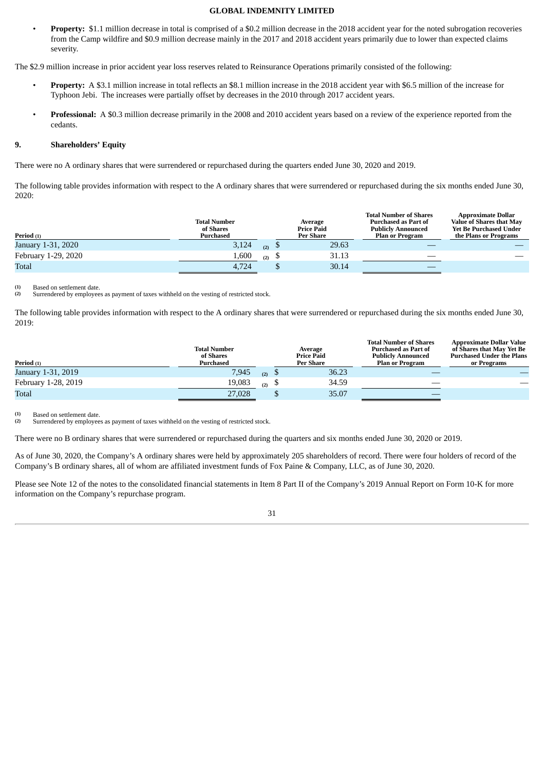• **Property:** \$1.1 million decrease in total is comprised of a \$0.2 million decrease in the 2018 accident year for the noted subrogation recoveries from the Camp wildfire and \$0.9 million decrease mainly in the 2017 and 2018 accident years primarily due to lower than expected claims severity.

The \$2.9 million increase in prior accident year loss reserves related to Reinsurance Operations primarily consisted of the following:

- **Property:** A \$3.1 million increase in total reflects an \$8.1 million increase in the 2018 accident year with \$6.5 million of the increase for Typhoon Jebi. The increases were partially offset by decreases in the 2010 through 2017 accident years.
- **Professional:** A \$0.3 million decrease primarily in the 2008 and 2010 accident years based on a review of the experience reported from the cedants.

#### **9. Shareholders' Equity**

There were no A ordinary shares that were surrendered or repurchased during the quarters ended June 30, 2020 and 2019.

The following table provides information with respect to the A ordinary shares that were surrendered or repurchased during the six months ended June 30, 2020:

| Period (1)          | <b>Total Number</b><br>of Shares<br>Purchased |     | Average<br><b>Price Paid</b><br>Per Share | <b>Total Number of Shares</b><br><b>Purchased as Part of</b><br><b>Publicly Announced</b><br><b>Plan or Program</b> | <b>Approximate Dollar</b><br><b>Value of Shares that May</b><br><b>Yet Be Purchased Under</b><br>the Plans or Programs |
|---------------------|-----------------------------------------------|-----|-------------------------------------------|---------------------------------------------------------------------------------------------------------------------|------------------------------------------------------------------------------------------------------------------------|
| January 1-31, 2020  | 3,124                                         | (2) | 29.63                                     |                                                                                                                     |                                                                                                                        |
| February 1-29, 2020 | 1,600                                         | (2) | 31.13                                     |                                                                                                                     |                                                                                                                        |
| <b>Total</b>        | 4.724                                         |     | 30.14                                     |                                                                                                                     |                                                                                                                        |

**(1)** Based on settlement date.

Surrendered by employees as payment of taxes withheld on the vesting of restricted stock.

The following table provides information with respect to the A ordinary shares that were surrendered or repurchased during the six months ended June 30, 2019:

| Period $(1)$        | <b>Total Number</b><br>of Shares<br>Purchased |     | Average<br><b>Price Paid</b><br><b>Per Share</b> | <b>Total Number of Shares</b><br><b>Purchased as Part of</b><br><b>Publicly Announced</b><br>Plan or Program | <b>Approximate Dollar Value</b><br>of Shares that May Yet Be<br><b>Purchased Under the Plans</b><br>or Programs |
|---------------------|-----------------------------------------------|-----|--------------------------------------------------|--------------------------------------------------------------------------------------------------------------|-----------------------------------------------------------------------------------------------------------------|
| January 1-31, 2019  | 7,945                                         | (2) | 36.23                                            |                                                                                                              |                                                                                                                 |
| February 1-28, 2019 | 19,083                                        | (2) | 34.59                                            |                                                                                                              |                                                                                                                 |
| <b>Total</b>        | 27,028                                        |     | 35.07                                            |                                                                                                              |                                                                                                                 |

**(1)** Based on settlement date.

Surrendered by employees as payment of taxes withheld on the vesting of restricted stock.

There were no B ordinary shares that were surrendered or repurchased during the quarters and six months ended June 30, 2020 or 2019.

As of June 30, 2020, the Company's A ordinary shares were held by approximately 205 shareholders of record. There were four holders of record of the Company's B ordinary shares, all of whom are affiliated investment funds of Fox Paine & Company, LLC, as of June 30, 2020.

Please see Note 12 of the notes to the consolidated financial statements in Item 8 Part II of the Company's 2019 Annual Report on Form 10-K for more information on the Company's repurchase program.

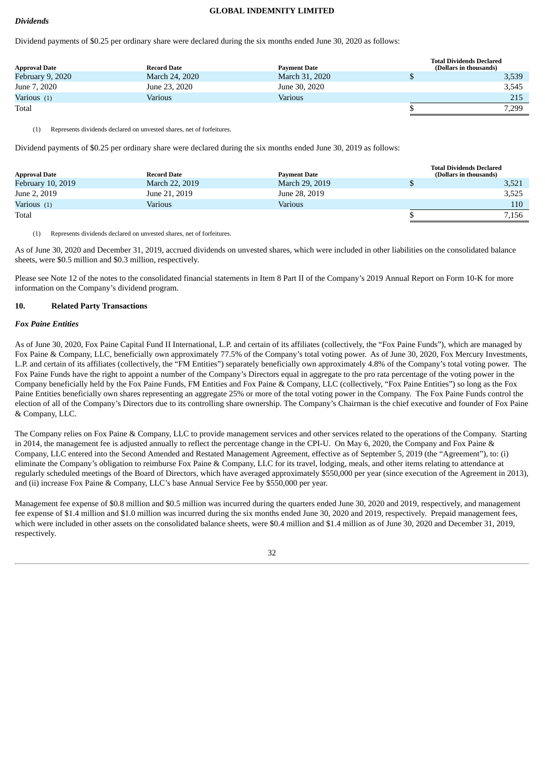#### *Dividends*

Dividend payments of \$0.25 per ordinary share were declared during the six months ended June 30, 2020 as follows:

| <b>Approval Date</b> | <b>Record Date</b> | <b>Payment Date</b> | <b>Total Dividends Declared</b><br>(Dollars in thousands) |
|----------------------|--------------------|---------------------|-----------------------------------------------------------|
| February 9, 2020     | March 24, 2020     | March 31, 2020      | 3,539                                                     |
| June 7, 2020         | June 23, 2020      | June 30, 2020       | 3,545                                                     |
| Various (1)          | Various            | Various             | 215                                                       |
| Total                |                    |                     | 7,299                                                     |

(1) Represents dividends declared on unvested shares, net of forfeitures.

Dividend payments of \$0.25 per ordinary share were declared during the six months ended June 30, 2019 as follows:

| <b>Approval Date</b> | <b>Record Date</b> | <b>Payment Date</b> | <b>Total Dividends Declared</b><br>(Dollars in thousands) |
|----------------------|--------------------|---------------------|-----------------------------------------------------------|
| February 10, 2019    | March 22, 2019     | March 29, 2019      | 3,521                                                     |
| June 2, 2019         | June 21, 2019      | June 28, 2019       | 3,525                                                     |
| Various (1)          | Various            | Various             | 110                                                       |
| Total                |                    |                     | 7,156                                                     |

(1) Represents dividends declared on unvested shares, net of forfeitures.

As of June 30, 2020 and December 31, 2019, accrued dividends on unvested shares, which were included in other liabilities on the consolidated balance sheets, were \$0.5 million and \$0.3 million, respectively.

Please see Note 12 of the notes to the consolidated financial statements in Item 8 Part II of the Company's 2019 Annual Report on Form 10-K for more information on the Company's dividend program.

#### **10. Related Party Transactions**

### *Fox Paine Entities*

As of June 30, 2020, Fox Paine Capital Fund II International, L.P. and certain of its affiliates (collectively, the "Fox Paine Funds"), which are managed by Fox Paine & Company, LLC, beneficially own approximately 77.5% of the Company's total voting power. As of June 30, 2020, Fox Mercury Investments, L.P. and certain of its affiliates (collectively, the "FM Entities") separately beneficially own approximately 4.8% of the Company's total voting power. The Fox Paine Funds have the right to appoint a number of the Company's Directors equal in aggregate to the pro rata percentage of the voting power in the Company beneficially held by the Fox Paine Funds, FM Entities and Fox Paine & Company, LLC (collectively, "Fox Paine Entities") so long as the Fox Paine Entities beneficially own shares representing an aggregate 25% or more of the total voting power in the Company. The Fox Paine Funds control the election of all of the Company's Directors due to its controlling share ownership. The Company's Chairman is the chief executive and founder of Fox Paine & Company, LLC.

The Company relies on Fox Paine & Company, LLC to provide management services and other services related to the operations of the Company. Starting in 2014, the management fee is adjusted annually to reflect the percentage change in the CPI-U. On May 6, 2020, the Company and Fox Paine & Company, LLC entered into the Second Amended and Restated Management Agreement, effective as of September 5, 2019 (the "Agreement"), to: (i) eliminate the Company's obligation to reimburse Fox Paine & Company, LLC for its travel, lodging, meals, and other items relating to attendance at regularly scheduled meetings of the Board of Directors, which have averaged approximately \$550,000 per year (since execution of the Agreement in 2013), and (ii) increase Fox Paine & Company, LLC's base Annual Service Fee by \$550,000 per year.

Management fee expense of \$0.8 million and \$0.5 million was incurred during the quarters ended June 30, 2020 and 2019, respectively, and management fee expense of \$1.4 million and \$1.0 million was incurred during the six months ended June 30, 2020 and 2019, respectively. Prepaid management fees, which were included in other assets on the consolidated balance sheets, were \$0.4 million and \$1.4 million as of June 30, 2020 and December 31, 2019, respectively.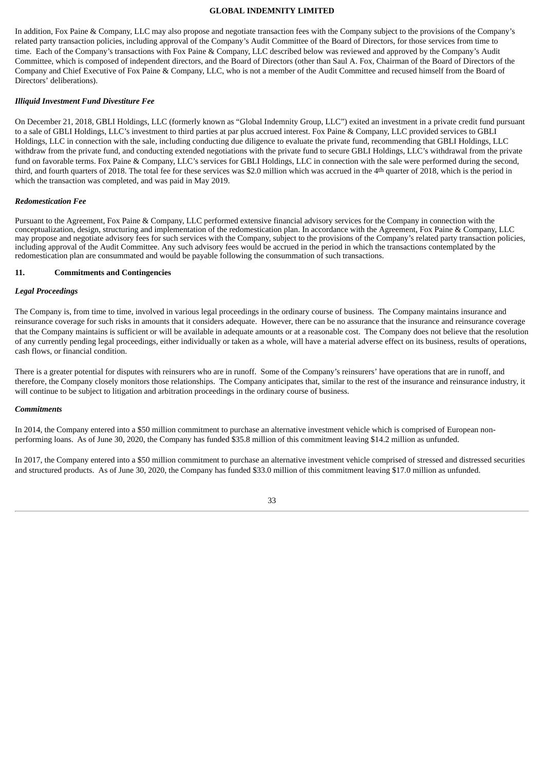In addition, Fox Paine & Company, LLC may also propose and negotiate transaction fees with the Company subject to the provisions of the Company's related party transaction policies, including approval of the Company's Audit Committee of the Board of Directors, for those services from time to time. Each of the Company's transactions with Fox Paine & Company, LLC described below was reviewed and approved by the Company's Audit Committee, which is composed of independent directors, and the Board of Directors (other than Saul A. Fox, Chairman of the Board of Directors of the Company and Chief Executive of Fox Paine & Company, LLC, who is not a member of the Audit Committee and recused himself from the Board of Directors' deliberations).

#### *Illiquid Investment Fund Divestiture Fee*

On December 21, 2018, GBLI Holdings, LLC (formerly known as "Global Indemnity Group, LLC") exited an investment in a private credit fund pursuant to a sale of GBLI Holdings, LLC's investment to third parties at par plus accrued interest. Fox Paine & Company, LLC provided services to GBLI Holdings, LLC in connection with the sale, including conducting due diligence to evaluate the private fund, recommending that GBLI Holdings, LLC withdraw from the private fund, and conducting extended negotiations with the private fund to secure GBLI Holdings, LLC's withdrawal from the private fund on favorable terms. Fox Paine & Company, LLC's services for GBLI Holdings, LLC in connection with the sale were performed during the second, third, and fourth quarters of 2018. The total fee for these services was \$2.0 million which was accrued in the 4th quarter of 2018, which is the period in which the transaction was completed, and was paid in May 2019.

#### *Redomestication Fee*

Pursuant to the Agreement, Fox Paine & Company, LLC performed extensive financial advisory services for the Company in connection with the conceptualization, design, structuring and implementation of the redomestication plan. In accordance with the Agreement, Fox Paine & Company, LLC may propose and negotiate advisory fees for such services with the Company, subject to the provisions of the Company's related party transaction policies, including approval of the Audit Committee. Any such advisory fees would be accrued in the period in which the transactions contemplated by the redomestication plan are consummated and would be payable following the consummation of such transactions.

#### **11. Commitments and Contingencies**

#### *Legal Proceedings*

The Company is, from time to time, involved in various legal proceedings in the ordinary course of business. The Company maintains insurance and reinsurance coverage for such risks in amounts that it considers adequate. However, there can be no assurance that the insurance and reinsurance coverage that the Company maintains is sufficient or will be available in adequate amounts or at a reasonable cost. The Company does not believe that the resolution of any currently pending legal proceedings, either individually or taken as a whole, will have a material adverse effect on its business, results of operations, cash flows, or financial condition.

There is a greater potential for disputes with reinsurers who are in runoff. Some of the Company's reinsurers' have operations that are in runoff, and therefore, the Company closely monitors those relationships. The Company anticipates that, similar to the rest of the insurance and reinsurance industry, it will continue to be subject to litigation and arbitration proceedings in the ordinary course of business.

#### *Commitments*

In 2014, the Company entered into a \$50 million commitment to purchase an alternative investment vehicle which is comprised of European nonperforming loans. As of June 30, 2020, the Company has funded \$35.8 million of this commitment leaving \$14.2 million as unfunded.

In 2017, the Company entered into a \$50 million commitment to purchase an alternative investment vehicle comprised of stressed and distressed securities and structured products. As of June 30, 2020, the Company has funded \$33.0 million of this commitment leaving \$17.0 million as unfunded.

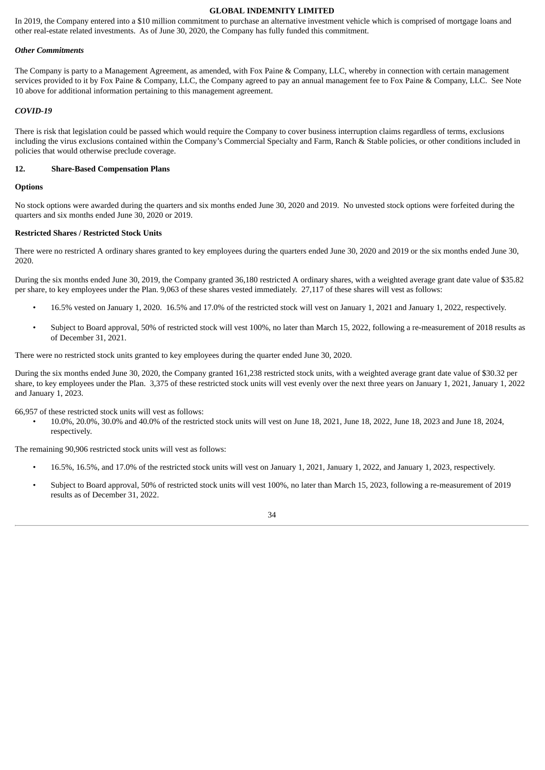In 2019, the Company entered into a \$10 million commitment to purchase an alternative investment vehicle which is comprised of mortgage loans and other real-estate related investments. As of June 30, 2020, the Company has fully funded this commitment.

#### *Other Commitments*

The Company is party to a Management Agreement, as amended, with Fox Paine & Company, LLC, whereby in connection with certain management services provided to it by Fox Paine & Company, LLC, the Company agreed to pay an annual management fee to Fox Paine & Company, LLC. See Note 10 above for additional information pertaining to this management agreement.

#### *COVID-19*

There is risk that legislation could be passed which would require the Company to cover business interruption claims regardless of terms, exclusions including the virus exclusions contained within the Company's Commercial Specialty and Farm, Ranch & Stable policies, or other conditions included in policies that would otherwise preclude coverage.

#### **12. Share-Based Compensation Plans**

#### **Options**

No stock options were awarded during the quarters and six months ended June 30, 2020 and 2019. No unvested stock options were forfeited during the quarters and six months ended June 30, 2020 or 2019.

#### **Restricted Shares / Restricted Stock Units**

There were no restricted A ordinary shares granted to key employees during the quarters ended June 30, 2020 and 2019 or the six months ended June 30, 2020.

During the six months ended June 30, 2019, the Company granted 36,180 restricted A ordinary shares, with a weighted average grant date value of \$35.82 per share, to key employees under the Plan. 9,063 of these shares vested immediately. 27,117 of these shares will vest as follows:

- 16.5% vested on January 1, 2020. 16.5% and 17.0% of the restricted stock will vest on January 1, 2021 and January 1, 2022, respectively.
- Subject to Board approval, 50% of restricted stock will vest 100%, no later than March 15, 2022, following a re-measurement of 2018 results as of December 31, 2021.

There were no restricted stock units granted to key employees during the quarter ended June 30, 2020.

During the six months ended June 30, 2020, the Company granted 161,238 restricted stock units, with a weighted average grant date value of \$30.32 per share, to key employees under the Plan. 3,375 of these restricted stock units will vest evenly over the next three years on January 1, 2021, January 1, 2022 and January 1, 2023.

66,957 of these restricted stock units will vest as follows:

• 10.0%, 20.0%, 30.0% and 40.0% of the restricted stock units will vest on June 18, 2021, June 18, 2022, June 18, 2023 and June 18, 2024, respectively.

The remaining 90,906 restricted stock units will vest as follows:

- 16.5%, 16.5%, and 17.0% of the restricted stock units will vest on January 1, 2021, January 1, 2022, and January 1, 2023, respectively.
- Subject to Board approval, 50% of restricted stock units will vest 100%, no later than March 15, 2023, following a re-measurement of 2019 results as of December 31, 2022.

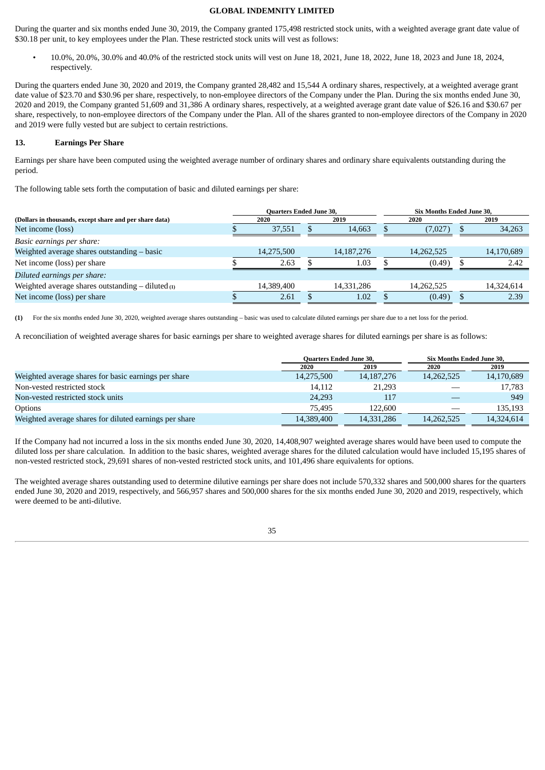During the quarter and six months ended June 30, 2019, the Company granted 175,498 restricted stock units, with a weighted average grant date value of \$30.18 per unit, to key employees under the Plan. These restricted stock units will vest as follows:

• 10.0%, 20.0%, 30.0% and 40.0% of the restricted stock units will vest on June 18, 2021, June 18, 2022, June 18, 2023 and June 18, 2024, respectively.

During the quarters ended June 30, 2020 and 2019, the Company granted 28,482 and 15,544 A ordinary shares, respectively, at a weighted average grant date value of \$23.70 and \$30.96 per share, respectively, to non-employee directors of the Company under the Plan. During the six months ended June 30, 2020 and 2019, the Company granted 51,609 and 31,386 A ordinary shares, respectively, at a weighted average grant date value of \$26.16 and \$30.67 per share, respectively, to non-employee directors of the Company under the Plan. All of the shares granted to non-employee directors of the Company in 2020 and 2019 were fully vested but are subject to certain restrictions.

#### **13. Earnings Per Share**

Earnings per share have been computed using the weighted average number of ordinary shares and ordinary share equivalents outstanding during the period.

The following table sets forth the computation of basic and diluted earnings per share:

|                                                         | <b>Quarters Ended June 30,</b> |  |              | <b>Six Months Ended June 30,</b> |  |            |
|---------------------------------------------------------|--------------------------------|--|--------------|----------------------------------|--|------------|
| (Dollars in thousands, except share and per share data) | 2020                           |  | 2019         | 2020                             |  | 2019       |
| Net income (loss)                                       | 37.551                         |  | 14.663       | (7,027)                          |  | 34,263     |
| Basic earnings per share:                               |                                |  |              |                                  |  |            |
| Weighted average shares outstanding - basic             | 14,275,500                     |  | 14, 187, 276 | 14,262,525                       |  | 14,170,689 |
| Net income (loss) per share                             | 2.63                           |  | 1.03         | (0.49)                           |  | 2.42       |
| Diluted earnings per share:                             |                                |  |              |                                  |  |            |
| Weighted average shares outstanding $-$ diluted $(1)$   | 14,389,400                     |  | 14.331.286   | 14.262.525                       |  | 14,324,614 |
| Net income (loss) per share                             | 2.61                           |  | 1.02         | (0.49)                           |  | 2.39       |

**(1)** For the six months ended June 30, 2020, weighted average shares outstanding – basic was used to calculate diluted earnings per share due to a net loss for the period.

A reconciliation of weighted average shares for basic earnings per share to weighted average shares for diluted earnings per share is as follows:

|                                                        | <b>Quarters Ended June 30,</b> |              | <b>Six Months Ended June 30.</b> |            |
|--------------------------------------------------------|--------------------------------|--------------|----------------------------------|------------|
|                                                        | 2020                           | 2019         | 2020                             | 2019       |
| Weighted average shares for basic earnings per share   | 14,275,500                     | 14, 187, 276 | 14,262,525                       | 14,170,689 |
| Non-vested restricted stock                            | 14.112                         | 21.293       |                                  | 17,783     |
| Non-vested restricted stock units                      | 24.293                         | 117          |                                  | 949        |
| Options                                                | 75.495                         | 122,600      |                                  | 135,193    |
| Weighted average shares for diluted earnings per share | 14,389,400                     | 14,331,286   | 14,262,525                       | 14,324,614 |

If the Company had not incurred a loss in the six months ended June 30, 2020, 14,408,907 weighted average shares would have been used to compute the diluted loss per share calculation. In addition to the basic shares, weighted average shares for the diluted calculation would have included 15,195 shares of non-vested restricted stock, 29,691 shares of non-vested restricted stock units, and 101,496 share equivalents for options.

The weighted average shares outstanding used to determine dilutive earnings per share does not include 570,332 shares and 500,000 shares for the quarters ended June 30, 2020 and 2019, respectively, and 566,957 shares and 500,000 shares for the six months ended June 30, 2020 and 2019, respectively, which were deemed to be anti-dilutive.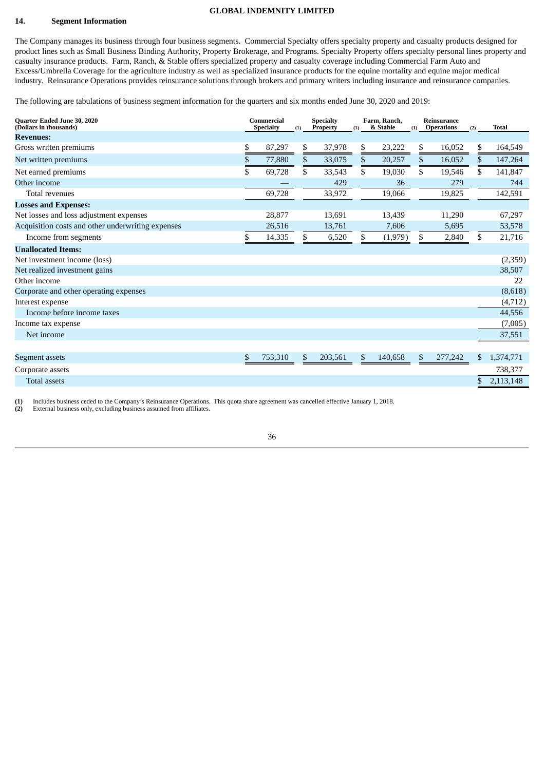#### **14. Segment Information**

#### **GLOBAL INDEMNITY LIMITED**

The Company manages its business through four business segments. Commercial Specialty offers specialty property and casualty products designed for product lines such as Small Business Binding Authority, Property Brokerage, and Programs. Specialty Property offers specialty personal lines property and casualty insurance products. Farm, Ranch, & Stable offers specialized property and casualty coverage including Commercial Farm Auto and Excess/Umbrella Coverage for the agriculture industry as well as specialized insurance products for the equine mortality and equine major medical industry. Reinsurance Operations provides reinsurance solutions through brokers and primary writers including insurance and reinsurance companies.

The following are tabulations of business segment information for the quarters and six months ended June 30, 2020 and 2019:

| Quarter Ended June 30, 2020<br>(Dollars in thousands) | Commercial<br><b>Specialty</b> |         | (1) | <b>Specialty</b><br>Farm, Ranch,<br>& Stable<br><b>Property</b><br>(1) |    | Reinsurance<br><b>Operations</b><br>(1) |     | (2)     | <b>Total</b> |           |
|-------------------------------------------------------|--------------------------------|---------|-----|------------------------------------------------------------------------|----|-----------------------------------------|-----|---------|--------------|-----------|
| <b>Revenues:</b>                                      |                                |         |     |                                                                        |    |                                         |     |         |              |           |
| Gross written premiums                                | S                              | 87,297  | \$  | 37,978                                                                 | \$ | 23,222                                  | \$  | 16,052  | \$           | 164,549   |
| Net written premiums                                  | S                              | 77,880  | \$  | 33,075                                                                 | \$ | 20,257                                  | \$  | 16,052  | \$           | 147,264   |
| Net earned premiums                                   | \$                             | 69,728  | \$  | 33,543                                                                 | \$ | 19,030                                  | \$  | 19,546  | \$           | 141,847   |
| Other income                                          |                                |         |     | 429                                                                    |    | 36                                      |     | 279     |              | 744       |
| Total revenues                                        |                                | 69,728  |     | 33,972                                                                 |    | 19,066                                  |     | 19,825  |              | 142,591   |
| <b>Losses and Expenses:</b>                           |                                |         |     |                                                                        |    |                                         |     |         |              |           |
| Net losses and loss adjustment expenses               |                                | 28,877  |     | 13,691                                                                 |    | 13,439                                  |     | 11,290  |              | 67,297    |
| Acquisition costs and other underwriting expenses     |                                | 26,516  |     | 13,761                                                                 |    | 7,606                                   |     | 5,695   |              | 53,578    |
| Income from segments                                  |                                | 14,335  | \$  | 6,520                                                                  | \$ | (1,979)                                 | \$. | 2,840   | \$           | 21,716    |
| <b>Unallocated Items:</b>                             |                                |         |     |                                                                        |    |                                         |     |         |              |           |
| Net investment income (loss)                          |                                |         |     |                                                                        |    |                                         |     |         |              | (2,359)   |
| Net realized investment gains                         |                                |         |     |                                                                        |    |                                         |     |         |              | 38,507    |
| Other income                                          |                                |         |     |                                                                        |    |                                         |     |         |              | 22        |
| Corporate and other operating expenses                |                                |         |     |                                                                        |    |                                         |     |         |              | (8,618)   |
| Interest expense                                      |                                |         |     |                                                                        |    |                                         |     |         |              | (4, 712)  |
| Income before income taxes                            |                                |         |     |                                                                        |    |                                         |     |         |              | 44,556    |
| Income tax expense                                    |                                |         |     |                                                                        |    |                                         |     |         |              | (7,005)   |
| Net income                                            |                                |         |     |                                                                        |    |                                         |     |         |              | 37,551    |
|                                                       |                                |         |     |                                                                        |    |                                         |     |         |              |           |
| Segment assets                                        | \$.                            | 753,310 | \$  | 203,561                                                                | \$ | 140,658                                 | S.  | 277,242 | \$           | 1,374,771 |
| Corporate assets                                      |                                |         |     |                                                                        |    |                                         |     |         |              | 738,377   |
| <b>Total assets</b>                                   |                                |         |     |                                                                        |    |                                         |     |         | \$           | 2,113,148 |

**(1)** Includes business ceded to the Company's Reinsurance Operations. This quota share agreement was cancelled effective January 1, 2018. **(2)** External business only, excluding business assumed from affiliates.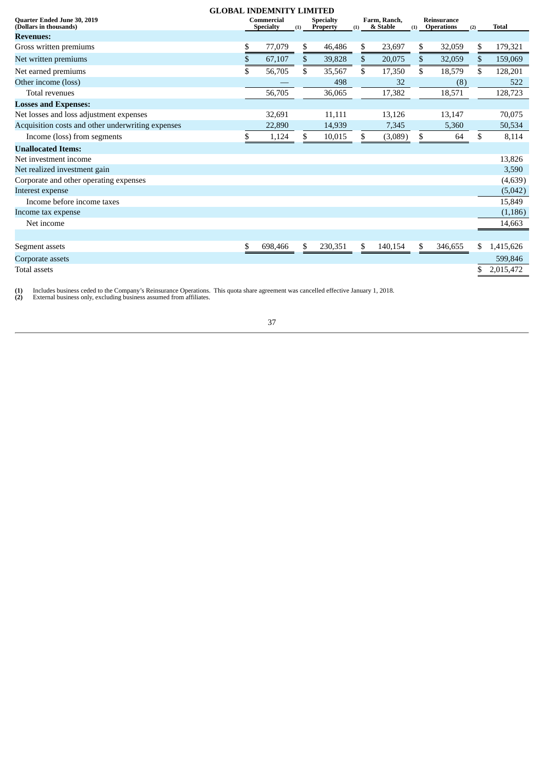| <b>GLOBAL INDEMNITY LIMITED</b>                       |  |    |                                |     |                                     |     |                          |     |                                  |     |    |              |
|-------------------------------------------------------|--|----|--------------------------------|-----|-------------------------------------|-----|--------------------------|-----|----------------------------------|-----|----|--------------|
| Quarter Ended June 30, 2019<br>(Dollars in thousands) |  |    | Commercial<br><b>Specialty</b> | (1) | <b>Specialty</b><br><b>Property</b> | (1) | Farm, Ranch,<br>& Stable | (1) | Reinsurance<br><b>Operations</b> | (2) |    | <b>Total</b> |
| <b>Revenues:</b>                                      |  |    |                                |     |                                     |     |                          |     |                                  |     |    |              |
| Gross written premiums                                |  | \$ | 77,079                         |     | \$<br>46,486                        | \$  | 23,697                   |     | \$<br>32,059                     |     | \$ | 179,321      |
| Net written premiums                                  |  | \$ | 67,107                         |     | \$<br>39,828                        | \$  | 20,075                   |     | \$<br>32,059                     |     | \$ | 159,069      |
| Net earned premiums                                   |  | \$ | 56,705                         |     | \$<br>35,567                        | \$  | 17,350                   |     | \$<br>18,579                     |     | \$ | 128,201      |
| Other income (loss)                                   |  |    |                                |     | 498                                 |     | 32                       |     | (8)                              |     |    | 522          |
| <b>Total revenues</b>                                 |  |    | 56,705                         |     | 36,065                              |     | 17,382                   |     | 18,571                           |     |    | 128,723      |
| <b>Losses and Expenses:</b>                           |  |    |                                |     |                                     |     |                          |     |                                  |     |    |              |
| Net losses and loss adjustment expenses               |  |    | 32,691                         |     | 11,111                              |     | 13,126                   |     | 13,147                           |     |    | 70,075       |
| Acquisition costs and other underwriting expenses     |  |    | 22,890                         |     | 14,939                              |     | 7,345                    |     | 5,360                            |     |    | 50,534       |
| Income (loss) from segments                           |  | S  | 1,124                          |     | 10,015<br>\$                        | \$  | (3,089)                  |     | \$<br>64                         |     | \$ | 8,114        |
| <b>Unallocated Items:</b>                             |  |    |                                |     |                                     |     |                          |     |                                  |     |    |              |
| Net investment income                                 |  |    |                                |     |                                     |     |                          |     |                                  |     |    | 13,826       |
| Net realized investment gain                          |  |    |                                |     |                                     |     |                          |     |                                  |     |    | 3,590        |
| Corporate and other operating expenses                |  |    |                                |     |                                     |     |                          |     |                                  |     |    | (4,639)      |
| Interest expense                                      |  |    |                                |     |                                     |     |                          |     |                                  |     |    | (5,042)      |
| Income before income taxes                            |  |    |                                |     |                                     |     |                          |     |                                  |     |    | 15,849       |
| Income tax expense                                    |  |    |                                |     |                                     |     |                          |     |                                  |     |    | (1, 186)     |
| Net income                                            |  |    |                                |     |                                     |     |                          |     |                                  |     |    | 14,663       |
|                                                       |  |    |                                |     |                                     |     |                          |     |                                  |     |    |              |
| Segment assets                                        |  | \$ | 698,466                        |     | \$<br>230,351                       | \$  | 140,154                  |     | \$<br>346,655                    |     | \$ | 1,415,626    |
| Corporate assets                                      |  |    |                                |     |                                     |     |                          |     |                                  |     |    | 599,846      |
| Total assets                                          |  |    |                                |     |                                     |     |                          |     |                                  |     | \$ | 2,015,472    |

**(1)** Includes business ceded to the Company's Reinsurance Operations. This quota share agreement was cancelled effective January 1, 2018. **(2)** External business only, excluding business assumed from affiliates.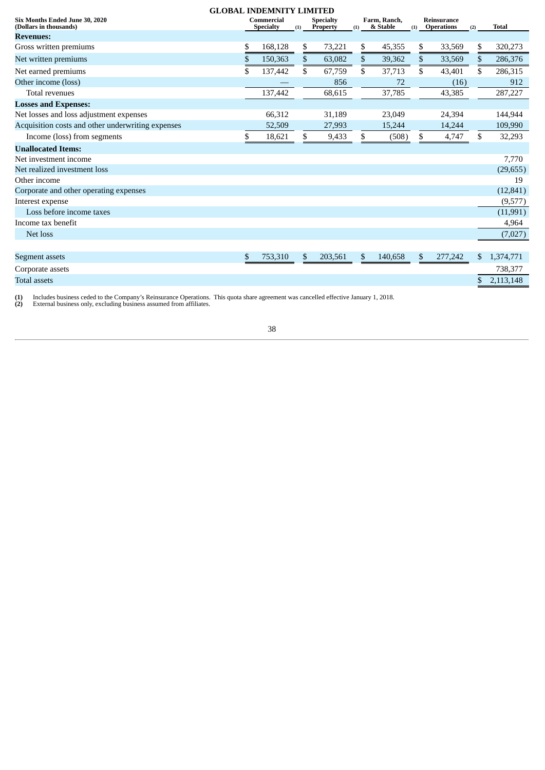| <b>GLOBAL INDEMNITY LIMITED</b> |         |                                |                  |                                               |         |                                                       |             |                                                       |              |  |  |
|---------------------------------|---------|--------------------------------|------------------|-----------------------------------------------|---------|-------------------------------------------------------|-------------|-------------------------------------------------------|--------------|--|--|
|                                 |         |                                | <b>Specialty</b> |                                               |         |                                                       | Reinsurance |                                                       | <b>Total</b> |  |  |
|                                 |         |                                |                  |                                               |         |                                                       |             |                                                       |              |  |  |
| \$                              | 168,128 |                                | 73,221           |                                               | 45,355  |                                                       | 33,569      | \$                                                    | 320,273      |  |  |
| S                               | 150,363 |                                | 63,082           |                                               | 39,362  |                                                       | 33,569      | \$                                                    | 286,376      |  |  |
| \$                              | 137,442 |                                | 67,759           |                                               | 37,713  |                                                       | 43,401      | \$                                                    | 286,315      |  |  |
|                                 |         |                                | 856              |                                               | 72      |                                                       |             |                                                       | 912          |  |  |
|                                 | 137,442 |                                | 68,615           |                                               | 37,785  |                                                       | 43,385      |                                                       | 287,227      |  |  |
|                                 |         |                                |                  |                                               |         |                                                       |             |                                                       |              |  |  |
|                                 | 66,312  |                                | 31,189           |                                               | 23,049  |                                                       | 24,394      |                                                       | 144,944      |  |  |
|                                 | 52,509  |                                | 27,993           |                                               | 15,244  |                                                       | 14,244      |                                                       | 109,990      |  |  |
| S                               | 18,621  |                                | 9,433            |                                               | (508)   |                                                       | 4,747       | \$                                                    | 32,293       |  |  |
|                                 |         |                                |                  |                                               |         |                                                       |             |                                                       |              |  |  |
|                                 |         |                                |                  |                                               |         |                                                       |             |                                                       | 7,770        |  |  |
|                                 |         |                                |                  |                                               |         |                                                       |             |                                                       | (29, 655)    |  |  |
|                                 |         |                                |                  |                                               |         |                                                       |             |                                                       | 19           |  |  |
|                                 |         |                                |                  |                                               |         |                                                       |             |                                                       | (12, 841)    |  |  |
|                                 |         |                                |                  |                                               |         |                                                       |             |                                                       | (9,577)      |  |  |
|                                 |         |                                |                  |                                               |         |                                                       |             |                                                       | (11, 991)    |  |  |
|                                 |         |                                |                  |                                               |         |                                                       |             |                                                       | 4,964        |  |  |
|                                 |         |                                |                  |                                               |         |                                                       |             |                                                       | (7,027)      |  |  |
|                                 |         |                                |                  |                                               |         |                                                       |             |                                                       |              |  |  |
| \$                              | 753,310 |                                | 203,561          |                                               | 140,658 |                                                       | 277,242     | \$                                                    | 1,374,771    |  |  |
|                                 |         |                                |                  |                                               |         |                                                       |             |                                                       | 738,377      |  |  |
|                                 |         |                                |                  |                                               |         |                                                       |             | \$                                                    | 2,113,148    |  |  |
|                                 |         | Commercial<br><b>Specialty</b> | (1)              | <b>Property</b><br>\$<br>\$<br>\$<br>\$<br>\$ | (1)     | Farm, Ranch,<br>& Stable<br>\$<br>\$<br>\$<br>S<br>\$ |             | <b>Operations</b><br>(1)<br>\$<br>\$<br>\$<br>S<br>\$ | (2)<br>(16)  |  |  |

**(1)** Includes business ceded to the Company's Reinsurance Operations. This quota share agreement was cancelled effective January 1, 2018. **(2)** External business only, excluding business assumed from affiliates.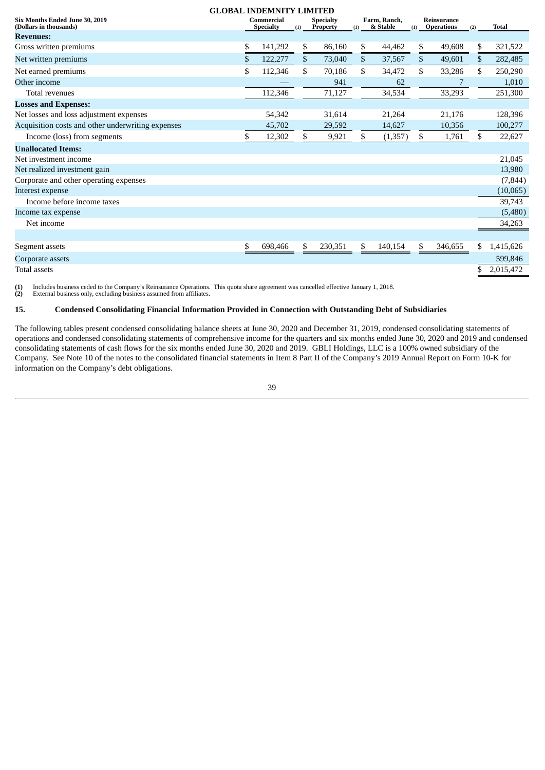| <b>GLOBAL INDEMNITY LIMITED</b>                          |  |     |                                |     |                                     |     |                          |     |                                  |     |              |  |
|----------------------------------------------------------|--|-----|--------------------------------|-----|-------------------------------------|-----|--------------------------|-----|----------------------------------|-----|--------------|--|
| Six Months Ended June 30, 2019<br>(Dollars in thousands) |  |     | Commercial<br><b>Specialty</b> | (1) | <b>Specialty</b><br><b>Property</b> | (1) | Farm, Ranch,<br>& Stable | (1) | Reinsurance<br><b>Operations</b> | (2) | <b>Total</b> |  |
| <b>Revenues:</b>                                         |  |     |                                |     |                                     |     |                          |     |                                  |     |              |  |
| Gross written premiums                                   |  | \$  | 141,292                        | \$  | 86,160                              |     | \$<br>44,462             |     | \$<br>49,608                     | \$  | 321,522      |  |
| Net written premiums                                     |  | S   | 122,277                        | \$  | 73,040                              |     | \$<br>37,567             |     | 49,601<br>\$                     | \$  | 282,485      |  |
| Net earned premiums                                      |  | \$  | 112,346                        | \$  | 70,186                              |     | \$<br>34,472             |     | 33,286<br>\$                     | \$  | 250,290      |  |
| Other income                                             |  |     |                                |     | 941                                 |     | 62                       |     |                                  |     | 1,010        |  |
| Total revenues                                           |  |     | 112,346                        |     | 71,127                              |     | 34,534                   |     | 33,293                           |     | 251,300      |  |
| <b>Losses and Expenses:</b>                              |  |     |                                |     |                                     |     |                          |     |                                  |     |              |  |
| Net losses and loss adjustment expenses                  |  |     | 54,342                         |     | 31,614                              |     | 21,264                   |     | 21,176                           |     | 128,396      |  |
| Acquisition costs and other underwriting expenses        |  |     | 45,702                         |     | 29,592                              |     | 14,627                   |     | 10,356                           |     | 100,277      |  |
| Income (loss) from segments                              |  | \$. | 12,302                         | \$  | 9,921                               |     | \$<br>(1, 357)           |     | 1,761<br>S.                      | \$  | 22,627       |  |
| <b>Unallocated Items:</b>                                |  |     |                                |     |                                     |     |                          |     |                                  |     |              |  |
| Net investment income                                    |  |     |                                |     |                                     |     |                          |     |                                  |     | 21,045       |  |
| Net realized investment gain                             |  |     |                                |     |                                     |     |                          |     |                                  |     | 13,980       |  |
| Corporate and other operating expenses                   |  |     |                                |     |                                     |     |                          |     |                                  |     | (7, 844)     |  |
| Interest expense                                         |  |     |                                |     |                                     |     |                          |     |                                  |     | (10, 065)    |  |
| Income before income taxes                               |  |     |                                |     |                                     |     |                          |     |                                  |     | 39,743       |  |
| Income tax expense                                       |  |     |                                |     |                                     |     |                          |     |                                  |     | (5,480)      |  |
| Net income                                               |  |     |                                |     |                                     |     |                          |     |                                  |     | 34,263       |  |
| Segment assets                                           |  |     | 698,466                        | \$  | 230,351                             | \$  | 140,154                  |     | \$<br>346,655                    | \$  | 1,415,626    |  |
| Corporate assets                                         |  |     |                                |     |                                     |     |                          |     |                                  |     | 599,846      |  |
| <b>Total assets</b>                                      |  |     |                                |     |                                     |     |                          |     |                                  | \$  | 2,015,472    |  |

**(1)** Includes business ceded to the Company's Reinsurance Operations. This quota share agreement was cancelled effective January 1, 2018.

**(2)** External business only, excluding business assumed from affiliates.

### **15. Condensed Consolidating Financial Information Provided in Connection with Outstanding Debt of Subsidiaries**

The following tables present condensed consolidating balance sheets at June 30, 2020 and December 31, 2019, condensed consolidating statements of operations and condensed consolidating statements of comprehensive income for the quarters and six months ended June 30, 2020 and 2019 and condensed consolidating statements of cash flows for the six months ended June 30, 2020 and 2019. GBLI Holdings, LLC is a 100% owned subsidiary of the Company. See Note 10 of the notes to the consolidated financial statements in Item 8 Part II of the Company's 2019 Annual Report on Form 10-K for information on the Company's debt obligations.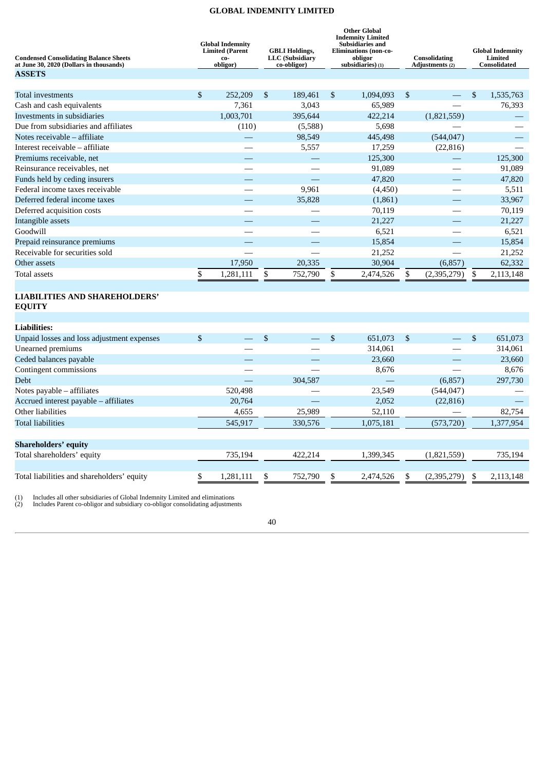| <b>Condensed Consolidating Balance Sheets</b><br>at June 30, 2020 (Dollars in thousands) | <b>Global Indemnity</b><br><b>Limited (Parent</b><br>CO-<br>obligor) |    | <b>GBLI Holdings,</b><br>LLC (Subsidiary<br>co-obligor) | <b>Other Global</b><br><b>Indemnity Limited</b><br>Subsidiaries and<br><b>Eliminations (non-co-</b><br>obligor<br>subsidiaries) (1) |           |    | Consolidating<br>Adjustments (2) | <b>Global Indemnity</b><br>Limited<br>Consolidated |
|------------------------------------------------------------------------------------------|----------------------------------------------------------------------|----|---------------------------------------------------------|-------------------------------------------------------------------------------------------------------------------------------------|-----------|----|----------------------------------|----------------------------------------------------|
| <b>ASSETS</b>                                                                            |                                                                      |    |                                                         |                                                                                                                                     |           |    |                                  |                                                    |
|                                                                                          |                                                                      |    |                                                         |                                                                                                                                     |           |    |                                  |                                                    |
| <b>Total investments</b>                                                                 | \$<br>252,209                                                        | \$ | 189,461                                                 | \$                                                                                                                                  | 1,094,093 | \$ |                                  | \$<br>1,535,763                                    |
| Cash and cash equivalents                                                                | 7,361                                                                |    | 3,043                                                   |                                                                                                                                     | 65,989    |    |                                  | 76,393                                             |
| Investments in subsidiaries                                                              | 1,003,701                                                            |    | 395,644                                                 |                                                                                                                                     | 422,214   |    | (1,821,559)                      |                                                    |
| Due from subsidiaries and affiliates                                                     | (110)                                                                |    | (5,588)                                                 |                                                                                                                                     | 5,698     |    |                                  |                                                    |
| Notes receivable - affiliate                                                             |                                                                      |    | 98,549                                                  |                                                                                                                                     | 445,498   |    | (544, 047)                       |                                                    |
| Interest receivable - affiliate                                                          |                                                                      |    | 5,557                                                   |                                                                                                                                     | 17,259    |    | (22, 816)                        |                                                    |
| Premiums receivable, net                                                                 |                                                                      |    |                                                         |                                                                                                                                     | 125,300   |    |                                  | 125,300                                            |
| Reinsurance receivables, net                                                             |                                                                      |    |                                                         |                                                                                                                                     | 91,089    |    |                                  | 91,089                                             |
| Funds held by ceding insurers                                                            |                                                                      |    |                                                         |                                                                                                                                     | 47,820    |    |                                  | 47,820                                             |
| Federal income taxes receivable                                                          |                                                                      |    | 9,961                                                   |                                                                                                                                     | (4,450)   |    |                                  | 5,511                                              |
| Deferred federal income taxes                                                            |                                                                      |    | 35,828                                                  |                                                                                                                                     | (1,861)   |    |                                  | 33,967                                             |
| Deferred acquisition costs                                                               |                                                                      |    |                                                         |                                                                                                                                     | 70,119    |    |                                  | 70,119                                             |
| Intangible assets                                                                        |                                                                      |    |                                                         |                                                                                                                                     | 21,227    |    |                                  | 21,227                                             |
| Goodwill                                                                                 |                                                                      |    |                                                         |                                                                                                                                     | 6,521     |    |                                  | 6,521                                              |
| Prepaid reinsurance premiums                                                             |                                                                      |    |                                                         |                                                                                                                                     | 15,854    |    |                                  | 15,854                                             |
| Receivable for securities sold                                                           |                                                                      |    |                                                         |                                                                                                                                     | 21,252    |    |                                  | 21,252                                             |
| Other assets                                                                             | 17,950                                                               |    | 20,335                                                  |                                                                                                                                     | 30,904    |    | (6, 857)                         | 62,332                                             |
| <b>Total assets</b>                                                                      | \$<br>1,281,111                                                      | \$ | 752,790                                                 | \$                                                                                                                                  | 2,474,526 | \$ | (2,395,279)                      | \$<br>2,113,148                                    |
|                                                                                          |                                                                      |    |                                                         |                                                                                                                                     |           |    |                                  |                                                    |
| <b>LIABILITIES AND SHAREHOLDERS'</b>                                                     |                                                                      |    |                                                         |                                                                                                                                     |           |    |                                  |                                                    |
| <b>EQUITY</b>                                                                            |                                                                      |    |                                                         |                                                                                                                                     |           |    |                                  |                                                    |
|                                                                                          |                                                                      |    |                                                         |                                                                                                                                     |           |    |                                  |                                                    |
| <b>Liabilities:</b>                                                                      |                                                                      |    |                                                         |                                                                                                                                     |           |    |                                  |                                                    |
| Unpaid losses and loss adjustment expenses                                               | \$                                                                   | \$ |                                                         | \$                                                                                                                                  | 651,073   | \$ |                                  | \$<br>651,073                                      |
| Unearned premiums                                                                        |                                                                      |    |                                                         |                                                                                                                                     | 314,061   |    |                                  | 314,061                                            |
| Ceded balances payable                                                                   |                                                                      |    |                                                         |                                                                                                                                     | 23,660    |    |                                  | 23,660                                             |
| Contingent commissions                                                                   |                                                                      |    |                                                         |                                                                                                                                     | 8,676     |    |                                  | 8,676                                              |
| <b>Debt</b>                                                                              | $\equiv$                                                             |    | 304,587                                                 |                                                                                                                                     |           |    | (6,857)                          | 297,730                                            |
| Notes payable - affiliates                                                               | 520,498                                                              |    |                                                         |                                                                                                                                     | 23,549    |    | (544, 047)                       |                                                    |
| Accrued interest payable - affiliates                                                    | 20,764                                                               |    |                                                         |                                                                                                                                     | 2,052     |    | (22, 816)                        |                                                    |
| Other liabilities                                                                        | 4,655                                                                |    | 25,989                                                  |                                                                                                                                     | 52,110    |    |                                  | 82,754                                             |

| Shareholders' equity                       |           |         |           |             |           |
|--------------------------------------------|-----------|---------|-----------|-------------|-----------|
| Total shareholders' equity                 | 735,194   | 422.214 | 1,399,345 | (1,821,559) | 735,194   |
|                                            |           |         |           |             |           |
| Total liabilities and shareholders' equity | 1,281,111 | 752,790 | 2,474,526 | (2,395,279) | 2,113,148 |

Total liabilities 545,917 330,576 1,075,181 (573,720) 1,377,954

(1) Includes all other subsidiaries of Global Indemnity Limited and eliminations (2) Includes Parent co-obligor and subsidiary co-obligor consolidating adjustments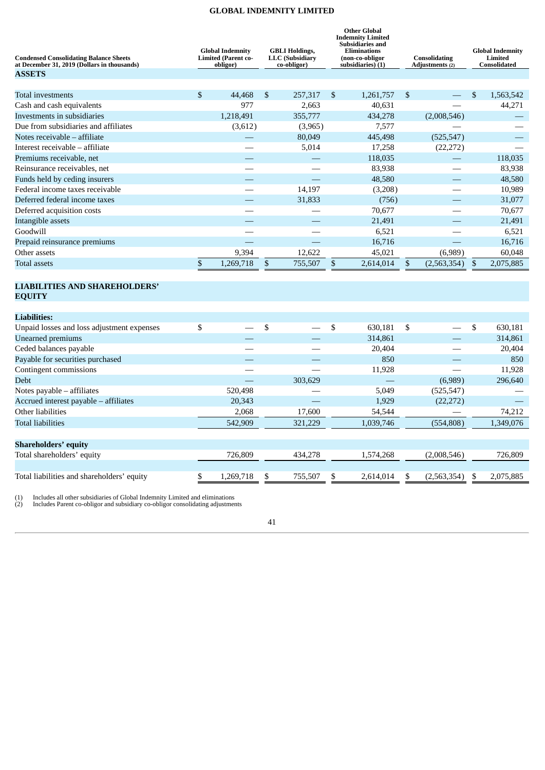| <b>Condensed Consolidating Balance Sheets</b><br>at December 31, 2019 (Dollars in thousands)<br><b>ASSETS</b> | <b>Global Indemnity</b><br><b>Limited (Parent co-</b><br>obligor) |           | <b>GBLI Holdings,</b><br><b>LLC</b> (Subsidiary<br>co-obligor) |         |    | <b>Other Global</b><br><b>Indemnity Limited</b><br>Subsidiaries and<br><b>Eliminations</b><br>(non-co-obligor<br>subsidiaries) (1) | Consolidating<br><b>Adjustments</b> (2) |             |    | <b>Global Indemnity</b><br>Limited<br>Consolidated |
|---------------------------------------------------------------------------------------------------------------|-------------------------------------------------------------------|-----------|----------------------------------------------------------------|---------|----|------------------------------------------------------------------------------------------------------------------------------------|-----------------------------------------|-------------|----|----------------------------------------------------|
|                                                                                                               |                                                                   |           |                                                                |         |    |                                                                                                                                    |                                         |             |    |                                                    |
| <b>Total investments</b>                                                                                      | $\mathbb{S}$                                                      | 44,468    | \$                                                             | 257,317 | \$ | 1,261,757                                                                                                                          | \$                                      |             | \$ | 1,563,542                                          |
| Cash and cash equivalents                                                                                     |                                                                   | 977       |                                                                | 2,663   |    | 40,631                                                                                                                             |                                         |             |    | 44,271                                             |
| Investments in subsidiaries                                                                                   |                                                                   | 1,218,491 |                                                                | 355,777 |    | 434,278                                                                                                                            |                                         | (2,008,546) |    |                                                    |
| Due from subsidiaries and affiliates                                                                          |                                                                   | (3,612)   |                                                                | (3,965) |    | 7,577                                                                                                                              |                                         |             |    |                                                    |
| Notes receivable - affiliate                                                                                  |                                                                   |           |                                                                | 80,049  |    | 445,498                                                                                                                            |                                         | (525, 547)  |    |                                                    |
| Interest receivable - affiliate                                                                               |                                                                   |           |                                                                | 5,014   |    | 17,258                                                                                                                             |                                         | (22, 272)   |    |                                                    |
| Premiums receivable, net                                                                                      |                                                                   |           |                                                                |         |    | 118,035                                                                                                                            |                                         |             |    | 118,035                                            |
| Reinsurance receivables, net                                                                                  |                                                                   |           |                                                                |         |    | 83,938                                                                                                                             |                                         |             |    | 83,938                                             |
| Funds held by ceding insurers                                                                                 |                                                                   |           |                                                                |         |    | 48,580                                                                                                                             |                                         |             |    | 48,580                                             |
| Federal income taxes receivable                                                                               |                                                                   |           |                                                                | 14,197  |    | (3,208)                                                                                                                            |                                         |             |    | 10,989                                             |
| Deferred federal income taxes                                                                                 |                                                                   |           |                                                                | 31,833  |    | (756)                                                                                                                              |                                         |             |    | 31,077                                             |
| Deferred acquisition costs                                                                                    |                                                                   |           |                                                                |         |    | 70,677                                                                                                                             |                                         |             |    | 70,677                                             |
| Intangible assets                                                                                             |                                                                   |           |                                                                |         |    | 21,491                                                                                                                             |                                         |             |    | 21,491                                             |
| Goodwill                                                                                                      |                                                                   |           |                                                                |         |    | 6,521                                                                                                                              |                                         |             |    | 6,521                                              |
| Prepaid reinsurance premiums                                                                                  |                                                                   |           |                                                                |         |    | 16,716                                                                                                                             |                                         |             |    | 16,716                                             |
| Other assets                                                                                                  |                                                                   | 9,394     |                                                                | 12,622  |    | 45,021                                                                                                                             |                                         | (6,989)     |    | 60,048                                             |
| Total assets                                                                                                  | \$                                                                | 1,269,718 | \$                                                             | 755,507 | \$ | 2,614,014                                                                                                                          | \$                                      | (2,563,354) | \$ | 2,075,885                                          |
|                                                                                                               |                                                                   |           |                                                                |         |    |                                                                                                                                    |                                         |             |    |                                                    |
| <b>LIABILITIES AND SHAREHOLDERS'</b><br><b>EQUITY</b>                                                         |                                                                   |           |                                                                |         |    |                                                                                                                                    |                                         |             |    |                                                    |

| <b>Liabilities:</b>                        |           |         |     |           |    |                          |    |           |
|--------------------------------------------|-----------|---------|-----|-----------|----|--------------------------|----|-----------|
| Unpaid losses and loss adjustment expenses | \$        | \$      | \$  | 630,181   | \$ | $\overline{\phantom{0}}$ | \$ | 630,181   |
| Unearned premiums                          |           |         |     | 314,861   |    |                          |    | 314,861   |
| Ceded balances payable                     |           |         |     | 20,404    |    |                          |    | 20,404    |
| Payable for securities purchased           |           |         |     | 850       |    |                          |    | 850       |
| Contingent commissions                     |           |         |     | 11,928    |    |                          |    | 11,928    |
| <b>Debt</b>                                |           | 303,629 |     |           |    | (6,989)                  |    | 296,640   |
| Notes payable $-$ affiliates               | 520,498   |         |     | 5,049     |    | (525, 547)               |    |           |
| Accrued interest payable - affiliates      | 20,343    |         |     | 1,929     |    | (22, 272)                |    |           |
| Other liabilities                          | 2,068     | 17,600  |     | 54,544    |    |                          |    | 74,212    |
| <b>Total liabilities</b>                   | 542,909   | 321,229 |     | 1,039,746 |    | (554, 808)               |    | 1,349,076 |
|                                            |           |         |     |           |    |                          |    |           |
| <b>Shareholders' equity</b>                |           |         |     |           |    |                          |    |           |
| Total shareholders' equity                 | 726,809   | 434,278 |     | 1,574,268 |    | (2,008,546)              |    | 726,809   |
|                                            |           |         |     |           |    |                          |    |           |
| Total liabilities and shareholders' equity | 1,269,718 | 755,507 | \$. | 2,614,014 | S. | (2,563,354)              | S. | 2,075,885 |

(1) Includes all other subsidiaries of Global Indemnity Limited and eliminations (2) Includes Parent co-obligor and subsidiary co-obligor consolidating adjustments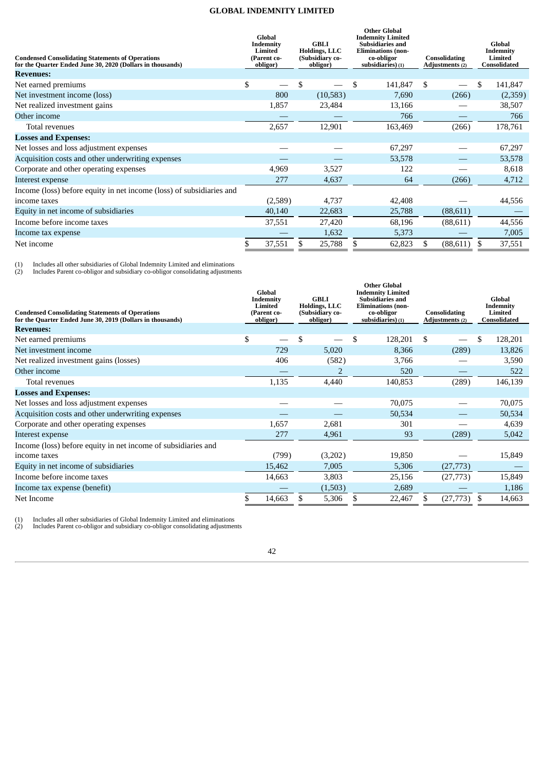| <b>Condensed Consolidating Statements of Operations</b><br>for the Quarter Ended June 30, 2020 (Dollars in thousands) | Global<br>Indemnity<br>Limited<br>(Parent co-<br>obligor) | <b>GBLI</b><br><b>Holdings, LLC</b><br>(Subsidiary co-<br>obligor) | Other Global<br><b>Indemnity Limited</b><br><b>Subsidiaries and</b><br>Eliminations (non-<br>co-obligor<br>subsidiaries) (1) | Consolidating<br>Adjustments (2) | Global<br>Indemnity<br>Limited<br>Consolidated |
|-----------------------------------------------------------------------------------------------------------------------|-----------------------------------------------------------|--------------------------------------------------------------------|------------------------------------------------------------------------------------------------------------------------------|----------------------------------|------------------------------------------------|
| <b>Revenues:</b>                                                                                                      |                                                           |                                                                    |                                                                                                                              |                                  |                                                |
| Net earned premiums                                                                                                   | \$                                                        | \$                                                                 | \$<br>141,847                                                                                                                | \$                               | 141,847<br>\$                                  |
| Net investment income (loss)                                                                                          | 800                                                       | (10,583)                                                           | 7,690                                                                                                                        | (266)                            | (2,359)                                        |
| Net realized investment gains                                                                                         | 1,857                                                     | 23,484                                                             | 13,166                                                                                                                       |                                  | 38,507                                         |
| Other income                                                                                                          |                                                           |                                                                    | 766                                                                                                                          |                                  | 766                                            |
| Total revenues                                                                                                        | 2,657                                                     | 12,901                                                             | 163,469                                                                                                                      | (266)                            | 178,761                                        |
| <b>Losses and Expenses:</b>                                                                                           |                                                           |                                                                    |                                                                                                                              |                                  |                                                |
| Net losses and loss adjustment expenses                                                                               |                                                           |                                                                    | 67,297                                                                                                                       |                                  | 67,297                                         |
| Acquisition costs and other underwriting expenses                                                                     |                                                           |                                                                    | 53,578                                                                                                                       |                                  | 53,578                                         |
| Corporate and other operating expenses                                                                                | 4,969                                                     | 3,527                                                              | 122                                                                                                                          |                                  | 8,618                                          |
| Interest expense                                                                                                      | 277                                                       | 4,637                                                              | 64                                                                                                                           | (266)                            | 4,712                                          |
| Income (loss) before equity in net income (loss) of subsidiaries and                                                  |                                                           |                                                                    |                                                                                                                              |                                  |                                                |
| income taxes                                                                                                          | (2,589)                                                   | 4,737                                                              | 42,408                                                                                                                       |                                  | 44,556                                         |
| Equity in net income of subsidiaries                                                                                  | 40,140                                                    | 22,683                                                             | 25,788                                                                                                                       | (88, 611)                        |                                                |
| Income before income taxes                                                                                            | 37,551                                                    | 27,420                                                             | 68,196                                                                                                                       | (88, 611)                        | 44,556                                         |
| Income tax expense                                                                                                    |                                                           | 1,632                                                              | 5,373                                                                                                                        |                                  | 7,005                                          |
| Net income                                                                                                            | 37,551                                                    | 25,788                                                             | \$<br>62,823                                                                                                                 | (88, 611)<br>S                   | 37,551                                         |

(1) Includes all other subsidiaries of Global Indemnity Limited and eliminations (2) Includes Parent co-obligor and subsidiary co-obligor consolidating adjustments

| <b>Condensed Consolidating Statements of Operations</b><br>for the Quarter Ended June 30, 2019 (Dollars in thousands) | <b>Global</b><br>Indemnity<br>Limited<br>(Parent co-<br>obligor) | <b>GBLI</b><br><b>Holdings, LLC</b><br>(Subsidiary co-<br>obligor) | <b>Other Global</b><br><b>Indemnity Limited</b><br><b>Subsidiaries and</b><br><b>Eliminations</b> (non-<br>co-obligor<br>subsidiaries) (1) | Consolidating<br><b>Adjustments</b> (2) | Global<br>Indemnity<br>Limited<br>Consolidated |
|-----------------------------------------------------------------------------------------------------------------------|------------------------------------------------------------------|--------------------------------------------------------------------|--------------------------------------------------------------------------------------------------------------------------------------------|-----------------------------------------|------------------------------------------------|
| <b>Revenues:</b>                                                                                                      |                                                                  |                                                                    |                                                                                                                                            |                                         |                                                |
| Net earned premiums                                                                                                   | \$                                                               | \$                                                                 | \$<br>128,201                                                                                                                              | \$                                      | \$<br>128,201                                  |
| Net investment income                                                                                                 | 729                                                              | 5,020                                                              | 8,366                                                                                                                                      | (289)                                   | 13,826                                         |
| Net realized investment gains (losses)                                                                                | 406                                                              | (582)                                                              | 3,766                                                                                                                                      |                                         | 3,590                                          |
| Other income                                                                                                          |                                                                  | 2                                                                  | 520                                                                                                                                        |                                         | 522                                            |
| Total revenues                                                                                                        | 1,135                                                            | 4,440                                                              | 140,853                                                                                                                                    | (289)                                   | 146,139                                        |
| <b>Losses and Expenses:</b>                                                                                           |                                                                  |                                                                    |                                                                                                                                            |                                         |                                                |
| Net losses and loss adjustment expenses                                                                               |                                                                  |                                                                    | 70,075                                                                                                                                     |                                         | 70,075                                         |
| Acquisition costs and other underwriting expenses                                                                     |                                                                  |                                                                    | 50,534                                                                                                                                     |                                         | 50,534                                         |
| Corporate and other operating expenses                                                                                | 1,657                                                            | 2,681                                                              | 301                                                                                                                                        |                                         | 4,639                                          |
| Interest expense                                                                                                      | 277                                                              | 4,961                                                              | 93                                                                                                                                         | (289)                                   | 5,042                                          |
| Income (loss) before equity in net income of subsidiaries and                                                         |                                                                  |                                                                    |                                                                                                                                            |                                         |                                                |
| income taxes                                                                                                          | (799)                                                            | (3,202)                                                            | 19,850                                                                                                                                     |                                         | 15,849                                         |
| Equity in net income of subsidiaries                                                                                  | 15,462                                                           | 7,005                                                              | 5,306                                                                                                                                      | (27, 773)                               |                                                |
| Income before income taxes                                                                                            | 14,663                                                           | 3,803                                                              | 25,156                                                                                                                                     | (27, 773)                               | 15,849                                         |
| Income tax expense (benefit)                                                                                          |                                                                  | (1,503)                                                            | 2,689                                                                                                                                      |                                         | 1,186                                          |
| Net Income                                                                                                            | 14,663                                                           | 5,306                                                              | \$<br>22,467                                                                                                                               | (27,773)                                | 14,663                                         |

(1) Includes all other subsidiaries of Global Indemnity Limited and eliminations (2) Includes Parent co-obligor and subsidiary co-obligor consolidating adjustments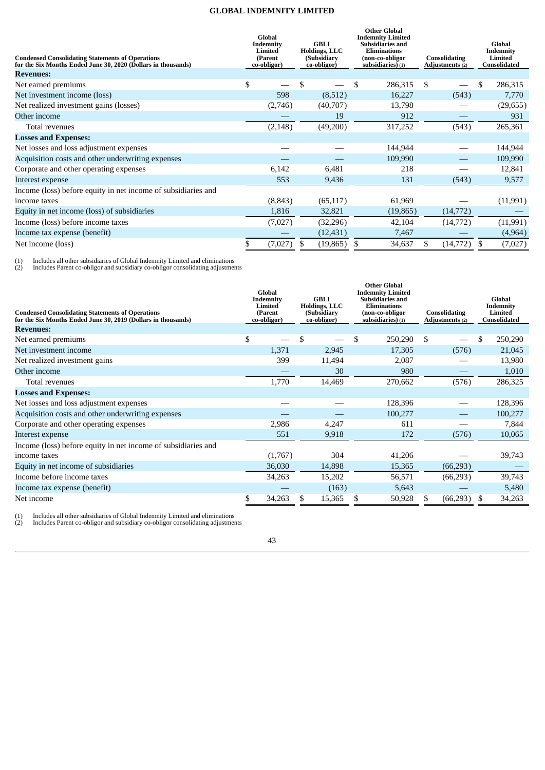| <b>Condensed Consolidating Statements of Operations</b><br>for the Six Months Ended June 30, 2020 (Dollars in thousands) | Global<br>Indemnity<br>Limited<br>(Parent<br>co-obligor) | <b>GBLI</b><br><b>Holdings, LLC</b><br>(Subsidiary<br>co-obligor) | <b>Other Global</b><br><b>Indemnity Limited</b><br>Subsidiaries and<br><b>Eliminations</b><br>(non-co-obligor<br>subsidiaries) (1) | Consolidating<br>Adjustments (2) | Global<br>Indemnity<br><b>Limited</b><br>Consolidated |
|--------------------------------------------------------------------------------------------------------------------------|----------------------------------------------------------|-------------------------------------------------------------------|------------------------------------------------------------------------------------------------------------------------------------|----------------------------------|-------------------------------------------------------|
| <b>Revenues:</b>                                                                                                         |                                                          |                                                                   |                                                                                                                                    |                                  |                                                       |
| Net earned premiums                                                                                                      | \$                                                       | \$                                                                | 286,315<br>\$                                                                                                                      | \$.                              | 286,315<br>\$                                         |
| Net investment income (loss)                                                                                             | 598                                                      | (8,512)                                                           | 16,227                                                                                                                             | (543)                            | 7,770                                                 |
| Net realized investment gains (losses)                                                                                   | (2,746)                                                  | (40,707)                                                          | 13,798                                                                                                                             |                                  | (29, 655)                                             |
| Other income                                                                                                             |                                                          | 19                                                                | 912                                                                                                                                |                                  | 931                                                   |
| Total revenues                                                                                                           | (2, 148)                                                 | (49,200)                                                          | 317,252                                                                                                                            | (543)                            | 265,361                                               |
| <b>Losses and Expenses:</b>                                                                                              |                                                          |                                                                   |                                                                                                                                    |                                  |                                                       |
| Net losses and loss adjustment expenses                                                                                  |                                                          |                                                                   | 144,944                                                                                                                            |                                  | 144,944                                               |
| Acquisition costs and other underwriting expenses                                                                        |                                                          |                                                                   | 109,990                                                                                                                            |                                  | 109,990                                               |
| Corporate and other operating expenses                                                                                   | 6,142                                                    | 6,481                                                             | 218                                                                                                                                |                                  | 12,841                                                |
| Interest expense                                                                                                         | 553                                                      | 9,436                                                             | 131                                                                                                                                | (543)                            | 9,577                                                 |
| Income (loss) before equity in net income of subsidiaries and                                                            |                                                          |                                                                   |                                                                                                                                    |                                  |                                                       |
| income taxes                                                                                                             | (8, 843)                                                 | (65, 117)                                                         | 61,969                                                                                                                             |                                  | (11,991)                                              |
| Equity in net income (loss) of subsidiaries                                                                              | 1,816                                                    | 32,821                                                            | (19, 865)                                                                                                                          | (14, 772)                        |                                                       |
| Income (loss) before income taxes                                                                                        | (7,027)                                                  | (32,296)                                                          | 42,104                                                                                                                             | (14,772)                         | (11,991)                                              |
| Income tax expense (benefit)                                                                                             |                                                          | (12, 431)                                                         | 7,467                                                                                                                              |                                  | (4,964)                                               |
| Net income (loss)                                                                                                        | (7,027)<br>S                                             | (19, 865)                                                         | 34,637<br>S                                                                                                                        | (14,772)<br>S.                   | (7,027)<br>S                                          |

(1) Includes all other subsidiaries of Global Indemnity Limited and eliminations (2) Includes Parent co-obligor and subsidiary co-obligor consolidating adjustments

| <b>Revenues:</b><br>\$<br>\$<br>\$<br>250,290<br>\$<br>\$<br>Net earned premiums<br>Net investment income<br>1,371<br>2,945<br>17,305<br>(576)<br>Net realized investment gains<br>399<br>11,494<br>2,087<br>Other income<br>30<br>980<br>1,770<br>270,662<br>14,469<br>(576)<br>Total revenues<br><b>Losses and Expenses:</b><br>Net losses and loss adjustment expenses<br>128,396<br>Acquisition costs and other underwriting expenses<br>100,277<br>Corporate and other operating expenses<br>2,986<br>4,247<br>611<br>9,918<br>(576)<br>551<br>172<br>Interest expense<br>Income (loss) before equity in net income of subsidiaries and<br>(1,767)<br>304<br>41,206<br>income taxes<br>Equity in net income of subsidiaries<br>36,030<br>14,898<br>15,365<br>(66, 293)<br>Income before income taxes<br>34,263<br>15,202<br>56,571<br>(66, 293)<br>5,643<br>Income tax expense (benefit)<br>(163)<br>34,263<br>15,365<br>50,928<br>\$<br>Net income<br>(66, 293) | <b>Condensed Consolidating Statements of Operations</b><br>for the Six Months Ended June 30, 2019 (Dollars in thousands) | <b>Global</b><br>Indemnity<br>Limited<br>(Parent<br>co-obligor) | <b>GBLI</b><br><b>Holdings, LLC</b><br>(Subsidiary<br>co-obligor) | <b>Other Global</b><br><b>Indemnity Limited</b><br><b>Subsidiaries and</b><br><b>Eliminations</b><br>(non-co-obligor<br>subsidiaries) (1) | Consolidating<br>Adjustments (2) | Global<br>Indemnity<br>Limited<br>Consolidated |
|-----------------------------------------------------------------------------------------------------------------------------------------------------------------------------------------------------------------------------------------------------------------------------------------------------------------------------------------------------------------------------------------------------------------------------------------------------------------------------------------------------------------------------------------------------------------------------------------------------------------------------------------------------------------------------------------------------------------------------------------------------------------------------------------------------------------------------------------------------------------------------------------------------------------------------------------------------------------------|--------------------------------------------------------------------------------------------------------------------------|-----------------------------------------------------------------|-------------------------------------------------------------------|-------------------------------------------------------------------------------------------------------------------------------------------|----------------------------------|------------------------------------------------|
|                                                                                                                                                                                                                                                                                                                                                                                                                                                                                                                                                                                                                                                                                                                                                                                                                                                                                                                                                                       |                                                                                                                          |                                                                 |                                                                   |                                                                                                                                           |                                  |                                                |
|                                                                                                                                                                                                                                                                                                                                                                                                                                                                                                                                                                                                                                                                                                                                                                                                                                                                                                                                                                       |                                                                                                                          |                                                                 |                                                                   |                                                                                                                                           |                                  | 250,290                                        |
|                                                                                                                                                                                                                                                                                                                                                                                                                                                                                                                                                                                                                                                                                                                                                                                                                                                                                                                                                                       |                                                                                                                          |                                                                 |                                                                   |                                                                                                                                           |                                  | 21,045                                         |
|                                                                                                                                                                                                                                                                                                                                                                                                                                                                                                                                                                                                                                                                                                                                                                                                                                                                                                                                                                       |                                                                                                                          |                                                                 |                                                                   |                                                                                                                                           |                                  | 13,980                                         |
|                                                                                                                                                                                                                                                                                                                                                                                                                                                                                                                                                                                                                                                                                                                                                                                                                                                                                                                                                                       |                                                                                                                          |                                                                 |                                                                   |                                                                                                                                           |                                  | 1,010                                          |
|                                                                                                                                                                                                                                                                                                                                                                                                                                                                                                                                                                                                                                                                                                                                                                                                                                                                                                                                                                       |                                                                                                                          |                                                                 |                                                                   |                                                                                                                                           |                                  | 286,325                                        |
|                                                                                                                                                                                                                                                                                                                                                                                                                                                                                                                                                                                                                                                                                                                                                                                                                                                                                                                                                                       |                                                                                                                          |                                                                 |                                                                   |                                                                                                                                           |                                  |                                                |
|                                                                                                                                                                                                                                                                                                                                                                                                                                                                                                                                                                                                                                                                                                                                                                                                                                                                                                                                                                       |                                                                                                                          |                                                                 |                                                                   |                                                                                                                                           |                                  | 128,396                                        |
|                                                                                                                                                                                                                                                                                                                                                                                                                                                                                                                                                                                                                                                                                                                                                                                                                                                                                                                                                                       |                                                                                                                          |                                                                 |                                                                   |                                                                                                                                           |                                  | 100,277                                        |
|                                                                                                                                                                                                                                                                                                                                                                                                                                                                                                                                                                                                                                                                                                                                                                                                                                                                                                                                                                       |                                                                                                                          |                                                                 |                                                                   |                                                                                                                                           |                                  | 7,844                                          |
|                                                                                                                                                                                                                                                                                                                                                                                                                                                                                                                                                                                                                                                                                                                                                                                                                                                                                                                                                                       |                                                                                                                          |                                                                 |                                                                   |                                                                                                                                           |                                  | 10,065                                         |
|                                                                                                                                                                                                                                                                                                                                                                                                                                                                                                                                                                                                                                                                                                                                                                                                                                                                                                                                                                       |                                                                                                                          |                                                                 |                                                                   |                                                                                                                                           |                                  |                                                |
|                                                                                                                                                                                                                                                                                                                                                                                                                                                                                                                                                                                                                                                                                                                                                                                                                                                                                                                                                                       |                                                                                                                          |                                                                 |                                                                   |                                                                                                                                           |                                  | 39,743                                         |
|                                                                                                                                                                                                                                                                                                                                                                                                                                                                                                                                                                                                                                                                                                                                                                                                                                                                                                                                                                       |                                                                                                                          |                                                                 |                                                                   |                                                                                                                                           |                                  |                                                |
|                                                                                                                                                                                                                                                                                                                                                                                                                                                                                                                                                                                                                                                                                                                                                                                                                                                                                                                                                                       |                                                                                                                          |                                                                 |                                                                   |                                                                                                                                           |                                  | 39,743                                         |
|                                                                                                                                                                                                                                                                                                                                                                                                                                                                                                                                                                                                                                                                                                                                                                                                                                                                                                                                                                       |                                                                                                                          |                                                                 |                                                                   |                                                                                                                                           |                                  | 5,480                                          |
|                                                                                                                                                                                                                                                                                                                                                                                                                                                                                                                                                                                                                                                                                                                                                                                                                                                                                                                                                                       |                                                                                                                          |                                                                 |                                                                   |                                                                                                                                           |                                  | 34,263                                         |

(1) Includes all other subsidiaries of Global Indemnity Limited and eliminations (2) Includes Parent co-obligor and subsidiary co-obligor consolidating adjustments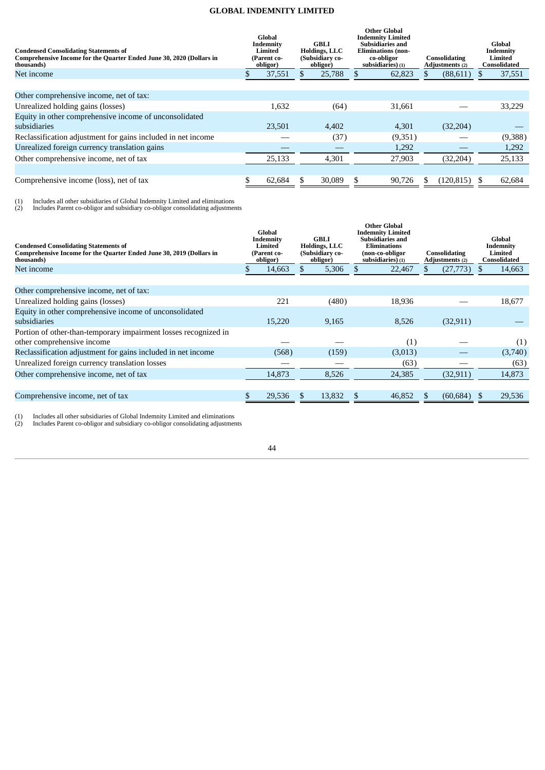| <b>Condensed Consolidating Statements of</b><br>Comprehensive Income for the Quarter Ended June 30, 2020 (Dollars in<br>thousands) | Global<br>Indemnity<br>obligor) | Limited<br>(Parent co- | <b>GBLI</b><br><b>Holdings, LLC</b><br>(Subsidiary co-<br>obligor) | <b>Other Global</b><br><b>Indemnity Limited</b><br><b>Subsidiaries and</b><br><b>Eliminations (non-</b><br>co-obligor<br>subsidiaries) (1) | Consolidating<br><b>Adjustments</b> (2) | Global<br>Indemnity<br>Limited<br><b>Consolidated</b> |
|------------------------------------------------------------------------------------------------------------------------------------|---------------------------------|------------------------|--------------------------------------------------------------------|--------------------------------------------------------------------------------------------------------------------------------------------|-----------------------------------------|-------------------------------------------------------|
| Net income                                                                                                                         |                                 | 37,551                 | 25,788                                                             | 62,823                                                                                                                                     | (88, 611)                               | 37,551                                                |
|                                                                                                                                    |                                 |                        |                                                                    |                                                                                                                                            |                                         |                                                       |
| Other comprehensive income, net of tax:                                                                                            |                                 |                        |                                                                    |                                                                                                                                            |                                         |                                                       |
| Unrealized holding gains (losses)                                                                                                  |                                 | 1,632                  | (64)                                                               | 31,661                                                                                                                                     |                                         | 33,229                                                |
| Equity in other comprehensive income of unconsolidated                                                                             |                                 |                        |                                                                    |                                                                                                                                            |                                         |                                                       |
| subsidiaries                                                                                                                       |                                 | 23,501                 | 4.402                                                              | 4,301                                                                                                                                      | (32,204)                                |                                                       |
| Reclassification adjustment for gains included in net income                                                                       |                                 |                        | (37)                                                               | (9,351)                                                                                                                                    |                                         | (9,388)                                               |
| Unrealized foreign currency translation gains                                                                                      |                                 |                        |                                                                    | 1,292                                                                                                                                      |                                         | 1,292                                                 |
| Other comprehensive income, net of tax                                                                                             |                                 | 25,133                 | 4,301                                                              | 27,903                                                                                                                                     | (32, 204)                               | 25,133                                                |
|                                                                                                                                    |                                 |                        |                                                                    |                                                                                                                                            |                                         |                                                       |
| Comprehensive income (loss), net of tax                                                                                            |                                 | 62,684                 | 30,089                                                             | 90,726                                                                                                                                     | $(120, 815)$ \$                         | 62,684                                                |

(1) Includes all other subsidiaries of Global Indemnity Limited and eliminations (2) Includes Parent co-obligor and subsidiary co-obligor consolidating adjustments

| <b>Condensed Consolidating Statements of</b><br>Comprehensive Income for the Quarter Ended June 30, 2019 (Dollars in<br>thousands) | Global<br>Indemnity<br>Limited<br>(Parent co-<br>obligor) | <b>GBLI</b><br><b>Holdings, LLC</b><br>(Subsidiary co-<br>obligor) | Other Global<br><b>Indemnity Limited</b><br><b>Subsidiaries and</b><br><b>Eliminations</b><br>(non-co-obligor<br>subsidiaries) (1) | <b>Consolidating</b><br><b>Adjustments</b> (2) |    | <b>Global</b><br>Indemnity<br>Limited<br>Consolidated |
|------------------------------------------------------------------------------------------------------------------------------------|-----------------------------------------------------------|--------------------------------------------------------------------|------------------------------------------------------------------------------------------------------------------------------------|------------------------------------------------|----|-------------------------------------------------------|
| Net income                                                                                                                         | 14,663                                                    | 5,306                                                              | 22,467                                                                                                                             | (27, 773)                                      |    | 14,663                                                |
|                                                                                                                                    |                                                           |                                                                    |                                                                                                                                    |                                                |    |                                                       |
| Other comprehensive income, net of tax:                                                                                            |                                                           |                                                                    |                                                                                                                                    |                                                |    |                                                       |
| Unrealized holding gains (losses)                                                                                                  | 221                                                       | (480)                                                              | 18,936                                                                                                                             |                                                |    | 18,677                                                |
| Equity in other comprehensive income of unconsolidated                                                                             |                                                           |                                                                    |                                                                                                                                    |                                                |    |                                                       |
| subsidiaries                                                                                                                       | 15,220                                                    | 9,165                                                              | 8,526                                                                                                                              | (32, 911)                                      |    |                                                       |
| Portion of other-than-temporary impairment losses recognized in<br>other comprehensive income                                      |                                                           |                                                                    | (1)                                                                                                                                |                                                |    | (1)                                                   |
| Reclassification adjustment for gains included in net income                                                                       | (568)                                                     | (159)                                                              | (3,013)                                                                                                                            |                                                |    | (3,740)                                               |
| Unrealized foreign currency translation losses                                                                                     |                                                           |                                                                    | (63)                                                                                                                               |                                                |    | (63)                                                  |
| Other comprehensive income, net of tax                                                                                             | 14,873                                                    | 8,526                                                              | 24,385                                                                                                                             | (32, 911)                                      |    | 14,873                                                |
|                                                                                                                                    |                                                           |                                                                    |                                                                                                                                    |                                                |    |                                                       |
| Comprehensive income, net of tax                                                                                                   | 29,536                                                    | 13,832                                                             | 46,852<br>S                                                                                                                        | (60, 684)                                      | -8 | 29,536                                                |

(1) Includes all other subsidiaries of Global Indemnity Limited and eliminations (2) Includes Parent co-obligor and subsidiary co-obligor consolidating adjustments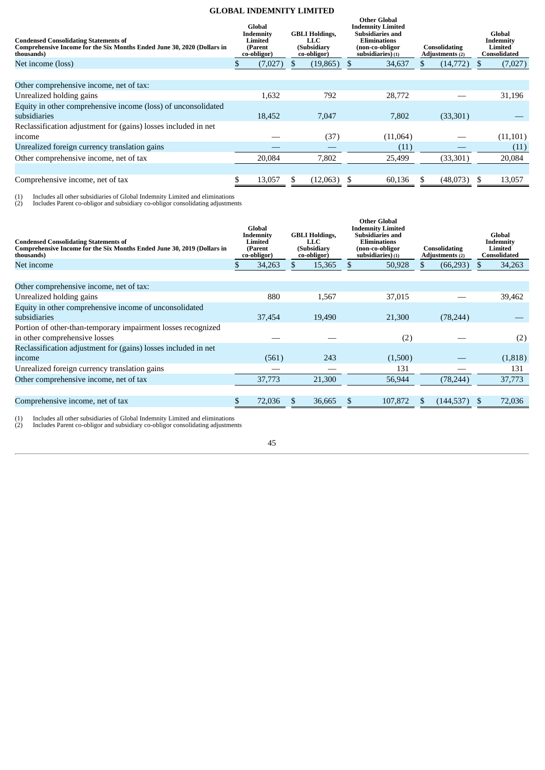| <b>Condensed Consolidating Statements of</b><br>Comprehensive Income for the Six Months Ended June 30, 2020 (Dollars in<br>thousands) | Global<br>Indemnity<br>Limited<br>(Parent<br>co-obligor) |     | <b>GBLI Holdings,</b><br><b>LLC</b><br>(Subsidiary<br>co-obligor) |               | <b>Other Global</b><br><b>Indemnity Limited</b><br><b>Subsidiaries and</b><br><b>Eliminations</b><br>(non-co-obligor<br>subsidiaries) (1) | <b>Consolidating</b><br><b>Adjustments</b> (2) | Global<br>Indemnity<br>Limited<br>Consolidated |
|---------------------------------------------------------------------------------------------------------------------------------------|----------------------------------------------------------|-----|-------------------------------------------------------------------|---------------|-------------------------------------------------------------------------------------------------------------------------------------------|------------------------------------------------|------------------------------------------------|
| Net income (loss)                                                                                                                     | (7,027)                                                  | \$. | (19, 865)                                                         | <sup>\$</sup> | 34,637                                                                                                                                    | (14, 772)                                      | (7,027)                                        |
|                                                                                                                                       |                                                          |     |                                                                   |               |                                                                                                                                           |                                                |                                                |
| Other comprehensive income, net of tax:                                                                                               |                                                          |     |                                                                   |               |                                                                                                                                           |                                                |                                                |
| Unrealized holding gains                                                                                                              | 1,632                                                    |     | 792                                                               |               | 28,772                                                                                                                                    |                                                | 31,196                                         |
| Equity in other comprehensive income (loss) of unconsolidated<br>subsidiaries                                                         | 18,452                                                   |     | 7,047                                                             |               | 7,802                                                                                                                                     | (33,301)                                       |                                                |
| Reclassification adjustment for (gains) losses included in net                                                                        |                                                          |     |                                                                   |               |                                                                                                                                           |                                                |                                                |
| income                                                                                                                                |                                                          |     | (37)                                                              |               | (11,064)                                                                                                                                  |                                                | (11, 101)                                      |
| Unrealized foreign currency translation gains                                                                                         |                                                          |     |                                                                   |               | (11)                                                                                                                                      |                                                | (11)                                           |
| Other comprehensive income, net of tax                                                                                                | 20,084                                                   |     | 7,802                                                             |               | 25,499                                                                                                                                    | (33, 301)                                      | 20,084                                         |
|                                                                                                                                       |                                                          |     |                                                                   |               |                                                                                                                                           |                                                |                                                |
| Comprehensive income, net of tax                                                                                                      | 13,057                                                   | S   | (12,063)                                                          | S             | 60,136                                                                                                                                    | (48,073)                                       | 13,057                                         |

(1) Includes all other subsidiaries of Global Indemnity Limited and eliminations (2) Includes Parent co-obligor and subsidiary co-obligor consolidating adjustments

| <b>Condensed Consolidating Statements of</b><br>Comprehensive Income for the Six Months Ended June 30, 2019 (Dollars in<br>thousands) | Global<br>Indemnity<br>Limited<br>(Parent<br>co-obligor) |    | <b>GBLI Holdings,</b><br><b>LLC</b><br>(Subsidiary<br>co-obligor) |    | <b>Other Global</b><br><b>Indemnity Limited</b><br>Subsidiaries and<br><b>Eliminations</b><br>(non-co-obligor<br>subsidiaries) (1) |     | Consolidating<br><b>Adjustments</b> (2) |     | Global<br>Indemnity<br>Limited<br>Consolidated |
|---------------------------------------------------------------------------------------------------------------------------------------|----------------------------------------------------------|----|-------------------------------------------------------------------|----|------------------------------------------------------------------------------------------------------------------------------------|-----|-----------------------------------------|-----|------------------------------------------------|
| Net income                                                                                                                            | 34,263                                                   | £. | 15,365                                                            | .S | 50,928                                                                                                                             |     | (66, 293)                               | \$. | 34,263                                         |
|                                                                                                                                       |                                                          |    |                                                                   |    |                                                                                                                                    |     |                                         |     |                                                |
| Other comprehensive income, net of tax:                                                                                               |                                                          |    |                                                                   |    |                                                                                                                                    |     |                                         |     |                                                |
| Unrealized holding gains                                                                                                              | 880                                                      |    | 1,567                                                             |    | 37.015                                                                                                                             |     |                                         |     | 39,462                                         |
| Equity in other comprehensive income of unconsolidated<br>subsidiaries                                                                | 37,454                                                   |    | 19,490                                                            |    | 21,300                                                                                                                             |     | (78, 244)                               |     |                                                |
| Portion of other-than-temporary impairment losses recognized<br>in other comprehensive losses                                         |                                                          |    |                                                                   |    | (2)                                                                                                                                |     |                                         |     | (2)                                            |
| Reclassification adjustment for (gains) losses included in net                                                                        |                                                          |    |                                                                   |    |                                                                                                                                    |     |                                         |     |                                                |
| income                                                                                                                                | (561)                                                    |    | 243                                                               |    | (1,500)                                                                                                                            |     |                                         |     | (1,818)                                        |
| Unrealized foreign currency translation gains                                                                                         |                                                          |    |                                                                   |    | 131                                                                                                                                |     |                                         |     | 131                                            |
| Other comprehensive income, net of tax                                                                                                | 37,773                                                   |    | 21,300                                                            |    | 56,944                                                                                                                             |     | (78, 244)                               |     | 37,773                                         |
|                                                                                                                                       |                                                          |    |                                                                   |    |                                                                                                                                    |     |                                         |     |                                                |
| Comprehensive income, net of tax                                                                                                      | 72,036                                                   | S  | 36,665                                                            |    | 107,872                                                                                                                            | \$. | (144, 537)                              | .S  | 72,036                                         |

(1) Includes all other subsidiaries of Global Indemnity Limited and eliminations (2) Includes Parent co-obligor and subsidiary co-obligor consolidating adjustments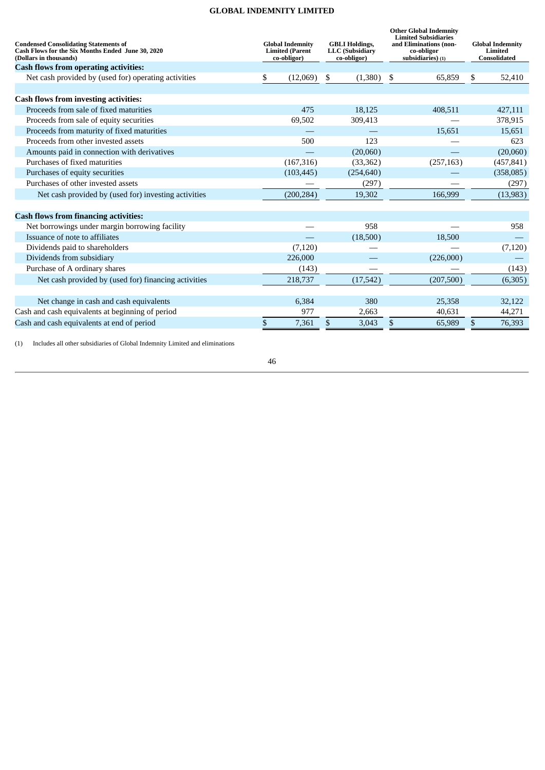| <b>Condensed Consolidating Statements of</b><br>Cash Flows for the Six Months Ended June 30, 2020<br>(Dollars in thousands) | <b>Global Indemnity</b><br><b>Limited (Parent</b><br>co-obligor) | <b>GBLI Holdings,</b><br><b>LLC</b> (Subsidiary<br>co-obligor) | <b>Other Global Indemnity</b><br><b>Limited Subsidiaries</b><br>and Eliminations (non-<br>co-obligor<br>subsidiaries) (1) | <b>Global Indemnity</b><br>Limited<br>Consolidated |
|-----------------------------------------------------------------------------------------------------------------------------|------------------------------------------------------------------|----------------------------------------------------------------|---------------------------------------------------------------------------------------------------------------------------|----------------------------------------------------|
| <b>Cash flows from operating activities:</b>                                                                                |                                                                  |                                                                |                                                                                                                           |                                                    |
| Net cash provided by (used for) operating activities                                                                        | \$<br>(12,069)                                                   | \$<br>(1,380)                                                  | \$<br>65,859                                                                                                              | \$<br>52,410                                       |
|                                                                                                                             |                                                                  |                                                                |                                                                                                                           |                                                    |
| <b>Cash flows from investing activities:</b>                                                                                |                                                                  |                                                                |                                                                                                                           |                                                    |
| Proceeds from sale of fixed maturities                                                                                      | 475                                                              | 18,125                                                         | 408,511                                                                                                                   | 427,111                                            |
| Proceeds from sale of equity securities                                                                                     | 69,502                                                           | 309,413                                                        |                                                                                                                           | 378,915                                            |
| Proceeds from maturity of fixed maturities                                                                                  |                                                                  |                                                                | 15,651                                                                                                                    | 15,651                                             |
| Proceeds from other invested assets                                                                                         | 500                                                              | 123                                                            |                                                                                                                           | 623                                                |
| Amounts paid in connection with derivatives                                                                                 |                                                                  | (20,060)                                                       |                                                                                                                           | (20,060)                                           |
| Purchases of fixed maturities                                                                                               | (167, 316)                                                       | (33,362)                                                       | (257, 163)                                                                                                                | (457, 841)                                         |
| Purchases of equity securities                                                                                              | (103, 445)                                                       | (254, 640)                                                     |                                                                                                                           | (358, 085)                                         |
| Purchases of other invested assets                                                                                          |                                                                  | (297)                                                          |                                                                                                                           | (297)                                              |
| Net cash provided by (used for) investing activities                                                                        | (200, 284)                                                       | 19,302                                                         | 166,999                                                                                                                   | (13, 983)                                          |
| <b>Cash flows from financing activities:</b>                                                                                |                                                                  |                                                                |                                                                                                                           |                                                    |
| Net borrowings under margin borrowing facility                                                                              |                                                                  | 958                                                            |                                                                                                                           | 958                                                |
| Issuance of note to affiliates                                                                                              |                                                                  | (18,500)                                                       | 18,500                                                                                                                    |                                                    |
| Dividends paid to shareholders                                                                                              | (7, 120)                                                         |                                                                |                                                                                                                           | (7, 120)                                           |
| Dividends from subsidiary                                                                                                   | 226,000                                                          |                                                                | (226,000)                                                                                                                 |                                                    |
| Purchase of A ordinary shares                                                                                               | (143)                                                            |                                                                |                                                                                                                           | (143)                                              |
| Net cash provided by (used for) financing activities                                                                        | 218,737                                                          | (17, 542)                                                      | (207,500)                                                                                                                 | (6,305)                                            |
|                                                                                                                             |                                                                  |                                                                |                                                                                                                           |                                                    |
| Net change in cash and cash equivalents                                                                                     | 6,384                                                            | 380                                                            | 25,358                                                                                                                    | 32,122                                             |
| Cash and cash equivalents at beginning of period                                                                            | 977                                                              | 2,663                                                          | 40,631                                                                                                                    | 44,271                                             |
| Cash and cash equivalents at end of period                                                                                  | \$<br>7,361                                                      | \$<br>3,043                                                    | 65,989<br>\$                                                                                                              | \$<br>76,393                                       |

(1) Includes all other subsidiaries of Global Indemnity Limited and eliminations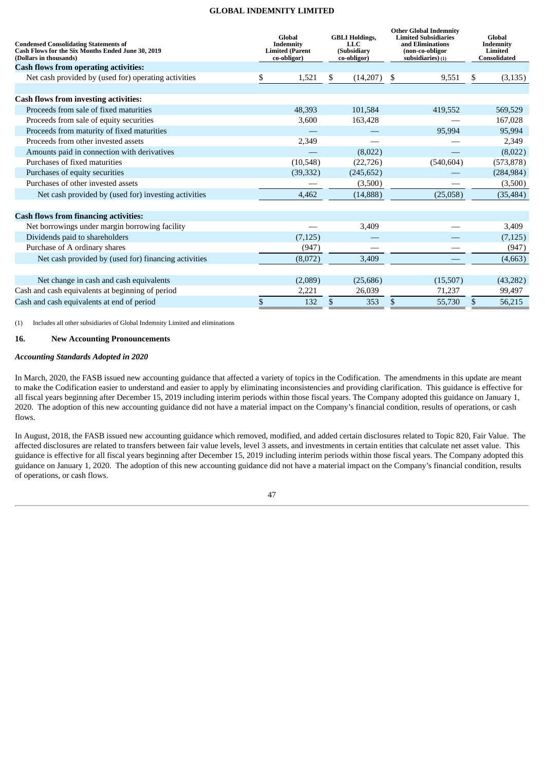| Global<br>Indemnity<br><b>Limited (Parent</b><br>co-obligor) |           |                                                  | <b>LLC</b><br>(Subsidiary<br>co-obligor) |                                       | <b>GBLI Holdings,</b> |                    | <b>Other Global Indemnity</b><br><b>Limited Subsidiaries</b><br>and Eliminations<br>(non-co-obligor<br>subsidiaries) (1) |  | Global<br>Indemnity<br>Limited<br>Consolidated |
|--------------------------------------------------------------|-----------|--------------------------------------------------|------------------------------------------|---------------------------------------|-----------------------|--------------------|--------------------------------------------------------------------------------------------------------------------------|--|------------------------------------------------|
|                                                              |           |                                                  |                                          |                                       |                       |                    |                                                                                                                          |  |                                                |
| S                                                            | 1,521     | \$                                               | (14,207)                                 | -\$                                   | 9,551                 | S                  | (3, 135)                                                                                                                 |  |                                                |
|                                                              |           |                                                  |                                          |                                       |                       |                    |                                                                                                                          |  |                                                |
|                                                              |           |                                                  |                                          |                                       |                       |                    |                                                                                                                          |  |                                                |
|                                                              | 48,393    |                                                  | 101.584                                  |                                       | 419,552               |                    | 569,529                                                                                                                  |  |                                                |
|                                                              | 3,600     |                                                  | 163,428                                  |                                       |                       |                    | 167,028                                                                                                                  |  |                                                |
|                                                              |           |                                                  |                                          |                                       | 95,994                |                    | 95,994                                                                                                                   |  |                                                |
|                                                              | 2,349     |                                                  |                                          |                                       |                       |                    | 2,349                                                                                                                    |  |                                                |
|                                                              |           |                                                  | (8,022)                                  |                                       |                       |                    | (8,022)                                                                                                                  |  |                                                |
|                                                              | (10,548)  |                                                  | (22, 726)                                |                                       | (540, 604)            |                    | (573, 878)                                                                                                               |  |                                                |
|                                                              | (39, 332) |                                                  | (245, 652)                               |                                       |                       |                    | (284, 984)                                                                                                               |  |                                                |
|                                                              |           |                                                  | (3,500)                                  |                                       |                       |                    | (3,500)                                                                                                                  |  |                                                |
|                                                              | 4,462     |                                                  | (14, 888)                                |                                       | (25,058)              |                    | (35, 484)                                                                                                                |  |                                                |
|                                                              |           |                                                  |                                          |                                       |                       |                    |                                                                                                                          |  |                                                |
|                                                              |           |                                                  |                                          |                                       |                       |                    |                                                                                                                          |  |                                                |
|                                                              |           |                                                  |                                          |                                       |                       |                    | 3,409                                                                                                                    |  |                                                |
|                                                              |           |                                                  |                                          |                                       |                       |                    | (7, 125)                                                                                                                 |  |                                                |
|                                                              |           |                                                  |                                          |                                       |                       |                    | (947)                                                                                                                    |  |                                                |
|                                                              |           |                                                  |                                          |                                       |                       |                    | (4,663)                                                                                                                  |  |                                                |
|                                                              |           |                                                  |                                          |                                       |                       |                    | (43, 282)                                                                                                                |  |                                                |
|                                                              |           |                                                  |                                          |                                       |                       |                    | 99,497                                                                                                                   |  |                                                |
| \$                                                           | 132       | \$                                               | 353                                      | \$                                    | 55,730                | \$                 | 56,215                                                                                                                   |  |                                                |
|                                                              |           | (7, 125)<br>(947)<br>(8,072)<br>(2,089)<br>2,221 |                                          | 3,409<br>3,409<br>(25, 686)<br>26,039 |                       | (15,507)<br>71,237 |                                                                                                                          |  |                                                |

(1) Includes all other subsidiaries of Global Indemnity Limited and eliminations

# **16. New Accounting Pronouncements**

### *Accounting Standards Adopted in 2020*

In March, 2020, the FASB issued new accounting guidance that affected a variety of topics in the Codification. The amendments in this update are meant to make the Codification easier to understand and easier to apply by eliminating inconsistencies and providing clarification. This guidance is effective for all fiscal years beginning after December 15, 2019 including interim periods within those fiscal years. The Company adopted this guidance on January 1, 2020. The adoption of this new accounting guidance did not have a material impact on the Company's financial condition, results of operations, or cash flows.

In August, 2018, the FASB issued new accounting guidance which removed, modified, and added certain disclosures related to Topic 820, Fair Value. The affected disclosures are related to transfers between fair value levels, level 3 assets, and investments in certain entities that calculate net asset value. This guidance is effective for all fiscal years beginning after December 15, 2019 including interim periods within those fiscal years. The Company adopted this guidance on January 1, 2020. The adoption of this new accounting guidance did not have a material impact on the Company's financial condition, results of operations, or cash flows.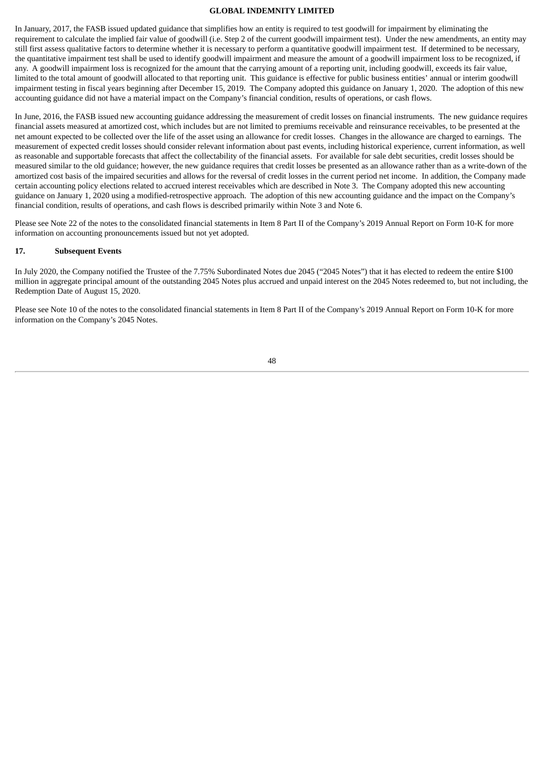In January, 2017, the FASB issued updated guidance that simplifies how an entity is required to test goodwill for impairment by eliminating the requirement to calculate the implied fair value of goodwill (i.e. Step 2 of the current goodwill impairment test). Under the new amendments, an entity may still first assess qualitative factors to determine whether it is necessary to perform a quantitative goodwill impairment test. If determined to be necessary, the quantitative impairment test shall be used to identify goodwill impairment and measure the amount of a goodwill impairment loss to be recognized, if any. A goodwill impairment loss is recognized for the amount that the carrying amount of a reporting unit, including goodwill, exceeds its fair value, limited to the total amount of goodwill allocated to that reporting unit. This guidance is effective for public business entities' annual or interim goodwill impairment testing in fiscal years beginning after December 15, 2019. The Company adopted this guidance on January 1, 2020. The adoption of this new accounting guidance did not have a material impact on the Company's financial condition, results of operations, or cash flows.

In June, 2016, the FASB issued new accounting guidance addressing the measurement of credit losses on financial instruments. The new guidance requires financial assets measured at amortized cost, which includes but are not limited to premiums receivable and reinsurance receivables, to be presented at the net amount expected to be collected over the life of the asset using an allowance for credit losses. Changes in the allowance are charged to earnings. The measurement of expected credit losses should consider relevant information about past events, including historical experience, current information, as well as reasonable and supportable forecasts that affect the collectability of the financial assets. For available for sale debt securities, credit losses should be measured similar to the old guidance; however, the new guidance requires that credit losses be presented as an allowance rather than as a write-down of the amortized cost basis of the impaired securities and allows for the reversal of credit losses in the current period net income. In addition, the Company made certain accounting policy elections related to accrued interest receivables which are described in Note 3. The Company adopted this new accounting guidance on January 1, 2020 using a modified-retrospective approach. The adoption of this new accounting guidance and the impact on the Company's financial condition, results of operations, and cash flows is described primarily within Note 3 and Note 6.

Please see Note 22 of the notes to the consolidated financial statements in Item 8 Part II of the Company's 2019 Annual Report on Form 10-K for more information on accounting pronouncements issued but not yet adopted.

### **17. Subsequent Events**

In July 2020, the Company notified the Trustee of the 7.75% Subordinated Notes due 2045 ("2045 Notes") that it has elected to redeem the entire \$100 million in aggregate principal amount of the outstanding 2045 Notes plus accrued and unpaid interest on the 2045 Notes redeemed to, but not including, the Redemption Date of August 15, 2020.

Please see Note 10 of the notes to the consolidated financial statements in Item 8 Part II of the Company's 2019 Annual Report on Form 10-K for more information on the Company's 2045 Notes.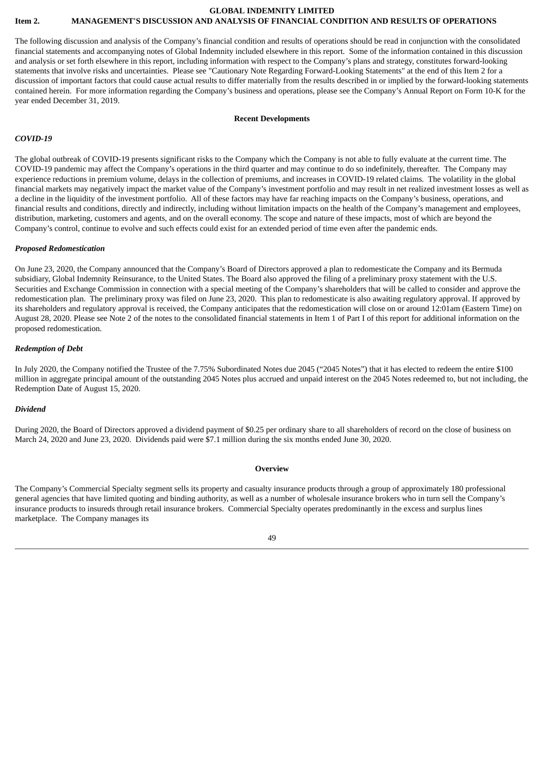# **GLOBAL INDEMNITY LIMITED Item 2. MANAGEMENT'S DISCUSSION AND ANALYSIS OF FINANCIAL CONDITION AND RESULTS OF OPERATIONS**

The following discussion and analysis of the Company's financial condition and results of operations should be read in conjunction with the consolidated financial statements and accompanying notes of Global Indemnity included elsewhere in this report. Some of the information contained in this discussion and analysis or set forth elsewhere in this report, including information with respect to the Company's plans and strategy, constitutes forward-looking statements that involve risks and uncertainties. Please see "Cautionary Note Regarding Forward-Looking Statements" at the end of this Item 2 for a discussion of important factors that could cause actual results to differ materially from the results described in or implied by the forward-looking statements contained herein. For more information regarding the Company's business and operations, please see the Company's Annual Report on Form 10-K for the year ended December 31, 2019.

### **Recent Developments**

# *COVID-19*

The global outbreak of COVID-19 presents significant risks to the Company which the Company is not able to fully evaluate at the current time. The COVID-19 pandemic may affect the Company's operations in the third quarter and may continue to do so indefinitely, thereafter. The Company may experience reductions in premium volume, delays in the collection of premiums, and increases in COVID-19 related claims. The volatility in the global financial markets may negatively impact the market value of the Company's investment portfolio and may result in net realized investment losses as well as a decline in the liquidity of the investment portfolio. All of these factors may have far reaching impacts on the Company's business, operations, and financial results and conditions, directly and indirectly, including without limitation impacts on the health of the Company's management and employees, distribution, marketing, customers and agents, and on the overall economy. The scope and nature of these impacts, most of which are beyond the Company's control, continue to evolve and such effects could exist for an extended period of time even after the pandemic ends.

# *Proposed Redomestication*

On June 23, 2020, the Company announced that the Company's Board of Directors approved a plan to redomesticate the Company and its Bermuda subsidiary, Global Indemnity Reinsurance, to the United States. The Board also approved the filing of a preliminary proxy statement with the U.S. Securities and Exchange Commission in connection with a special meeting of the Company's shareholders that will be called to consider and approve the redomestication plan. The preliminary proxy was filed on June 23, 2020. This plan to redomesticate is also awaiting regulatory approval. If approved by its shareholders and regulatory approval is received, the Company anticipates that the redomestication will close on or around 12:01am (Eastern Time) on August 28, 2020. Please see Note 2 of the notes to the consolidated financial statements in Item 1 of Part I of this report for additional information on the proposed redomestication.

# *Redemption of Debt*

In July 2020, the Company notified the Trustee of the 7.75% Subordinated Notes due 2045 ("2045 Notes") that it has elected to redeem the entire \$100 million in aggregate principal amount of the outstanding 2045 Notes plus accrued and unpaid interest on the 2045 Notes redeemed to, but not including, the Redemption Date of August 15, 2020.

#### *Dividend*

During 2020, the Board of Directors approved a dividend payment of \$0.25 per ordinary share to all shareholders of record on the close of business on March 24, 2020 and June 23, 2020. Dividends paid were \$7.1 million during the six months ended June 30, 2020.

#### **Overview**

The Company's Commercial Specialty segment sells its property and casualty insurance products through a group of approximately 180 professional general agencies that have limited quoting and binding authority, as well as a number of wholesale insurance brokers who in turn sell the Company's insurance products to insureds through retail insurance brokers. Commercial Specialty operates predominantly in the excess and surplus lines marketplace. The Company manages its

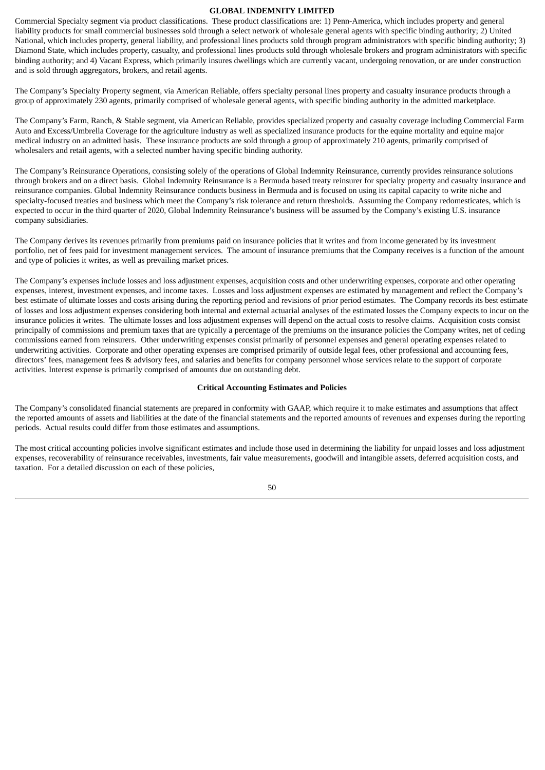Commercial Specialty segment via product classifications. These product classifications are: 1) Penn-America, which includes property and general liability products for small commercial businesses sold through a select network of wholesale general agents with specific binding authority; 2) United National, which includes property, general liability, and professional lines products sold through program administrators with specific binding authority; 3) Diamond State, which includes property, casualty, and professional lines products sold through wholesale brokers and program administrators with specific binding authority; and 4) Vacant Express, which primarily insures dwellings which are currently vacant, undergoing renovation, or are under construction and is sold through aggregators, brokers, and retail agents.

The Company's Specialty Property segment, via American Reliable, offers specialty personal lines property and casualty insurance products through a group of approximately 230 agents, primarily comprised of wholesale general agents, with specific binding authority in the admitted marketplace.

The Company's Farm, Ranch, & Stable segment, via American Reliable, provides specialized property and casualty coverage including Commercial Farm Auto and Excess/Umbrella Coverage for the agriculture industry as well as specialized insurance products for the equine mortality and equine major medical industry on an admitted basis. These insurance products are sold through a group of approximately 210 agents, primarily comprised of wholesalers and retail agents, with a selected number having specific binding authority.

The Company's Reinsurance Operations, consisting solely of the operations of Global Indemnity Reinsurance, currently provides reinsurance solutions through brokers and on a direct basis. Global Indemnity Reinsurance is a Bermuda based treaty reinsurer for specialty property and casualty insurance and reinsurance companies. Global Indemnity Reinsurance conducts business in Bermuda and is focused on using its capital capacity to write niche and specialty-focused treaties and business which meet the Company's risk tolerance and return thresholds. Assuming the Company redomesticates, which is expected to occur in the third quarter of 2020, Global Indemnity Reinsurance's business will be assumed by the Company's existing U.S. insurance company subsidiaries.

The Company derives its revenues primarily from premiums paid on insurance policies that it writes and from income generated by its investment portfolio, net of fees paid for investment management services. The amount of insurance premiums that the Company receives is a function of the amount and type of policies it writes, as well as prevailing market prices.

The Company's expenses include losses and loss adjustment expenses, acquisition costs and other underwriting expenses, corporate and other operating expenses, interest, investment expenses, and income taxes. Losses and loss adjustment expenses are estimated by management and reflect the Company's best estimate of ultimate losses and costs arising during the reporting period and revisions of prior period estimates. The Company records its best estimate of losses and loss adjustment expenses considering both internal and external actuarial analyses of the estimated losses the Company expects to incur on the insurance policies it writes. The ultimate losses and loss adjustment expenses will depend on the actual costs to resolve claims. Acquisition costs consist principally of commissions and premium taxes that are typically a percentage of the premiums on the insurance policies the Company writes, net of ceding commissions earned from reinsurers. Other underwriting expenses consist primarily of personnel expenses and general operating expenses related to underwriting activities. Corporate and other operating expenses are comprised primarily of outside legal fees, other professional and accounting fees, directors' fees, management fees & advisory fees, and salaries and benefits for company personnel whose services relate to the support of corporate activities. Interest expense is primarily comprised of amounts due on outstanding debt.

#### **Critical Accounting Estimates and Policies**

The Company's consolidated financial statements are prepared in conformity with GAAP, which require it to make estimates and assumptions that affect the reported amounts of assets and liabilities at the date of the financial statements and the reported amounts of revenues and expenses during the reporting periods. Actual results could differ from those estimates and assumptions.

The most critical accounting policies involve significant estimates and include those used in determining the liability for unpaid losses and loss adjustment expenses, recoverability of reinsurance receivables, investments, fair value measurements, goodwill and intangible assets, deferred acquisition costs, and taxation. For a detailed discussion on each of these policies,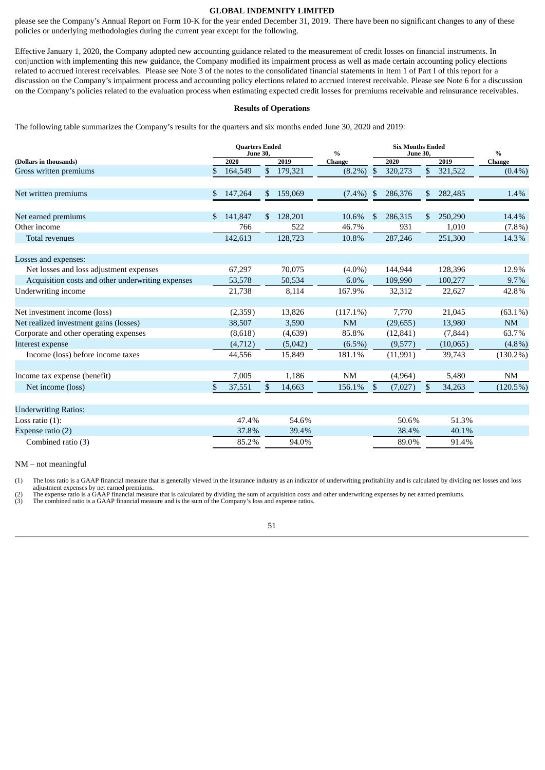please see the Company's Annual Report on Form 10-K for the year ended December 31, 2019. There have been no significant changes to any of these policies or underlying methodologies during the current year except for the following.

Effective January 1, 2020, the Company adopted new accounting guidance related to the measurement of credit losses on financial instruments. In conjunction with implementing this new guidance, the Company modified its impairment process as well as made certain accounting policy elections related to accrued interest receivables. Please see Note 3 of the notes to the consolidated financial statements in Item 1 of Part I of this report for a discussion on the Company's impairment process and accounting policy elections related to accrued interest receivable. Please see Note 6 for a discussion on the Company's policies related to the evaluation process when estimating expected credit losses for premiums receivable and reinsurance receivables.

#### **Results of Operations**

The following table summarizes the Company's results for the quarters and six months ended June 30, 2020 and 2019:

|                                                   |               | <b>Quarters Ended</b><br><b>June 30,</b> |     |         | $\frac{0}{0}$ |    | <b>Six Months Ended</b><br><b>June 30,</b> | $\%$ |          |             |
|---------------------------------------------------|---------------|------------------------------------------|-----|---------|---------------|----|--------------------------------------------|------|----------|-------------|
| (Dollars in thousands)                            |               | 2020                                     |     | 2019    | <b>Change</b> |    | 2020                                       |      | 2019     | Change      |
| Gross written premiums                            | \$            | 164,549                                  | \$  | 179,321 | $(8.2\%)$     | \$ | 320,273                                    |      | 321,522  | $(0.4\%)$   |
| Net written premiums                              | \$            | 147,264                                  | \$  | 159,069 | $(7.4\%)$     | S  | 286,376                                    | SS.  | 282,485  | 1.4%        |
| Net earned premiums                               | $\mathcal{S}$ | 141,847                                  | \$. | 128,201 | 10.6%         | S  | 286,315                                    | S.   | 250,290  | 14.4%       |
| Other income                                      |               | 766                                      |     | 522     | 46.7%         |    | 931                                        |      | 1,010    | $(7.8\%)$   |
| <b>Total revenues</b>                             |               | 142,613                                  |     | 128,723 | 10.8%         |    | 287,246                                    |      | 251,300  | 14.3%       |
| Losses and expenses:                              |               |                                          |     |         |               |    |                                            |      |          |             |
| Net losses and loss adjustment expenses           |               | 67,297                                   |     | 70,075  | $(4.0\%)$     |    | 144,944                                    |      | 128,396  | 12.9%       |
| Acquisition costs and other underwriting expenses |               | 53,578                                   |     | 50,534  | 6.0%          |    | 109,990                                    |      | 100,277  | 9.7%        |
| <b>Underwriting income</b>                        |               | 21,738                                   |     | 8,114   | 167.9%        |    | 32,312                                     |      | 22,627   | 42.8%       |
| Net investment income (loss)                      |               | (2,359)                                  |     | 13,826  | $(117.1\%)$   |    | 7,770                                      |      | 21,045   | $(63.1\%)$  |
| Net realized investment gains (losses)            |               | 38,507                                   |     | 3,590   | <b>NM</b>     |    | (29, 655)                                  |      | 13,980   | <b>NM</b>   |
| Corporate and other operating expenses            |               | (8,618)                                  |     | (4,639) | 85.8%         |    | (12, 841)                                  |      | (7, 844) | 63.7%       |
| Interest expense                                  |               | (4, 712)                                 |     | (5,042) | $(6.5\%)$     |    | (9,577)                                    |      | (10,065) | $(4.8\%)$   |
| Income (loss) before income taxes                 |               | 44,556                                   |     | 15,849  | 181.1%        |    | (11,991)                                   |      | 39,743   | $(130.2\%)$ |
| Income tax expense (benefit)                      |               | 7,005                                    |     | 1,186   | NM            |    | (4,964)                                    |      | 5,480    | <b>NM</b>   |
| Net income (loss)                                 | \$            | 37,551                                   | \$  | 14,663  | 156.1%        | \$ | (7,027)                                    | S    | 34,263   | $(120.5\%)$ |
| <b>Underwriting Ratios:</b>                       |               |                                          |     |         |               |    |                                            |      |          |             |
| Loss ratio $(1)$ :                                |               | 47.4%                                    |     | 54.6%   |               |    | 50.6%                                      |      | 51.3%    |             |
| Expense ratio (2)                                 |               | 37.8%                                    |     | 39.4%   |               |    | 38.4%                                      |      | 40.1%    |             |
| Combined ratio (3)                                |               | 85.2%                                    |     | 94.0%   |               |    | 89.0%                                      |      | 91.4%    |             |

NM – not meaningful

(1) The loss ratio is a GAAP financial measure that is generally viewed in the insurance industry as an indicator of underwriting profitability and is calculated by dividing net losses and loss adjustment expenses by net earned premiums.

(2) The expense ratio is a GAAP financial measure that is calculated by dividing the sum of acquisition costs and other underwriting expenses by net earned premiums.<br>(3) The combined ratio is a GAAP financial measure and i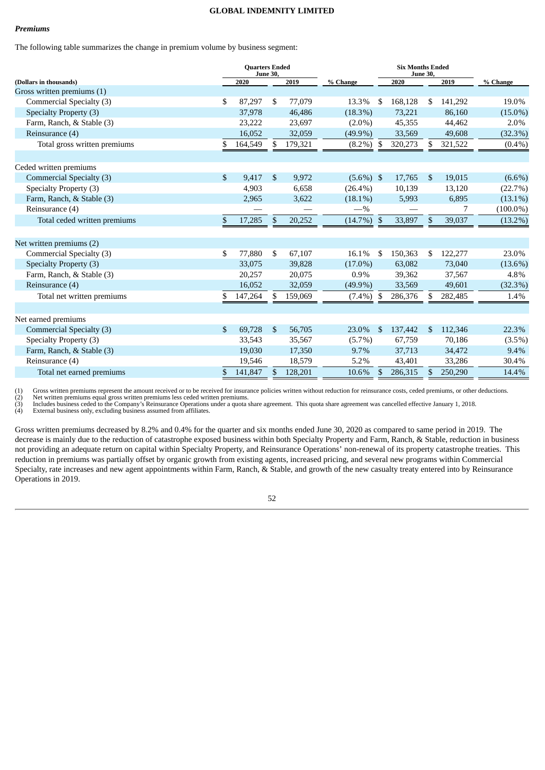# *Premiums*

The following table summarizes the change in premium volume by business segment:

|                              |                | <b>Ouarters Ended</b><br><b>June 30,</b> |                |         |              |               | <b>Six Months Ended</b><br><b>June 30,</b> |              |         |             |
|------------------------------|----------------|------------------------------------------|----------------|---------|--------------|---------------|--------------------------------------------|--------------|---------|-------------|
| (Dollars in thousands)       |                | 2020                                     |                | 2019    | % Change     |               | 2020                                       |              | 2019    | % Change    |
| Gross written premiums (1)   |                |                                          |                |         |              |               |                                            |              |         |             |
| Commercial Specialty (3)     | \$             | 87,297                                   | \$             | 77,079  | 13.3%        | \$            | 168,128                                    | \$           | 141,292 | 19.0%       |
| Specialty Property (3)       |                | 37,978                                   |                | 46,486  | $(18.3\%)$   |               | 73,221                                     |              | 86,160  | $(15.0\%)$  |
| Farm, Ranch, & Stable (3)    |                | 23,222                                   |                | 23,697  | $(2.0\%)$    |               | 45,355                                     |              | 44,462  | 2.0%        |
| Reinsurance (4)              |                | 16,052                                   |                | 32,059  | $(49.9\%)$   |               | 33,569                                     |              | 49,608  | (32.3%)     |
| Total gross written premiums | \$             | 164,549                                  | \$             | 179,321 | $(8.2\%)$    | \$            | 320,273                                    | \$           | 321,522 | $(0.4\%)$   |
|                              |                |                                          |                |         |              |               |                                            |              |         |             |
| Ceded written premiums       |                |                                          |                |         |              |               |                                            |              |         |             |
| Commercial Specialty (3)     | $\mathfrak{S}$ | 9.417                                    | $\mathfrak{S}$ | 9,972   | $(5.6\%)$ \$ |               | 17,765                                     | $\mathbb{S}$ | 19,015  | $(6.6\%)$   |
| Specialty Property (3)       |                | 4,903                                    |                | 6,658   | $(26.4\%)$   |               | 10,139                                     |              | 13,120  | (22.7%)     |
| Farm, Ranch, & Stable (3)    |                | 2,965                                    |                | 3,622   | $(18.1\%)$   |               | 5,993                                      |              | 6,895   | $(13.1\%)$  |
| Reinsurance (4)              |                |                                          |                |         | $-$ %        |               |                                            |              | 7       | $(100.0\%)$ |
| Total ceded written premiums | \$             | 17,285                                   | \$             | 20,252  | (14.7%)      | - \$          | 33,897                                     | \$           | 39,037  | $(13.2\%)$  |
|                              |                |                                          |                |         |              |               |                                            |              |         |             |
| Net written premiums (2)     |                |                                          |                |         |              |               |                                            |              |         |             |
| Commercial Specialty (3)     | \$             | 77,880                                   | \$             | 67,107  | 16.1%        | S.            | 150,363                                    | \$           | 122,277 | 23.0%       |
| Specialty Property (3)       |                | 33,075                                   |                | 39,828  | $(17.0\%)$   |               | 63,082                                     |              | 73,040  | $(13.6\%)$  |
| Farm, Ranch, & Stable (3)    |                | 20,257                                   |                | 20,075  | 0.9%         |               | 39,362                                     |              | 37,567  | 4.8%        |
| Reinsurance (4)              |                | 16,052                                   |                | 32,059  | $(49.9\%)$   |               | 33,569                                     |              | 49,601  | (32.3%)     |
| Total net written premiums   | \$             | 147,264                                  | S              | 159,069 | $(7.4\%)$    | \$            | 286,376                                    | \$           | 282,485 | 1.4%        |
|                              |                |                                          |                |         |              |               |                                            |              |         |             |
| Net earned premiums          |                |                                          |                |         |              |               |                                            |              |         |             |
| Commercial Specialty (3)     | $\mathcal{S}$  | 69,728                                   | \$             | 56,705  | 23.0%        | <sup>\$</sup> | 137,442                                    | \$           | 112,346 | 22.3%       |
| Specialty Property (3)       |                | 33,543                                   |                | 35,567  | $(5.7\%)$    |               | 67,759                                     |              | 70,186  | $(3.5\%)$   |
| Farm, Ranch, & Stable (3)    |                | 19,030                                   |                | 17,350  | 9.7%         |               | 37,713                                     |              | 34,472  | 9.4%        |
| Reinsurance (4)              |                | 19,546                                   |                | 18,579  | 5.2%         |               | 43,401                                     |              | 33,286  | 30.4%       |
| Total net earned premiums    | \$             | 141,847                                  | \$             | 128,201 | 10.6%        | \$            | 286,315                                    | \$           | 250,290 | 14.4%       |

(2) Net written premiums equal gross written premiums less ceded written premiums.

(1) Gross written premiums represent the amount received or to be received for insurance policies written without reduction for reinsurance costs, ceded premiums, or other deductions.<br>
(2) Net written premiums equal gross (3) Includes business ceded to the Company's Reinsurance Operations under a quota share agreement. This quota share agreement was cancelled effective January 1, 2018.<br>(4) External business only, excluding business assumed

Gross written premiums decreased by 8.2% and 0.4% for the quarter and six months ended June 30, 2020 as compared to same period in 2019. The decrease is mainly due to the reduction of catastrophe exposed business within both Specialty Property and Farm, Ranch, & Stable, reduction in business not providing an adequate return on capital within Specialty Property, and Reinsurance Operations' non-renewal of its property catastrophe treaties. This reduction in premiums was partially offset by organic growth from existing agents, increased pricing, and several new programs within Commercial Specialty, rate increases and new agent appointments within Farm, Ranch, & Stable, and growth of the new casualty treaty entered into by Reinsurance Operations in 2019.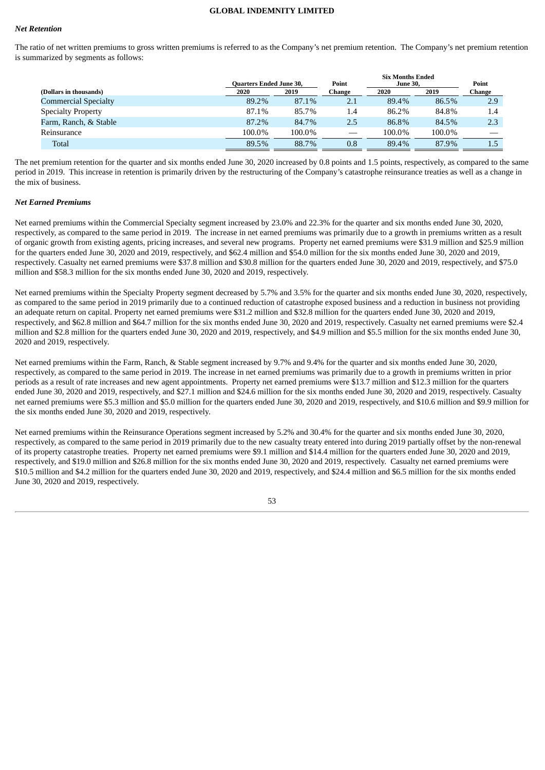# *Net Retention*

The ratio of net written premiums to gross written premiums is referred to as the Company's net premium retention. The Company's net premium retention is summarized by segments as follows:

|                             |                                | <b>Six Months Ended</b> |        |                 |        |        |
|-----------------------------|--------------------------------|-------------------------|--------|-----------------|--------|--------|
|                             | <b>Quarters Ended June 30,</b> |                         | Point  | <b>June 30,</b> | Point  |        |
| (Dollars in thousands)      | 2020                           | 2019                    | Change | 2020            | 2019   | Change |
| <b>Commercial Specialty</b> | 89.2%                          | 87.1%                   | 2.1    | 89.4%           | 86.5%  | 2.9    |
| <b>Specialty Property</b>   | 87.1%                          | 85.7%                   | 1.4    | 86.2%           | 84.8%  | 1.4    |
| Farm, Ranch, & Stable       | 87.2%                          | 84.7%                   | 2.5    | 86.8%           | 84.5%  | 2.3    |
| Reinsurance                 | 100.0%                         | 100.0%                  |        | 100.0%          | 100.0% |        |
| Total                       | 89.5%                          | 88.7%                   | 0.8    | 89.4%           | 87.9%  | 1.5    |

The net premium retention for the quarter and six months ended June 30, 2020 increased by 0.8 points and 1.5 points, respectively, as compared to the same period in 2019. This increase in retention is primarily driven by the restructuring of the Company's catastrophe reinsurance treaties as well as a change in the mix of business.

### *Net Earned Premiums*

Net earned premiums within the Commercial Specialty segment increased by 23.0% and 22.3% for the quarter and six months ended June 30, 2020, respectively, as compared to the same period in 2019. The increase in net earned premiums was primarily due to a growth in premiums written as a result of organic growth from existing agents, pricing increases, and several new programs. Property net earned premiums were \$31.9 million and \$25.9 million for the quarters ended June 30, 2020 and 2019, respectively, and \$62.4 million and \$54.0 million for the six months ended June 30, 2020 and 2019, respectively. Casualty net earned premiums were \$37.8 million and \$30.8 million for the quarters ended June 30, 2020 and 2019, respectively, and \$75.0 million and \$58.3 million for the six months ended June 30, 2020 and 2019, respectively.

Net earned premiums within the Specialty Property segment decreased by 5.7% and 3.5% for the quarter and six months ended June 30, 2020, respectively, as compared to the same period in 2019 primarily due to a continued reduction of catastrophe exposed business and a reduction in business not providing an adequate return on capital. Property net earned premiums were \$31.2 million and \$32.8 million for the quarters ended June 30, 2020 and 2019, respectively, and \$62.8 million and \$64.7 million for the six months ended June 30, 2020 and 2019, respectively. Casualty net earned premiums were \$2.4 million and \$2.8 million for the quarters ended June 30, 2020 and 2019, respectively, and \$4.9 million and \$5.5 million for the six months ended June 30, 2020 and 2019, respectively.

Net earned premiums within the Farm, Ranch, & Stable segment increased by 9.7% and 9.4% for the quarter and six months ended June 30, 2020, respectively, as compared to the same period in 2019. The increase in net earned premiums was primarily due to a growth in premiums written in prior periods as a result of rate increases and new agent appointments. Property net earned premiums were \$13.7 million and \$12.3 million for the quarters ended June 30, 2020 and 2019, respectively, and \$27.1 million and \$24.6 million for the six months ended June 30, 2020 and 2019, respectively. Casualty net earned premiums were \$5.3 million and \$5.0 million for the quarters ended June 30, 2020 and 2019, respectively, and \$10.6 million and \$9.9 million for the six months ended June 30, 2020 and 2019, respectively.

Net earned premiums within the Reinsurance Operations segment increased by 5.2% and 30.4% for the quarter and six months ended June 30, 2020, respectively, as compared to the same period in 2019 primarily due to the new casualty treaty entered into during 2019 partially offset by the non-renewal of its property catastrophe treaties. Property net earned premiums were \$9.1 million and \$14.4 million for the quarters ended June 30, 2020 and 2019, respectively, and \$19.0 million and \$26.8 million for the six months ended June 30, 2020 and 2019, respectively. Casualty net earned premiums were \$10.5 million and \$4.2 million for the quarters ended June 30, 2020 and 2019, respectively, and \$24.4 million and \$6.5 million for the six months ended June 30, 2020 and 2019, respectively.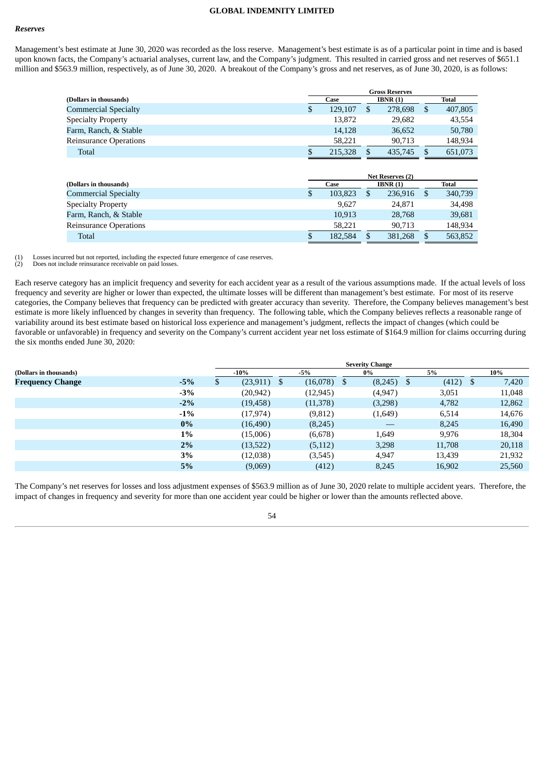# *Reserves*

Management's best estimate at June 30, 2020 was recorded as the loss reserve. Management's best estimate is as of a particular point in time and is based upon known facts, the Company's actuarial analyses, current law, and the Company's judgment. This resulted in carried gross and net reserves of \$651.1 million and \$563.9 million, respectively, as of June 30, 2020. A breakout of the Company's gross and net reserves, as of June 30, 2020, is as follows:

|                               | <b>Gross Reserves</b> |         |    |                  |               |         |  |
|-------------------------------|-----------------------|---------|----|------------------|---------------|---------|--|
| (Dollars in thousands)        |                       | Case    |    | IBNR(1)          |               | Total   |  |
| <b>Commercial Specialty</b>   | \$                    | 129,107 | \$ | 278,698          | <sup>\$</sup> | 407,805 |  |
| <b>Specialty Property</b>     |                       | 13,872  |    | 29,682           |               | 43,554  |  |
| Farm, Ranch, & Stable         |                       | 14,128  |    | 36,652           |               | 50,780  |  |
| <b>Reinsurance Operations</b> |                       | 58,221  |    | 90,713           |               | 148,934 |  |
| Total                         | \$                    | 215,328 | \$ | 435,745          | \$            | 651,073 |  |
|                               |                       |         |    |                  |               |         |  |
|                               |                       |         |    | Net Reserves (2) |               |         |  |
| (Dollars in thousands)        |                       | Case    |    | IBNR(1)          |               | Total   |  |
| <b>Commercial Specialty</b>   | \$                    | 103,823 | \$ | 236,916          | <sup>\$</sup> | 340,739 |  |
| <b>Specialty Property</b>     |                       | 9,627   |    | 24,871           |               | 34,498  |  |
| Farm, Ranch, & Stable         |                       | 10,913  |    | 28,768           |               | 39,681  |  |
| <b>Reinsurance Operations</b> |                       | 58,221  |    | 90,713           |               | 148,934 |  |
| <b>Total</b>                  | \$                    | 182.584 | \$ | 381,268          | \$            | 563.852 |  |

(1) Losses incurred but not reported, including the expected future emergence of case reserves.

Does not include reinsurance receivable on paid losses.

Each reserve category has an implicit frequency and severity for each accident year as a result of the various assumptions made. If the actual levels of loss frequency and severity are higher or lower than expected, the ultimate losses will be different than management's best estimate. For most of its reserve categories, the Company believes that frequency can be predicted with greater accuracy than severity. Therefore, the Company believes management's best estimate is more likely influenced by changes in severity than frequency. The following table, which the Company believes reflects a reasonable range of variability around its best estimate based on historical loss experience and management's judgment, reflects the impact of changes (which could be favorable or unfavorable) in frequency and severity on the Company's current accident year net loss estimate of \$164.9 million for claims occurring during the six months ended June 30, 2020:

|                        |        | <b>Severity Change</b> |               |  |           |     |         |    |        |      |        |  |
|------------------------|--------|------------------------|---------------|--|-----------|-----|---------|----|--------|------|--------|--|
| (Dollars in thousands) |        | $-10%$                 |               |  | $-5%$     |     | $0\%$   |    | 5%     |      | 10%    |  |
| Frequency Change       | $-5%$  | S                      | $(23,911)$ \$ |  | (16,078)  | \$. | (8,245) | -S | (412)  | - \$ | 7,420  |  |
|                        | $-3%$  |                        | (20, 942)     |  | (12, 945) |     | (4,947) |    | 3,051  |      | 11,048 |  |
|                        | $-2\%$ |                        | (19, 458)     |  | (11, 378) |     | (3,298) |    | 4,782  |      | 12,862 |  |
|                        | $-1\%$ |                        | (17, 974)     |  | (9,812)   |     | (1,649) |    | 6,514  |      | 14,676 |  |
|                        | $0\%$  |                        | (16, 490)     |  | (8,245)   |     |         |    | 8,245  |      | 16,490 |  |
|                        | $1\%$  |                        | (15,006)      |  | (6,678)   |     | 1,649   |    | 9,976  |      | 18,304 |  |
|                        | 2%     |                        | (13,522)      |  | (5, 112)  |     | 3,298   |    | 11,708 |      | 20,118 |  |
|                        | 3%     |                        | (12,038)      |  | (3,545)   |     | 4,947   |    | 13,439 |      | 21,932 |  |
|                        | 5%     |                        | (9,069)       |  | (412)     |     | 8,245   |    | 16,902 |      | 25,560 |  |
|                        |        |                        |               |  |           |     |         |    |        |      |        |  |

The Company's net reserves for losses and loss adjustment expenses of \$563.9 million as of June 30, 2020 relate to multiple accident years. Therefore, the impact of changes in frequency and severity for more than one accident year could be higher or lower than the amounts reflected above.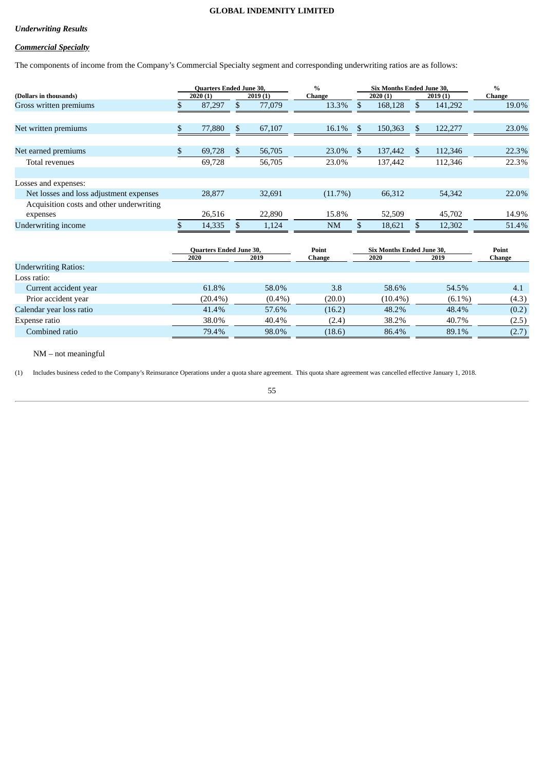# *Underwriting Results*

# *Commercial Specialty*

The components of income from the Company's Commercial Specialty segment and corresponding underwriting ratios are as follows:

|                                          |     |                                | $\frac{0}{0}$<br><b>Quarters Ended June 30,</b> |         |            |                                  | <b>Six Months Ended June 30.</b> | $\frac{0}{0}$ |         |        |
|------------------------------------------|-----|--------------------------------|-------------------------------------------------|---------|------------|----------------------------------|----------------------------------|---------------|---------|--------|
| (Dollars in thousands)                   |     | 2020(1)                        |                                                 | 2019(1) | Change     |                                  | 2020(1)                          |               | 2019(1) | Change |
| Gross written premiums                   |     | 87,297                         | \$                                              | 77,079  | 13.3%      |                                  | 168,128                          | \$.           | 141,292 | 19.0%  |
|                                          |     |                                |                                                 |         |            |                                  |                                  |               |         |        |
| Net written premiums                     |     | 77,880                         | \$                                              | 67,107  | 16.1%      | -\$                              | 150,363                          | $\mathbb{S}$  | 122,277 | 23.0%  |
|                                          |     |                                |                                                 |         |            |                                  |                                  |               |         |        |
| Net earned premiums                      | \$. | 69,728                         | \$                                              | 56,705  | 23.0%      | \$.                              | 137,442                          | \$.           | 112,346 | 22.3%  |
| Total revenues                           |     | 69,728                         |                                                 | 56,705  | 23.0%      |                                  | 137,442                          |               | 112,346 | 22.3%  |
|                                          |     |                                |                                                 |         |            |                                  |                                  |               |         |        |
| Losses and expenses:                     |     |                                |                                                 |         |            |                                  |                                  |               |         |        |
| Net losses and loss adjustment expenses  |     | 28,877                         |                                                 | 32,691  | $(11.7\%)$ |                                  | 66,312                           |               | 54,342  | 22.0%  |
| Acquisition costs and other underwriting |     |                                |                                                 |         |            |                                  |                                  |               |         |        |
| expenses                                 |     | 26,516                         |                                                 | 22,890  | 15.8%      |                                  | 52,509                           |               | 45,702  | 14.9%  |
| <b>Underwriting income</b>               |     | 14,335                         | \$                                              | 1,124   | <b>NM</b>  | \$                               | 18,621                           | $\mathbb{S}$  | 12,302  | 51.4%  |
|                                          |     |                                |                                                 |         |            |                                  |                                  |               |         |        |
|                                          |     | <b>Quarters Ended June 30,</b> |                                                 | Point   |            | <b>Six Months Ended June 30,</b> |                                  |               | Point   |        |
|                                          |     | 2019<br>2020                   |                                                 |         | Change     |                                  | 2020                             |               | 2019    | Change |

|                             | $-0-0$     | $-0.10$   | $rac{1}{2}$ | $-0-0$     | $-0.10$   | $rac{1}{2}$ |
|-----------------------------|------------|-----------|-------------|------------|-----------|-------------|
| <b>Underwriting Ratios:</b> |            |           |             |            |           |             |
| Loss ratio:                 |            |           |             |            |           |             |
| Current accident year       | 61.8%      | 58.0%     | 3.8         | 58.6%      | 54.5%     | 4.1         |
| Prior accident year         | $(20.4\%)$ | $(0.4\%)$ | (20.0)      | $(10.4\%)$ | $(6.1\%)$ | (4.3)       |
| Calendar year loss ratio    | 41.4%      | 57.6%     | (16.2)      | 48.2%      | 48.4%     | (0.2)       |
| Expense ratio               | 38.0%      | 40.4%     | (2.4)       | 38.2%      | 40.7%     | (2.5)       |
| Combined ratio              | 79.4%      | 98.0%     | (18.6)      | 86.4%      | 89.1%     | (2.7)       |
|                             |            |           |             |            |           |             |

NM – not meaningful

(1) Includes business ceded to the Company's Reinsurance Operations under a quota share agreement. This quota share agreement was cancelled effective January 1, 2018.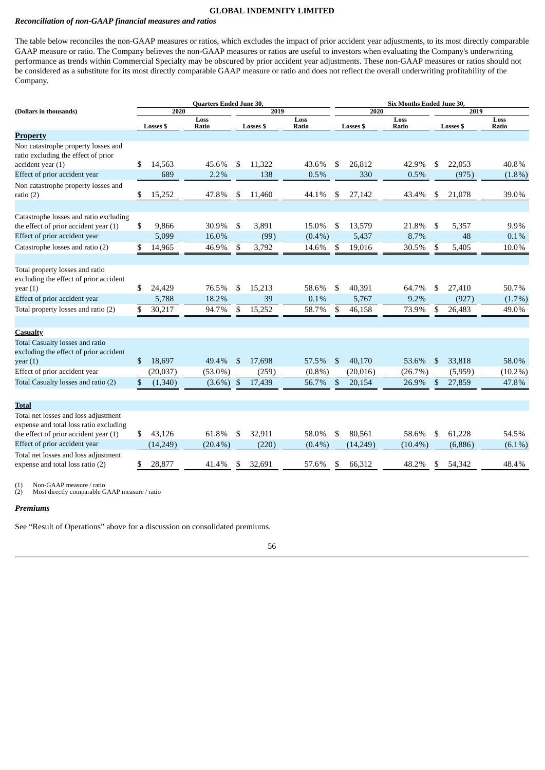# *Reconciliation of non-GAAP financial measures and ratios*

The table below reconciles the non-GAAP measures or ratios, which excludes the impact of prior accident year adjustments, to its most directly comparable GAAP measure or ratio. The Company believes the non-GAAP measures or ratios are useful to investors when evaluating the Company's underwriting performance as trends within Commercial Specialty may be obscured by prior accident year adjustments. These non-GAAP measures or ratios should not be considered as a substitute for its most directly comparable GAAP measure or ratio and does not reflect the overall underwriting profitability of the Company.

|                                                                                  |    |           | Quarters Ended June 30, |                  |               | Six Months Ended June 30, |                  |               |    |                  |               |  |  |
|----------------------------------------------------------------------------------|----|-----------|-------------------------|------------------|---------------|---------------------------|------------------|---------------|----|------------------|---------------|--|--|
| (Dollars in thousands)                                                           |    | 2020      |                         | 2019             |               |                           | 2020             |               |    | 2019             |               |  |  |
|                                                                                  |    | Losses \$ | Loss<br>Ratio           | <b>Losses \$</b> | Loss<br>Ratio |                           | <b>Losses \$</b> | Loss<br>Ratio |    | <b>Losses \$</b> | Loss<br>Ratio |  |  |
| <b>Property</b>                                                                  |    |           |                         |                  |               |                           |                  |               |    |                  |               |  |  |
| Non catastrophe property losses and<br>ratio excluding the effect of prior       |    |           |                         |                  |               |                           |                  |               |    |                  |               |  |  |
| accident year (1)                                                                | \$ | 14,563    | 45.6%                   | \$<br>11,322     | 43.6%         | \$                        | 26,812           | 42.9%         | \$ | 22,053           | 40.8%         |  |  |
| Effect of prior accident year                                                    |    | 689       | 2.2%                    | 138              | 0.5%          |                           | 330              | 0.5%          |    | (975)            | $(1.8\%)$     |  |  |
| Non catastrophe property losses and<br>ratio $(2)$                               | \$ | 15,252    | 47.8%                   | \$<br>11,460     | 44.1%         | \$                        | 27,142           | 43.4%         | \$ | 21,078           | 39.0%         |  |  |
| Catastrophe losses and ratio excluding                                           |    |           |                         |                  |               |                           |                  |               |    |                  |               |  |  |
| the effect of prior accident year (1)                                            | \$ | 9,866     | 30.9%                   | \$<br>3,891      | 15.0%         | \$                        | 13,579           | 21.8%         | \$ | 5,357            | 9.9%          |  |  |
| Effect of prior accident year                                                    |    | 5,099     | 16.0%                   | (99)             | $(0.4\%)$     |                           | 5,437            | 8.7%          |    | 48               | 0.1%          |  |  |
| Catastrophe losses and ratio (2)                                                 | \$ | 14,965    | 46.9%                   | \$<br>3,792      | 14.6%         | \$                        | 19,016           | 30.5%         | \$ | 5,405            | 10.0%         |  |  |
|                                                                                  |    |           |                         |                  |               |                           |                  |               |    |                  |               |  |  |
| Total property losses and ratio<br>excluding the effect of prior accident        |    |           |                         |                  |               |                           |                  |               |    |                  |               |  |  |
| year(1)                                                                          | \$ | 24,429    | 76.5%                   | \$<br>15,213     | 58.6%         | \$                        | 40,391           | 64.7%         | \$ | 27,410           | 50.7%         |  |  |
| Effect of prior accident year                                                    |    | 5,788     | 18.2%                   | 39               | 0.1%          |                           | 5,767            | 9.2%          |    | (927)            | $(1.7\%)$     |  |  |
| Total property losses and ratio (2)                                              | \$ | 30,217    | 94.7%                   | \$<br>15,252     | 58.7%         | \$                        | 46,158           | 73.9%         | \$ | 26,483           | 49.0%         |  |  |
| <b>Casualty</b>                                                                  |    |           |                         |                  |               |                           |                  |               |    |                  |               |  |  |
| <b>Total Casualty losses and ratio</b><br>excluding the effect of prior accident |    |           |                         |                  |               |                           |                  |               |    |                  |               |  |  |
| year(1)                                                                          | \$ | 18,697    | 49.4%                   | \$<br>17,698     | 57.5%         | \$                        | 40,170           | 53.6%         | \$ | 33,818           | 58.0%         |  |  |
| Effect of prior accident year                                                    |    | (20, 037) | $(53.0\%)$              | (259)            | $(0.8\%)$     |                           | (20, 016)        | (26.7%)       |    | (5,959)          | $(10.2\%)$    |  |  |
| Total Casualty losses and ratio (2)                                              | \$ | (1, 340)  | $(3.6\%)$               | \$<br>17,439     | 56.7%         | \$                        | 20,154           | 26.9%         | \$ | 27,859           | 47.8%         |  |  |
| <b>Total</b>                                                                     |    |           |                         |                  |               |                           |                  |               |    |                  |               |  |  |
| Total net losses and loss adjustment                                             |    |           |                         |                  |               |                           |                  |               |    |                  |               |  |  |
| expense and total loss ratio excluding<br>the effect of prior accident year (1)  | \$ | 43,126    | 61.8%                   | \$<br>32,911     | 58.0%         | \$                        | 80,561           | 58.6%         | \$ | 61,228           | 54.5%         |  |  |
| Effect of prior accident year                                                    |    | (14,249)  | $(20.4\%)$              | (220)            | $(0.4\%)$     |                           | (14,249)         | $(10.4\%)$    |    | (6,886)          | $(6.1\%)$     |  |  |
| Total net losses and loss adjustment                                             |    |           |                         |                  |               |                           |                  |               |    |                  |               |  |  |
| expense and total loss ratio (2)                                                 | \$ | 28,877    | 41.4%                   | \$<br>32,691     | 57.6%         | \$                        | 66,312           | 48.2%         | \$ | 54,342           | 48.4%         |  |  |

(1) Non-GAAP measure / ratio<br>(2) Most directly comparable G

Most directly comparable GAAP measure / ratio  $\,$ 

#### *Premiums*

See "Result of Operations" above for a discussion on consolidated premiums.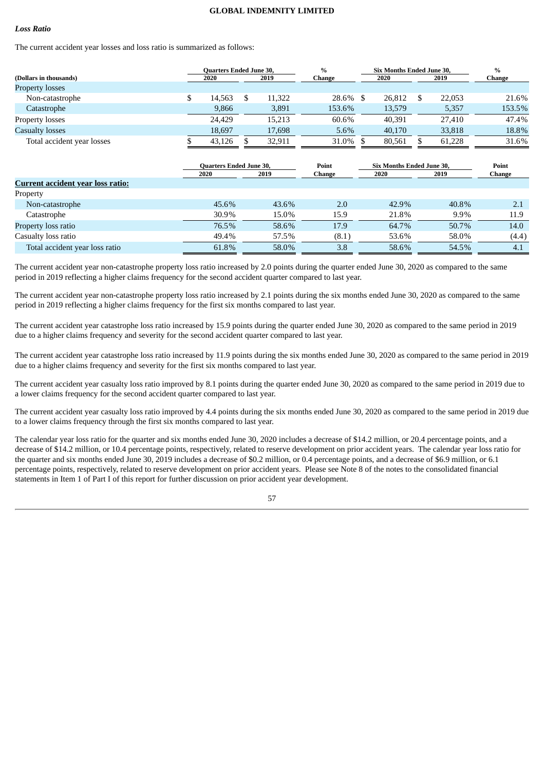### *Loss Ratio*

The current accident year losses and loss ratio is summarized as follows:

|                                          | <b>Quarters Ended June 30,</b> |     |        | $\frac{0}{0}$ |    | <b>Six Months Ended June 30,</b> |     |        | $\frac{0}{0}$ |
|------------------------------------------|--------------------------------|-----|--------|---------------|----|----------------------------------|-----|--------|---------------|
| (Dollars in thousands)                   | 2020                           |     | 2019   | Change        |    | 2020                             |     | 2019   | <b>Change</b> |
| <b>Property losses</b>                   |                                |     |        |               |    |                                  |     |        |               |
| Non-catastrophe                          | \$<br>14,563                   | \$. | 11,322 | 28.6% \$      |    | 26,812                           | \$. | 22,053 | 21.6%         |
| Catastrophe                              | 9,866                          |     | 3,891  | 153.6%        |    | 13,579                           |     | 5,357  | 153.5%        |
| Property losses                          | 24,429                         |     | 15,213 | 60.6%         |    | 40,391                           |     | 27,410 | 47.4%         |
| <b>Casualty losses</b>                   | 18,697                         |     | 17,698 | 5.6%          |    | 40,170                           |     | 33,818 | 18.8%         |
| Total accident year losses               | 43,126                         |     | 32,911 | 31.0%         | -S | 80,561                           |     | 61,228 | 31.6%         |
|                                          | Quarters Ended June 30,        |     |        | Point         |    | <b>Six Months Ended June 30,</b> |     |        | Point         |
| <b>Current accident year loss ratio:</b> | 2020                           |     | 2019   | <b>Change</b> |    | 2020                             |     | 2019   | Change        |
| Property                                 |                                |     |        |               |    |                                  |     |        |               |
| Non-catastrophe                          | 45.6%                          |     | 43.6%  | 2.0           |    | 42.9%                            |     | 40.8%  | 2.1           |
|                                          |                                |     |        |               |    |                                  |     |        |               |
| Catastrophe                              | 30.9%                          |     | 15.0%  | 15.9          |    | 21.8%                            |     | 9.9%   | 11.9          |
| Property loss ratio                      | 76.5%                          |     | 58.6%  | 17.9          |    | 64.7%                            |     | 50.7%  | 14.0          |

The current accident year non-catastrophe property loss ratio increased by 2.0 points during the quarter ended June 30, 2020 as compared to the same period in 2019 reflecting a higher claims frequency for the second accident quarter compared to last year.

The current accident year non-catastrophe property loss ratio increased by 2.1 points during the six months ended June 30, 2020 as compared to the same period in 2019 reflecting a higher claims frequency for the first six months compared to last year.

Total accident year loss ratio 61.8% 58.0% 58.0% 58.6% 58.6% 54.5% 4.1

The current accident year catastrophe loss ratio increased by 15.9 points during the quarter ended June 30, 2020 as compared to the same period in 2019 due to a higher claims frequency and severity for the second accident quarter compared to last year.

The current accident year catastrophe loss ratio increased by 11.9 points during the six months ended June 30, 2020 as compared to the same period in 2019 due to a higher claims frequency and severity for the first six months compared to last year.

The current accident year casualty loss ratio improved by 8.1 points during the quarter ended June 30, 2020 as compared to the same period in 2019 due to a lower claims frequency for the second accident quarter compared to last year.

The current accident year casualty loss ratio improved by 4.4 points during the six months ended June 30, 2020 as compared to the same period in 2019 due to a lower claims frequency through the first six months compared to last year.

The calendar year loss ratio for the quarter and six months ended June 30, 2020 includes a decrease of \$14.2 million, or 20.4 percentage points, and a decrease of \$14.2 million, or 10.4 percentage points, respectively, related to reserve development on prior accident years. The calendar year loss ratio for the quarter and six months ended June 30, 2019 includes a decrease of \$0.2 million, or 0.4 percentage points, and a decrease of \$6.9 million, or 6.1 percentage points, respectively, related to reserve development on prior accident years. Please see Note 8 of the notes to the consolidated financial statements in Item 1 of Part I of this report for further discussion on prior accident year development.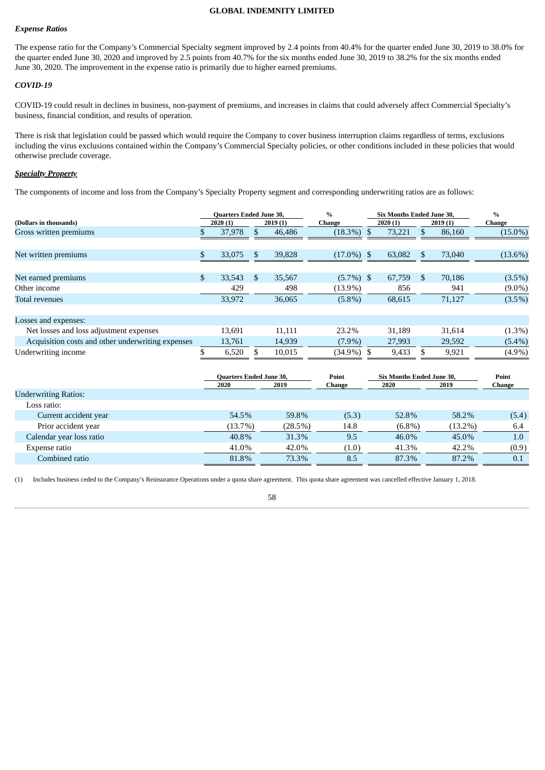### *Expense Ratios*

The expense ratio for the Company's Commercial Specialty segment improved by 2.4 points from 40.4% for the quarter ended June 30, 2019 to 38.0% for the quarter ended June 30, 2020 and improved by 2.5 points from 40.7% for the six months ended June 30, 2019 to 38.2% for the six months ended June 30, 2020. The improvement in the expense ratio is primarily due to higher earned premiums.

## *COVID-19*

COVID-19 could result in declines in business, non-payment of premiums, and increases in claims that could adversely affect Commercial Specialty's business, financial condition, and results of operation.

There is risk that legislation could be passed which would require the Company to cover business interruption claims regardless of terms, exclusions including the virus exclusions contained within the Company's Commercial Specialty policies, or other conditions included in these policies that would otherwise preclude coverage.

# *Specialty Property*

The components of income and loss from the Company's Specialty Property segment and corresponding underwriting ratios are as follows:

|                                                   | <b>Quarters Ended June 30,</b> |     |         | $\frac{0}{0}$ | <b>Six Months Ended June 30.</b> |               | $\%$    |               |
|---------------------------------------------------|--------------------------------|-----|---------|---------------|----------------------------------|---------------|---------|---------------|
| (Dollars in thousands)                            | 2020(1)                        |     | 2019(1) | Change        | 2020(1)                          |               | 2019(1) | Change        |
| Gross written premiums                            | 37,978                         |     | 46,486  | $(18.3\%)$ \$ | 73,221                           | \$.           | 86,160  | $(15.0\%)$    |
|                                                   |                                |     |         |               |                                  |               |         |               |
| Net written premiums                              | 33,075                         | \$. | 39,828  | $(17.0\%)$ \$ | 63,082                           | <sup>\$</sup> | 73,040  | $(13.6\%)$    |
|                                                   |                                |     |         |               |                                  |               |         |               |
| Net earned premiums                               | \$<br>33,543                   | S.  | 35,567  | $(5.7\%)$ \$  | 67,759                           | <sup>\$</sup> | 70,186  | $(3.5\%)$     |
| Other income                                      | 429                            |     | 498     | $(13.9\%)$    | 856                              |               | 941     | $(9.0\%)$     |
| Total revenues                                    | 33,972                         |     | 36,065  | $(5.8\%)$     | 68,615                           |               | 71,127  | $(3.5\%)$     |
|                                                   |                                |     |         |               |                                  |               |         |               |
| Losses and expenses:                              |                                |     |         |               |                                  |               |         |               |
| Net losses and loss adjustment expenses           | 13,691                         |     | 11,111  | 23.2%         | 31,189                           |               | 31,614  | $(1.3\%)$     |
| Acquisition costs and other underwriting expenses | 13,761                         |     | 14,939  | $(7.9\%)$     | 27,993                           |               | 29,592  | $(5.4\%)$     |
| Underwriting income                               | 6,520                          |     | 10,015  | (34.9%) \$    | 9,433                            | £.            | 9,921   | $(4.9\%)$     |
|                                                   |                                |     |         |               |                                  |               |         |               |
|                                                   | <b>Quarters Ended June 30,</b> |     |         | Point         | Six Months Ended June 30,        |               |         | Point         |
|                                                   | 2020                           |     | 2019    | Change        | 2020                             |               | 2019    | <b>Change</b> |

|                             | <u>LULU</u> | $-0.10$ | Unange | $-0-0$    | - 919      | <b>Unange</b> |
|-----------------------------|-------------|---------|--------|-----------|------------|---------------|
| <b>Underwriting Ratios:</b> |             |         |        |           |            |               |
| Loss ratio:                 |             |         |        |           |            |               |
| Current accident year       | 54.5%       | 59.8%   | (5.3)  | 52.8%     | 58.2%      | (5.4)         |
| Prior accident year         | (13.7%)     | (28.5%) | 14.8   | $(6.8\%)$ | $(13.2\%)$ | 6.4           |
| Calendar year loss ratio    | 40.8%       | 31.3%   | 9.5    | 46.0%     | 45.0%      | 1.0           |
| Expense ratio               | 41.0%       | 42.0%   | (1.0)  | 41.3%     | 42.2%      | (0.9)         |
| Combined ratio              | 81.8%       | 73.3%   | 8.5    | 87.3%     | 87.2%      | 0.1           |
|                             |             |         |        |           |            |               |

(1) Includes business ceded to the Company's Reinsurance Operations under a quota share agreement. This quota share agreement was cancelled effective January 1, 2018.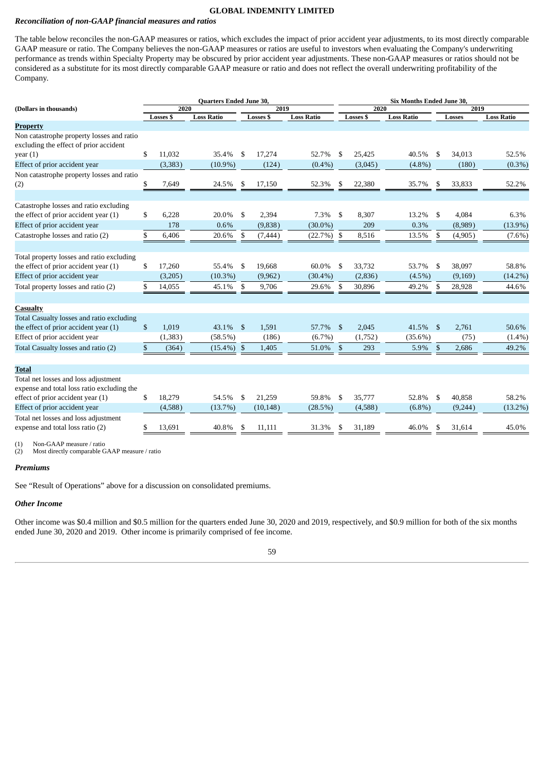### *Reconciliation of non-GAAP financial measures and ratios*

The table below reconciles the non-GAAP measures or ratios, which excludes the impact of prior accident year adjustments, to its most directly comparable GAAP measure or ratio. The Company believes the non-GAAP measures or ratios are useful to investors when evaluating the Company's underwriting performance as trends within Specialty Property may be obscured by prior accident year adjustments. These non-GAAP measures or ratios should not be considered as a substitute for its most directly comparable GAAP measure or ratio and does not reflect the overall underwriting profitability of the Company.

|                                                                                     |    |                  |                   |                | Quarters Ended June 30, |                   | <b>Six Months Ended June 30,</b> |                  |                   |      |         |                   |  |
|-------------------------------------------------------------------------------------|----|------------------|-------------------|----------------|-------------------------|-------------------|----------------------------------|------------------|-------------------|------|---------|-------------------|--|
| (Dollars in thousands)                                                              |    | 2020             |                   |                | 2019                    |                   |                                  | 2020             |                   | 2019 |         |                   |  |
|                                                                                     |    | <b>Losses \$</b> | <b>Loss Ratio</b> |                | <b>Losses \$</b>        | <b>Loss Ratio</b> |                                  | <b>Losses \$</b> | <b>Loss Ratio</b> |      | Losses  | <b>Loss Ratio</b> |  |
| <b>Property</b>                                                                     |    |                  |                   |                |                         |                   |                                  |                  |                   |      |         |                   |  |
| Non catastrophe property losses and ratio<br>excluding the effect of prior accident |    |                  |                   |                |                         |                   |                                  |                  |                   |      |         |                   |  |
| year(1)                                                                             | \$ | 11,032           | 35.4%             | \$             | 17,274                  | 52.7%             | <sup>\$</sup>                    | 25,425           | 40.5%             | \$   | 34,013  | 52.5%             |  |
| Effect of prior accident year                                                       |    | (3, 383)         | $(10.9\%)$        |                | (124)                   | $(0.4\%)$         |                                  | (3,045)          | $(4.8\%)$         |      | (180)   | $(0.3\%)$         |  |
| Non catastrophe property losses and ratio                                           |    |                  |                   |                |                         |                   |                                  |                  |                   |      |         |                   |  |
| (2)                                                                                 | \$ | 7,649            | 24.5%             | \$             | 17,150                  | 52.3%             | \$                               | 22,380           | 35.7%             | \$   | 33,833  | 52.2%             |  |
| Catastrophe losses and ratio excluding                                              |    |                  |                   |                |                         |                   |                                  |                  |                   |      |         |                   |  |
| the effect of prior accident year (1)                                               | \$ | 6,228            | 20.0%             | \$             | 2,394                   | 7.3%              | \$                               | 8,307            | 13.2%             | \$   | 4,084   | 6.3%              |  |
| Effect of prior accident year                                                       |    | 178              | 0.6%              |                | (9,838)                 | $(30.0\%)$        |                                  | 209              | 0.3%              |      | (8,989) | $(13.9\%)$        |  |
| Catastrophe losses and ratio (2)                                                    | \$ | 6,406            | 20.6%             | \$             | (7, 444)                | (22.7%)           | \$                               | 8,516            | 13.5%             | \$   | (4,905) | $(7.6\%)$         |  |
|                                                                                     |    |                  |                   |                |                         |                   |                                  |                  |                   |      |         |                   |  |
| Total property losses and ratio excluding                                           |    |                  |                   |                |                         |                   |                                  |                  |                   |      |         |                   |  |
| the effect of prior accident year (1)                                               | \$ | 17,260           | 55.4%             | \$             | 19,668                  | 60.0%             | \$                               | 33,732           | 53.7%             | \$   | 38,097  | 58.8%             |  |
| Effect of prior accident year                                                       |    | (3,205)          | $(10.3\%)$        |                | (9,962)                 | $(30.4\%)$        |                                  | (2,836)          | $(4.5\%)$         |      | (9,169) | $(14.2\%)$        |  |
| Total property losses and ratio (2)                                                 | \$ | 14,055           | 45.1%             | \$             | 9,706                   | 29.6%             | \$                               | 30,896           | 49.2%             | \$   | 28,928  | 44.6%             |  |
| <b>Casualty</b>                                                                     |    |                  |                   |                |                         |                   |                                  |                  |                   |      |         |                   |  |
| Total Casualty losses and ratio excluding                                           |    |                  |                   |                |                         |                   |                                  |                  |                   |      |         |                   |  |
| the effect of prior accident year (1)                                               | \$ | 1,019            | 43.1%             | $\mathfrak{F}$ | 1,591                   | 57.7%             | -\$                              | 2,045            | 41.5%             | \$   | 2,761   | 50.6%             |  |
| Effect of prior accident year                                                       |    | (1, 383)         | (58.5%)           |                | (186)                   | $(6.7\%)$         |                                  | (1,752)          | $(35.6\%)$        |      | (75)    | $(1.4\%)$         |  |
|                                                                                     |    | (364)            |                   |                | 1,405                   | 51.0%             | $\mathbb{S}$                     | 293              | 5.9%              |      | 2,686   | 49.2%             |  |
| Total Casualty losses and ratio (2)                                                 | \$ |                  | $(15.4\%)$        | $\mathfrak{S}$ |                         |                   |                                  |                  |                   | \$   |         |                   |  |
| <b>Total</b>                                                                        |    |                  |                   |                |                         |                   |                                  |                  |                   |      |         |                   |  |
| Total net losses and loss adjustment                                                |    |                  |                   |                |                         |                   |                                  |                  |                   |      |         |                   |  |
| expense and total loss ratio excluding the                                          |    |                  |                   |                |                         |                   |                                  |                  |                   |      |         |                   |  |
| effect of prior accident year (1)                                                   | \$ | 18,279           | 54.5%             | \$             | 21,259                  | 59.8%             | \$                               | 35,777           | 52.8%             | \$   | 40,858  | 58.2%             |  |
| Effect of prior accident year                                                       |    | (4,588)          | (13.7%)           |                | (10, 148)               | (28.5%)           |                                  | (4,588)          | $(6.8\%)$         |      | (9,244) | $(13.2\%)$        |  |
| Total net losses and loss adjustment                                                |    |                  |                   |                |                         |                   |                                  |                  |                   |      |         |                   |  |
| expense and total loss ratio (2)                                                    | \$ | 13,691           | 40.8%             | \$             | 11,111                  | 31.3%             | \$                               | 31,189           | 46.0%             | \$   | 31,614  | 45.0%             |  |
|                                                                                     |    |                  |                   |                |                         |                   |                                  |                  |                   |      |         |                   |  |

(1) Non-GAAP measure / ratio<br>(2) Most directly comparable G

Most directly comparable GAAP measure / ratio

### *Premiums*

See "Result of Operations" above for a discussion on consolidated premiums.

### *Other Income*

Other income was \$0.4 million and \$0.5 million for the quarters ended June 30, 2020 and 2019, respectively, and \$0.9 million for both of the six months ended June 30, 2020 and 2019. Other income is primarily comprised of fee income.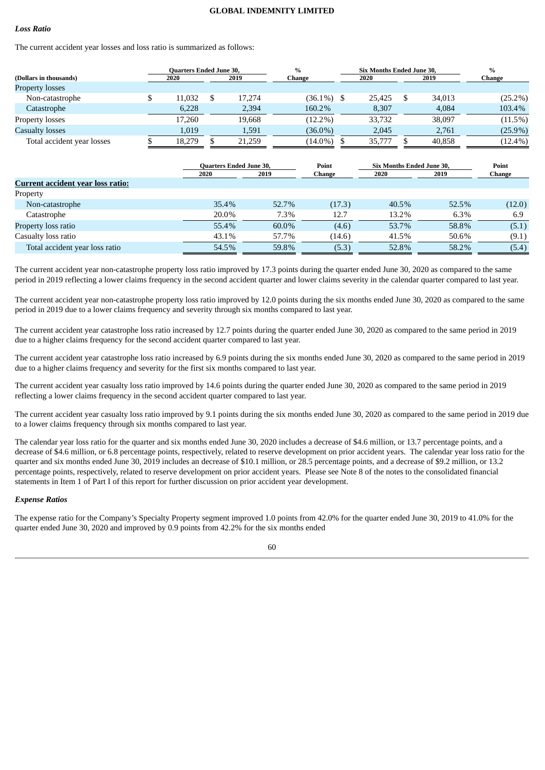### *Loss Ratio*

The current accident year losses and loss ratio is summarized as follows:

|                                          | <b>Quarters Ended June 30,</b> |       |                                | $\%$          |               |        | <b>Six Months Ended June 30,</b> |       |                                  | $\frac{0}{0}$ |
|------------------------------------------|--------------------------------|-------|--------------------------------|---------------|---------------|--------|----------------------------------|-------|----------------------------------|---------------|
| (Dollars in thousands)                   | 2020                           |       | 2019                           | <b>Change</b> |               |        | 2020                             |       | 2019                             | <b>Change</b> |
| <b>Property losses</b>                   |                                |       |                                |               |               |        |                                  |       |                                  |               |
| Non-catastrophe                          | \$<br>11,032                   | \$    | 17,274                         |               | $(36.1\%)$ \$ |        | 25,425                           | \$.   | 34,013                           | (25.2%)       |
| Catastrophe                              | 6,228                          |       | 2,394                          |               | 160.2%        |        | 8,307                            |       | 4,084                            | 103.4%        |
| Property losses                          | 17,260                         |       | 19,668                         |               | $(12.2\%)$    |        | 33,732                           |       | 38,097                           | $(11.5\%)$    |
| <b>Casualty losses</b>                   | 1,019                          |       | 1,591                          |               | (36.0%)       |        | 2,045                            |       | 2,761                            | $(25.9\%)$    |
| Total accident year losses               | 18,279                         |       | 21,259                         |               | $(14.0\%)$    | - \$   | 35,777                           |       | 40,858                           | $(12.4\%)$    |
|                                          |                                |       |                                |               |               |        |                                  |       |                                  |               |
|                                          |                                |       | <b>Quarters Ended June 30,</b> |               | Point         |        |                                  |       | <b>Six Months Ended June 30,</b> | Point         |
|                                          |                                | 2020  | 2019                           |               | Change        |        | 2020                             |       | 2019                             | Change        |
| <b>Current accident year loss ratio:</b> |                                |       |                                |               |               |        |                                  |       |                                  |               |
| Property                                 |                                |       |                                |               |               |        |                                  |       |                                  |               |
| Non-catastrophe                          |                                | 35.4% |                                | 52.7%         |               | (17.3) |                                  | 40.5% | 52.5%                            | (12.0)        |
| Catastrophe                              |                                | 20.0% |                                | 7.3%          |               | 12.7   |                                  | 13.2% | 6.3%                             | 6.9           |
| Property loss ratio                      |                                | 55.4% |                                | 60.0%         |               | (4.6)  |                                  | 53.7% | 58.8%                            | (5.1)         |
| Casualty loss ratio                      |                                | 43.1% |                                | 57.7%         |               | (14.6) |                                  | 41.5% | 50.6%                            | (9.1)         |
| Total accident year loss ratio           |                                | 54.5% |                                | 59.8%         |               | (5.3)  |                                  | 52.8% | 58.2%                            | (5.4)         |

The current accident year non-catastrophe property loss ratio improved by 17.3 points during the quarter ended June 30, 2020 as compared to the same period in 2019 reflecting a lower claims frequency in the second accident quarter and lower claims severity in the calendar quarter compared to last year.

The current accident year non-catastrophe property loss ratio improved by 12.0 points during the six months ended June 30, 2020 as compared to the same period in 2019 due to a lower claims frequency and severity through six months compared to last year.

The current accident year catastrophe loss ratio increased by 12.7 points during the quarter ended June 30, 2020 as compared to the same period in 2019 due to a higher claims frequency for the second accident quarter compared to last year.

The current accident year catastrophe loss ratio increased by 6.9 points during the six months ended June 30, 2020 as compared to the same period in 2019 due to a higher claims frequency and severity for the first six months compared to last year.

The current accident year casualty loss ratio improved by 14.6 points during the quarter ended June 30, 2020 as compared to the same period in 2019 reflecting a lower claims frequency in the second accident quarter compared to last year.

The current accident year casualty loss ratio improved by 9.1 points during the six months ended June 30, 2020 as compared to the same period in 2019 due to a lower claims frequency through six months compared to last year.

The calendar year loss ratio for the quarter and six months ended June 30, 2020 includes a decrease of \$4.6 million, or 13.7 percentage points, and a decrease of \$4.6 million, or 6.8 percentage points, respectively, related to reserve development on prior accident years. The calendar year loss ratio for the quarter and six months ended June 30, 2019 includes an decrease of \$10.1 million, or 28.5 percentage points, and a decrease of \$9.2 million, or 13.2 percentage points, respectively, related to reserve development on prior accident years. Please see Note 8 of the notes to the consolidated financial statements in Item 1 of Part I of this report for further discussion on prior accident year development.

#### *Expense Ratios*

The expense ratio for the Company's Specialty Property segment improved 1.0 points from 42.0% for the quarter ended June 30, 2019 to 41.0% for the quarter ended June 30, 2020 and improved by 0.9 points from 42.2% for the six months ended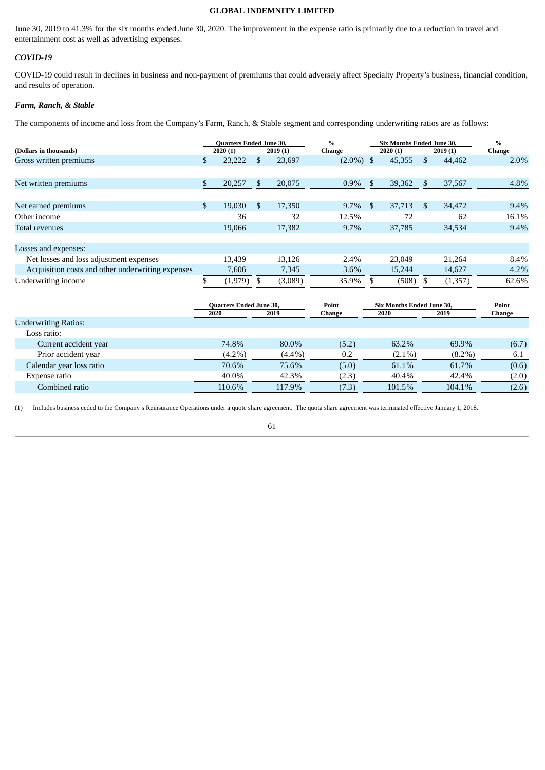June 30, 2019 to 41.3% for the six months ended June 30, 2020. The improvement in the expense ratio is primarily due to a reduction in travel and entertainment cost as well as advertising expenses.

### *COVID-19*

COVID-19 could result in declines in business and non-payment of premiums that could adversely affect Specialty Property's business, financial condition, and results of operation.

# *Farm, Ranch, & Stable*

The components of income and loss from the Company's Farm, Ranch, & Stable segment and corresponding underwriting ratios are as follows:

|                                                   | Quarters Ended June 30, |     |         | $\%$         |          | <b>Six Months Ended June 30.</b> |              | $\%$    |  |
|---------------------------------------------------|-------------------------|-----|---------|--------------|----------|----------------------------------|--------------|---------|--|
| (Dollars in thousands)                            | 2020(1)                 |     | 2019(1) | Change       |          | 2020(1)                          | 2019(1)      | Change  |  |
| Gross written premiums                            | 23,222                  |     | 23,697  | $(2.0\%)$ \$ |          | 45,355                           | \$<br>44,462 | 2.0%    |  |
|                                                   |                         |     |         |              |          |                                  |              |         |  |
| Net written premiums                              | 20,257                  | \$. | 20.075  | $0.9\%$      | $\sim$ S | 39,362                           | \$<br>37,567 | 4.8%    |  |
|                                                   |                         |     |         |              |          |                                  |              |         |  |
| Net earned premiums                               | \$<br>19,030            | \$  | 17,350  | $9.7\%$ \$   |          | 37,713                           | \$<br>34,472 | $9.4\%$ |  |
| Other income                                      | 36                      |     | 32      | 12.5%        |          | 72                               | 62           | 16.1%   |  |
| Total revenues                                    | 19,066                  |     | 17,382  | 9.7%         |          | 37,785                           | 34,534       | 9.4%    |  |
|                                                   |                         |     |         |              |          |                                  |              |         |  |
| Losses and expenses:                              |                         |     |         |              |          |                                  |              |         |  |
| Net losses and loss adjustment expenses           | 13,439                  |     | 13,126  | 2.4%         |          | 23,049                           | 21,264       | 8.4%    |  |
| Acquisition costs and other underwriting expenses | 7,606                   |     | 7,345   | 3.6%         |          | 15.244                           | 14,627       | 4.2%    |  |
| Underwriting income                               | (1,979)                 |     | (3,089) | 35.9%        |          | (508)                            | (1,357)      | 62.6%   |  |

|                             | <b>Quarters Ended June 30,</b> |           | Point  | Six Months Ended June 30. |           | Point  |
|-----------------------------|--------------------------------|-----------|--------|---------------------------|-----------|--------|
|                             | 2020                           | 2019      | Change | 2020                      | 2019      | Change |
| <b>Underwriting Ratios:</b> |                                |           |        |                           |           |        |
| Loss ratio:                 |                                |           |        |                           |           |        |
| Current accident year       | 74.8%                          | 80.0%     | (5.2)  | 63.2%                     | 69.9%     | (6.7)  |
| Prior accident year         | $(4.2\%)$                      | $(4.4\%)$ | 0.2    | $(2.1\%)$                 | $(8.2\%)$ | 6.1    |
| Calendar year loss ratio    | 70.6%                          | 75.6%     | (5.0)  | 61.1%                     | 61.7%     | (0.6)  |
| Expense ratio               | 40.0%                          | 42.3%     | (2.3)  | 40.4%                     | 42.4%     | (2.0)  |
| Combined ratio              | 110.6%                         | 117.9%    | (7.3)  | 101.5%                    | 104.1%    | (2.6)  |
|                             |                                |           |        |                           |           |        |

(1) Includes business ceded to the Company's Reinsurance Operations under a quote share agreement. The quota share agreement was terminated effective January 1, 2018.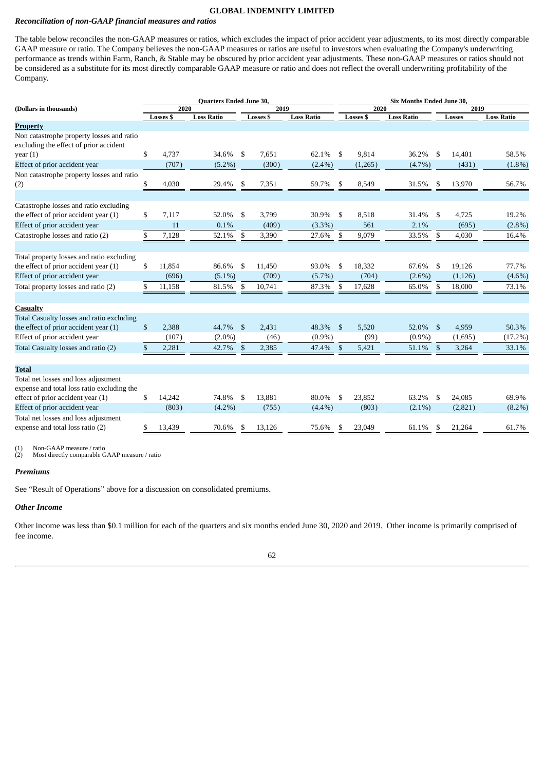# *Reconciliation of non-GAAP financial measures and ratios*

The table below reconciles the non-GAAP measures or ratios, which excludes the impact of prior accident year adjustments, to its most directly comparable GAAP measure or ratio. The Company believes the non-GAAP measures or ratios are useful to investors when evaluating the Company's underwriting performance as trends within Farm, Ranch, & Stable may be obscured by prior accident year adjustments. These non-GAAP measures or ratios should not be considered as a substitute for its most directly comparable GAAP measure or ratio and does not reflect the overall underwriting profitability of the Company.

|                                                                                     |    |                  | Quarters Ended June 30, |                  |                   | Six Months Ended June 30, |                  |                   |     |          |                   |  |  |
|-------------------------------------------------------------------------------------|----|------------------|-------------------------|------------------|-------------------|---------------------------|------------------|-------------------|-----|----------|-------------------|--|--|
| (Dollars in thousands)                                                              |    | 2020             |                         | 2019             |                   |                           | 2020             |                   |     | 2019     |                   |  |  |
|                                                                                     |    | <b>Losses \$</b> | <b>Loss Ratio</b>       | <b>Losses \$</b> | <b>Loss Ratio</b> |                           | <b>Losses \$</b> | <b>Loss Ratio</b> |     | Losses   | <b>Loss Ratio</b> |  |  |
| <b>Property</b>                                                                     |    |                  |                         |                  |                   |                           |                  |                   |     |          |                   |  |  |
| Non catastrophe property losses and ratio<br>excluding the effect of prior accident |    |                  |                         |                  |                   |                           |                  |                   |     |          |                   |  |  |
| year(1)                                                                             | \$ | 4.737            | 34.6%                   | \$<br>7,651      | 62.1%             | \$                        | 9.814            | 36.2%             | \$  | 14,401   | 58.5%             |  |  |
| Effect of prior accident year                                                       |    | (707)            | $(5.2\%)$               | (300)            | $(2.4\%)$         |                           | (1,265)          | $(4.7\%)$         |     | (431)    | $(1.8\%)$         |  |  |
| Non catastrophe property losses and ratio                                           |    |                  |                         |                  |                   |                           |                  |                   |     |          |                   |  |  |
| (2)                                                                                 | \$ | 4,030            | 29.4%                   | \$<br>7,351      | 59.7%             | \$                        | 8,549            | 31.5%             | \$  | 13,970   | 56.7%             |  |  |
| Catastrophe losses and ratio excluding                                              |    |                  |                         |                  |                   |                           |                  |                   |     |          |                   |  |  |
| the effect of prior accident year (1)                                               | \$ | 7,117            | 52.0%                   | \$<br>3,799      | 30.9%             | \$                        | 8,518            | 31.4%             | \$  | 4,725    | 19.2%             |  |  |
| Effect of prior accident year                                                       |    | 11               | 0.1%                    | (409)            | $(3.3\%)$         |                           | 561              | 2.1%              |     | (695)    | $(2.8\%)$         |  |  |
| Catastrophe losses and ratio (2)                                                    | \$ | 7,128            | 52.1%                   | \$<br>3,390      | 27.6%             | \$                        | 9,079            | 33.5%             | \$  | 4,030    | 16.4%             |  |  |
|                                                                                     |    |                  |                         |                  |                   |                           |                  |                   |     |          |                   |  |  |
| Total property losses and ratio excluding<br>the effect of prior accident year (1)  | \$ | 11,854           | 86.6%                   | \$<br>11,450     | 93.0%             | \$                        | 18,332           | 67.6%             | \$  | 19,126   | 77.7%             |  |  |
| Effect of prior accident year                                                       |    | (696)            | $(5.1\%)$               | (709)            | $(5.7\%)$         |                           | (704)            | $(2.6\%)$         |     | (1, 126) | $(4.6\%)$         |  |  |
| Total property losses and ratio (2)                                                 | \$ | 11,158           | 81.5%                   | \$<br>10,741     | 87.3%             | \$                        | 17,628           | 65.0%             | \$  | 18,000   | 73.1%             |  |  |
| <b>Casualty</b>                                                                     |    |                  |                         |                  |                   |                           |                  |                   |     |          |                   |  |  |
| Total Casualty losses and ratio excluding                                           |    |                  |                         |                  |                   |                           |                  |                   |     |          |                   |  |  |
| the effect of prior accident year (1)                                               | \$ | 2,388            | 44.7%                   | \$<br>2,431      | 48.3%             | \$                        | 5,520            | 52.0%             | \$  | 4,959    | 50.3%             |  |  |
| Effect of prior accident year                                                       |    | (107)            | $(2.0\%)$               | (46)             | $(0.9\%)$         |                           | (99)             | $(0.9\%)$         |     | (1,695)  | $(17.2\%)$        |  |  |
| Total Casualty losses and ratio (2)                                                 | \$ | 2,281            | 42.7%                   | \$<br>2,385      | 47.4%             | \$                        | 5,421            | 51.1%             | \$  | 3,264    | 33.1%             |  |  |
| <b>Total</b>                                                                        |    |                  |                         |                  |                   |                           |                  |                   |     |          |                   |  |  |
| Total net losses and loss adjustment<br>expense and total loss ratio excluding the  |    |                  |                         |                  |                   |                           |                  |                   |     |          |                   |  |  |
| effect of prior accident year (1)                                                   | \$ | 14,242           | 74.8%                   | \$<br>13,881     | 80.0%             | \$                        | 23,852           | 63.2%             | -\$ | 24,085   | 69.9%             |  |  |
| Effect of prior accident year                                                       |    | (803)            | $(4.2\%)$               | (755)            | $(4.4\%)$         |                           | (803)            | $(2.1\%)$         |     | (2,821)  | $(8.2\%)$         |  |  |
| Total net losses and loss adjustment                                                |    |                  |                         |                  |                   |                           |                  |                   |     |          |                   |  |  |
| expense and total loss ratio (2)                                                    | S  | 13.439           | 70.6%                   | \$<br>13.126     | 75.6%             | \$                        | 23.049           | 61.1%             | \$  | 21.264   | 61.7%             |  |  |

(1) Non-GAAP measure / ratio (2) Most directly comparable GAAP measure / ratio

#### *Premiums*

See "Result of Operations" above for a discussion on consolidated premiums.

#### *Other Income*

Other income was less than \$0.1 million for each of the quarters and six months ended June 30, 2020 and 2019. Other income is primarily comprised of fee income.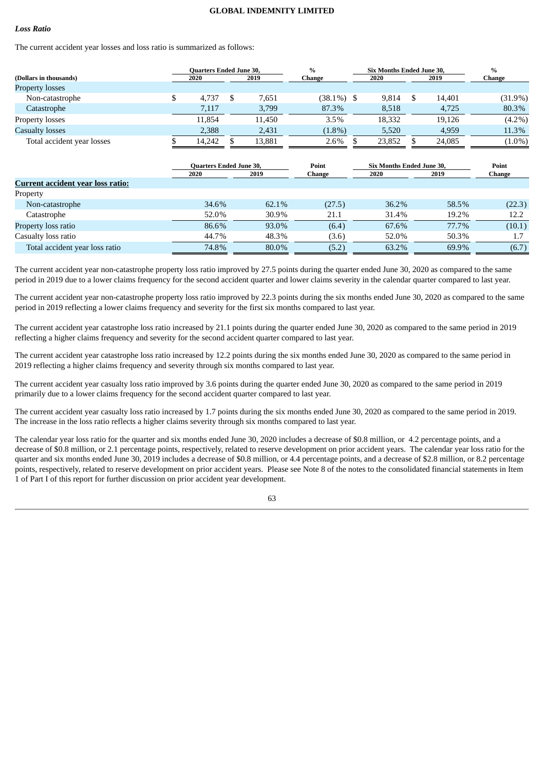### *Loss Ratio*

The current accident year losses and loss ratio is summarized as follows:

|                                          | <b>Quarters Ended June 30,</b> |             | $\frac{0}{0}$ |    | Six Months Ended June 30, |              | $\frac{0}{0}$ |
|------------------------------------------|--------------------------------|-------------|---------------|----|---------------------------|--------------|---------------|
| (Dollars in thousands)                   | 2020                           | 2019        | Change        |    | 2020                      | 2019         | <b>Change</b> |
| <b>Property losses</b>                   |                                |             |               |    |                           |              |               |
| Non-catastrophe                          | \$<br>4,737                    | \$<br>7,651 | $(38.1\%)$ \$ |    | 9,814                     | \$<br>14,401 | $(31.9\%)$    |
| Catastrophe                              | 7,117                          | 3,799       | 87.3%         |    | 8,518                     | 4,725        | 80.3%         |
| Property losses                          | 11,854                         | 11,450      | 3.5%          |    | 18,332                    | 19,126       | $(4.2\%)$     |
| <b>Casualty losses</b>                   | 2,388                          | 2,431       | $(1.8\%)$     |    | 5,520                     | 4,959        | 11.3%         |
| Total accident year losses               | 14,242                         | 13,881      | 2.6%          | .S | 23,852                    | \$<br>24,085 | $(1.0\%)$     |
|                                          |                                |             |               |    |                           |              |               |
|                                          | <b>Quarters Ended June 30,</b> |             | Point         |    | Six Months Ended June 30, |              | Point         |
|                                          | 2020                           | 2019        | Change        |    | 2020                      | 2019         | Change        |
| <b>Current accident year loss ratio:</b> |                                |             |               |    |                           |              |               |
| Property                                 |                                |             |               |    |                           |              |               |
| Non-catastrophe                          | 34.6%                          | 62.1%       | (27.5)        |    | 36.2%                     | 58.5%        | (22.3)        |
| Catastrophe                              | 52.0%                          | 30.9%       | 21.1          |    | 31.4%                     | 19.2%        | 12.2          |
| Property loss ratio                      | 86.6%                          | 93.0%       | (6.4)         |    | 67.6%                     | 77.7%        | (10.1)        |
|                                          |                                |             |               |    |                           |              |               |
| Casualty loss ratio                      | 44.7%                          | 48.3%       | (3.6)         |    | 52.0%                     | 50.3%        | 1.7           |

The current accident year non-catastrophe property loss ratio improved by 27.5 points during the quarter ended June 30, 2020 as compared to the same period in 2019 due to a lower claims frequency for the second accident quarter and lower claims severity in the calendar quarter compared to last year.

The current accident year non-catastrophe property loss ratio improved by 22.3 points during the six months ended June 30, 2020 as compared to the same period in 2019 reflecting a lower claims frequency and severity for the first six months compared to last year.

The current accident year catastrophe loss ratio increased by 21.1 points during the quarter ended June 30, 2020 as compared to the same period in 2019 reflecting a higher claims frequency and severity for the second accident quarter compared to last year.

The current accident year catastrophe loss ratio increased by 12.2 points during the six months ended June 30, 2020 as compared to the same period in 2019 reflecting a higher claims frequency and severity through six months compared to last year.

The current accident year casualty loss ratio improved by 3.6 points during the quarter ended June 30, 2020 as compared to the same period in 2019 primarily due to a lower claims frequency for the second accident quarter compared to last year.

The current accident year casualty loss ratio increased by 1.7 points during the six months ended June 30, 2020 as compared to the same period in 2019. The increase in the loss ratio reflects a higher claims severity through six months compared to last year.

The calendar year loss ratio for the quarter and six months ended June 30, 2020 includes a decrease of \$0.8 million, or 4.2 percentage points, and a decrease of \$0.8 million, or 2.1 percentage points, respectively, related to reserve development on prior accident years. The calendar year loss ratio for the quarter and six months ended June 30, 2019 includes a decrease of \$0.8 million, or 4.4 percentage points, and a decrease of \$2.8 million, or 8.2 percentage points, respectively, related to reserve development on prior accident years. Please see Note 8 of the notes to the consolidated financial statements in Item 1 of Part I of this report for further discussion on prior accident year development.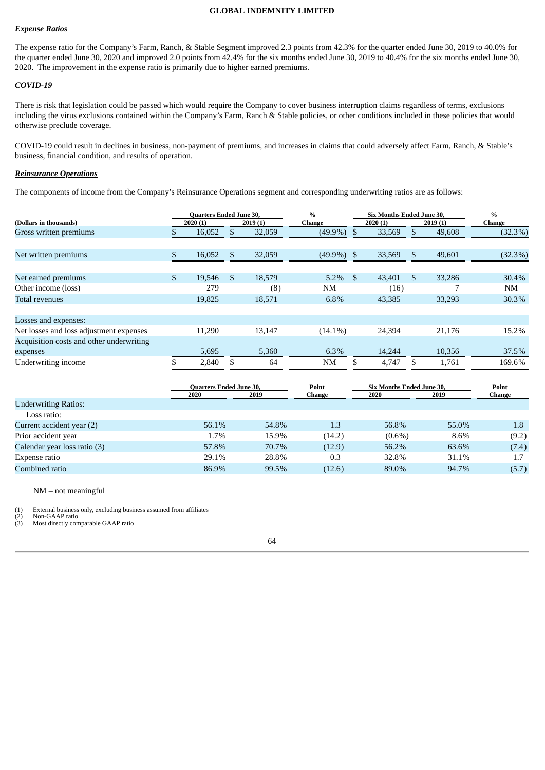### *Expense Ratios*

The expense ratio for the Company's Farm, Ranch, & Stable Segment improved 2.3 points from 42.3% for the quarter ended June 30, 2019 to 40.0% for the quarter ended June 30, 2020 and improved 2.0 points from 42.4% for the six months ended June 30, 2019 to 40.4% for the six months ended June 30, 2020. The improvement in the expense ratio is primarily due to higher earned premiums.

# *COVID-19*

There is risk that legislation could be passed which would require the Company to cover business interruption claims regardless of terms, exclusions including the virus exclusions contained within the Company's Farm, Ranch & Stable policies, or other conditions included in these policies that would otherwise preclude coverage.

COVID-19 could result in declines in business, non-payment of premiums, and increases in claims that could adversely affect Farm, Ranch, & Stable's business, financial condition, and results of operation.

# *Reinsurance Operations*

The components of income from the Company's Reinsurance Operations segment and corresponding underwriting ratios are as follows:

|                                          | <b>Quarters Ended June 30,</b> |               |         | $\%$          |               | <b>Six Months Ended June 30,</b> | $\%$         |               |
|------------------------------------------|--------------------------------|---------------|---------|---------------|---------------|----------------------------------|--------------|---------------|
| (Dollars in thousands)                   | 2020(1)                        |               | 2019(1) | Change        |               | 2020(1)                          | 2019 (1)     | <b>Change</b> |
| Gross written premiums                   | 16,052                         | \$            | 32,059  | $(49.9\%)$    | <sup>\$</sup> | 33,569                           | \$<br>49,608 | (32.3%)       |
| Net written premiums                     | 16,052                         | <sup>\$</sup> | 32,059  | $(49.9\%)$ \$ |               | 33,569                           | \$<br>49,601 | (32.3%)       |
|                                          |                                |               |         |               |               |                                  |              |               |
| Net earned premiums                      | \$<br>19,546                   | <sup>\$</sup> | 18,579  | 5.2%          | <sup>\$</sup> | 43,401                           | \$<br>33,286 | 30.4%         |
| Other income (loss)                      | 279                            |               | (8)     | NM            |               | (16)                             |              | NM            |
| Total revenues                           | 19,825                         |               | 18,571  | 6.8%          |               | 43,385                           | 33,293       | 30.3%         |
| Losses and expenses:                     |                                |               |         |               |               |                                  |              |               |
| Net losses and loss adjustment expenses  | 11,290                         |               | 13,147  | $(14.1\%)$    |               | 24.394                           | 21,176       | 15.2%         |
| Acquisition costs and other underwriting |                                |               |         |               |               |                                  |              |               |
| expenses                                 | 5,695                          |               | 5,360   | 6.3%          |               | 14,244                           | 10,356       | 37.5%         |
| Underwriting income                      | 2,840                          |               | 64      | NM            |               | 4,747                            | 1,761        | 169.6%        |

|                              | Quarters Ended June 30, |       | Point  | <b>Six Months Ended June 30.</b> |       | Point            |
|------------------------------|-------------------------|-------|--------|----------------------------------|-------|------------------|
|                              | 2020                    | 2019  | Change | 2020                             | 2019  | Change           |
| <b>Underwriting Ratios:</b>  |                         |       |        |                                  |       |                  |
| Loss ratio:                  |                         |       |        |                                  |       |                  |
| Current accident year (2)    | 56.1%                   | 54.8% | 1.3    | 56.8%                            | 55.0% | 1.8 <sup>°</sup> |
| Prior accident year          | 1.7%                    | 15.9% | (14.2) | $(0.6\%)$                        | 8.6%  | (9.2)            |
| Calendar year loss ratio (3) | 57.8%                   | 70.7% | (12.9) | 56.2%                            | 63.6% | (7.4)            |
| Expense ratio                | 29.1%                   | 28.8% | 0.3    | 32.8%                            | 31.1% | 1.7              |
| Combined ratio               | 86.9%                   | 99.5% | (12.6) | 89.0%                            | 94.7% | (5.7)            |
|                              |                         |       |        |                                  |       |                  |

### NM – not meaningful

(1) External business only, excluding business assumed from affiliates<br>
(2) Non-GAAP ratio<br>
(3) Most directly comparable GAAP ratio

Non-GAAP ratio Most directly comparable GAAP ratio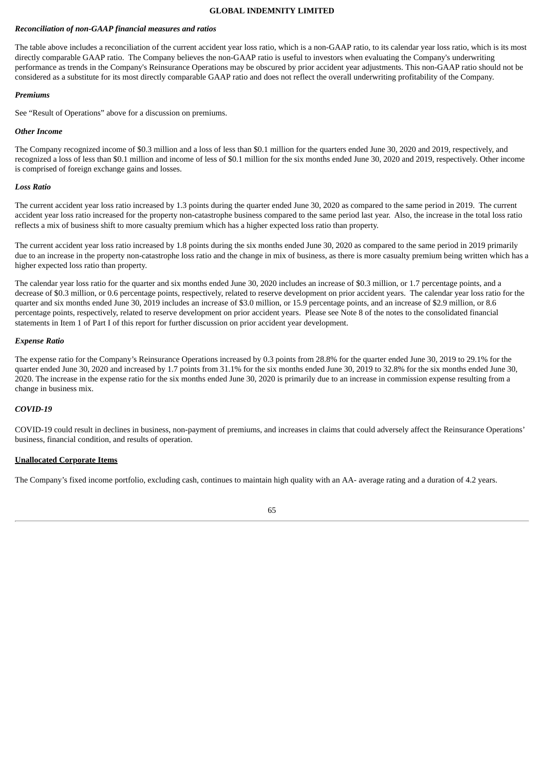### *Reconciliation of non-GAAP financial measures and ratios*

The table above includes a reconciliation of the current accident year loss ratio, which is a non-GAAP ratio, to its calendar year loss ratio, which is its most directly comparable GAAP ratio. The Company believes the non-GAAP ratio is useful to investors when evaluating the Company's underwriting performance as trends in the Company's Reinsurance Operations may be obscured by prior accident year adjustments. This non-GAAP ratio should not be considered as a substitute for its most directly comparable GAAP ratio and does not reflect the overall underwriting profitability of the Company.

### *Premiums*

See "Result of Operations" above for a discussion on premiums.

### *Other Income*

The Company recognized income of \$0.3 million and a loss of less than \$0.1 million for the quarters ended June 30, 2020 and 2019, respectively, and recognized a loss of less than \$0.1 million and income of less of \$0.1 million for the six months ended June 30, 2020 and 2019, respectively. Other income is comprised of foreign exchange gains and losses.

### *Loss Ratio*

The current accident year loss ratio increased by 1.3 points during the quarter ended June 30, 2020 as compared to the same period in 2019. The current accident year loss ratio increased for the property non-catastrophe business compared to the same period last year. Also, the increase in the total loss ratio reflects a mix of business shift to more casualty premium which has a higher expected loss ratio than property.

The current accident year loss ratio increased by 1.8 points during the six months ended June 30, 2020 as compared to the same period in 2019 primarily due to an increase in the property non-catastrophe loss ratio and the change in mix of business, as there is more casualty premium being written which has a higher expected loss ratio than property.

The calendar year loss ratio for the quarter and six months ended June 30, 2020 includes an increase of \$0.3 million, or 1.7 percentage points, and a decrease of \$0.3 million, or 0.6 percentage points, respectively, related to reserve development on prior accident years. The calendar year loss ratio for the quarter and six months ended June 30, 2019 includes an increase of \$3.0 million, or 15.9 percentage points, and an increase of \$2.9 million, or 8.6 percentage points, respectively, related to reserve development on prior accident years. Please see Note 8 of the notes to the consolidated financial statements in Item 1 of Part I of this report for further discussion on prior accident year development.

### *Expense Ratio*

The expense ratio for the Company's Reinsurance Operations increased by 0.3 points from 28.8% for the quarter ended June 30, 2019 to 29.1% for the quarter ended June 30, 2020 and increased by 1.7 points from 31.1% for the six months ended June 30, 2019 to 32.8% for the six months ended June 30, 2020. The increase in the expense ratio for the six months ended June 30, 2020 is primarily due to an increase in commission expense resulting from a change in business mix.

# *COVID-19*

COVID-19 could result in declines in business, non-payment of premiums, and increases in claims that could adversely affect the Reinsurance Operations' business, financial condition, and results of operation.

# **Unallocated Corporate Items**

The Company's fixed income portfolio, excluding cash, continues to maintain high quality with an AA- average rating and a duration of 4.2 years.

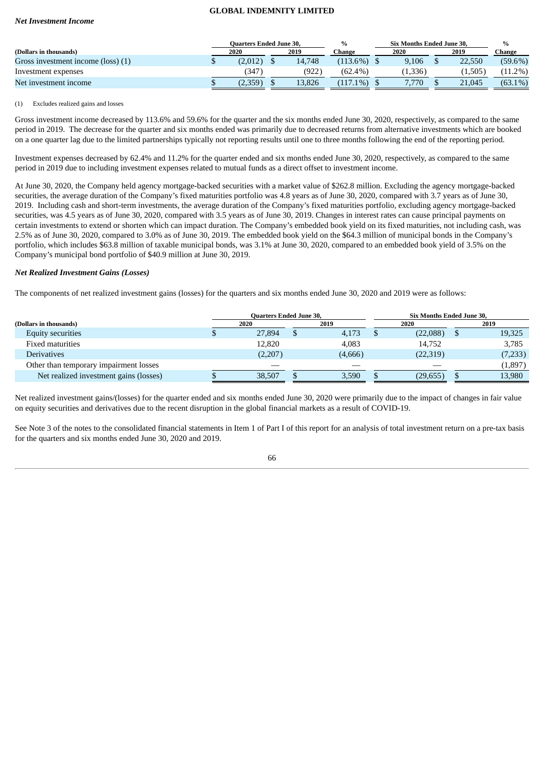# *Net Investment Income*

|                                    | Ouarters Ended June 30. |         |  | $\%$   | Six Months Ended June 30. |         | $\%$    |            |
|------------------------------------|-------------------------|---------|--|--------|---------------------------|---------|---------|------------|
| (Dollars in thousands)             |                         | 2020    |  | 2019   | Change                    | 2020    | 2019    | Change     |
| Gross investment income (loss) (1) |                         | (2,012) |  | 14.748 | $(113.6\%)$ \$            | 9,106   | 22.550  | $(59.6\%)$ |
| Investment expenses                |                         | 347     |  | (922)  | (62.4%)                   | (1,336) | (1,505) | $(11.2\%)$ |
| Net investment income              |                         | (2,359) |  | 13.826 | $(117.1\%)$               | 7.770   | 21.045  | $(63.1\%)$ |

# (1) Excludes realized gains and losses

Gross investment income decreased by 113.6% and 59.6% for the quarter and the six months ended June 30, 2020, respectively, as compared to the same period in 2019. The decrease for the quarter and six months ended was primarily due to decreased returns from alternative investments which are booked on a one quarter lag due to the limited partnerships typically not reporting results until one to three months following the end of the reporting period.

Investment expenses decreased by 62.4% and 11.2% for the quarter ended and six months ended June 30, 2020, respectively, as compared to the same period in 2019 due to including investment expenses related to mutual funds as a direct offset to investment income.

At June 30, 2020, the Company held agency mortgage-backed securities with a market value of \$262.8 million. Excluding the agency mortgage-backed securities, the average duration of the Company's fixed maturities portfolio was 4.8 years as of June 30, 2020, compared with 3.7 years as of June 30, 2019. Including cash and short-term investments, the average duration of the Company's fixed maturities portfolio, excluding agency mortgage-backed securities, was 4.5 years as of June 30, 2020, compared with 3.5 years as of June 30, 2019. Changes in interest rates can cause principal payments on certain investments to extend or shorten which can impact duration. The Company's embedded book yield on its fixed maturities, not including cash, was 2.5% as of June 30, 2020, compared to 3.0% as of June 30, 2019. The embedded book yield on the \$64.3 million of municipal bonds in the Company's portfolio, which includes \$63.8 million of taxable municipal bonds, was 3.1% at June 30, 2020, compared to an embedded book yield of 3.5% on the Company's municipal bond portfolio of \$40.9 million at June 30, 2019.

# *Net Realized Investment Gains (Losses)*

The components of net realized investment gains (losses) for the quarters and six months ended June 30, 2020 and 2019 were as follows:

|                                        | <b>Quarters Ended June 30,</b> |         |  |         | <b>Six Months Ended June 30.</b> |           |  |         |
|----------------------------------------|--------------------------------|---------|--|---------|----------------------------------|-----------|--|---------|
| (Dollars in thousands)                 | 2019<br>2020                   |         |  | 2020    |                                  | 2019      |  |         |
| <b>Equity securities</b>               |                                | 27,894  |  | 4.173   |                                  | (22,088)  |  | 19,325  |
| Fixed maturities                       |                                | 12.820  |  | 4.083   |                                  | 14.752    |  | 3,785   |
| <b>Derivatives</b>                     |                                | (2,207) |  | (4,666) |                                  | (22, 319) |  | (7,233) |
| Other than temporary impairment losses |                                |         |  |         |                                  |           |  | (1,897) |
| Net realized investment gains (losses) |                                | 38,507  |  | 3,590   |                                  | (29,655)  |  | 13,980  |

Net realized investment gains/(losses) for the quarter ended and six months ended June 30, 2020 were primarily due to the impact of changes in fair value on equity securities and derivatives due to the recent disruption in the global financial markets as a result of COVID-19.

See Note 3 of the notes to the consolidated financial statements in Item 1 of Part I of this report for an analysis of total investment return on a pre-tax basis for the quarters and six months ended June 30, 2020 and 2019.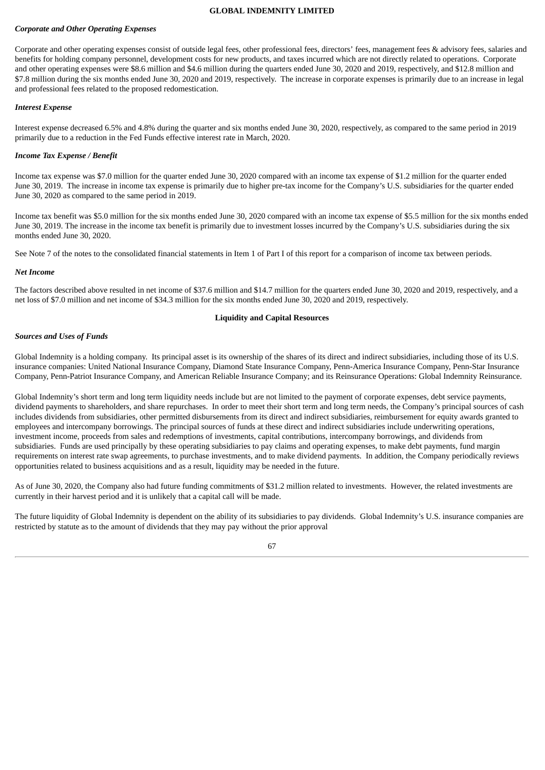## *Corporate and Other Operating Expenses*

Corporate and other operating expenses consist of outside legal fees, other professional fees, directors' fees, management fees & advisory fees, salaries and benefits for holding company personnel, development costs for new products, and taxes incurred which are not directly related to operations. Corporate and other operating expenses were \$8.6 million and \$4.6 million during the quarters ended June 30, 2020 and 2019, respectively, and \$12.8 million and \$7.8 million during the six months ended June 30, 2020 and 2019, respectively. The increase in corporate expenses is primarily due to an increase in legal and professional fees related to the proposed redomestication.

#### *Interest Expense*

Interest expense decreased 6.5% and 4.8% during the quarter and six months ended June 30, 2020, respectively, as compared to the same period in 2019 primarily due to a reduction in the Fed Funds effective interest rate in March, 2020.

### *Income Tax Expense / Benefit*

Income tax expense was \$7.0 million for the quarter ended June 30, 2020 compared with an income tax expense of \$1.2 million for the quarter ended June 30, 2019. The increase in income tax expense is primarily due to higher pre-tax income for the Company's U.S. subsidiaries for the quarter ended June 30, 2020 as compared to the same period in 2019.

Income tax benefit was \$5.0 million for the six months ended June 30, 2020 compared with an income tax expense of \$5.5 million for the six months ended June 30, 2019. The increase in the income tax benefit is primarily due to investment losses incurred by the Company's U.S. subsidiaries during the six months ended June 30, 2020.

See Note 7 of the notes to the consolidated financial statements in Item 1 of Part I of this report for a comparison of income tax between periods.

#### *Net Income*

The factors described above resulted in net income of \$37.6 million and \$14.7 million for the quarters ended June 30, 2020 and 2019, respectively, and a net loss of \$7.0 million and net income of \$34.3 million for the six months ended June 30, 2020 and 2019, respectively.

# **Liquidity and Capital Resources**

### *Sources and Uses of Funds*

Global Indemnity is a holding company. Its principal asset is its ownership of the shares of its direct and indirect subsidiaries, including those of its U.S. insurance companies: United National Insurance Company, Diamond State Insurance Company, Penn-America Insurance Company, Penn-Star Insurance Company, Penn-Patriot Insurance Company, and American Reliable Insurance Company; and its Reinsurance Operations: Global Indemnity Reinsurance.

Global Indemnity's short term and long term liquidity needs include but are not limited to the payment of corporate expenses, debt service payments, dividend payments to shareholders, and share repurchases. In order to meet their short term and long term needs, the Company's principal sources of cash includes dividends from subsidiaries, other permitted disbursements from its direct and indirect subsidiaries, reimbursement for equity awards granted to employees and intercompany borrowings. The principal sources of funds at these direct and indirect subsidiaries include underwriting operations, investment income, proceeds from sales and redemptions of investments, capital contributions, intercompany borrowings, and dividends from subsidiaries. Funds are used principally by these operating subsidiaries to pay claims and operating expenses, to make debt payments, fund margin requirements on interest rate swap agreements, to purchase investments, and to make dividend payments. In addition, the Company periodically reviews opportunities related to business acquisitions and as a result, liquidity may be needed in the future.

As of June 30, 2020, the Company also had future funding commitments of \$31.2 million related to investments. However, the related investments are currently in their harvest period and it is unlikely that a capital call will be made.

The future liquidity of Global Indemnity is dependent on the ability of its subsidiaries to pay dividends. Global Indemnity's U.S. insurance companies are restricted by statute as to the amount of dividends that they may pay without the prior approval

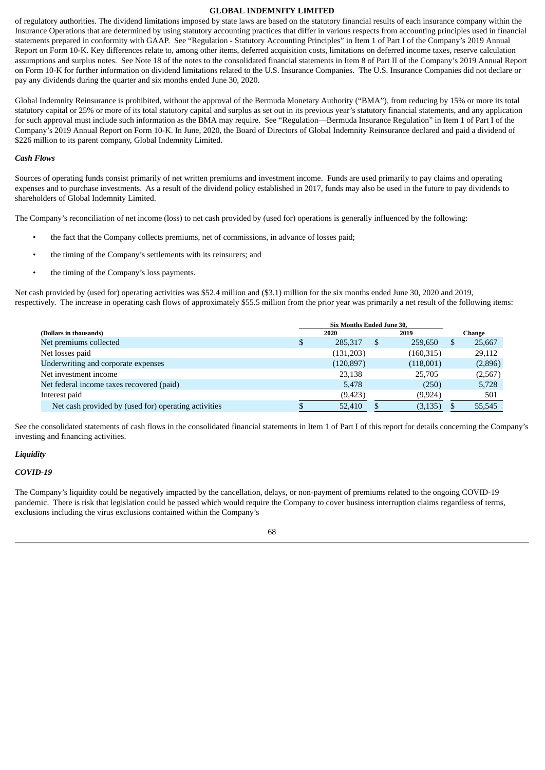of regulatory authorities. The dividend limitations imposed by state laws are based on the statutory financial results of each insurance company within the Insurance Operations that are determined by using statutory accounting practices that differ in various respects from accounting principles used in financial statements prepared in conformity with GAAP. See "Regulation - Statutory Accounting Principles" in Item 1 of Part I of the Company's 2019 Annual Report on Form 10-K. Key differences relate to, among other items, deferred acquisition costs, limitations on deferred income taxes, reserve calculation assumptions and surplus notes. See Note 18 of the notes to the consolidated financial statements in Item 8 of Part II of the Company's 2019 Annual Report on Form 10-K for further information on dividend limitations related to the U.S. Insurance Companies. The U.S. Insurance Companies did not declare or pay any dividends during the quarter and six months ended June 30, 2020.

Global Indemnity Reinsurance is prohibited, without the approval of the Bermuda Monetary Authority ("BMA"), from reducing by 15% or more its total statutory capital or 25% or more of its total statutory capital and surplus as set out in its previous year's statutory financial statements, and any application for such approval must include such information as the BMA may require. See "Regulation—Bermuda Insurance Regulation" in Item 1 of Part I of the Company's 2019 Annual Report on Form 10-K. In June, 2020, the Board of Directors of Global Indemnity Reinsurance declared and paid a dividend of \$226 million to its parent company, Global Indemnity Limited.

# *Cash Flows*

Sources of operating funds consist primarily of net written premiums and investment income. Funds are used primarily to pay claims and operating expenses and to purchase investments. As a result of the dividend policy established in 2017, funds may also be used in the future to pay dividends to shareholders of Global Indemnity Limited.

The Company's reconciliation of net income (loss) to net cash provided by (used for) operations is generally influenced by the following:

- the fact that the Company collects premiums, net of commissions, in advance of losses paid;
- the timing of the Company's settlements with its reinsurers; and
- the timing of the Company's loss payments.

Net cash provided by (used for) operating activities was \$52.4 million and (\$3.1) million for the six months ended June 30, 2020 and 2019, respectively. The increase in operating cash flows of approximately \$55.5 million from the prior year was primarily a net result of the following items:

|                                                      | <b>Six Months Ended June 30,</b> |            |    |            |         |
|------------------------------------------------------|----------------------------------|------------|----|------------|---------|
| (Dollars in thousands)                               |                                  | 2020       |    | 2019       | Change  |
| Net premiums collected                               |                                  | 285,317    | Ъ, | 259,650    | 25,667  |
| Net losses paid                                      |                                  | (131,203)  |    | (160, 315) | 29,112  |
| Underwriting and corporate expenses                  |                                  | (120, 897) |    | (118,001)  | (2,896) |
| Net investment income                                |                                  | 23,138     |    | 25,705     | (2,567) |
| Net federal income taxes recovered (paid)            |                                  | 5,478      |    | (250)      | 5,728   |
| Interest paid                                        |                                  | (9, 423)   |    | (9,924)    | 501     |
| Net cash provided by (used for) operating activities |                                  | 52,410     |    | (3, 135)   | 55,545  |

See the consolidated statements of cash flows in the consolidated financial statements in Item 1 of Part I of this report for details concerning the Company's investing and financing activities.

# *Liquidity*

#### *COVID-19*

The Company's liquidity could be negatively impacted by the cancellation, delays, or non-payment of premiums related to the ongoing COVID-19 pandemic. There is risk that legislation could be passed which would require the Company to cover business interruption claims regardless of terms, exclusions including the virus exclusions contained within the Company's

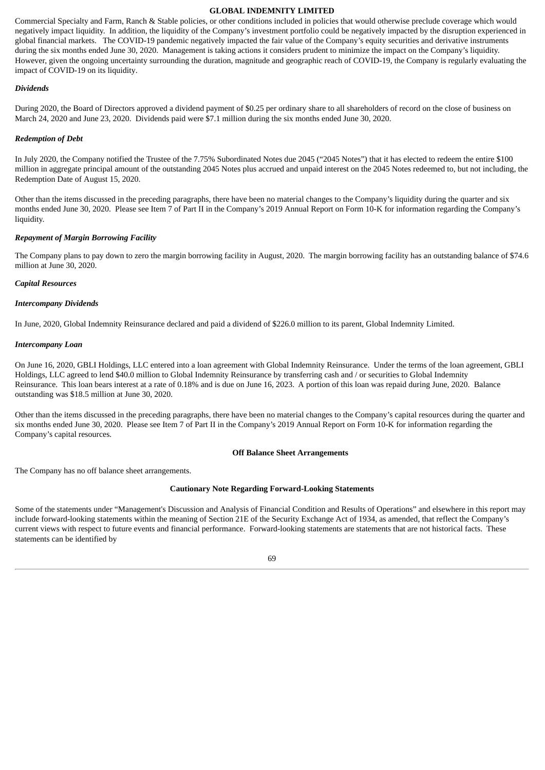Commercial Specialty and Farm, Ranch & Stable policies, or other conditions included in policies that would otherwise preclude coverage which would negatively impact liquidity. In addition, the liquidity of the Company's investment portfolio could be negatively impacted by the disruption experienced in global financial markets. The COVID-19 pandemic negatively impacted the fair value of the Company's equity securities and derivative instruments during the six months ended June 30, 2020. Management is taking actions it considers prudent to minimize the impact on the Company's liquidity. However, given the ongoing uncertainty surrounding the duration, magnitude and geographic reach of COVID-19, the Company is regularly evaluating the impact of COVID-19 on its liquidity.

### *Dividends*

During 2020, the Board of Directors approved a dividend payment of \$0.25 per ordinary share to all shareholders of record on the close of business on March 24, 2020 and June 23, 2020. Dividends paid were \$7.1 million during the six months ended June 30, 2020.

### *Redemption of Debt*

In July 2020, the Company notified the Trustee of the 7.75% Subordinated Notes due 2045 ("2045 Notes") that it has elected to redeem the entire \$100 million in aggregate principal amount of the outstanding 2045 Notes plus accrued and unpaid interest on the 2045 Notes redeemed to, but not including, the Redemption Date of August 15, 2020.

Other than the items discussed in the preceding paragraphs, there have been no material changes to the Company's liquidity during the quarter and six months ended June 30, 2020. Please see Item 7 of Part II in the Company's 2019 Annual Report on Form 10-K for information regarding the Company's liquidity.

# *Repayment of Margin Borrowing Facility*

The Company plans to pay down to zero the margin borrowing facility in August, 2020. The margin borrowing facility has an outstanding balance of \$74.6 million at June 30, 2020.

### *Capital Resources*

### *Intercompany Dividends*

In June, 2020, Global Indemnity Reinsurance declared and paid a dividend of \$226.0 million to its parent, Global Indemnity Limited.

#### *Intercompany Loan*

On June 16, 2020, GBLI Holdings, LLC entered into a loan agreement with Global Indemnity Reinsurance. Under the terms of the loan agreement, GBLI Holdings, LLC agreed to lend \$40.0 million to Global Indemnity Reinsurance by transferring cash and / or securities to Global Indemnity Reinsurance. This loan bears interest at a rate of 0.18% and is due on June 16, 2023. A portion of this loan was repaid during June, 2020. Balance outstanding was \$18.5 million at June 30, 2020.

Other than the items discussed in the preceding paragraphs, there have been no material changes to the Company's capital resources during the quarter and six months ended June 30, 2020. Please see Item 7 of Part II in the Company's 2019 Annual Report on Form 10-K for information regarding the Company's capital resources.

#### **Off Balance Sheet Arrangements**

The Company has no off balance sheet arrangements.

#### **Cautionary Note Regarding Forward-Looking Statements**

Some of the statements under "Management's Discussion and Analysis of Financial Condition and Results of Operations" and elsewhere in this report may include forward-looking statements within the meaning of Section 21E of the Security Exchange Act of 1934, as amended, that reflect the Company's current views with respect to future events and financial performance. Forward-looking statements are statements that are not historical facts. These statements can be identified by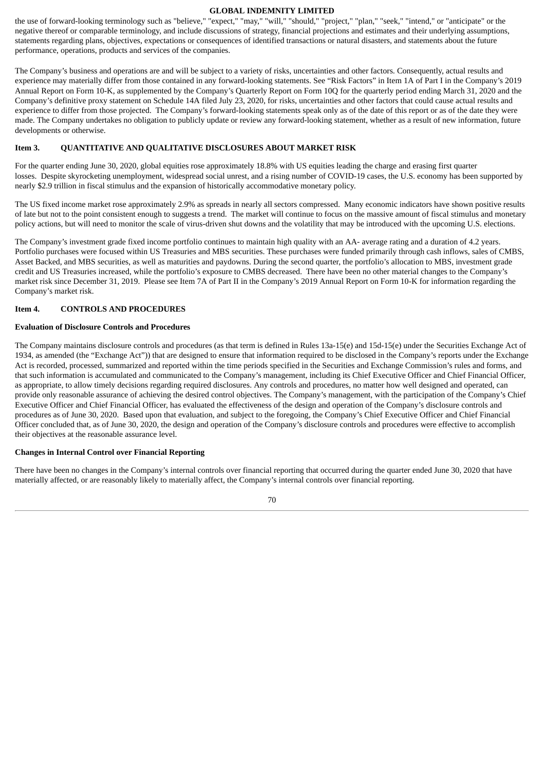the use of forward-looking terminology such as "believe," "expect," "may," "will," "should," "project," "plan," "seek," "intend," or "anticipate" or the negative thereof or comparable terminology, and include discussions of strategy, financial projections and estimates and their underlying assumptions, statements regarding plans, objectives, expectations or consequences of identified transactions or natural disasters, and statements about the future performance, operations, products and services of the companies.

The Company's business and operations are and will be subject to a variety of risks, uncertainties and other factors. Consequently, actual results and experience may materially differ from those contained in any forward-looking statements. See "Risk Factors" in Item 1A of Part I in the Company's 2019 Annual Report on Form 10-K, as supplemented by the Company's Quarterly Report on Form 10Q for the quarterly period ending March 31, 2020 and the Company's definitive proxy statement on Schedule 14A filed July 23, 2020, for risks, uncertainties and other factors that could cause actual results and experience to differ from those projected. The Company's forward-looking statements speak only as of the date of this report or as of the date they were made. The Company undertakes no obligation to publicly update or review any forward-looking statement, whether as a result of new information, future developments or otherwise.

# **Item 3. QUANTITATIVE AND QUALITATIVE DISCLOSURES ABOUT MARKET RISK**

For the quarter ending June 30, 2020, global equities rose approximately 18.8% with US equities leading the charge and erasing first quarter losses. Despite skyrocketing unemployment, widespread social unrest, and a rising number of COVID-19 cases, the U.S. economy has been supported by nearly \$2.9 trillion in fiscal stimulus and the expansion of historically accommodative monetary policy.

The US fixed income market rose approximately 2.9% as spreads in nearly all sectors compressed. Many economic indicators have shown positive results of late but not to the point consistent enough to suggests a trend. The market will continue to focus on the massive amount of fiscal stimulus and monetary policy actions, but will need to monitor the scale of virus-driven shut downs and the volatility that may be introduced with the upcoming U.S. elections.

The Company's investment grade fixed income portfolio continues to maintain high quality with an AA- average rating and a duration of 4.2 years. Portfolio purchases were focused within US Treasuries and MBS securities. These purchases were funded primarily through cash inflows, sales of CMBS, Asset Backed, and MBS securities, as well as maturities and paydowns. During the second quarter, the portfolio's allocation to MBS, investment grade credit and US Treasuries increased, while the portfolio's exposure to CMBS decreased. There have been no other material changes to the Company's market risk since December 31, 2019. Please see Item 7A of Part II in the Company's 2019 Annual Report on Form 10-K for information regarding the Company's market risk.

# **Item 4. CONTROLS AND PROCEDURES**

# **Evaluation of Disclosure Controls and Procedures**

The Company maintains disclosure controls and procedures (as that term is defined in Rules 13a-15(e) and 15d-15(e) under the Securities Exchange Act of 1934, as amended (the "Exchange Act")) that are designed to ensure that information required to be disclosed in the Company's reports under the Exchange Act is recorded, processed, summarized and reported within the time periods specified in the Securities and Exchange Commission's rules and forms, and that such information is accumulated and communicated to the Company's management, including its Chief Executive Officer and Chief Financial Officer, as appropriate, to allow timely decisions regarding required disclosures. Any controls and procedures, no matter how well designed and operated, can provide only reasonable assurance of achieving the desired control objectives. The Company's management, with the participation of the Company's Chief Executive Officer and Chief Financial Officer, has evaluated the effectiveness of the design and operation of the Company's disclosure controls and procedures as of June 30, 2020. Based upon that evaluation, and subject to the foregoing, the Company's Chief Executive Officer and Chief Financial Officer concluded that, as of June 30, 2020, the design and operation of the Company's disclosure controls and procedures were effective to accomplish their objectives at the reasonable assurance level.

# **Changes in Internal Control over Financial Reporting**

There have been no changes in the Company's internal controls over financial reporting that occurred during the quarter ended June 30, 2020 that have materially affected, or are reasonably likely to materially affect, the Company's internal controls over financial reporting.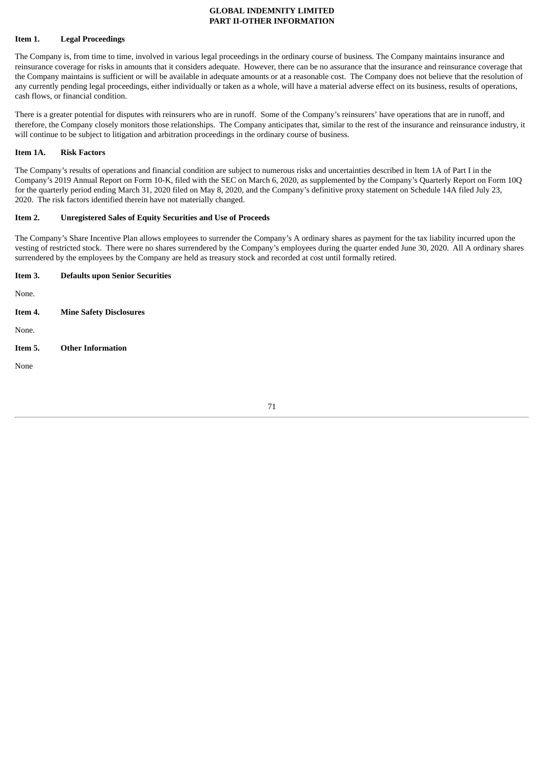# **GLOBAL INDEMNITY LIMITED PART II-OTHER INFORMATION**

# **Item 1. Legal Proceedings**

The Company is, from time to time, involved in various legal proceedings in the ordinary course of business. The Company maintains insurance and reinsurance coverage for risks in amounts that it considers adequate. However, there can be no assurance that the insurance and reinsurance coverage that the Company maintains is sufficient or will be available in adequate amounts or at a reasonable cost. The Company does not believe that the resolution of any currently pending legal proceedings, either individually or taken as a whole, will have a material adverse effect on its business, results of operations, cash flows, or financial condition.

There is a greater potential for disputes with reinsurers who are in runoff. Some of the Company's reinsurers' have operations that are in runoff, and therefore, the Company closely monitors those relationships. The Company anticipates that, similar to the rest of the insurance and reinsurance industry, it will continue to be subject to litigation and arbitration proceedings in the ordinary course of business.

# **Item 1A. Risk Factors**

The Company's results of operations and financial condition are subject to numerous risks and uncertainties described in Item 1A of Part I in the Company's 2019 Annual Report on Form 10-K, filed with the SEC on March 6, 2020, as supplemented by the Company's Quarterly Report on Form 10Q for the quarterly period ending March 31, 2020 filed on May 8, 2020, and the Company's definitive proxy statement on Schedule 14A filed July 23, 2020. The risk factors identified therein have not materially changed.

### **Item 2. Unregistered Sales of Equity Securities and Use of Proceeds**

The Company's Share Incentive Plan allows employees to surrender the Company's A ordinary shares as payment for the tax liability incurred upon the vesting of restricted stock. There were no shares surrendered by the Company's employees during the quarter ended June 30, 2020. All A ordinary shares surrendered by the employees by the Company are held as treasury stock and recorded at cost until formally retired.

| Item 3. | <b>Defaults upon Senior Securities</b> |  |  |
|---------|----------------------------------------|--|--|
|---------|----------------------------------------|--|--|

None.

| Item 4. | <b>Mine Safety Disclosures</b> |  |
|---------|--------------------------------|--|
|---------|--------------------------------|--|

None.

|  | Item 5. | <b>Other Information</b> |
|--|---------|--------------------------|
|--|---------|--------------------------|

None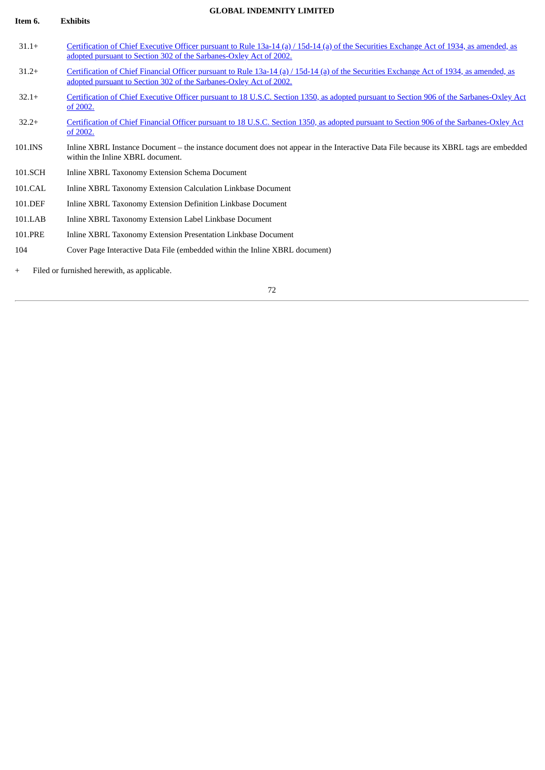| Item 6. | <b>Exhibits</b>                                                                                                                                                                                                |
|---------|----------------------------------------------------------------------------------------------------------------------------------------------------------------------------------------------------------------|
| $31.1+$ | Certification of Chief Executive Officer pursuant to Rule 13a-14 (a) / 15d-14 (a) of the Securities Exchange Act of 1934, as amended, as<br>adopted pursuant to Section 302 of the Sarbanes-Oxley Act of 2002. |
| $31.2+$ | Certification of Chief Financial Officer pursuant to Rule 13a-14(a)/15d-14(a) of the Securities Exchange Act of 1934, as amended, as<br>adopted pursuant to Section 302 of the Sarbanes-Oxley Act of 2002.     |
| $32.1+$ | Certification of Chief Executive Officer pursuant to 18 U.S.C. Section 1350, as adopted pursuant to Section 906 of the Sarbanes-Oxley Act<br>of 2002.                                                          |
| $32.2+$ | Certification of Chief Financial Officer pursuant to 18 U.S.C. Section 1350, as adopted pursuant to Section 906 of the Sarbanes-Oxley Act<br>of 2002.                                                          |
| 101.INS | Inline XBRL Instance Document - the instance document does not appear in the Interactive Data File because its XBRL tags are embedded<br>within the Inline XBRL document.                                      |
| 101.SCH | Inline XBRL Taxonomy Extension Schema Document                                                                                                                                                                 |
| 101.CAL | Inline XBRL Taxonomy Extension Calculation Linkbase Document                                                                                                                                                   |
| 101.DEF | Inline XBRL Taxonomy Extension Definition Linkbase Document                                                                                                                                                    |
| 101.LAB | Inline XBRL Taxonomy Extension Label Linkbase Document                                                                                                                                                         |
| 101.PRE | Inline XBRL Taxonomy Extension Presentation Linkbase Document                                                                                                                                                  |
| 104     | Cover Page Interactive Data File (embedded within the Inline XBRL document)                                                                                                                                    |
| $^{+}$  | Filed or furnished herewith, as applicable.                                                                                                                                                                    |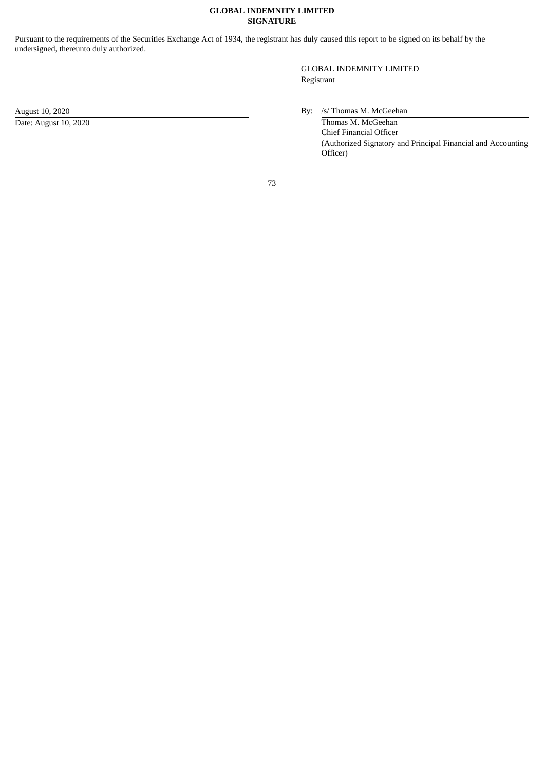#### **GLOBAL INDEMNITY LIMITED SIGNATURE**

Pursuant to the requirements of the Securities Exchange Act of 1934, the registrant has duly caused this report to be signed on its behalf by the undersigned, thereunto duly authorized.

> GLOBAL INDEMNITY LIMITED Registrant

> > Officer)

August 10, 2020 By: /s/ Thomas M. McGeehan Date: August 10, 2020 Thomas M. McGeehan Chief Financial Officer (Authorized Signatory and Principal Financial and Accounting

73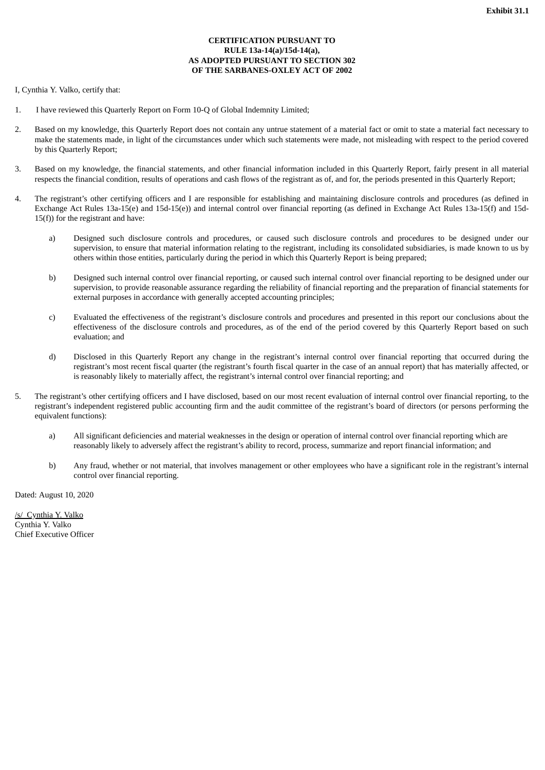# **CERTIFICATION PURSUANT TO RULE 13a-14(a)/15d-14(a), AS ADOPTED PURSUANT TO SECTION 302 OF THE SARBANES-OXLEY ACT OF 2002**

#### I, Cynthia Y. Valko, certify that:

- 1. I have reviewed this Quarterly Report on Form 10-Q of Global Indemnity Limited;
- 2. Based on my knowledge, this Quarterly Report does not contain any untrue statement of a material fact or omit to state a material fact necessary to make the statements made, in light of the circumstances under which such statements were made, not misleading with respect to the period covered by this Quarterly Report;
- 3. Based on my knowledge, the financial statements, and other financial information included in this Quarterly Report, fairly present in all material respects the financial condition, results of operations and cash flows of the registrant as of, and for, the periods presented in this Quarterly Report;
- 4. The registrant's other certifying officers and I are responsible for establishing and maintaining disclosure controls and procedures (as defined in Exchange Act Rules 13a-15(e) and 15d-15(e)) and internal control over financial reporting (as defined in Exchange Act Rules 13a-15(f) and 15d-15(f)) for the registrant and have:
	- a) Designed such disclosure controls and procedures, or caused such disclosure controls and procedures to be designed under our supervision, to ensure that material information relating to the registrant, including its consolidated subsidiaries, is made known to us by others within those entities, particularly during the period in which this Quarterly Report is being prepared;
	- b) Designed such internal control over financial reporting, or caused such internal control over financial reporting to be designed under our supervision, to provide reasonable assurance regarding the reliability of financial reporting and the preparation of financial statements for external purposes in accordance with generally accepted accounting principles;
	- c) Evaluated the effectiveness of the registrant's disclosure controls and procedures and presented in this report our conclusions about the effectiveness of the disclosure controls and procedures, as of the end of the period covered by this Quarterly Report based on such evaluation; and
	- d) Disclosed in this Quarterly Report any change in the registrant's internal control over financial reporting that occurred during the registrant's most recent fiscal quarter (the registrant's fourth fiscal quarter in the case of an annual report) that has materially affected, or is reasonably likely to materially affect, the registrant's internal control over financial reporting; and
- 5. The registrant's other certifying officers and I have disclosed, based on our most recent evaluation of internal control over financial reporting, to the registrant's independent registered public accounting firm and the audit committee of the registrant's board of directors (or persons performing the equivalent functions):
	- a) All significant deficiencies and material weaknesses in the design or operation of internal control over financial reporting which are reasonably likely to adversely affect the registrant's ability to record, process, summarize and report financial information; and
	- b) Any fraud, whether or not material, that involves management or other employees who have a significant role in the registrant's internal control over financial reporting.

Dated: August 10, 2020

/s/ Cynthia Y. Valko Cynthia Y. Valko Chief Executive Officer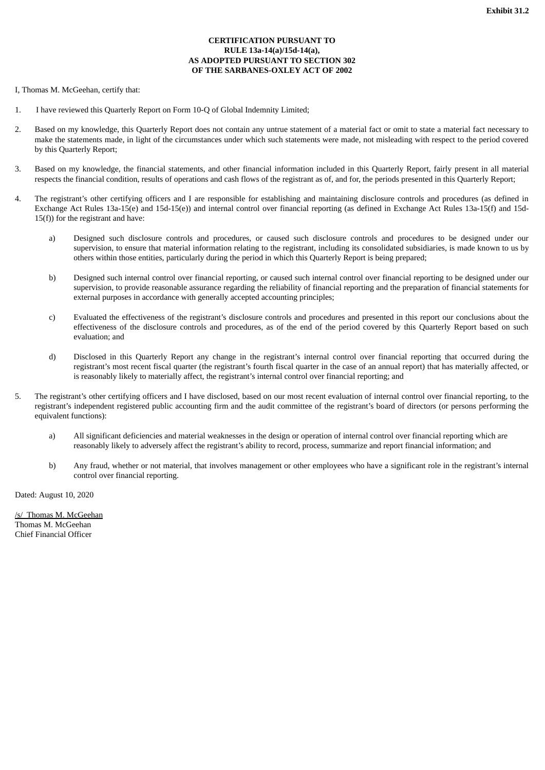# **CERTIFICATION PURSUANT TO RULE 13a-14(a)/15d-14(a), AS ADOPTED PURSUANT TO SECTION 302 OF THE SARBANES-OXLEY ACT OF 2002**

I, Thomas M. McGeehan, certify that:

- 1. I have reviewed this Quarterly Report on Form 10-Q of Global Indemnity Limited;
- 2. Based on my knowledge, this Quarterly Report does not contain any untrue statement of a material fact or omit to state a material fact necessary to make the statements made, in light of the circumstances under which such statements were made, not misleading with respect to the period covered by this Quarterly Report;
- 3. Based on my knowledge, the financial statements, and other financial information included in this Quarterly Report, fairly present in all material respects the financial condition, results of operations and cash flows of the registrant as of, and for, the periods presented in this Quarterly Report;
- 4. The registrant's other certifying officers and I are responsible for establishing and maintaining disclosure controls and procedures (as defined in Exchange Act Rules 13a-15(e) and 15d-15(e)) and internal control over financial reporting (as defined in Exchange Act Rules 13a-15(f) and 15d-15(f)) for the registrant and have:
	- a) Designed such disclosure controls and procedures, or caused such disclosure controls and procedures to be designed under our supervision, to ensure that material information relating to the registrant, including its consolidated subsidiaries, is made known to us by others within those entities, particularly during the period in which this Quarterly Report is being prepared;
	- b) Designed such internal control over financial reporting, or caused such internal control over financial reporting to be designed under our supervision, to provide reasonable assurance regarding the reliability of financial reporting and the preparation of financial statements for external purposes in accordance with generally accepted accounting principles;
	- c) Evaluated the effectiveness of the registrant's disclosure controls and procedures and presented in this report our conclusions about the effectiveness of the disclosure controls and procedures, as of the end of the period covered by this Quarterly Report based on such evaluation; and
	- d) Disclosed in this Quarterly Report any change in the registrant's internal control over financial reporting that occurred during the registrant's most recent fiscal quarter (the registrant's fourth fiscal quarter in the case of an annual report) that has materially affected, or is reasonably likely to materially affect, the registrant's internal control over financial reporting; and
- 5. The registrant's other certifying officers and I have disclosed, based on our most recent evaluation of internal control over financial reporting, to the registrant's independent registered public accounting firm and the audit committee of the registrant's board of directors (or persons performing the equivalent functions):
	- a) All significant deficiencies and material weaknesses in the design or operation of internal control over financial reporting which are reasonably likely to adversely affect the registrant's ability to record, process, summarize and report financial information; and
	- b) Any fraud, whether or not material, that involves management or other employees who have a significant role in the registrant's internal control over financial reporting.

Dated: August 10, 2020

/s/ Thomas M. McGeehan Thomas M. McGeehan Chief Financial Officer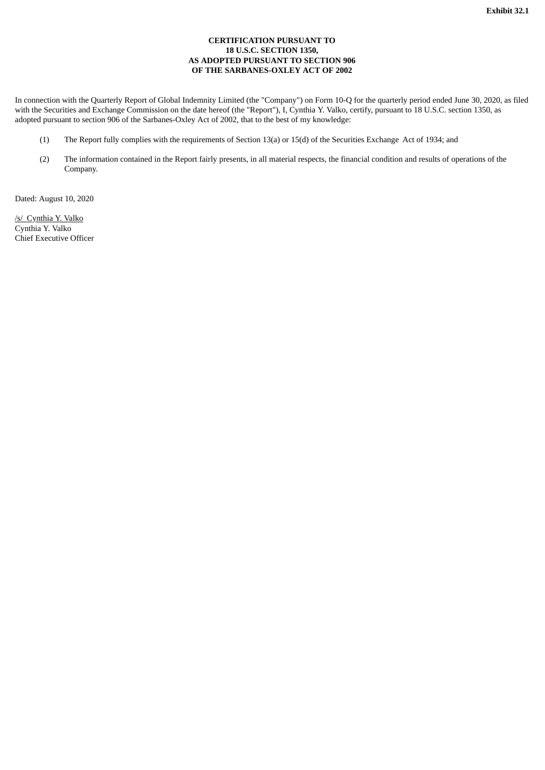## **CERTIFICATION PURSUANT TO 18 U.S.C. SECTION 1350, AS ADOPTED PURSUANT TO SECTION 906 OF THE SARBANES-OXLEY ACT OF 2002**

In connection with the Quarterly Report of Global Indemnity Limited (the "Company") on Form 10-Q for the quarterly period ended June 30, 2020, as filed with the Securities and Exchange Commission on the date hereof (the "Report"), I, Cynthia Y. Valko, certify, pursuant to 18 U.S.C. section 1350, as adopted pursuant to section 906 of the Sarbanes-Oxley Act of 2002, that to the best of my knowledge:

- (1) The Report fully complies with the requirements of Section 13(a) or 15(d) of the Securities Exchange Act of 1934; and
- (2) The information contained in the Report fairly presents, in all material respects, the financial condition and results of operations of the Company.

Dated: August 10, 2020

/s/ Cynthia Y. Valko Cynthia Y. Valko Chief Executive Officer